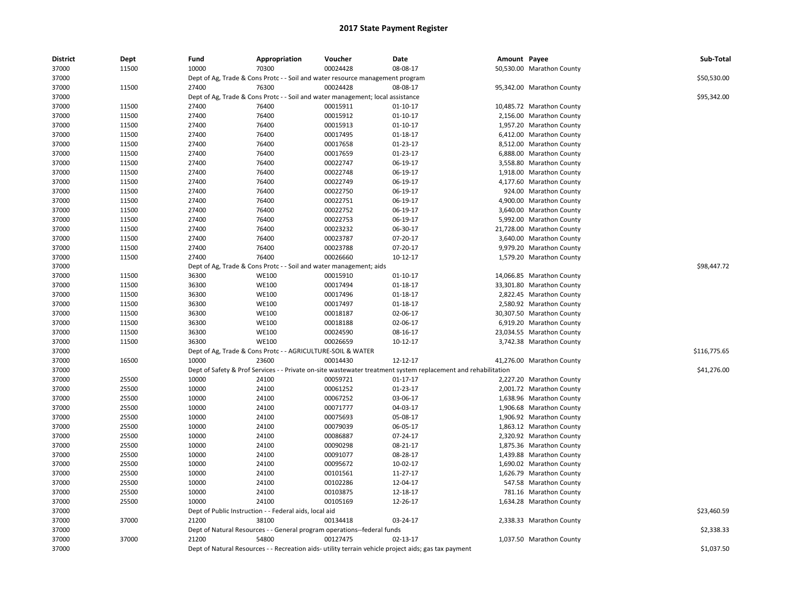| <b>District</b> | Dept  | Fund  | Appropriation                                                                  | Voucher  | Date                                                                                                          | Amount Payee |                           | Sub-Total    |
|-----------------|-------|-------|--------------------------------------------------------------------------------|----------|---------------------------------------------------------------------------------------------------------------|--------------|---------------------------|--------------|
| 37000           | 11500 | 10000 | 70300                                                                          | 00024428 | 08-08-17                                                                                                      |              | 50,530.00 Marathon County |              |
| 37000           |       |       | Dept of Ag, Trade & Cons Protc - - Soil and water resource management program  |          |                                                                                                               |              |                           | \$50,530.00  |
| 37000           | 11500 | 27400 | 76300                                                                          | 00024428 | 08-08-17                                                                                                      |              | 95,342.00 Marathon County |              |
| 37000           |       |       | Dept of Ag, Trade & Cons Protc - - Soil and water management; local assistance |          |                                                                                                               |              |                           | \$95,342.00  |
| 37000           | 11500 | 27400 | 76400                                                                          | 00015911 | $01 - 10 - 17$                                                                                                |              | 10,485.72 Marathon County |              |
| 37000           | 11500 | 27400 | 76400                                                                          | 00015912 | $01 - 10 - 17$                                                                                                |              | 2,156.00 Marathon County  |              |
| 37000           | 11500 | 27400 | 76400                                                                          | 00015913 | $01 - 10 - 17$                                                                                                |              | 1,957.20 Marathon County  |              |
| 37000           | 11500 | 27400 | 76400                                                                          | 00017495 | 01-18-17                                                                                                      |              | 6,412.00 Marathon County  |              |
| 37000           | 11500 | 27400 | 76400                                                                          | 00017658 | 01-23-17                                                                                                      |              | 8,512.00 Marathon County  |              |
| 37000           | 11500 | 27400 | 76400                                                                          | 00017659 | 01-23-17                                                                                                      |              | 6,888.00 Marathon County  |              |
| 37000           | 11500 | 27400 | 76400                                                                          | 00022747 | 06-19-17                                                                                                      |              | 3,558.80 Marathon County  |              |
| 37000           | 11500 | 27400 | 76400                                                                          | 00022748 | 06-19-17                                                                                                      |              | 1,918.00 Marathon County  |              |
| 37000           | 11500 | 27400 | 76400                                                                          | 00022749 | 06-19-17                                                                                                      |              | 4,177.60 Marathon County  |              |
| 37000           | 11500 | 27400 | 76400                                                                          | 00022750 | 06-19-17                                                                                                      |              | 924.00 Marathon County    |              |
| 37000           | 11500 | 27400 | 76400                                                                          | 00022751 | 06-19-17                                                                                                      |              | 4,900.00 Marathon County  |              |
| 37000           | 11500 | 27400 | 76400                                                                          | 00022752 | 06-19-17                                                                                                      |              | 3,640.00 Marathon County  |              |
| 37000           | 11500 | 27400 | 76400                                                                          | 00022753 | 06-19-17                                                                                                      |              | 5,992.00 Marathon County  |              |
| 37000           | 11500 | 27400 | 76400                                                                          | 00023232 | 06-30-17                                                                                                      |              | 21,728.00 Marathon County |              |
| 37000           | 11500 | 27400 | 76400                                                                          | 00023787 | 07-20-17                                                                                                      |              | 3,640.00 Marathon County  |              |
| 37000           | 11500 | 27400 | 76400                                                                          | 00023788 | 07-20-17                                                                                                      |              | 9,979.20 Marathon County  |              |
| 37000           | 11500 | 27400 | 76400                                                                          | 00026660 | 10-12-17                                                                                                      |              | 1,579.20 Marathon County  |              |
| 37000           |       |       | Dept of Ag, Trade & Cons Protc - - Soil and water management; aids             |          |                                                                                                               |              |                           | \$98,447.72  |
| 37000           | 11500 | 36300 | <b>WE100</b>                                                                   | 00015910 | $01 - 10 - 17$                                                                                                |              | 14,066.85 Marathon County |              |
| 37000           | 11500 | 36300 | <b>WE100</b>                                                                   | 00017494 | 01-18-17                                                                                                      |              | 33,301.80 Marathon County |              |
| 37000           | 11500 | 36300 | <b>WE100</b>                                                                   | 00017496 | 01-18-17                                                                                                      |              | 2,822.45 Marathon County  |              |
| 37000           | 11500 | 36300 | <b>WE100</b>                                                                   | 00017497 | 01-18-17                                                                                                      |              | 2,580.92 Marathon County  |              |
| 37000           | 11500 | 36300 | <b>WE100</b>                                                                   | 00018187 | 02-06-17                                                                                                      |              | 30,307.50 Marathon County |              |
| 37000           | 11500 | 36300 | <b>WE100</b>                                                                   | 00018188 | 02-06-17                                                                                                      |              | 6,919.20 Marathon County  |              |
| 37000           | 11500 | 36300 | <b>WE100</b>                                                                   | 00024590 | 08-16-17                                                                                                      |              | 23,034.55 Marathon County |              |
| 37000           | 11500 | 36300 | <b>WE100</b>                                                                   | 00026659 | 10-12-17                                                                                                      |              | 3,742.38 Marathon County  |              |
| 37000           |       |       | Dept of Ag, Trade & Cons Protc - - AGRICULTURE-SOIL & WATER                    |          |                                                                                                               |              |                           | \$116,775.65 |
| 37000           | 16500 | 10000 | 23600                                                                          | 00014430 | 12-12-17                                                                                                      |              | 41,276.00 Marathon County |              |
| 37000           |       |       |                                                                                |          | Dept of Safety & Prof Services - - Private on-site wastewater treatment system replacement and rehabilitation |              |                           | \$41,276.00  |
| 37000           | 25500 | 10000 | 24100                                                                          | 00059721 | $01 - 17 - 17$                                                                                                |              | 2,227.20 Marathon County  |              |
| 37000           | 25500 | 10000 | 24100                                                                          | 00061252 | 01-23-17                                                                                                      |              | 2,001.72 Marathon County  |              |
| 37000           | 25500 | 10000 | 24100                                                                          | 00067252 | 03-06-17                                                                                                      |              | 1,638.96 Marathon County  |              |
| 37000           | 25500 | 10000 | 24100                                                                          | 00071777 | 04-03-17                                                                                                      |              | 1,906.68 Marathon County  |              |
| 37000           | 25500 | 10000 | 24100                                                                          | 00075693 | 05-08-17                                                                                                      |              | 1,906.92 Marathon County  |              |
| 37000           | 25500 | 10000 | 24100                                                                          | 00079039 | 06-05-17                                                                                                      |              | 1,863.12 Marathon County  |              |
| 37000           | 25500 | 10000 | 24100                                                                          | 00086887 | 07-24-17                                                                                                      |              | 2,320.92 Marathon County  |              |
| 37000           | 25500 | 10000 | 24100                                                                          | 00090298 | 08-21-17                                                                                                      |              | 1,875.36 Marathon County  |              |
| 37000           | 25500 | 10000 | 24100                                                                          | 00091077 | 08-28-17                                                                                                      |              | 1,439.88 Marathon County  |              |
| 37000           | 25500 | 10000 | 24100                                                                          | 00095672 | 10-02-17                                                                                                      |              | 1,690.02 Marathon County  |              |
| 37000           | 25500 | 10000 | 24100                                                                          | 00101561 | 11-27-17                                                                                                      |              | 1,626.79 Marathon County  |              |
| 37000           | 25500 | 10000 | 24100                                                                          | 00102286 | 12-04-17                                                                                                      |              | 547.58 Marathon County    |              |
| 37000           | 25500 | 10000 | 24100                                                                          | 00103875 | 12-18-17                                                                                                      |              | 781.16 Marathon County    |              |
| 37000           | 25500 | 10000 | 24100                                                                          | 00105169 | 12-26-17                                                                                                      |              | 1,634.28 Marathon County  |              |
| 37000           |       |       | Dept of Public Instruction - - Federal aids, local aid                         |          |                                                                                                               |              |                           | \$23,460.59  |
| 37000           | 37000 | 21200 | 38100                                                                          | 00134418 | 03-24-17                                                                                                      |              | 2,338.33 Marathon County  |              |
| 37000           |       |       | Dept of Natural Resources - - General program operations--federal funds        |          |                                                                                                               |              |                           | \$2,338.33   |
| 37000           | 37000 | 21200 | 54800                                                                          | 00127475 | 02-13-17                                                                                                      |              | 1,037.50 Marathon County  |              |
| 37000           |       |       |                                                                                |          | Dept of Natural Resources - - Recreation aids- utility terrain vehicle project aids; gas tax payment          |              |                           | \$1,037.50   |
|                 |       |       |                                                                                |          |                                                                                                               |              |                           |              |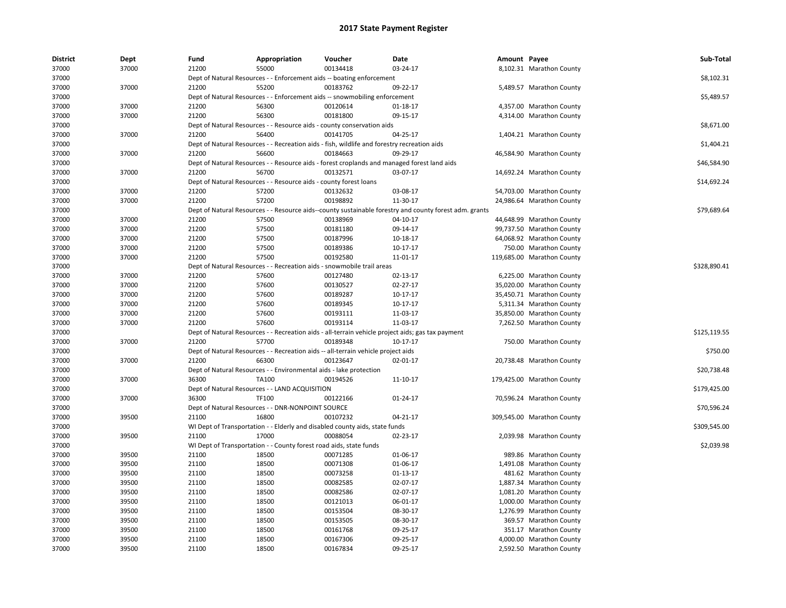| <b>District</b> | Dept  | Fund  | Appropriation                                                                               | Voucher  | Date                                                                                                   | Amount Payee |                            | Sub-Total    |
|-----------------|-------|-------|---------------------------------------------------------------------------------------------|----------|--------------------------------------------------------------------------------------------------------|--------------|----------------------------|--------------|
| 37000           | 37000 | 21200 | 55000                                                                                       | 00134418 | 03-24-17                                                                                               |              | 8,102.31 Marathon County   |              |
| 37000           |       |       | Dept of Natural Resources - - Enforcement aids -- boating enforcement                       |          |                                                                                                        |              |                            | \$8,102.31   |
| 37000           | 37000 | 21200 | 55200                                                                                       | 00183762 | 09-22-17                                                                                               |              | 5,489.57 Marathon County   |              |
| 37000           |       |       | Dept of Natural Resources - - Enforcement aids -- snowmobiling enforcement                  |          |                                                                                                        |              |                            | \$5,489.57   |
| 37000           | 37000 | 21200 | 56300                                                                                       | 00120614 | $01-18-17$                                                                                             |              | 4,357.00 Marathon County   |              |
| 37000           | 37000 | 21200 | 56300                                                                                       | 00181800 | 09-15-17                                                                                               |              | 4,314.00 Marathon County   |              |
| 37000           |       |       | Dept of Natural Resources - - Resource aids - county conservation aids                      |          |                                                                                                        |              |                            | \$8,671.00   |
| 37000           | 37000 | 21200 | 56400                                                                                       | 00141705 | 04-25-17                                                                                               |              | 1,404.21 Marathon County   |              |
| 37000           |       |       | Dept of Natural Resources - - Recreation aids - fish, wildlife and forestry recreation aids |          |                                                                                                        |              |                            | \$1,404.21   |
| 37000           | 37000 | 21200 | 56600                                                                                       | 00184663 | 09-29-17                                                                                               |              | 46,584.90 Marathon County  |              |
| 37000           |       |       |                                                                                             |          | Dept of Natural Resources - - Resource aids - forest croplands and managed forest land aids            |              |                            | \$46,584.90  |
| 37000           | 37000 | 21200 | 56700                                                                                       | 00132571 | 03-07-17                                                                                               |              | 14,692.24 Marathon County  |              |
| 37000           |       |       | Dept of Natural Resources - - Resource aids - county forest loans                           |          |                                                                                                        |              |                            | \$14,692.24  |
| 37000           | 37000 | 21200 | 57200                                                                                       | 00132632 | 03-08-17                                                                                               |              | 54,703.00 Marathon County  |              |
| 37000           | 37000 | 21200 | 57200                                                                                       | 00198892 | 11-30-17                                                                                               |              | 24,986.64 Marathon County  |              |
| 37000           |       |       |                                                                                             |          | Dept of Natural Resources - - Resource aids--county sustainable forestry and county forest adm. grants |              |                            | \$79,689.64  |
| 37000           | 37000 | 21200 | 57500                                                                                       | 00138969 | 04-10-17                                                                                               |              | 44,648.99 Marathon County  |              |
| 37000           | 37000 | 21200 | 57500                                                                                       | 00181180 | 09-14-17                                                                                               |              | 99,737.50 Marathon County  |              |
| 37000           | 37000 | 21200 | 57500                                                                                       | 00187996 | 10-18-17                                                                                               |              | 64,068.92 Marathon County  |              |
| 37000           | 37000 | 21200 | 57500                                                                                       | 00189386 | $10-17-17$                                                                                             |              | 750.00 Marathon County     |              |
| 37000           | 37000 | 21200 | 57500                                                                                       | 00192580 | 11-01-17                                                                                               |              | 119,685.00 Marathon County |              |
| 37000           |       |       | Dept of Natural Resources - - Recreation aids - snowmobile trail areas                      |          |                                                                                                        |              |                            | \$328,890.41 |
| 37000           | 37000 | 21200 | 57600                                                                                       | 00127480 | 02-13-17                                                                                               |              | 6,225.00 Marathon County   |              |
| 37000           | 37000 | 21200 | 57600                                                                                       | 00130527 | $02 - 27 - 17$                                                                                         |              | 35,020.00 Marathon County  |              |
| 37000           | 37000 | 21200 | 57600                                                                                       | 00189287 | 10-17-17                                                                                               |              | 35,450.71 Marathon County  |              |
| 37000           | 37000 | 21200 | 57600                                                                                       | 00189345 | 10-17-17                                                                                               |              | 5,311.34 Marathon County   |              |
| 37000           | 37000 | 21200 | 57600                                                                                       | 00193111 | 11-03-17                                                                                               |              | 35,850.00 Marathon County  |              |
| 37000           | 37000 | 21200 | 57600                                                                                       | 00193114 | 11-03-17                                                                                               |              | 7,262.50 Marathon County   |              |
| 37000           |       |       |                                                                                             |          | Dept of Natural Resources - - Recreation aids - all-terrain vehicle project aids; gas tax payment      |              |                            | \$125,119.55 |
| 37000           | 37000 | 21200 | 57700                                                                                       | 00189348 | 10-17-17                                                                                               |              | 750.00 Marathon County     |              |
| 37000           |       |       | Dept of Natural Resources - - Recreation aids -- all-terrain vehicle project aids           |          |                                                                                                        |              |                            | \$750.00     |
| 37000           | 37000 | 21200 | 66300                                                                                       | 00123647 | 02-01-17                                                                                               |              | 20,738.48 Marathon County  |              |
| 37000           |       |       | Dept of Natural Resources - - Environmental aids - lake protection                          |          |                                                                                                        |              |                            | \$20,738.48  |
| 37000           | 37000 | 36300 | TA100                                                                                       | 00194526 | 11-10-17                                                                                               |              | 179,425.00 Marathon County |              |
| 37000           |       |       | Dept of Natural Resources - - LAND ACQUISITION                                              |          |                                                                                                        |              |                            | \$179,425.00 |
| 37000           | 37000 | 36300 | TF100                                                                                       | 00122166 | $01 - 24 - 17$                                                                                         |              | 70,596.24 Marathon County  |              |
| 37000           |       |       | Dept of Natural Resources - - DNR-NONPOINT SOURCE                                           |          |                                                                                                        |              |                            | \$70,596.24  |
| 37000           | 39500 | 21100 | 16800                                                                                       | 00107232 | 04-21-17                                                                                               |              | 309,545.00 Marathon County |              |
| 37000           |       |       | WI Dept of Transportation - - Elderly and disabled county aids, state funds                 |          |                                                                                                        |              |                            | \$309,545.00 |
| 37000           | 39500 | 21100 | 17000                                                                                       | 00088054 | 02-23-17                                                                                               |              | 2,039.98 Marathon County   |              |
| 37000           |       |       | WI Dept of Transportation - - County forest road aids, state funds                          |          |                                                                                                        |              |                            | \$2,039.98   |
| 37000           | 39500 | 21100 | 18500                                                                                       | 00071285 | 01-06-17                                                                                               |              | 989.86 Marathon County     |              |
| 37000           | 39500 | 21100 | 18500                                                                                       | 00071308 | 01-06-17                                                                                               |              | 1,491.08 Marathon County   |              |
|                 |       | 21100 | 18500                                                                                       | 00073258 |                                                                                                        |              |                            |              |
| 37000           | 39500 |       |                                                                                             |          | 01-13-17                                                                                               |              | 481.62 Marathon County     |              |
| 37000           | 39500 | 21100 | 18500                                                                                       | 00082585 | 02-07-17                                                                                               |              | 1,887.34 Marathon County   |              |
| 37000           | 39500 | 21100 | 18500                                                                                       | 00082586 | 02-07-17                                                                                               |              | 1,081.20 Marathon County   |              |
| 37000           | 39500 | 21100 | 18500                                                                                       | 00121013 | 06-01-17                                                                                               |              | 1,000.00 Marathon County   |              |
| 37000           | 39500 | 21100 | 18500                                                                                       | 00153504 | 08-30-17                                                                                               |              | 1,276.99 Marathon County   |              |
| 37000           | 39500 | 21100 | 18500                                                                                       | 00153505 | 08-30-17                                                                                               |              | 369.57 Marathon County     |              |
| 37000           | 39500 | 21100 | 18500                                                                                       | 00161768 | 09-25-17                                                                                               |              | 351.17 Marathon County     |              |
| 37000           | 39500 | 21100 | 18500                                                                                       | 00167306 | 09-25-17                                                                                               |              | 4,000.00 Marathon County   |              |
| 37000           | 39500 | 21100 | 18500                                                                                       | 00167834 | 09-25-17                                                                                               |              | 2,592.50 Marathon County   |              |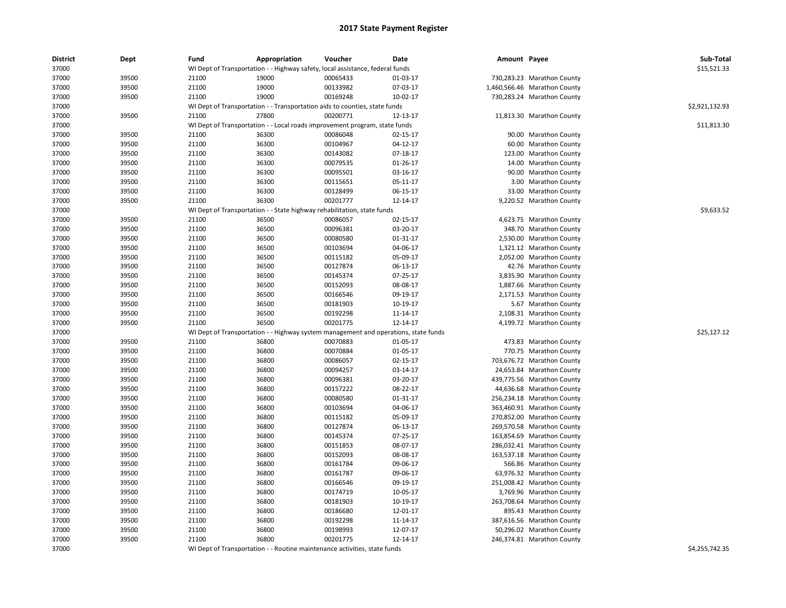| \$15,521.33<br>37000<br>WI Dept of Transportation - - Highway safety, local assistance, federal funds<br>37000<br>39500<br>21100<br>19000<br>00065433<br>01-03-17<br>730,283.23 Marathon County<br>39500<br>21100<br>19000<br>00133982<br>07-03-17<br>1,460,566.46 Marathon County<br>37000<br>37000<br>39500<br>21100<br>19000<br>00169248<br>$10-02-17$<br>730,283.24 Marathon County<br>37000<br>WI Dept of Transportation - - Transportation aids to counties, state funds<br>\$2,921,132.93<br>27800<br>39500<br>21100<br>00200771<br>12-13-17<br>37000<br>11,813.30 Marathon County<br>WI Dept of Transportation - - Local roads improvement program, state funds<br>\$11,813.30<br>37000<br>37000<br>39500<br>21100<br>36300<br>00086048<br>02-15-17<br><b>Marathon County</b><br>90.00<br>37000<br>39500<br>21100<br>36300<br>00104967<br>04-12-17<br>60.00 Marathon County<br>37000<br>39500<br>21100<br>36300<br>00143082<br>07-18-17<br><b>Marathon County</b><br>123.00<br>37000<br>39500<br>21100<br>36300<br>00079535<br>01-26-17<br>14.00<br><b>Marathon County</b><br>36300<br>00095501<br>03-16-17<br>37000<br>39500<br>21100<br>90.00 Marathon County<br>36300<br>00115651<br>37000<br>39500<br>21100<br>05-11-17<br>3.00 Marathon County<br>21100<br>36300<br>00128499<br>06-15-17<br>33.00 Marathon County<br>37000<br>39500<br>00201777<br>37000<br>39500<br>21100<br>36300<br>12-14-17<br>9,220.52 Marathon County<br>\$9,633.52<br>37000<br>WI Dept of Transportation - - State highway rehabilitation, state funds<br>36500<br>37000<br>39500<br>21100<br>00086057<br>02-15-17<br>4,623.75 Marathon County<br>37000<br>39500<br>21100<br>36500<br>00096381<br>03-20-17<br>348.70 Marathon County<br>36500<br>00080580<br>01-31-17<br>37000<br>39500<br>21100<br>2,530.00 Marathon County<br>37000<br>21100<br>36500<br>00103694<br>04-06-17<br>1,321.12 Marathon County<br>39500<br>37000<br>39500<br>21100<br>36500<br>00115182<br>05-09-17<br>2,052.00 Marathon County<br>36500<br>00127874<br>06-13-17<br>42.76 Marathon County<br>37000<br>39500<br>21100<br>37000<br>39500<br>21100<br>36500<br>00145374<br>07-25-17<br>3,835.90 Marathon County<br>21100<br>36500<br>00152093<br>08-08-17<br>1,887.66 Marathon County<br>37000<br>39500<br>37000<br>36500<br>00166546<br>39500<br>21100<br>09-19-17<br>2,171.53 Marathon County<br>37000<br>39500<br>21100<br>36500<br>00181903<br>10-19-17<br>5.67 Marathon County<br>37000<br>39500<br>21100<br>36500<br>00192298<br>11-14-17<br>2,108.31 Marathon County<br>36500<br>00201775<br>37000<br>39500<br>21100<br>12-14-17<br>4,199.72 Marathon County<br>\$25,127.12<br>37000<br>WI Dept of Transportation - - Highway system management and operations, state funds<br>21100<br>36800<br>00070883<br>37000<br>39500<br>01-05-17<br>473.83 Marathon County<br>36800<br>00070884<br>37000<br>39500<br>21100<br>01-05-17<br>770.75 Marathon County<br>37000<br>39500<br>21100<br>36800<br>00086057<br>02-15-17<br>703,676.72 Marathon County<br>36800<br>00094257<br>37000<br>39500<br>21100<br>03-14-17<br>24,653.84 Marathon County<br>37000<br>39500<br>21100<br>36800<br>00096381<br>03-20-17<br>439,775.56 Marathon County<br>00157222<br>37000<br>39500<br>21100<br>36800<br>08-22-17<br>44,636.68 Marathon County<br>37000<br>39500<br>21100<br>36800<br>00080580<br>01-31-17<br>256,234.18 Marathon County<br>36800<br>00103694<br>04-06-17<br>363,460.91 Marathon County<br>37000<br>39500<br>21100<br>37000<br>39500<br>21100<br>36800<br>00115182<br>05-09-17<br>270,852.00 Marathon County<br>36800<br>00127874<br>37000<br>39500<br>21100<br>06-13-17<br>269,570.58 Marathon County<br>37000<br>39500<br>21100<br>36800<br>00145374<br>07-25-17<br>163,854.69 Marathon County<br>21100<br>36800<br>00151853<br>08-07-17<br>286,032.41 Marathon County<br>37000<br>39500<br>37000<br>39500<br>21100<br>36800<br>00152093<br>08-08-17<br>163,537.18 Marathon County<br>37000<br>39500<br>21100<br>36800<br>00161784<br>09-06-17<br>566.86 Marathon County<br>00161787<br>37000<br>39500<br>21100<br>36800<br>09-06-17<br>63,976.32 Marathon County<br>37000<br>39500<br>21100<br>36800<br>00166546<br>09-19-17<br>251,008.42 Marathon County<br>00174719<br>37000<br>39500<br>21100<br>36800<br>10-05-17<br>3,769.96 Marathon County<br>37000<br>21100<br>36800<br>00181903<br>10-19-17<br>263,708.64 Marathon County<br>39500<br>37000<br>39500<br>21100<br>36800<br>00186680<br>12-01-17<br>895.43 Marathon County<br>39500<br>21100<br>36800<br>00192298<br>387,616.56 Marathon County<br>37000<br>11-14-17<br>37000<br>39500<br>21100<br>36800<br>00198993<br>12-07-17<br>50,296.02 Marathon County<br>21100<br>36800<br>00201775<br>246,374.81 Marathon County<br>37000<br>39500<br>12-14-17<br>37000<br>\$4,255,742.35<br>WI Dept of Transportation - - Routine maintenance activities, state funds | <b>District</b> | Dept | Fund | Appropriation | Voucher | Date | Amount Payee | Sub-Total |
|------------------------------------------------------------------------------------------------------------------------------------------------------------------------------------------------------------------------------------------------------------------------------------------------------------------------------------------------------------------------------------------------------------------------------------------------------------------------------------------------------------------------------------------------------------------------------------------------------------------------------------------------------------------------------------------------------------------------------------------------------------------------------------------------------------------------------------------------------------------------------------------------------------------------------------------------------------------------------------------------------------------------------------------------------------------------------------------------------------------------------------------------------------------------------------------------------------------------------------------------------------------------------------------------------------------------------------------------------------------------------------------------------------------------------------------------------------------------------------------------------------------------------------------------------------------------------------------------------------------------------------------------------------------------------------------------------------------------------------------------------------------------------------------------------------------------------------------------------------------------------------------------------------------------------------------------------------------------------------------------------------------------------------------------------------------------------------------------------------------------------------------------------------------------------------------------------------------------------------------------------------------------------------------------------------------------------------------------------------------------------------------------------------------------------------------------------------------------------------------------------------------------------------------------------------------------------------------------------------------------------------------------------------------------------------------------------------------------------------------------------------------------------------------------------------------------------------------------------------------------------------------------------------------------------------------------------------------------------------------------------------------------------------------------------------------------------------------------------------------------------------------------------------------------------------------------------------------------------------------------------------------------------------------------------------------------------------------------------------------------------------------------------------------------------------------------------------------------------------------------------------------------------------------------------------------------------------------------------------------------------------------------------------------------------------------------------------------------------------------------------------------------------------------------------------------------------------------------------------------------------------------------------------------------------------------------------------------------------------------------------------------------------------------------------------------------------------------------------------------------------------------------------------------------------------------------------------------------------------------------------------------------------------------------------------------------------------------------------------------------------------------------------------------------------------------------------------------------------------------------------------------------------------------------------------------------------------------------------------------------------------------------------------------------------------------------------------------------------------------------------------------------------------------------------------------------------------------------------------------------------------------------|-----------------|------|------|---------------|---------|------|--------------|-----------|
|                                                                                                                                                                                                                                                                                                                                                                                                                                                                                                                                                                                                                                                                                                                                                                                                                                                                                                                                                                                                                                                                                                                                                                                                                                                                                                                                                                                                                                                                                                                                                                                                                                                                                                                                                                                                                                                                                                                                                                                                                                                                                                                                                                                                                                                                                                                                                                                                                                                                                                                                                                                                                                                                                                                                                                                                                                                                                                                                                                                                                                                                                                                                                                                                                                                                                                                                                                                                                                                                                                                                                                                                                                                                                                                                                                                                                                                                                                                                                                                                                                                                                                                                                                                                                                                                                                                                                                                                                                                                                                                                                                                                                                                                                                                                                                                                                                                                                                |                 |      |      |               |         |      |              |           |
|                                                                                                                                                                                                                                                                                                                                                                                                                                                                                                                                                                                                                                                                                                                                                                                                                                                                                                                                                                                                                                                                                                                                                                                                                                                                                                                                                                                                                                                                                                                                                                                                                                                                                                                                                                                                                                                                                                                                                                                                                                                                                                                                                                                                                                                                                                                                                                                                                                                                                                                                                                                                                                                                                                                                                                                                                                                                                                                                                                                                                                                                                                                                                                                                                                                                                                                                                                                                                                                                                                                                                                                                                                                                                                                                                                                                                                                                                                                                                                                                                                                                                                                                                                                                                                                                                                                                                                                                                                                                                                                                                                                                                                                                                                                                                                                                                                                                                                |                 |      |      |               |         |      |              |           |
|                                                                                                                                                                                                                                                                                                                                                                                                                                                                                                                                                                                                                                                                                                                                                                                                                                                                                                                                                                                                                                                                                                                                                                                                                                                                                                                                                                                                                                                                                                                                                                                                                                                                                                                                                                                                                                                                                                                                                                                                                                                                                                                                                                                                                                                                                                                                                                                                                                                                                                                                                                                                                                                                                                                                                                                                                                                                                                                                                                                                                                                                                                                                                                                                                                                                                                                                                                                                                                                                                                                                                                                                                                                                                                                                                                                                                                                                                                                                                                                                                                                                                                                                                                                                                                                                                                                                                                                                                                                                                                                                                                                                                                                                                                                                                                                                                                                                                                |                 |      |      |               |         |      |              |           |
|                                                                                                                                                                                                                                                                                                                                                                                                                                                                                                                                                                                                                                                                                                                                                                                                                                                                                                                                                                                                                                                                                                                                                                                                                                                                                                                                                                                                                                                                                                                                                                                                                                                                                                                                                                                                                                                                                                                                                                                                                                                                                                                                                                                                                                                                                                                                                                                                                                                                                                                                                                                                                                                                                                                                                                                                                                                                                                                                                                                                                                                                                                                                                                                                                                                                                                                                                                                                                                                                                                                                                                                                                                                                                                                                                                                                                                                                                                                                                                                                                                                                                                                                                                                                                                                                                                                                                                                                                                                                                                                                                                                                                                                                                                                                                                                                                                                                                                |                 |      |      |               |         |      |              |           |
|                                                                                                                                                                                                                                                                                                                                                                                                                                                                                                                                                                                                                                                                                                                                                                                                                                                                                                                                                                                                                                                                                                                                                                                                                                                                                                                                                                                                                                                                                                                                                                                                                                                                                                                                                                                                                                                                                                                                                                                                                                                                                                                                                                                                                                                                                                                                                                                                                                                                                                                                                                                                                                                                                                                                                                                                                                                                                                                                                                                                                                                                                                                                                                                                                                                                                                                                                                                                                                                                                                                                                                                                                                                                                                                                                                                                                                                                                                                                                                                                                                                                                                                                                                                                                                                                                                                                                                                                                                                                                                                                                                                                                                                                                                                                                                                                                                                                                                |                 |      |      |               |         |      |              |           |
|                                                                                                                                                                                                                                                                                                                                                                                                                                                                                                                                                                                                                                                                                                                                                                                                                                                                                                                                                                                                                                                                                                                                                                                                                                                                                                                                                                                                                                                                                                                                                                                                                                                                                                                                                                                                                                                                                                                                                                                                                                                                                                                                                                                                                                                                                                                                                                                                                                                                                                                                                                                                                                                                                                                                                                                                                                                                                                                                                                                                                                                                                                                                                                                                                                                                                                                                                                                                                                                                                                                                                                                                                                                                                                                                                                                                                                                                                                                                                                                                                                                                                                                                                                                                                                                                                                                                                                                                                                                                                                                                                                                                                                                                                                                                                                                                                                                                                                |                 |      |      |               |         |      |              |           |
|                                                                                                                                                                                                                                                                                                                                                                                                                                                                                                                                                                                                                                                                                                                                                                                                                                                                                                                                                                                                                                                                                                                                                                                                                                                                                                                                                                                                                                                                                                                                                                                                                                                                                                                                                                                                                                                                                                                                                                                                                                                                                                                                                                                                                                                                                                                                                                                                                                                                                                                                                                                                                                                                                                                                                                                                                                                                                                                                                                                                                                                                                                                                                                                                                                                                                                                                                                                                                                                                                                                                                                                                                                                                                                                                                                                                                                                                                                                                                                                                                                                                                                                                                                                                                                                                                                                                                                                                                                                                                                                                                                                                                                                                                                                                                                                                                                                                                                |                 |      |      |               |         |      |              |           |
|                                                                                                                                                                                                                                                                                                                                                                                                                                                                                                                                                                                                                                                                                                                                                                                                                                                                                                                                                                                                                                                                                                                                                                                                                                                                                                                                                                                                                                                                                                                                                                                                                                                                                                                                                                                                                                                                                                                                                                                                                                                                                                                                                                                                                                                                                                                                                                                                                                                                                                                                                                                                                                                                                                                                                                                                                                                                                                                                                                                                                                                                                                                                                                                                                                                                                                                                                                                                                                                                                                                                                                                                                                                                                                                                                                                                                                                                                                                                                                                                                                                                                                                                                                                                                                                                                                                                                                                                                                                                                                                                                                                                                                                                                                                                                                                                                                                                                                |                 |      |      |               |         |      |              |           |
|                                                                                                                                                                                                                                                                                                                                                                                                                                                                                                                                                                                                                                                                                                                                                                                                                                                                                                                                                                                                                                                                                                                                                                                                                                                                                                                                                                                                                                                                                                                                                                                                                                                                                                                                                                                                                                                                                                                                                                                                                                                                                                                                                                                                                                                                                                                                                                                                                                                                                                                                                                                                                                                                                                                                                                                                                                                                                                                                                                                                                                                                                                                                                                                                                                                                                                                                                                                                                                                                                                                                                                                                                                                                                                                                                                                                                                                                                                                                                                                                                                                                                                                                                                                                                                                                                                                                                                                                                                                                                                                                                                                                                                                                                                                                                                                                                                                                                                |                 |      |      |               |         |      |              |           |
|                                                                                                                                                                                                                                                                                                                                                                                                                                                                                                                                                                                                                                                                                                                                                                                                                                                                                                                                                                                                                                                                                                                                                                                                                                                                                                                                                                                                                                                                                                                                                                                                                                                                                                                                                                                                                                                                                                                                                                                                                                                                                                                                                                                                                                                                                                                                                                                                                                                                                                                                                                                                                                                                                                                                                                                                                                                                                                                                                                                                                                                                                                                                                                                                                                                                                                                                                                                                                                                                                                                                                                                                                                                                                                                                                                                                                                                                                                                                                                                                                                                                                                                                                                                                                                                                                                                                                                                                                                                                                                                                                                                                                                                                                                                                                                                                                                                                                                |                 |      |      |               |         |      |              |           |
|                                                                                                                                                                                                                                                                                                                                                                                                                                                                                                                                                                                                                                                                                                                                                                                                                                                                                                                                                                                                                                                                                                                                                                                                                                                                                                                                                                                                                                                                                                                                                                                                                                                                                                                                                                                                                                                                                                                                                                                                                                                                                                                                                                                                                                                                                                                                                                                                                                                                                                                                                                                                                                                                                                                                                                                                                                                                                                                                                                                                                                                                                                                                                                                                                                                                                                                                                                                                                                                                                                                                                                                                                                                                                                                                                                                                                                                                                                                                                                                                                                                                                                                                                                                                                                                                                                                                                                                                                                                                                                                                                                                                                                                                                                                                                                                                                                                                                                |                 |      |      |               |         |      |              |           |
|                                                                                                                                                                                                                                                                                                                                                                                                                                                                                                                                                                                                                                                                                                                                                                                                                                                                                                                                                                                                                                                                                                                                                                                                                                                                                                                                                                                                                                                                                                                                                                                                                                                                                                                                                                                                                                                                                                                                                                                                                                                                                                                                                                                                                                                                                                                                                                                                                                                                                                                                                                                                                                                                                                                                                                                                                                                                                                                                                                                                                                                                                                                                                                                                                                                                                                                                                                                                                                                                                                                                                                                                                                                                                                                                                                                                                                                                                                                                                                                                                                                                                                                                                                                                                                                                                                                                                                                                                                                                                                                                                                                                                                                                                                                                                                                                                                                                                                |                 |      |      |               |         |      |              |           |
|                                                                                                                                                                                                                                                                                                                                                                                                                                                                                                                                                                                                                                                                                                                                                                                                                                                                                                                                                                                                                                                                                                                                                                                                                                                                                                                                                                                                                                                                                                                                                                                                                                                                                                                                                                                                                                                                                                                                                                                                                                                                                                                                                                                                                                                                                                                                                                                                                                                                                                                                                                                                                                                                                                                                                                                                                                                                                                                                                                                                                                                                                                                                                                                                                                                                                                                                                                                                                                                                                                                                                                                                                                                                                                                                                                                                                                                                                                                                                                                                                                                                                                                                                                                                                                                                                                                                                                                                                                                                                                                                                                                                                                                                                                                                                                                                                                                                                                |                 |      |      |               |         |      |              |           |
|                                                                                                                                                                                                                                                                                                                                                                                                                                                                                                                                                                                                                                                                                                                                                                                                                                                                                                                                                                                                                                                                                                                                                                                                                                                                                                                                                                                                                                                                                                                                                                                                                                                                                                                                                                                                                                                                                                                                                                                                                                                                                                                                                                                                                                                                                                                                                                                                                                                                                                                                                                                                                                                                                                                                                                                                                                                                                                                                                                                                                                                                                                                                                                                                                                                                                                                                                                                                                                                                                                                                                                                                                                                                                                                                                                                                                                                                                                                                                                                                                                                                                                                                                                                                                                                                                                                                                                                                                                                                                                                                                                                                                                                                                                                                                                                                                                                                                                |                 |      |      |               |         |      |              |           |
|                                                                                                                                                                                                                                                                                                                                                                                                                                                                                                                                                                                                                                                                                                                                                                                                                                                                                                                                                                                                                                                                                                                                                                                                                                                                                                                                                                                                                                                                                                                                                                                                                                                                                                                                                                                                                                                                                                                                                                                                                                                                                                                                                                                                                                                                                                                                                                                                                                                                                                                                                                                                                                                                                                                                                                                                                                                                                                                                                                                                                                                                                                                                                                                                                                                                                                                                                                                                                                                                                                                                                                                                                                                                                                                                                                                                                                                                                                                                                                                                                                                                                                                                                                                                                                                                                                                                                                                                                                                                                                                                                                                                                                                                                                                                                                                                                                                                                                |                 |      |      |               |         |      |              |           |
|                                                                                                                                                                                                                                                                                                                                                                                                                                                                                                                                                                                                                                                                                                                                                                                                                                                                                                                                                                                                                                                                                                                                                                                                                                                                                                                                                                                                                                                                                                                                                                                                                                                                                                                                                                                                                                                                                                                                                                                                                                                                                                                                                                                                                                                                                                                                                                                                                                                                                                                                                                                                                                                                                                                                                                                                                                                                                                                                                                                                                                                                                                                                                                                                                                                                                                                                                                                                                                                                                                                                                                                                                                                                                                                                                                                                                                                                                                                                                                                                                                                                                                                                                                                                                                                                                                                                                                                                                                                                                                                                                                                                                                                                                                                                                                                                                                                                                                |                 |      |      |               |         |      |              |           |
|                                                                                                                                                                                                                                                                                                                                                                                                                                                                                                                                                                                                                                                                                                                                                                                                                                                                                                                                                                                                                                                                                                                                                                                                                                                                                                                                                                                                                                                                                                                                                                                                                                                                                                                                                                                                                                                                                                                                                                                                                                                                                                                                                                                                                                                                                                                                                                                                                                                                                                                                                                                                                                                                                                                                                                                                                                                                                                                                                                                                                                                                                                                                                                                                                                                                                                                                                                                                                                                                                                                                                                                                                                                                                                                                                                                                                                                                                                                                                                                                                                                                                                                                                                                                                                                                                                                                                                                                                                                                                                                                                                                                                                                                                                                                                                                                                                                                                                |                 |      |      |               |         |      |              |           |
|                                                                                                                                                                                                                                                                                                                                                                                                                                                                                                                                                                                                                                                                                                                                                                                                                                                                                                                                                                                                                                                                                                                                                                                                                                                                                                                                                                                                                                                                                                                                                                                                                                                                                                                                                                                                                                                                                                                                                                                                                                                                                                                                                                                                                                                                                                                                                                                                                                                                                                                                                                                                                                                                                                                                                                                                                                                                                                                                                                                                                                                                                                                                                                                                                                                                                                                                                                                                                                                                                                                                                                                                                                                                                                                                                                                                                                                                                                                                                                                                                                                                                                                                                                                                                                                                                                                                                                                                                                                                                                                                                                                                                                                                                                                                                                                                                                                                                                |                 |      |      |               |         |      |              |           |
|                                                                                                                                                                                                                                                                                                                                                                                                                                                                                                                                                                                                                                                                                                                                                                                                                                                                                                                                                                                                                                                                                                                                                                                                                                                                                                                                                                                                                                                                                                                                                                                                                                                                                                                                                                                                                                                                                                                                                                                                                                                                                                                                                                                                                                                                                                                                                                                                                                                                                                                                                                                                                                                                                                                                                                                                                                                                                                                                                                                                                                                                                                                                                                                                                                                                                                                                                                                                                                                                                                                                                                                                                                                                                                                                                                                                                                                                                                                                                                                                                                                                                                                                                                                                                                                                                                                                                                                                                                                                                                                                                                                                                                                                                                                                                                                                                                                                                                |                 |      |      |               |         |      |              |           |
|                                                                                                                                                                                                                                                                                                                                                                                                                                                                                                                                                                                                                                                                                                                                                                                                                                                                                                                                                                                                                                                                                                                                                                                                                                                                                                                                                                                                                                                                                                                                                                                                                                                                                                                                                                                                                                                                                                                                                                                                                                                                                                                                                                                                                                                                                                                                                                                                                                                                                                                                                                                                                                                                                                                                                                                                                                                                                                                                                                                                                                                                                                                                                                                                                                                                                                                                                                                                                                                                                                                                                                                                                                                                                                                                                                                                                                                                                                                                                                                                                                                                                                                                                                                                                                                                                                                                                                                                                                                                                                                                                                                                                                                                                                                                                                                                                                                                                                |                 |      |      |               |         |      |              |           |
|                                                                                                                                                                                                                                                                                                                                                                                                                                                                                                                                                                                                                                                                                                                                                                                                                                                                                                                                                                                                                                                                                                                                                                                                                                                                                                                                                                                                                                                                                                                                                                                                                                                                                                                                                                                                                                                                                                                                                                                                                                                                                                                                                                                                                                                                                                                                                                                                                                                                                                                                                                                                                                                                                                                                                                                                                                                                                                                                                                                                                                                                                                                                                                                                                                                                                                                                                                                                                                                                                                                                                                                                                                                                                                                                                                                                                                                                                                                                                                                                                                                                                                                                                                                                                                                                                                                                                                                                                                                                                                                                                                                                                                                                                                                                                                                                                                                                                                |                 |      |      |               |         |      |              |           |
|                                                                                                                                                                                                                                                                                                                                                                                                                                                                                                                                                                                                                                                                                                                                                                                                                                                                                                                                                                                                                                                                                                                                                                                                                                                                                                                                                                                                                                                                                                                                                                                                                                                                                                                                                                                                                                                                                                                                                                                                                                                                                                                                                                                                                                                                                                                                                                                                                                                                                                                                                                                                                                                                                                                                                                                                                                                                                                                                                                                                                                                                                                                                                                                                                                                                                                                                                                                                                                                                                                                                                                                                                                                                                                                                                                                                                                                                                                                                                                                                                                                                                                                                                                                                                                                                                                                                                                                                                                                                                                                                                                                                                                                                                                                                                                                                                                                                                                |                 |      |      |               |         |      |              |           |
|                                                                                                                                                                                                                                                                                                                                                                                                                                                                                                                                                                                                                                                                                                                                                                                                                                                                                                                                                                                                                                                                                                                                                                                                                                                                                                                                                                                                                                                                                                                                                                                                                                                                                                                                                                                                                                                                                                                                                                                                                                                                                                                                                                                                                                                                                                                                                                                                                                                                                                                                                                                                                                                                                                                                                                                                                                                                                                                                                                                                                                                                                                                                                                                                                                                                                                                                                                                                                                                                                                                                                                                                                                                                                                                                                                                                                                                                                                                                                                                                                                                                                                                                                                                                                                                                                                                                                                                                                                                                                                                                                                                                                                                                                                                                                                                                                                                                                                |                 |      |      |               |         |      |              |           |
|                                                                                                                                                                                                                                                                                                                                                                                                                                                                                                                                                                                                                                                                                                                                                                                                                                                                                                                                                                                                                                                                                                                                                                                                                                                                                                                                                                                                                                                                                                                                                                                                                                                                                                                                                                                                                                                                                                                                                                                                                                                                                                                                                                                                                                                                                                                                                                                                                                                                                                                                                                                                                                                                                                                                                                                                                                                                                                                                                                                                                                                                                                                                                                                                                                                                                                                                                                                                                                                                                                                                                                                                                                                                                                                                                                                                                                                                                                                                                                                                                                                                                                                                                                                                                                                                                                                                                                                                                                                                                                                                                                                                                                                                                                                                                                                                                                                                                                |                 |      |      |               |         |      |              |           |
|                                                                                                                                                                                                                                                                                                                                                                                                                                                                                                                                                                                                                                                                                                                                                                                                                                                                                                                                                                                                                                                                                                                                                                                                                                                                                                                                                                                                                                                                                                                                                                                                                                                                                                                                                                                                                                                                                                                                                                                                                                                                                                                                                                                                                                                                                                                                                                                                                                                                                                                                                                                                                                                                                                                                                                                                                                                                                                                                                                                                                                                                                                                                                                                                                                                                                                                                                                                                                                                                                                                                                                                                                                                                                                                                                                                                                                                                                                                                                                                                                                                                                                                                                                                                                                                                                                                                                                                                                                                                                                                                                                                                                                                                                                                                                                                                                                                                                                |                 |      |      |               |         |      |              |           |
|                                                                                                                                                                                                                                                                                                                                                                                                                                                                                                                                                                                                                                                                                                                                                                                                                                                                                                                                                                                                                                                                                                                                                                                                                                                                                                                                                                                                                                                                                                                                                                                                                                                                                                                                                                                                                                                                                                                                                                                                                                                                                                                                                                                                                                                                                                                                                                                                                                                                                                                                                                                                                                                                                                                                                                                                                                                                                                                                                                                                                                                                                                                                                                                                                                                                                                                                                                                                                                                                                                                                                                                                                                                                                                                                                                                                                                                                                                                                                                                                                                                                                                                                                                                                                                                                                                                                                                                                                                                                                                                                                                                                                                                                                                                                                                                                                                                                                                |                 |      |      |               |         |      |              |           |
|                                                                                                                                                                                                                                                                                                                                                                                                                                                                                                                                                                                                                                                                                                                                                                                                                                                                                                                                                                                                                                                                                                                                                                                                                                                                                                                                                                                                                                                                                                                                                                                                                                                                                                                                                                                                                                                                                                                                                                                                                                                                                                                                                                                                                                                                                                                                                                                                                                                                                                                                                                                                                                                                                                                                                                                                                                                                                                                                                                                                                                                                                                                                                                                                                                                                                                                                                                                                                                                                                                                                                                                                                                                                                                                                                                                                                                                                                                                                                                                                                                                                                                                                                                                                                                                                                                                                                                                                                                                                                                                                                                                                                                                                                                                                                                                                                                                                                                |                 |      |      |               |         |      |              |           |
|                                                                                                                                                                                                                                                                                                                                                                                                                                                                                                                                                                                                                                                                                                                                                                                                                                                                                                                                                                                                                                                                                                                                                                                                                                                                                                                                                                                                                                                                                                                                                                                                                                                                                                                                                                                                                                                                                                                                                                                                                                                                                                                                                                                                                                                                                                                                                                                                                                                                                                                                                                                                                                                                                                                                                                                                                                                                                                                                                                                                                                                                                                                                                                                                                                                                                                                                                                                                                                                                                                                                                                                                                                                                                                                                                                                                                                                                                                                                                                                                                                                                                                                                                                                                                                                                                                                                                                                                                                                                                                                                                                                                                                                                                                                                                                                                                                                                                                |                 |      |      |               |         |      |              |           |
|                                                                                                                                                                                                                                                                                                                                                                                                                                                                                                                                                                                                                                                                                                                                                                                                                                                                                                                                                                                                                                                                                                                                                                                                                                                                                                                                                                                                                                                                                                                                                                                                                                                                                                                                                                                                                                                                                                                                                                                                                                                                                                                                                                                                                                                                                                                                                                                                                                                                                                                                                                                                                                                                                                                                                                                                                                                                                                                                                                                                                                                                                                                                                                                                                                                                                                                                                                                                                                                                                                                                                                                                                                                                                                                                                                                                                                                                                                                                                                                                                                                                                                                                                                                                                                                                                                                                                                                                                                                                                                                                                                                                                                                                                                                                                                                                                                                                                                |                 |      |      |               |         |      |              |           |
|                                                                                                                                                                                                                                                                                                                                                                                                                                                                                                                                                                                                                                                                                                                                                                                                                                                                                                                                                                                                                                                                                                                                                                                                                                                                                                                                                                                                                                                                                                                                                                                                                                                                                                                                                                                                                                                                                                                                                                                                                                                                                                                                                                                                                                                                                                                                                                                                                                                                                                                                                                                                                                                                                                                                                                                                                                                                                                                                                                                                                                                                                                                                                                                                                                                                                                                                                                                                                                                                                                                                                                                                                                                                                                                                                                                                                                                                                                                                                                                                                                                                                                                                                                                                                                                                                                                                                                                                                                                                                                                                                                                                                                                                                                                                                                                                                                                                                                |                 |      |      |               |         |      |              |           |
|                                                                                                                                                                                                                                                                                                                                                                                                                                                                                                                                                                                                                                                                                                                                                                                                                                                                                                                                                                                                                                                                                                                                                                                                                                                                                                                                                                                                                                                                                                                                                                                                                                                                                                                                                                                                                                                                                                                                                                                                                                                                                                                                                                                                                                                                                                                                                                                                                                                                                                                                                                                                                                                                                                                                                                                                                                                                                                                                                                                                                                                                                                                                                                                                                                                                                                                                                                                                                                                                                                                                                                                                                                                                                                                                                                                                                                                                                                                                                                                                                                                                                                                                                                                                                                                                                                                                                                                                                                                                                                                                                                                                                                                                                                                                                                                                                                                                                                |                 |      |      |               |         |      |              |           |
|                                                                                                                                                                                                                                                                                                                                                                                                                                                                                                                                                                                                                                                                                                                                                                                                                                                                                                                                                                                                                                                                                                                                                                                                                                                                                                                                                                                                                                                                                                                                                                                                                                                                                                                                                                                                                                                                                                                                                                                                                                                                                                                                                                                                                                                                                                                                                                                                                                                                                                                                                                                                                                                                                                                                                                                                                                                                                                                                                                                                                                                                                                                                                                                                                                                                                                                                                                                                                                                                                                                                                                                                                                                                                                                                                                                                                                                                                                                                                                                                                                                                                                                                                                                                                                                                                                                                                                                                                                                                                                                                                                                                                                                                                                                                                                                                                                                                                                |                 |      |      |               |         |      |              |           |
|                                                                                                                                                                                                                                                                                                                                                                                                                                                                                                                                                                                                                                                                                                                                                                                                                                                                                                                                                                                                                                                                                                                                                                                                                                                                                                                                                                                                                                                                                                                                                                                                                                                                                                                                                                                                                                                                                                                                                                                                                                                                                                                                                                                                                                                                                                                                                                                                                                                                                                                                                                                                                                                                                                                                                                                                                                                                                                                                                                                                                                                                                                                                                                                                                                                                                                                                                                                                                                                                                                                                                                                                                                                                                                                                                                                                                                                                                                                                                                                                                                                                                                                                                                                                                                                                                                                                                                                                                                                                                                                                                                                                                                                                                                                                                                                                                                                                                                |                 |      |      |               |         |      |              |           |
|                                                                                                                                                                                                                                                                                                                                                                                                                                                                                                                                                                                                                                                                                                                                                                                                                                                                                                                                                                                                                                                                                                                                                                                                                                                                                                                                                                                                                                                                                                                                                                                                                                                                                                                                                                                                                                                                                                                                                                                                                                                                                                                                                                                                                                                                                                                                                                                                                                                                                                                                                                                                                                                                                                                                                                                                                                                                                                                                                                                                                                                                                                                                                                                                                                                                                                                                                                                                                                                                                                                                                                                                                                                                                                                                                                                                                                                                                                                                                                                                                                                                                                                                                                                                                                                                                                                                                                                                                                                                                                                                                                                                                                                                                                                                                                                                                                                                                                |                 |      |      |               |         |      |              |           |
|                                                                                                                                                                                                                                                                                                                                                                                                                                                                                                                                                                                                                                                                                                                                                                                                                                                                                                                                                                                                                                                                                                                                                                                                                                                                                                                                                                                                                                                                                                                                                                                                                                                                                                                                                                                                                                                                                                                                                                                                                                                                                                                                                                                                                                                                                                                                                                                                                                                                                                                                                                                                                                                                                                                                                                                                                                                                                                                                                                                                                                                                                                                                                                                                                                                                                                                                                                                                                                                                                                                                                                                                                                                                                                                                                                                                                                                                                                                                                                                                                                                                                                                                                                                                                                                                                                                                                                                                                                                                                                                                                                                                                                                                                                                                                                                                                                                                                                |                 |      |      |               |         |      |              |           |
|                                                                                                                                                                                                                                                                                                                                                                                                                                                                                                                                                                                                                                                                                                                                                                                                                                                                                                                                                                                                                                                                                                                                                                                                                                                                                                                                                                                                                                                                                                                                                                                                                                                                                                                                                                                                                                                                                                                                                                                                                                                                                                                                                                                                                                                                                                                                                                                                                                                                                                                                                                                                                                                                                                                                                                                                                                                                                                                                                                                                                                                                                                                                                                                                                                                                                                                                                                                                                                                                                                                                                                                                                                                                                                                                                                                                                                                                                                                                                                                                                                                                                                                                                                                                                                                                                                                                                                                                                                                                                                                                                                                                                                                                                                                                                                                                                                                                                                |                 |      |      |               |         |      |              |           |
|                                                                                                                                                                                                                                                                                                                                                                                                                                                                                                                                                                                                                                                                                                                                                                                                                                                                                                                                                                                                                                                                                                                                                                                                                                                                                                                                                                                                                                                                                                                                                                                                                                                                                                                                                                                                                                                                                                                                                                                                                                                                                                                                                                                                                                                                                                                                                                                                                                                                                                                                                                                                                                                                                                                                                                                                                                                                                                                                                                                                                                                                                                                                                                                                                                                                                                                                                                                                                                                                                                                                                                                                                                                                                                                                                                                                                                                                                                                                                                                                                                                                                                                                                                                                                                                                                                                                                                                                                                                                                                                                                                                                                                                                                                                                                                                                                                                                                                |                 |      |      |               |         |      |              |           |
|                                                                                                                                                                                                                                                                                                                                                                                                                                                                                                                                                                                                                                                                                                                                                                                                                                                                                                                                                                                                                                                                                                                                                                                                                                                                                                                                                                                                                                                                                                                                                                                                                                                                                                                                                                                                                                                                                                                                                                                                                                                                                                                                                                                                                                                                                                                                                                                                                                                                                                                                                                                                                                                                                                                                                                                                                                                                                                                                                                                                                                                                                                                                                                                                                                                                                                                                                                                                                                                                                                                                                                                                                                                                                                                                                                                                                                                                                                                                                                                                                                                                                                                                                                                                                                                                                                                                                                                                                                                                                                                                                                                                                                                                                                                                                                                                                                                                                                |                 |      |      |               |         |      |              |           |
|                                                                                                                                                                                                                                                                                                                                                                                                                                                                                                                                                                                                                                                                                                                                                                                                                                                                                                                                                                                                                                                                                                                                                                                                                                                                                                                                                                                                                                                                                                                                                                                                                                                                                                                                                                                                                                                                                                                                                                                                                                                                                                                                                                                                                                                                                                                                                                                                                                                                                                                                                                                                                                                                                                                                                                                                                                                                                                                                                                                                                                                                                                                                                                                                                                                                                                                                                                                                                                                                                                                                                                                                                                                                                                                                                                                                                                                                                                                                                                                                                                                                                                                                                                                                                                                                                                                                                                                                                                                                                                                                                                                                                                                                                                                                                                                                                                                                                                |                 |      |      |               |         |      |              |           |
|                                                                                                                                                                                                                                                                                                                                                                                                                                                                                                                                                                                                                                                                                                                                                                                                                                                                                                                                                                                                                                                                                                                                                                                                                                                                                                                                                                                                                                                                                                                                                                                                                                                                                                                                                                                                                                                                                                                                                                                                                                                                                                                                                                                                                                                                                                                                                                                                                                                                                                                                                                                                                                                                                                                                                                                                                                                                                                                                                                                                                                                                                                                                                                                                                                                                                                                                                                                                                                                                                                                                                                                                                                                                                                                                                                                                                                                                                                                                                                                                                                                                                                                                                                                                                                                                                                                                                                                                                                                                                                                                                                                                                                                                                                                                                                                                                                                                                                |                 |      |      |               |         |      |              |           |
|                                                                                                                                                                                                                                                                                                                                                                                                                                                                                                                                                                                                                                                                                                                                                                                                                                                                                                                                                                                                                                                                                                                                                                                                                                                                                                                                                                                                                                                                                                                                                                                                                                                                                                                                                                                                                                                                                                                                                                                                                                                                                                                                                                                                                                                                                                                                                                                                                                                                                                                                                                                                                                                                                                                                                                                                                                                                                                                                                                                                                                                                                                                                                                                                                                                                                                                                                                                                                                                                                                                                                                                                                                                                                                                                                                                                                                                                                                                                                                                                                                                                                                                                                                                                                                                                                                                                                                                                                                                                                                                                                                                                                                                                                                                                                                                                                                                                                                |                 |      |      |               |         |      |              |           |
|                                                                                                                                                                                                                                                                                                                                                                                                                                                                                                                                                                                                                                                                                                                                                                                                                                                                                                                                                                                                                                                                                                                                                                                                                                                                                                                                                                                                                                                                                                                                                                                                                                                                                                                                                                                                                                                                                                                                                                                                                                                                                                                                                                                                                                                                                                                                                                                                                                                                                                                                                                                                                                                                                                                                                                                                                                                                                                                                                                                                                                                                                                                                                                                                                                                                                                                                                                                                                                                                                                                                                                                                                                                                                                                                                                                                                                                                                                                                                                                                                                                                                                                                                                                                                                                                                                                                                                                                                                                                                                                                                                                                                                                                                                                                                                                                                                                                                                |                 |      |      |               |         |      |              |           |
|                                                                                                                                                                                                                                                                                                                                                                                                                                                                                                                                                                                                                                                                                                                                                                                                                                                                                                                                                                                                                                                                                                                                                                                                                                                                                                                                                                                                                                                                                                                                                                                                                                                                                                                                                                                                                                                                                                                                                                                                                                                                                                                                                                                                                                                                                                                                                                                                                                                                                                                                                                                                                                                                                                                                                                                                                                                                                                                                                                                                                                                                                                                                                                                                                                                                                                                                                                                                                                                                                                                                                                                                                                                                                                                                                                                                                                                                                                                                                                                                                                                                                                                                                                                                                                                                                                                                                                                                                                                                                                                                                                                                                                                                                                                                                                                                                                                                                                |                 |      |      |               |         |      |              |           |
|                                                                                                                                                                                                                                                                                                                                                                                                                                                                                                                                                                                                                                                                                                                                                                                                                                                                                                                                                                                                                                                                                                                                                                                                                                                                                                                                                                                                                                                                                                                                                                                                                                                                                                                                                                                                                                                                                                                                                                                                                                                                                                                                                                                                                                                                                                                                                                                                                                                                                                                                                                                                                                                                                                                                                                                                                                                                                                                                                                                                                                                                                                                                                                                                                                                                                                                                                                                                                                                                                                                                                                                                                                                                                                                                                                                                                                                                                                                                                                                                                                                                                                                                                                                                                                                                                                                                                                                                                                                                                                                                                                                                                                                                                                                                                                                                                                                                                                |                 |      |      |               |         |      |              |           |
|                                                                                                                                                                                                                                                                                                                                                                                                                                                                                                                                                                                                                                                                                                                                                                                                                                                                                                                                                                                                                                                                                                                                                                                                                                                                                                                                                                                                                                                                                                                                                                                                                                                                                                                                                                                                                                                                                                                                                                                                                                                                                                                                                                                                                                                                                                                                                                                                                                                                                                                                                                                                                                                                                                                                                                                                                                                                                                                                                                                                                                                                                                                                                                                                                                                                                                                                                                                                                                                                                                                                                                                                                                                                                                                                                                                                                                                                                                                                                                                                                                                                                                                                                                                                                                                                                                                                                                                                                                                                                                                                                                                                                                                                                                                                                                                                                                                                                                |                 |      |      |               |         |      |              |           |
|                                                                                                                                                                                                                                                                                                                                                                                                                                                                                                                                                                                                                                                                                                                                                                                                                                                                                                                                                                                                                                                                                                                                                                                                                                                                                                                                                                                                                                                                                                                                                                                                                                                                                                                                                                                                                                                                                                                                                                                                                                                                                                                                                                                                                                                                                                                                                                                                                                                                                                                                                                                                                                                                                                                                                                                                                                                                                                                                                                                                                                                                                                                                                                                                                                                                                                                                                                                                                                                                                                                                                                                                                                                                                                                                                                                                                                                                                                                                                                                                                                                                                                                                                                                                                                                                                                                                                                                                                                                                                                                                                                                                                                                                                                                                                                                                                                                                                                |                 |      |      |               |         |      |              |           |
|                                                                                                                                                                                                                                                                                                                                                                                                                                                                                                                                                                                                                                                                                                                                                                                                                                                                                                                                                                                                                                                                                                                                                                                                                                                                                                                                                                                                                                                                                                                                                                                                                                                                                                                                                                                                                                                                                                                                                                                                                                                                                                                                                                                                                                                                                                                                                                                                                                                                                                                                                                                                                                                                                                                                                                                                                                                                                                                                                                                                                                                                                                                                                                                                                                                                                                                                                                                                                                                                                                                                                                                                                                                                                                                                                                                                                                                                                                                                                                                                                                                                                                                                                                                                                                                                                                                                                                                                                                                                                                                                                                                                                                                                                                                                                                                                                                                                                                |                 |      |      |               |         |      |              |           |
|                                                                                                                                                                                                                                                                                                                                                                                                                                                                                                                                                                                                                                                                                                                                                                                                                                                                                                                                                                                                                                                                                                                                                                                                                                                                                                                                                                                                                                                                                                                                                                                                                                                                                                                                                                                                                                                                                                                                                                                                                                                                                                                                                                                                                                                                                                                                                                                                                                                                                                                                                                                                                                                                                                                                                                                                                                                                                                                                                                                                                                                                                                                                                                                                                                                                                                                                                                                                                                                                                                                                                                                                                                                                                                                                                                                                                                                                                                                                                                                                                                                                                                                                                                                                                                                                                                                                                                                                                                                                                                                                                                                                                                                                                                                                                                                                                                                                                                |                 |      |      |               |         |      |              |           |
|                                                                                                                                                                                                                                                                                                                                                                                                                                                                                                                                                                                                                                                                                                                                                                                                                                                                                                                                                                                                                                                                                                                                                                                                                                                                                                                                                                                                                                                                                                                                                                                                                                                                                                                                                                                                                                                                                                                                                                                                                                                                                                                                                                                                                                                                                                                                                                                                                                                                                                                                                                                                                                                                                                                                                                                                                                                                                                                                                                                                                                                                                                                                                                                                                                                                                                                                                                                                                                                                                                                                                                                                                                                                                                                                                                                                                                                                                                                                                                                                                                                                                                                                                                                                                                                                                                                                                                                                                                                                                                                                                                                                                                                                                                                                                                                                                                                                                                |                 |      |      |               |         |      |              |           |
|                                                                                                                                                                                                                                                                                                                                                                                                                                                                                                                                                                                                                                                                                                                                                                                                                                                                                                                                                                                                                                                                                                                                                                                                                                                                                                                                                                                                                                                                                                                                                                                                                                                                                                                                                                                                                                                                                                                                                                                                                                                                                                                                                                                                                                                                                                                                                                                                                                                                                                                                                                                                                                                                                                                                                                                                                                                                                                                                                                                                                                                                                                                                                                                                                                                                                                                                                                                                                                                                                                                                                                                                                                                                                                                                                                                                                                                                                                                                                                                                                                                                                                                                                                                                                                                                                                                                                                                                                                                                                                                                                                                                                                                                                                                                                                                                                                                                                                |                 |      |      |               |         |      |              |           |
|                                                                                                                                                                                                                                                                                                                                                                                                                                                                                                                                                                                                                                                                                                                                                                                                                                                                                                                                                                                                                                                                                                                                                                                                                                                                                                                                                                                                                                                                                                                                                                                                                                                                                                                                                                                                                                                                                                                                                                                                                                                                                                                                                                                                                                                                                                                                                                                                                                                                                                                                                                                                                                                                                                                                                                                                                                                                                                                                                                                                                                                                                                                                                                                                                                                                                                                                                                                                                                                                                                                                                                                                                                                                                                                                                                                                                                                                                                                                                                                                                                                                                                                                                                                                                                                                                                                                                                                                                                                                                                                                                                                                                                                                                                                                                                                                                                                                                                |                 |      |      |               |         |      |              |           |
|                                                                                                                                                                                                                                                                                                                                                                                                                                                                                                                                                                                                                                                                                                                                                                                                                                                                                                                                                                                                                                                                                                                                                                                                                                                                                                                                                                                                                                                                                                                                                                                                                                                                                                                                                                                                                                                                                                                                                                                                                                                                                                                                                                                                                                                                                                                                                                                                                                                                                                                                                                                                                                                                                                                                                                                                                                                                                                                                                                                                                                                                                                                                                                                                                                                                                                                                                                                                                                                                                                                                                                                                                                                                                                                                                                                                                                                                                                                                                                                                                                                                                                                                                                                                                                                                                                                                                                                                                                                                                                                                                                                                                                                                                                                                                                                                                                                                                                |                 |      |      |               |         |      |              |           |
|                                                                                                                                                                                                                                                                                                                                                                                                                                                                                                                                                                                                                                                                                                                                                                                                                                                                                                                                                                                                                                                                                                                                                                                                                                                                                                                                                                                                                                                                                                                                                                                                                                                                                                                                                                                                                                                                                                                                                                                                                                                                                                                                                                                                                                                                                                                                                                                                                                                                                                                                                                                                                                                                                                                                                                                                                                                                                                                                                                                                                                                                                                                                                                                                                                                                                                                                                                                                                                                                                                                                                                                                                                                                                                                                                                                                                                                                                                                                                                                                                                                                                                                                                                                                                                                                                                                                                                                                                                                                                                                                                                                                                                                                                                                                                                                                                                                                                                |                 |      |      |               |         |      |              |           |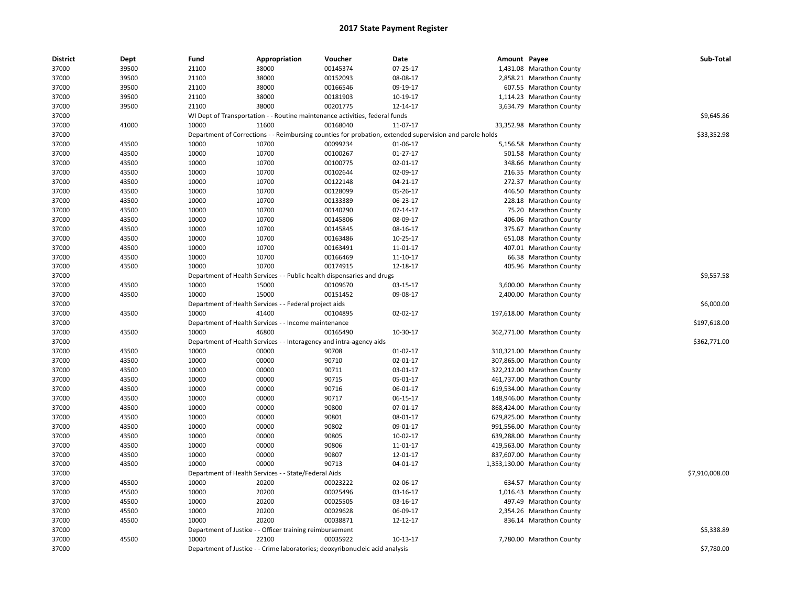| <b>District</b> | Dept  | Fund  | Appropriation                                                       | Voucher                                                                      | Date                                                                                                    | Amount Payee |                              | Sub-Total      |
|-----------------|-------|-------|---------------------------------------------------------------------|------------------------------------------------------------------------------|---------------------------------------------------------------------------------------------------------|--------------|------------------------------|----------------|
| 37000           | 39500 | 21100 | 38000                                                               | 00145374                                                                     | 07-25-17                                                                                                |              | 1,431.08 Marathon County     |                |
| 37000           | 39500 | 21100 | 38000                                                               | 00152093                                                                     | 08-08-17                                                                                                |              | 2,858.21 Marathon County     |                |
| 37000           | 39500 | 21100 | 38000                                                               | 00166546                                                                     | 09-19-17                                                                                                |              | 607.55 Marathon County       |                |
| 37000           | 39500 | 21100 | 38000                                                               | 00181903                                                                     | 10-19-17                                                                                                |              | 1,114.23 Marathon County     |                |
| 37000           | 39500 | 21100 | 38000                                                               | 00201775                                                                     | 12-14-17                                                                                                |              | 3,634.79 Marathon County     |                |
| 37000           |       |       |                                                                     | WI Dept of Transportation - - Routine maintenance activities, federal funds  |                                                                                                         |              |                              | \$9,645.86     |
| 37000           | 41000 | 10000 | 11600                                                               | 00168040                                                                     | 11-07-17                                                                                                |              | 33,352.98 Marathon County    |                |
| 37000           |       |       |                                                                     |                                                                              | Department of Corrections - - Reimbursing counties for probation, extended supervision and parole holds |              |                              | \$33,352.98    |
| 37000           | 43500 | 10000 | 10700                                                               | 00099234                                                                     | 01-06-17                                                                                                |              | 5,156.58 Marathon County     |                |
| 37000           | 43500 | 10000 | 10700                                                               | 00100267                                                                     | $01 - 27 - 17$                                                                                          |              | 501.58 Marathon County       |                |
| 37000           | 43500 | 10000 | 10700                                                               | 00100775                                                                     | 02-01-17                                                                                                |              | 348.66 Marathon County       |                |
| 37000           | 43500 | 10000 | 10700                                                               | 00102644                                                                     | 02-09-17                                                                                                |              | 216.35 Marathon County       |                |
| 37000           | 43500 | 10000 | 10700                                                               | 00122148                                                                     | 04-21-17                                                                                                |              | 272.37 Marathon County       |                |
| 37000           | 43500 | 10000 | 10700                                                               | 00128099                                                                     | 05-26-17                                                                                                |              | 446.50 Marathon County       |                |
| 37000           | 43500 | 10000 | 10700                                                               | 00133389                                                                     | 06-23-17                                                                                                |              | 228.18 Marathon County       |                |
| 37000           | 43500 | 10000 | 10700                                                               | 00140290                                                                     | 07-14-17                                                                                                |              | 75.20 Marathon County        |                |
| 37000           | 43500 | 10000 | 10700                                                               | 00145806                                                                     | 08-09-17                                                                                                |              | 406.06 Marathon County       |                |
| 37000           | 43500 | 10000 | 10700                                                               | 00145845                                                                     | 08-16-17                                                                                                |              | 375.67 Marathon County       |                |
| 37000           | 43500 | 10000 | 10700                                                               | 00163486                                                                     | 10-25-17                                                                                                |              | 651.08 Marathon County       |                |
| 37000           | 43500 | 10000 | 10700                                                               | 00163491                                                                     | 11-01-17                                                                                                |              | 407.01 Marathon County       |                |
| 37000           | 43500 | 10000 | 10700                                                               | 00166469                                                                     | 11-10-17                                                                                                |              | 66.38 Marathon County        |                |
| 37000           | 43500 | 10000 | 10700                                                               | 00174915                                                                     | 12-18-17                                                                                                |              | 405.96 Marathon County       |                |
| 37000           |       |       |                                                                     | Department of Health Services - - Public health dispensaries and drugs       |                                                                                                         |              |                              | \$9,557.58     |
| 37000           | 43500 | 10000 | 15000                                                               | 00109670                                                                     | 03-15-17                                                                                                |              | 3,600.00 Marathon County     |                |
| 37000           | 43500 | 10000 | 15000                                                               | 00151452                                                                     | 09-08-17                                                                                                |              | 2,400.00 Marathon County     |                |
| 37000           |       |       | Department of Health Services - - Federal project aids              |                                                                              |                                                                                                         |              |                              | \$6,000.00     |
| 37000           | 43500 | 10000 | 41400                                                               | 00104895                                                                     | 02-02-17                                                                                                |              | 197,618.00 Marathon County   |                |
| 37000           |       |       | Department of Health Services - - Income maintenance                |                                                                              |                                                                                                         |              |                              | \$197,618.00   |
| 37000           | 43500 | 10000 | 46800                                                               | 00165490                                                                     | 10-30-17                                                                                                |              | 362,771.00 Marathon County   |                |
| 37000           |       |       | Department of Health Services - - Interagency and intra-agency aids |                                                                              |                                                                                                         |              |                              | \$362,771.00   |
| 37000           | 43500 | 10000 | 00000                                                               | 90708                                                                        | 01-02-17                                                                                                |              | 310,321.00 Marathon County   |                |
| 37000           | 43500 | 10000 | 00000                                                               | 90710                                                                        | 02-01-17                                                                                                |              | 307,865.00 Marathon County   |                |
| 37000           | 43500 | 10000 | 00000                                                               | 90711                                                                        | 03-01-17                                                                                                |              | 322,212.00 Marathon County   |                |
| 37000           | 43500 | 10000 | 00000                                                               | 90715                                                                        | 05-01-17                                                                                                |              | 461,737.00 Marathon County   |                |
| 37000           | 43500 | 10000 | 00000                                                               | 90716                                                                        | 06-01-17                                                                                                |              | 619,534.00 Marathon County   |                |
| 37000           | 43500 | 10000 | 00000                                                               | 90717                                                                        | 06-15-17                                                                                                |              | 148,946.00 Marathon County   |                |
| 37000           | 43500 | 10000 | 00000                                                               | 90800                                                                        | 07-01-17                                                                                                |              | 868,424.00 Marathon County   |                |
| 37000           | 43500 | 10000 | 00000                                                               | 90801                                                                        | 08-01-17                                                                                                |              | 629,825.00 Marathon County   |                |
| 37000           | 43500 | 10000 | 00000                                                               | 90802                                                                        | 09-01-17                                                                                                |              | 991,556.00 Marathon County   |                |
| 37000           | 43500 | 10000 | 00000                                                               | 90805                                                                        | 10-02-17                                                                                                |              | 639,288.00 Marathon County   |                |
| 37000           | 43500 | 10000 | 00000                                                               | 90806                                                                        | 11-01-17                                                                                                |              | 419,563.00 Marathon County   |                |
| 37000           | 43500 | 10000 | 00000                                                               | 90807                                                                        | 12-01-17                                                                                                |              | 837,607.00 Marathon County   |                |
| 37000           | 43500 | 10000 | 00000                                                               | 90713                                                                        | 04-01-17                                                                                                |              | 1,353,130.00 Marathon County |                |
| 37000           |       |       | Department of Health Services - - State/Federal Aids                |                                                                              |                                                                                                         |              |                              | \$7,910,008.00 |
| 37000           | 45500 | 10000 | 20200                                                               | 00023222                                                                     | 02-06-17                                                                                                |              | 634.57 Marathon County       |                |
| 37000           | 45500 | 10000 | 20200                                                               | 00025496                                                                     | 03-16-17                                                                                                |              | 1,016.43 Marathon County     |                |
| 37000           | 45500 | 10000 | 20200                                                               | 00025505                                                                     | 03-16-17                                                                                                |              | 497.49 Marathon County       |                |
| 37000           | 45500 | 10000 | 20200                                                               | 00029628                                                                     | 06-09-17                                                                                                |              | 2,354.26 Marathon County     |                |
| 37000           | 45500 | 10000 | 20200                                                               | 00038871                                                                     | 12-12-17                                                                                                |              | 836.14 Marathon County       |                |
| 37000           |       |       | Department of Justice - - Officer training reimbursement            |                                                                              |                                                                                                         |              |                              | \$5,338.89     |
| 37000           | 45500 | 10000 | 22100                                                               | 00035922                                                                     | 10-13-17                                                                                                |              | 7,780.00 Marathon County     |                |
| 37000           |       |       |                                                                     | Department of Justice - - Crime laboratories; deoxyribonucleic acid analysis |                                                                                                         |              |                              | \$7,780.00     |
|                 |       |       |                                                                     |                                                                              |                                                                                                         |              |                              |                |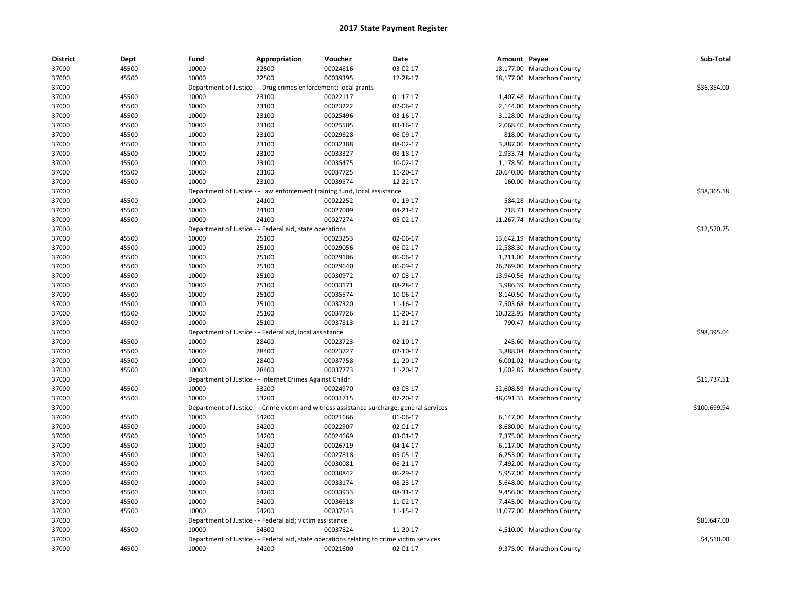| <b>District</b> | Dept  | Fund           | Appropriation                                                                             | Voucher  | Date                 | Amount Payee |                           | Sub-Total    |
|-----------------|-------|----------------|-------------------------------------------------------------------------------------------|----------|----------------------|--------------|---------------------------|--------------|
| 37000           | 45500 | 10000          | 22500                                                                                     | 00024816 | 03-02-17             |              | 18,177.00 Marathon County |              |
| 37000           | 45500 | 10000          | 22500                                                                                     | 00039395 | 12-28-17             |              | 18,177.00 Marathon County |              |
| 37000           |       |                | Department of Justice - - Drug crimes enforcement; local grants                           |          |                      |              |                           | \$36,354.00  |
| 37000           | 45500 | 10000          | 23100                                                                                     | 00022117 | 01-17-17             |              | 1,407.48 Marathon County  |              |
| 37000           | 45500 | 10000          | 23100                                                                                     | 00023222 | 02-06-17             |              | 2,144.00 Marathon County  |              |
| 37000           | 45500 | 10000          | 23100                                                                                     | 00025496 | 03-16-17             |              | 3,128.00 Marathon County  |              |
| 37000           | 45500 | 10000          | 23100                                                                                     | 00025505 | 03-16-17             |              | 2,068.40 Marathon County  |              |
| 37000           | 45500 | 10000          | 23100                                                                                     | 00029628 | 06-09-17             |              | 818.00 Marathon County    |              |
| 37000           | 45500 | 10000          | 23100                                                                                     | 00032388 | 08-02-17             |              | 3,887.06 Marathon County  |              |
| 37000           | 45500 | 10000          | 23100                                                                                     | 00033327 | 08-18-17             |              | 2,933.74 Marathon County  |              |
| 37000           | 45500 | 10000          | 23100                                                                                     | 00035475 | 10-02-17             |              | 1,178.50 Marathon County  |              |
| 37000           | 45500 | 10000          | 23100                                                                                     | 00037725 | 11-20-17             |              | 20,640.00 Marathon County |              |
| 37000           | 45500 | 10000          | 23100                                                                                     | 00039574 | 12-22-17             |              | 160.00 Marathon County    |              |
| 37000           |       |                | Department of Justice - - Law enforcement training fund, local assistance                 |          |                      |              |                           | \$38,365.18  |
| 37000           | 45500 | 10000          | 24100                                                                                     | 00022252 | 01-19-17             |              | 584.28 Marathon County    |              |
| 37000           | 45500 | 10000          | 24100                                                                                     | 00027009 | 04-21-17             |              | 718.73 Marathon County    |              |
| 37000           | 45500 | 10000          | 24100                                                                                     | 00027274 | 05-02-17             |              | 11,267.74 Marathon County |              |
| 37000           |       |                | Department of Justice - - Federal aid, state operations                                   |          |                      |              |                           | \$12,570.75  |
| 37000           | 45500 | 10000          | 25100                                                                                     | 00023253 | 02-06-17             |              | 13,642.19 Marathon County |              |
| 37000           | 45500 | 10000          | 25100                                                                                     | 00029056 | 06-02-17             |              | 12,588.30 Marathon County |              |
| 37000           | 45500 | 10000          | 25100                                                                                     | 00029106 | 06-06-17             |              | 1,211.00 Marathon County  |              |
| 37000           | 45500 | 10000          | 25100                                                                                     | 00029640 | 06-09-17             |              | 26,269.00 Marathon County |              |
| 37000           | 45500 | 10000          | 25100                                                                                     | 00030972 | 07-03-17             |              | 13,940.56 Marathon County |              |
| 37000           | 45500 | 10000          | 25100                                                                                     | 00033171 | 08-28-17             |              | 3,986.39 Marathon County  |              |
| 37000           | 45500 | 10000          | 25100                                                                                     | 00035574 | 10-06-17             |              | 8,140.50 Marathon County  |              |
| 37000           | 45500 | 10000          | 25100                                                                                     | 00037320 | 11-16-17             |              | 7,503.68 Marathon County  |              |
| 37000           | 45500 | 10000          | 25100                                                                                     | 00037726 | 11-20-17             |              | 10,322.95 Marathon County |              |
| 37000           | 45500 | 10000          | 25100                                                                                     | 00037813 | 11-21-17             |              | 790.47 Marathon County    |              |
| 37000           |       |                | Department of Justice - - Federal aid, local assistance                                   |          |                      |              |                           | \$98,395.04  |
| 37000           | 45500 | 10000          | 28400                                                                                     | 00023723 | $02 - 10 - 17$       |              | 245.60 Marathon County    |              |
| 37000           | 45500 | 10000          | 28400                                                                                     | 00023727 | $02 - 10 - 17$       |              | 3,888.04 Marathon County  |              |
| 37000           | 45500 | 10000          | 28400                                                                                     | 00037758 | 11-20-17             |              | 6,001.02 Marathon County  |              |
| 37000           | 45500 | 10000          | 28400                                                                                     | 00037773 | 11-20-17             |              | 1,602.85 Marathon County  |              |
| 37000           |       |                | Department of Justice - - Internet Crimes Against Childr                                  |          |                      |              |                           | \$11,737.51  |
| 37000           | 45500 | 10000          | 53200                                                                                     | 00024970 | 03-03-17             |              | 52,608.59 Marathon County |              |
| 37000           | 45500 | 10000          | 53200                                                                                     | 00031715 | 07-20-17             |              | 48,091.35 Marathon County |              |
| 37000           |       |                | Department of Justice - - Crime victim and witness assistance surcharge, general services |          |                      |              |                           | \$100,699.94 |
| 37000           | 45500 | 10000          | 54200                                                                                     | 00021666 | 01-06-17             |              | 6,147.00 Marathon County  |              |
| 37000           | 45500 | 10000          | 54200                                                                                     | 00022907 | 02-01-17             |              | 8,680.00 Marathon County  |              |
| 37000           | 45500 | 10000          | 54200                                                                                     | 00024669 | 03-01-17             |              | 7,375.00 Marathon County  |              |
| 37000           | 45500 | 10000          | 54200                                                                                     | 00026719 | 04-14-17             |              | 6,117.00 Marathon County  |              |
| 37000           | 45500 | 10000          | 54200                                                                                     | 00027818 | 05-05-17             |              | 6,253.00 Marathon County  |              |
| 37000           | 45500 | 10000          | 54200                                                                                     | 00030081 | 06-21-17             |              | 7,492.00 Marathon County  |              |
| 37000           | 45500 | 10000          | 54200                                                                                     | 00030842 | 06-29-17             |              | 5,957.00 Marathon County  |              |
| 37000           | 45500 | 10000          | 54200                                                                                     | 00033174 | 08-23-17             |              | 5,648.00 Marathon County  |              |
|                 | 45500 |                |                                                                                           | 00033933 |                      |              |                           |              |
| 37000           | 45500 | 10000<br>10000 | 54200<br>54200                                                                            | 00036918 | 08-31-17<br>11-02-17 |              | 9,456.00 Marathon County  |              |
| 37000           |       |                |                                                                                           |          |                      |              | 7,445.00 Marathon County  |              |
| 37000           | 45500 | 10000          | 54200                                                                                     | 00037543 | 11-15-17             |              | 11,077.00 Marathon County | \$81,647.00  |
| 37000           |       | 10000          | Department of Justice - - Federal aid; victim assistance<br>54300                         |          |                      |              |                           |              |
| 37000           | 45500 |                |                                                                                           | 00037824 | 11-20-17             |              | 4,510.00 Marathon County  |              |
| 37000           |       |                | Department of Justice - - Federal aid, state operations relating to crime victim services |          |                      |              |                           | \$4,510.00   |
| 37000           | 46500 | 10000          | 34200                                                                                     | 00021600 | 02-01-17             |              | 9,375.00 Marathon County  |              |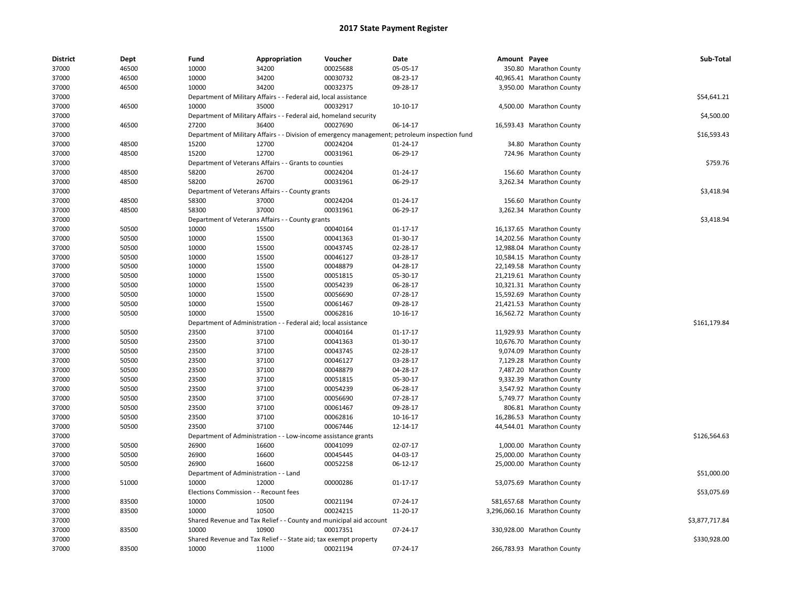| <b>District</b> | <b>Dept</b> | Fund                                  | Appropriation                                                      | Voucher  | Date                                                                                           | Amount Payee |                              | Sub-Total      |
|-----------------|-------------|---------------------------------------|--------------------------------------------------------------------|----------|------------------------------------------------------------------------------------------------|--------------|------------------------------|----------------|
| 37000           | 46500       | 10000                                 | 34200                                                              | 00025688 | 05-05-17                                                                                       |              | 350.80 Marathon County       |                |
| 37000           | 46500       | 10000                                 | 34200                                                              | 00030732 | 08-23-17                                                                                       |              | 40,965.41 Marathon County    |                |
| 37000           | 46500       | 10000                                 | 34200                                                              | 00032375 | 09-28-17                                                                                       |              | 3,950.00 Marathon County     |                |
| 37000           |             |                                       | Department of Military Affairs - - Federal aid, local assistance   |          |                                                                                                |              |                              | \$54,641.21    |
| 37000           | 46500       | 10000                                 | 35000                                                              | 00032917 | 10-10-17                                                                                       |              | 4,500.00 Marathon County     |                |
| 37000           |             |                                       | Department of Military Affairs - - Federal aid, homeland security  |          |                                                                                                |              |                              | \$4,500.00     |
| 37000           | 46500       | 27200                                 | 36400                                                              | 00027690 | 06-14-17                                                                                       |              | 16,593.43 Marathon County    |                |
| 37000           |             |                                       |                                                                    |          | Department of Military Affairs - - Division of emergency management; petroleum inspection fund |              |                              | \$16,593.43    |
| 37000           | 48500       | 15200                                 | 12700                                                              | 00024204 | $01 - 24 - 17$                                                                                 |              | 34.80 Marathon County        |                |
| 37000           | 48500       | 15200                                 | 12700                                                              | 00031961 | 06-29-17                                                                                       |              | 724.96 Marathon County       |                |
| 37000           |             |                                       | Department of Veterans Affairs - - Grants to counties              |          |                                                                                                |              |                              | \$759.76       |
| 37000           | 48500       | 58200                                 | 26700                                                              | 00024204 | 01-24-17                                                                                       |              | 156.60 Marathon County       |                |
| 37000           | 48500       | 58200                                 | 26700                                                              | 00031961 | 06-29-17                                                                                       |              | 3,262.34 Marathon County     |                |
| 37000           |             |                                       | Department of Veterans Affairs - - County grants                   |          |                                                                                                |              |                              | \$3,418.94     |
| 37000           | 48500       | 58300                                 | 37000                                                              | 00024204 | 01-24-17                                                                                       |              | 156.60 Marathon County       |                |
| 37000           | 48500       | 58300                                 | 37000                                                              | 00031961 | 06-29-17                                                                                       |              | 3,262.34 Marathon County     |                |
| 37000           |             |                                       | Department of Veterans Affairs - - County grants                   |          |                                                                                                |              |                              | \$3,418.94     |
| 37000           | 50500       | 10000                                 | 15500                                                              | 00040164 | $01 - 17 - 17$                                                                                 |              | 16,137.65 Marathon County    |                |
| 37000           | 50500       | 10000                                 | 15500                                                              | 00041363 | 01-30-17                                                                                       |              | 14,202.56 Marathon County    |                |
| 37000           | 50500       | 10000                                 | 15500                                                              | 00043745 | 02-28-17                                                                                       |              | 12,988.04 Marathon County    |                |
| 37000           | 50500       | 10000                                 | 15500                                                              | 00046127 | 03-28-17                                                                                       |              | 10,584.15 Marathon County    |                |
| 37000           | 50500       | 10000                                 | 15500                                                              | 00048879 | 04-28-17                                                                                       |              | 22,149.58 Marathon County    |                |
| 37000           | 50500       | 10000                                 | 15500                                                              | 00051815 | 05-30-17                                                                                       |              | 21,219.61 Marathon County    |                |
|                 |             |                                       |                                                                    |          |                                                                                                |              |                              |                |
| 37000           | 50500       | 10000                                 | 15500                                                              | 00054239 | 06-28-17                                                                                       |              | 10,321.31 Marathon County    |                |
| 37000           | 50500       | 10000                                 | 15500                                                              | 00056690 | 07-28-17                                                                                       |              | 15,592.69 Marathon County    |                |
| 37000           | 50500       | 10000                                 | 15500                                                              | 00061467 | 09-28-17                                                                                       |              | 21,421.53 Marathon County    |                |
| 37000           | 50500       | 10000                                 | 15500                                                              | 00062816 | 10-16-17                                                                                       |              | 16,562.72 Marathon County    |                |
| 37000           |             |                                       | Department of Administration - - Federal aid; local assistance     |          |                                                                                                |              |                              | \$161,179.84   |
| 37000           | 50500       | 23500                                 | 37100                                                              | 00040164 | $01 - 17 - 17$                                                                                 |              | 11,929.93 Marathon County    |                |
| 37000           | 50500       | 23500                                 | 37100                                                              | 00041363 | 01-30-17                                                                                       |              | 10,676.70 Marathon County    |                |
| 37000           | 50500       | 23500                                 | 37100                                                              | 00043745 | 02-28-17                                                                                       |              | 9,074.09 Marathon County     |                |
| 37000           | 50500       | 23500                                 | 37100                                                              | 00046127 | 03-28-17                                                                                       |              | 7,129.28 Marathon County     |                |
| 37000           | 50500       | 23500                                 | 37100                                                              | 00048879 | 04-28-17                                                                                       |              | 7,487.20 Marathon County     |                |
| 37000           | 50500       | 23500                                 | 37100                                                              | 00051815 | 05-30-17                                                                                       |              | 9,332.39 Marathon County     |                |
| 37000           | 50500       | 23500                                 | 37100                                                              | 00054239 | 06-28-17                                                                                       |              | 3,547.92 Marathon County     |                |
| 37000           | 50500       | 23500                                 | 37100                                                              | 00056690 | 07-28-17                                                                                       |              | 5,749.77 Marathon County     |                |
| 37000           | 50500       | 23500                                 | 37100                                                              | 00061467 | 09-28-17                                                                                       |              | 806.81 Marathon County       |                |
| 37000           | 50500       | 23500                                 | 37100                                                              | 00062816 | 10-16-17                                                                                       |              | 16,286.53 Marathon County    |                |
| 37000           | 50500       | 23500                                 | 37100                                                              | 00067446 | 12-14-17                                                                                       |              | 44,544.01 Marathon County    |                |
| 37000           |             |                                       | Department of Administration - - Low-income assistance grants      |          |                                                                                                |              |                              | \$126,564.63   |
| 37000           | 50500       | 26900                                 | 16600                                                              | 00041099 | 02-07-17                                                                                       |              | 1,000.00 Marathon County     |                |
| 37000           | 50500       | 26900                                 | 16600                                                              | 00045445 | 04-03-17                                                                                       |              | 25,000.00 Marathon County    |                |
| 37000           | 50500       | 26900                                 | 16600                                                              | 00052258 | 06-12-17                                                                                       |              | 25,000.00 Marathon County    |                |
| 37000           |             | Department of Administration - - Land |                                                                    |          |                                                                                                |              |                              | \$51,000.00    |
| 37000           | 51000       | 10000                                 | 12000                                                              | 00000286 | 01-17-17                                                                                       |              | 53,075.69 Marathon County    |                |
| 37000           |             | Elections Commission - - Recount fees |                                                                    |          |                                                                                                |              |                              | \$53,075.69    |
| 37000           | 83500       | 10000                                 | 10500                                                              | 00021194 | 07-24-17                                                                                       |              | 581,657.68 Marathon County   |                |
| 37000           | 83500       | 10000                                 | 10500                                                              | 00024215 | 11-20-17                                                                                       |              | 3,296,060.16 Marathon County |                |
| 37000           |             |                                       | Shared Revenue and Tax Relief - - County and municipal aid account |          |                                                                                                |              |                              | \$3,877,717.84 |
| 37000           | 83500       | 10000                                 | 10900                                                              | 00017351 | 07-24-17                                                                                       |              | 330,928.00 Marathon County   |                |
| 37000           |             |                                       | Shared Revenue and Tax Relief - - State aid; tax exempt property   |          |                                                                                                |              |                              | \$330,928.00   |
| 37000           | 83500       | 10000                                 | 11000                                                              | 00021194 | 07-24-17                                                                                       |              | 266,783.93 Marathon County   |                |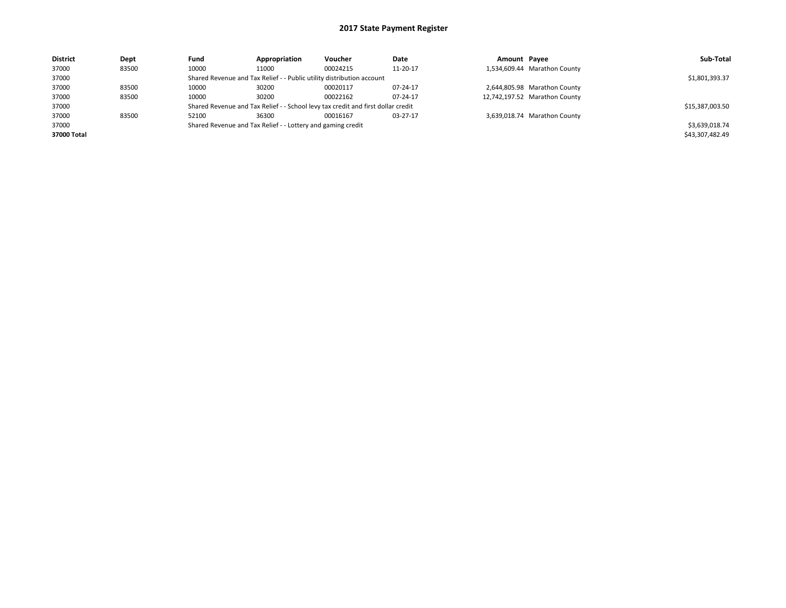| <b>District</b> | Dept  | Fund  | Appropriation                                                         | <b>Voucher</b>                                                                   | Date     | Amount Payee |                               | Sub-Total       |
|-----------------|-------|-------|-----------------------------------------------------------------------|----------------------------------------------------------------------------------|----------|--------------|-------------------------------|-----------------|
| 37000           | 83500 | 10000 | 11000                                                                 | 00024215                                                                         | 11-20-17 |              | 1,534,609.44 Marathon County  |                 |
| 37000           |       |       | Shared Revenue and Tax Relief - - Public utility distribution account |                                                                                  |          |              |                               | \$1,801,393.37  |
| 37000           | 83500 | 10000 | 30200                                                                 | 00020117                                                                         | 07-24-17 |              | 2,644,805.98 Marathon County  |                 |
| 37000           | 83500 | 10000 | 30200                                                                 | 00022162                                                                         | 07-24-17 |              | 12,742,197.52 Marathon County |                 |
| 37000           |       |       |                                                                       | Shared Revenue and Tax Relief - - School levy tax credit and first dollar credit |          |              |                               | \$15,387,003.50 |
| 37000           | 83500 | 52100 | 36300                                                                 | 00016167                                                                         | 03-27-17 |              | 3,639,018.74 Marathon County  |                 |
| 37000           |       |       | Shared Revenue and Tax Relief - - Lottery and gaming credit           |                                                                                  |          |              |                               | \$3,639,018.74  |
| 37000 Total     |       |       |                                                                       |                                                                                  |          |              |                               | \$43,307,482.49 |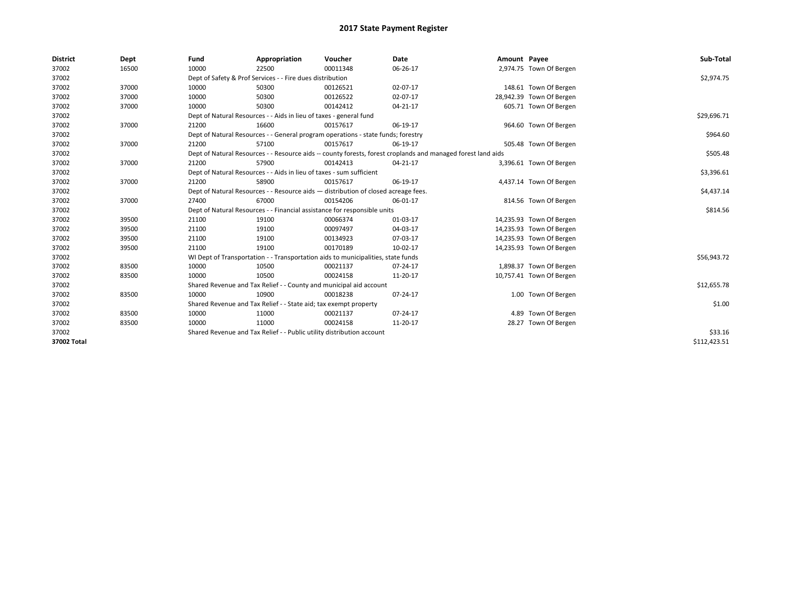| <b>District</b> | Dept  | Fund  | Appropriation                                                                      | Voucher  | Date                                                                                                         | Amount Payee |                          | Sub-Total    |  |  |
|-----------------|-------|-------|------------------------------------------------------------------------------------|----------|--------------------------------------------------------------------------------------------------------------|--------------|--------------------------|--------------|--|--|
| 37002           | 16500 | 10000 | 22500                                                                              | 00011348 | 06-26-17                                                                                                     |              | 2,974.75 Town Of Bergen  |              |  |  |
| 37002           |       |       | Dept of Safety & Prof Services - - Fire dues distribution                          |          |                                                                                                              |              |                          | \$2,974.75   |  |  |
| 37002           | 37000 | 10000 | 50300                                                                              | 00126521 | 02-07-17                                                                                                     |              | 148.61 Town Of Bergen    |              |  |  |
| 37002           | 37000 | 10000 | 50300                                                                              | 00126522 | 02-07-17                                                                                                     |              | 28,942.39 Town Of Bergen |              |  |  |
| 37002           | 37000 | 10000 | 50300                                                                              | 00142412 | $04 - 21 - 17$                                                                                               |              | 605.71 Town Of Bergen    |              |  |  |
| 37002           |       |       | Dept of Natural Resources - - Aids in lieu of taxes - general fund                 |          |                                                                                                              |              |                          | \$29,696.71  |  |  |
| 37002           | 37000 | 21200 | 16600                                                                              | 00157617 | 06-19-17                                                                                                     |              | 964.60 Town Of Bergen    |              |  |  |
| 37002           |       |       | Dept of Natural Resources - - General program operations - state funds; forestry   |          |                                                                                                              |              |                          | \$964.60     |  |  |
| 37002           | 37000 | 21200 | 57100                                                                              | 00157617 | 06-19-17                                                                                                     |              | 505.48 Town Of Bergen    |              |  |  |
| 37002           |       |       |                                                                                    |          | Dept of Natural Resources - - Resource aids -- county forests, forest croplands and managed forest land aids |              |                          | \$505.48     |  |  |
| 37002           | 37000 | 21200 | 57900                                                                              | 00142413 | 04-21-17                                                                                                     |              | 3,396.61 Town Of Bergen  |              |  |  |
| 37002           |       |       | Dept of Natural Resources - - Aids in lieu of taxes - sum sufficient               |          |                                                                                                              |              |                          | \$3,396.61   |  |  |
| 37002           | 37000 | 21200 | 58900                                                                              | 00157617 | 06-19-17                                                                                                     |              | 4,437.14 Town Of Bergen  |              |  |  |
| 37002           |       |       | Dept of Natural Resources - - Resource aids - distribution of closed acreage fees. |          |                                                                                                              |              |                          |              |  |  |
| 37002           | 37000 | 27400 | 67000                                                                              | 00154206 | 06-01-17                                                                                                     |              | 814.56 Town Of Bergen    |              |  |  |
| 37002           |       |       | Dept of Natural Resources - - Financial assistance for responsible units           |          |                                                                                                              |              |                          | \$814.56     |  |  |
| 37002           | 39500 | 21100 | 19100                                                                              | 00066374 | 01-03-17                                                                                                     |              | 14,235.93 Town Of Bergen |              |  |  |
| 37002           | 39500 | 21100 | 19100                                                                              | 00097497 | 04-03-17                                                                                                     |              | 14,235.93 Town Of Bergen |              |  |  |
| 37002           | 39500 | 21100 | 19100                                                                              | 00134923 | 07-03-17                                                                                                     |              | 14,235.93 Town Of Bergen |              |  |  |
| 37002           | 39500 | 21100 | 19100                                                                              | 00170189 | 10-02-17                                                                                                     |              | 14,235.93 Town Of Bergen |              |  |  |
| 37002           |       |       | WI Dept of Transportation - - Transportation aids to municipalities, state funds   |          |                                                                                                              |              |                          | \$56,943.72  |  |  |
| 37002           | 83500 | 10000 | 10500                                                                              | 00021137 | 07-24-17                                                                                                     |              | 1,898.37 Town Of Bergen  |              |  |  |
| 37002           | 83500 | 10000 | 10500                                                                              | 00024158 | 11-20-17                                                                                                     |              | 10,757.41 Town Of Bergen |              |  |  |
| 37002           |       |       | Shared Revenue and Tax Relief - - County and municipal aid account                 |          |                                                                                                              |              |                          | \$12,655.78  |  |  |
| 37002           | 83500 | 10000 | 10900                                                                              | 00018238 | 07-24-17                                                                                                     |              | 1.00 Town Of Bergen      |              |  |  |
| 37002           |       |       | Shared Revenue and Tax Relief - - State aid; tax exempt property                   |          |                                                                                                              |              |                          |              |  |  |
| 37002           | 83500 | 10000 | 11000                                                                              | 00021137 | 07-24-17                                                                                                     |              | 4.89 Town Of Bergen      |              |  |  |
| 37002           | 83500 | 10000 | 11000                                                                              | 00024158 | 11-20-17                                                                                                     |              | 28.27 Town Of Bergen     |              |  |  |
| 37002           |       |       | Shared Revenue and Tax Relief - - Public utility distribution account              |          |                                                                                                              |              |                          | \$33.16      |  |  |
| 37002 Total     |       |       |                                                                                    |          |                                                                                                              |              |                          | \$112,423.51 |  |  |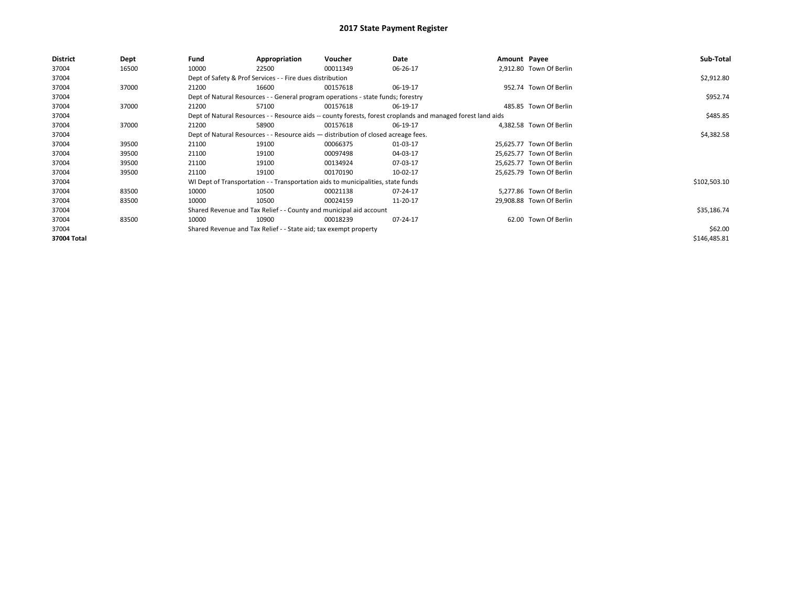| District    | Dept  | Fund                                                                             | Appropriation                                                                                                | Voucher     | Date     | Amount Payee |                          | Sub-Total    |
|-------------|-------|----------------------------------------------------------------------------------|--------------------------------------------------------------------------------------------------------------|-------------|----------|--------------|--------------------------|--------------|
| 37004       | 16500 | 10000                                                                            | 22500                                                                                                        | 00011349    | 06-26-17 |              | 2.912.80 Town Of Berlin  |              |
| 37004       |       |                                                                                  | Dept of Safety & Prof Services - - Fire dues distribution                                                    |             |          |              |                          | \$2,912.80   |
| 37004       | 37000 | 21200                                                                            | 16600                                                                                                        | 00157618    | 06-19-17 |              | 952.74 Town Of Berlin    |              |
| 37004       |       | Dept of Natural Resources - - General program operations - state funds; forestry |                                                                                                              | \$952.74    |          |              |                          |              |
| 37004       | 37000 | 21200                                                                            | 57100                                                                                                        | 00157618    | 06-19-17 |              | 485.85 Town Of Berlin    |              |
| 37004       |       |                                                                                  | Dept of Natural Resources - - Resource aids -- county forests, forest croplands and managed forest land aids |             | \$485.85 |              |                          |              |
| 37004       | 37000 | 21200                                                                            | 58900                                                                                                        | 00157618    | 06-19-17 |              | 4,382.58 Town Of Berlin  |              |
| 37004       |       |                                                                                  | Dept of Natural Resources - - Resource aids - distribution of closed acreage fees.                           |             |          |              |                          | \$4,382.58   |
| 37004       | 39500 | 21100                                                                            | 19100                                                                                                        | 00066375    | 01-03-17 |              | 25,625.77 Town Of Berlin |              |
| 37004       | 39500 | 21100                                                                            | 19100                                                                                                        | 00097498    | 04-03-17 |              | 25,625.77 Town Of Berlin |              |
| 37004       | 39500 | 21100                                                                            | 19100                                                                                                        | 00134924    | 07-03-17 |              | 25,625.77 Town Of Berlin |              |
| 37004       | 39500 | 21100                                                                            | 19100                                                                                                        | 00170190    | 10-02-17 |              | 25,625.79 Town Of Berlin |              |
| 37004       |       |                                                                                  | WI Dept of Transportation - - Transportation aids to municipalities, state funds                             |             |          |              |                          | \$102,503.10 |
| 37004       | 83500 | 10000                                                                            | 10500                                                                                                        | 00021138    | 07-24-17 |              | 5.277.86 Town Of Berlin  |              |
| 37004       | 83500 | 10000                                                                            | 10500                                                                                                        | 00024159    | 11-20-17 |              | 29,908.88 Town Of Berlin |              |
| 37004       |       | Shared Revenue and Tax Relief - - County and municipal aid account               |                                                                                                              | \$35,186.74 |          |              |                          |              |
| 37004       | 83500 | 10000                                                                            | 10900                                                                                                        | 00018239    | 07-24-17 |              | 62.00 Town Of Berlin     |              |
| 37004       |       |                                                                                  | Shared Revenue and Tax Relief - - State aid; tax exempt property                                             |             |          |              |                          | \$62.00      |
| 37004 Total |       |                                                                                  |                                                                                                              |             |          |              |                          | \$146,485.81 |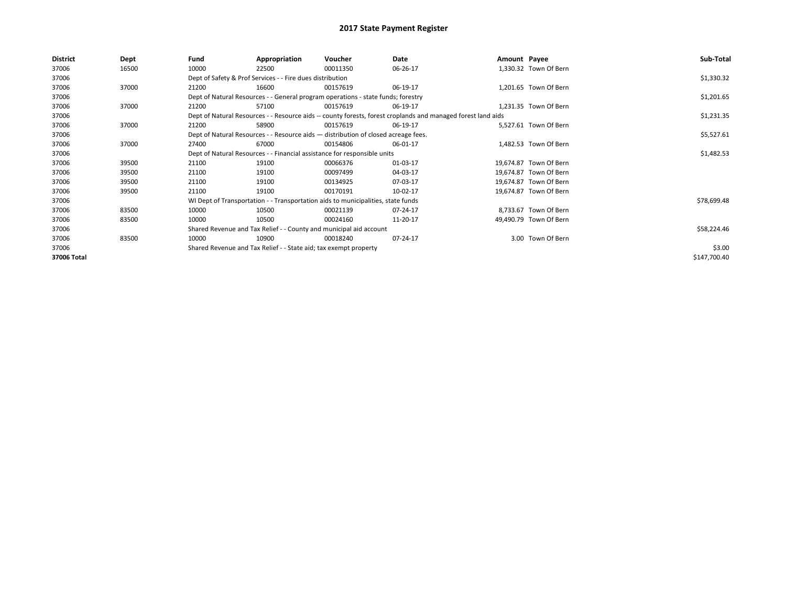| <b>District</b> | Dept  | Fund                                                                                                         | Appropriation                                                                      | Voucher     | Date     | Amount Payee |                        | Sub-Total    |
|-----------------|-------|--------------------------------------------------------------------------------------------------------------|------------------------------------------------------------------------------------|-------------|----------|--------------|------------------------|--------------|
| 37006           | 16500 | 10000                                                                                                        | 22500                                                                              | 00011350    | 06-26-17 |              | 1,330.32 Town Of Bern  |              |
| 37006           |       |                                                                                                              | Dept of Safety & Prof Services - - Fire dues distribution                          |             |          |              |                        | \$1,330.32   |
| 37006           | 37000 | 21200                                                                                                        | 16600                                                                              | 00157619    | 06-19-17 |              | 1,201.65 Town Of Bern  |              |
| 37006           |       | Dept of Natural Resources - - General program operations - state funds; forestry                             |                                                                                    | \$1,201.65  |          |              |                        |              |
| 37006           | 37000 | 21200                                                                                                        | 57100                                                                              | 00157619    | 06-19-17 |              | 1,231.35 Town Of Bern  |              |
| 37006           |       | Dept of Natural Resources - - Resource aids -- county forests, forest croplands and managed forest land aids |                                                                                    | \$1,231.35  |          |              |                        |              |
| 37006           | 37000 | 21200                                                                                                        | 58900                                                                              | 00157619    | 06-19-17 |              | 5,527.61 Town Of Bern  |              |
| 37006           |       |                                                                                                              | Dept of Natural Resources - - Resource aids - distribution of closed acreage fees. |             |          |              |                        | \$5,527.61   |
| 37006           | 37000 | 27400                                                                                                        | 67000                                                                              | 00154806    | 06-01-17 |              | 1,482.53 Town Of Bern  |              |
| 37006           |       | Dept of Natural Resources - - Financial assistance for responsible units                                     |                                                                                    | \$1,482.53  |          |              |                        |              |
| 37006           | 39500 | 21100                                                                                                        | 19100                                                                              | 00066376    | 01-03-17 |              | 19,674.87 Town Of Bern |              |
| 37006           | 39500 | 21100                                                                                                        | 19100                                                                              | 00097499    | 04-03-17 |              | 19,674.87 Town Of Bern |              |
| 37006           | 39500 | 21100                                                                                                        | 19100                                                                              | 00134925    | 07-03-17 |              | 19,674.87 Town Of Bern |              |
| 37006           | 39500 | 21100                                                                                                        | 19100                                                                              | 00170191    | 10-02-17 |              | 19,674.87 Town Of Bern |              |
| 37006           |       |                                                                                                              | WI Dept of Transportation - - Transportation aids to municipalities, state funds   |             |          |              |                        | \$78,699.48  |
| 37006           | 83500 | 10000                                                                                                        | 10500                                                                              | 00021139    | 07-24-17 |              | 8,733.67 Town Of Bern  |              |
| 37006           | 83500 | 10000                                                                                                        | 10500                                                                              | 00024160    | 11-20-17 |              | 49,490.79 Town Of Bern |              |
| 37006           |       | Shared Revenue and Tax Relief - - County and municipal aid account                                           |                                                                                    | \$58,224.46 |          |              |                        |              |
| 37006           | 83500 | 10000                                                                                                        | 10900                                                                              | 00018240    | 07-24-17 |              | 3.00 Town Of Bern      |              |
| 37006           |       | Shared Revenue and Tax Relief - - State aid; tax exempt property                                             |                                                                                    | \$3.00      |          |              |                        |              |
| 37006 Total     |       |                                                                                                              |                                                                                    |             |          |              |                        | \$147,700.40 |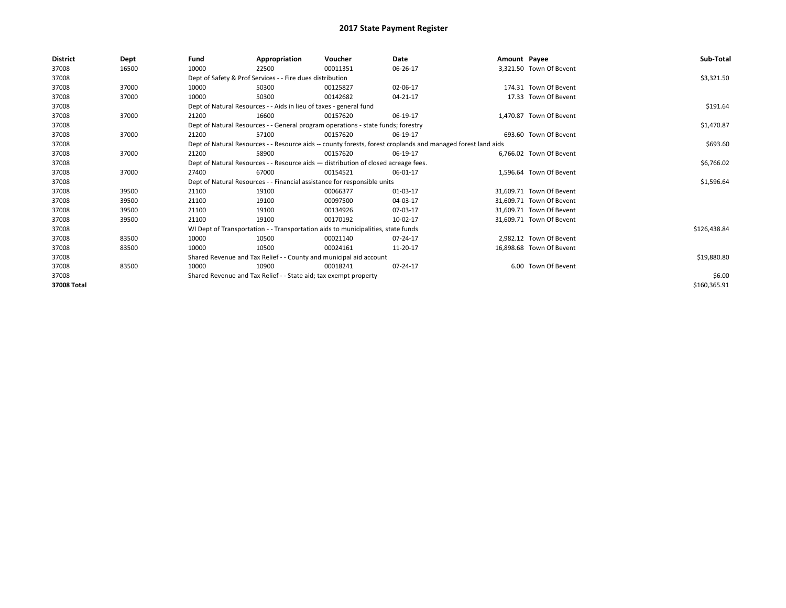| <b>District</b> | Dept  | Fund                                                               | Appropriation                                                      | Voucher                                                                            | Date                                                                                                         | Amount Payee |                          | Sub-Total    |
|-----------------|-------|--------------------------------------------------------------------|--------------------------------------------------------------------|------------------------------------------------------------------------------------|--------------------------------------------------------------------------------------------------------------|--------------|--------------------------|--------------|
| 37008           | 16500 | 10000                                                              | 22500                                                              | 00011351                                                                           | 06-26-17                                                                                                     |              | 3,321.50 Town Of Bevent  |              |
| 37008           |       |                                                                    | Dept of Safety & Prof Services - - Fire dues distribution          |                                                                                    |                                                                                                              |              |                          | \$3,321.50   |
| 37008           | 37000 | 10000                                                              | 50300                                                              | 00125827                                                                           | 02-06-17                                                                                                     |              | 174.31 Town Of Bevent    |              |
| 37008           | 37000 | 10000                                                              | 50300                                                              | 00142682                                                                           | 04-21-17                                                                                                     |              | 17.33 Town Of Bevent     |              |
| 37008           |       |                                                                    | Dept of Natural Resources - - Aids in lieu of taxes - general fund |                                                                                    |                                                                                                              |              |                          | \$191.64     |
| 37008           | 37000 | 21200                                                              | 16600                                                              | 00157620                                                                           | 06-19-17                                                                                                     |              | 1,470.87 Town Of Bevent  |              |
| 37008           |       |                                                                    |                                                                    | Dept of Natural Resources - - General program operations - state funds; forestry   |                                                                                                              |              |                          | \$1,470.87   |
| 37008           | 37000 | 21200                                                              | 57100                                                              | 00157620                                                                           | 06-19-17                                                                                                     |              | 693.60 Town Of Bevent    |              |
| 37008           |       |                                                                    |                                                                    |                                                                                    | Dept of Natural Resources - - Resource aids -- county forests, forest croplands and managed forest land aids |              |                          | \$693.60     |
| 37008           | 37000 | 21200                                                              | 58900                                                              | 00157620                                                                           | 06-19-17                                                                                                     |              | 6.766.02 Town Of Bevent  |              |
| 37008           |       |                                                                    |                                                                    | Dept of Natural Resources - - Resource aids - distribution of closed acreage fees. |                                                                                                              |              |                          | \$6,766.02   |
| 37008           | 37000 | 27400                                                              | 67000                                                              | 00154521                                                                           | 06-01-17                                                                                                     |              | 1.596.64 Town Of Bevent  |              |
| 37008           |       |                                                                    |                                                                    | Dept of Natural Resources - - Financial assistance for responsible units           |                                                                                                              |              |                          | \$1,596.64   |
| 37008           | 39500 | 21100                                                              | 19100                                                              | 00066377                                                                           | 01-03-17                                                                                                     |              | 31,609.71 Town Of Bevent |              |
| 37008           | 39500 | 21100                                                              | 19100                                                              | 00097500                                                                           | 04-03-17                                                                                                     |              | 31,609.71 Town Of Bevent |              |
| 37008           | 39500 | 21100                                                              | 19100                                                              | 00134926                                                                           | 07-03-17                                                                                                     |              | 31.609.71 Town Of Bevent |              |
| 37008           | 39500 | 21100                                                              | 19100                                                              | 00170192                                                                           | 10-02-17                                                                                                     |              | 31,609.71 Town Of Bevent |              |
| 37008           |       |                                                                    |                                                                    | WI Dept of Transportation - - Transportation aids to municipalities, state funds   |                                                                                                              |              |                          | \$126,438.84 |
| 37008           | 83500 | 10000                                                              | 10500                                                              | 00021140                                                                           | 07-24-17                                                                                                     |              | 2.982.12 Town Of Bevent  |              |
| 37008           | 83500 | 10000                                                              | 10500                                                              | 00024161                                                                           | 11-20-17                                                                                                     |              | 16,898.68 Town Of Bevent |              |
| 37008           |       | Shared Revenue and Tax Relief - - County and municipal aid account |                                                                    | \$19,880.80                                                                        |                                                                                                              |              |                          |              |
| 37008           | 83500 | 10000                                                              | 10900                                                              | 00018241                                                                           | 07-24-17                                                                                                     |              | 6.00 Town Of Bevent      |              |
| 37008           |       | Shared Revenue and Tax Relief - - State aid; tax exempt property   |                                                                    | \$6.00                                                                             |                                                                                                              |              |                          |              |
| 37008 Total     |       |                                                                    |                                                                    |                                                                                    |                                                                                                              |              |                          | \$160,365.91 |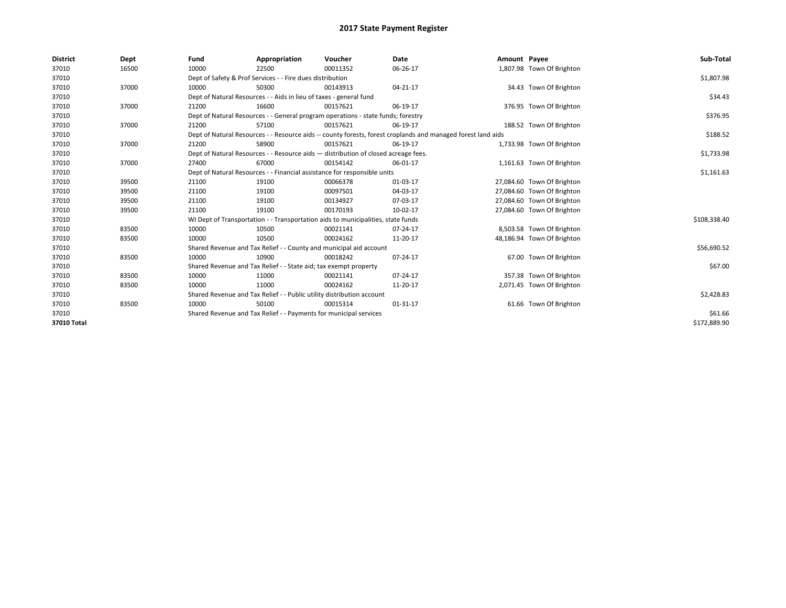| <b>District</b> | Dept  | Fund                                                                  | Appropriation                                                                                                | Voucher    | Date     | Amount Payee |                            | Sub-Total    |  |  |  |
|-----------------|-------|-----------------------------------------------------------------------|--------------------------------------------------------------------------------------------------------------|------------|----------|--------------|----------------------------|--------------|--|--|--|
| 37010           | 16500 | 10000                                                                 | 22500                                                                                                        | 00011352   | 06-26-17 |              | 1,807.98 Town Of Brighton  |              |  |  |  |
| 37010           |       |                                                                       | Dept of Safety & Prof Services - - Fire dues distribution                                                    |            |          |              |                            | \$1,807.98   |  |  |  |
| 37010           | 37000 | 10000                                                                 | 50300                                                                                                        | 00143913   | 04-21-17 |              | 34.43 Town Of Brighton     |              |  |  |  |
| 37010           |       |                                                                       | Dept of Natural Resources - - Aids in lieu of taxes - general fund                                           |            |          |              |                            |              |  |  |  |
| 37010           | 37000 | 21200                                                                 | 16600                                                                                                        | 00157621   | 06-19-17 |              | 376.95 Town Of Brighton    |              |  |  |  |
| 37010           |       |                                                                       | Dept of Natural Resources - - General program operations - state funds; forestry                             |            |          |              |                            | \$376.95     |  |  |  |
| 37010           | 37000 | 21200                                                                 | 57100                                                                                                        | 00157621   | 06-19-17 |              | 188.52 Town Of Brighton    |              |  |  |  |
| 37010           |       |                                                                       | Dept of Natural Resources - - Resource aids -- county forests, forest croplands and managed forest land aids |            |          |              |                            | \$188.52     |  |  |  |
| 37010           | 37000 | 21200                                                                 | 58900                                                                                                        | 00157621   | 06-19-17 |              | 1,733.98 Town Of Brighton  |              |  |  |  |
| 37010           |       |                                                                       | Dept of Natural Resources - - Resource aids - distribution of closed acreage fees.                           |            |          |              |                            | \$1,733.98   |  |  |  |
| 37010           | 37000 | 27400                                                                 | 67000                                                                                                        | 00154142   | 06-01-17 |              | 1,161.63 Town Of Brighton  |              |  |  |  |
| 37010           |       |                                                                       | Dept of Natural Resources - - Financial assistance for responsible units                                     |            |          |              |                            | \$1,161.63   |  |  |  |
| 37010           | 39500 | 21100                                                                 | 19100                                                                                                        | 00066378   | 01-03-17 |              | 27,084.60 Town Of Brighton |              |  |  |  |
| 37010           | 39500 | 21100                                                                 | 19100                                                                                                        | 00097501   | 04-03-17 |              | 27,084.60 Town Of Brighton |              |  |  |  |
| 37010           | 39500 | 21100                                                                 | 19100                                                                                                        | 00134927   | 07-03-17 |              | 27,084.60 Town Of Brighton |              |  |  |  |
| 37010           | 39500 | 21100                                                                 | 19100                                                                                                        | 00170193   | 10-02-17 |              | 27,084.60 Town Of Brighton |              |  |  |  |
| 37010           |       |                                                                       | WI Dept of Transportation - - Transportation aids to municipalities, state funds                             |            |          |              |                            | \$108,338.40 |  |  |  |
| 37010           | 83500 | 10000                                                                 | 10500                                                                                                        | 00021141   | 07-24-17 |              | 8,503.58 Town Of Brighton  |              |  |  |  |
| 37010           | 83500 | 10000                                                                 | 10500                                                                                                        | 00024162   | 11-20-17 |              | 48,186.94 Town Of Brighton |              |  |  |  |
| 37010           |       |                                                                       | Shared Revenue and Tax Relief - - County and municipal aid account                                           |            |          |              |                            | \$56,690.52  |  |  |  |
| 37010           | 83500 | 10000                                                                 | 10900                                                                                                        | 00018242   | 07-24-17 |              | 67.00 Town Of Brighton     |              |  |  |  |
| 37010           |       |                                                                       | Shared Revenue and Tax Relief - - State aid; tax exempt property                                             |            |          |              |                            | \$67.00      |  |  |  |
| 37010           | 83500 | 10000                                                                 | 11000                                                                                                        | 00021141   | 07-24-17 |              | 357.38 Town Of Brighton    |              |  |  |  |
| 37010           | 83500 | 10000                                                                 | 11000                                                                                                        | 00024162   | 11-20-17 |              | 2,071.45 Town Of Brighton  |              |  |  |  |
| 37010           |       | Shared Revenue and Tax Relief - - Public utility distribution account |                                                                                                              | \$2,428.83 |          |              |                            |              |  |  |  |
| 37010           | 83500 | 10000                                                                 | 50100                                                                                                        | 00015314   | 01-31-17 |              | 61.66 Town Of Brighton     |              |  |  |  |
| 37010           |       | Shared Revenue and Tax Relief - - Payments for municipal services     |                                                                                                              | \$61.66    |          |              |                            |              |  |  |  |
| 37010 Total     |       |                                                                       |                                                                                                              |            |          |              |                            | \$172.889.90 |  |  |  |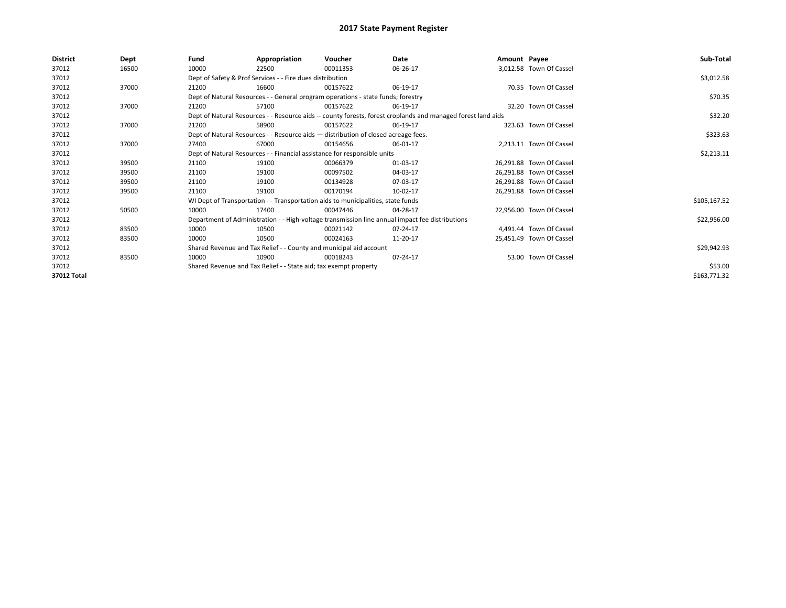| <b>District</b> | Dept  | Fund  | Appropriation                                                                      | Voucher  | Date                                                                                                         | Amount Payee |                          | Sub-Total    |
|-----------------|-------|-------|------------------------------------------------------------------------------------|----------|--------------------------------------------------------------------------------------------------------------|--------------|--------------------------|--------------|
| 37012           | 16500 | 10000 | 22500                                                                              | 00011353 | 06-26-17                                                                                                     |              | 3,012.58 Town Of Cassel  |              |
| 37012           |       |       | Dept of Safety & Prof Services - - Fire dues distribution                          |          |                                                                                                              |              |                          | \$3,012.58   |
| 37012           | 37000 | 21200 | 16600                                                                              | 00157622 | 06-19-17                                                                                                     |              | 70.35 Town Of Cassel     |              |
| 37012           |       |       | Dept of Natural Resources - - General program operations - state funds; forestry   |          |                                                                                                              |              |                          | \$70.35      |
| 37012           | 37000 | 21200 | 57100                                                                              | 00157622 | 06-19-17                                                                                                     |              | 32.20 Town Of Cassel     |              |
| 37012           |       |       |                                                                                    |          | Dept of Natural Resources - - Resource aids -- county forests, forest croplands and managed forest land aids |              |                          | \$32.20      |
| 37012           | 37000 | 21200 | 58900                                                                              | 00157622 | 06-19-17                                                                                                     |              | 323.63 Town Of Cassel    |              |
| 37012           |       |       | Dept of Natural Resources - - Resource aids - distribution of closed acreage fees. |          |                                                                                                              |              |                          | \$323.63     |
| 37012           | 37000 | 27400 | 67000                                                                              | 00154656 | 06-01-17                                                                                                     |              | 2.213.11 Town Of Cassel  |              |
| 37012           |       |       | Dept of Natural Resources - - Financial assistance for responsible units           |          | \$2,213.11                                                                                                   |              |                          |              |
| 37012           | 39500 | 21100 | 19100                                                                              | 00066379 | 01-03-17                                                                                                     |              | 26.291.88 Town Of Cassel |              |
| 37012           | 39500 | 21100 | 19100                                                                              | 00097502 | 04-03-17                                                                                                     |              | 26,291.88 Town Of Cassel |              |
| 37012           | 39500 | 21100 | 19100                                                                              | 00134928 | 07-03-17                                                                                                     |              | 26,291.88 Town Of Cassel |              |
| 37012           | 39500 | 21100 | 19100                                                                              | 00170194 | 10-02-17                                                                                                     |              | 26,291.88 Town Of Cassel |              |
| 37012           |       |       | WI Dept of Transportation - - Transportation aids to municipalities, state funds   |          |                                                                                                              |              |                          | \$105,167.52 |
| 37012           | 50500 | 10000 | 17400                                                                              | 00047446 | 04-28-17                                                                                                     |              | 22,956.00 Town Of Cassel |              |
| 37012           |       |       |                                                                                    |          | Department of Administration - - High-voltage transmission line annual impact fee distributions              |              |                          | \$22,956.00  |
| 37012           | 83500 | 10000 | 10500                                                                              | 00021142 | 07-24-17                                                                                                     |              | 4,491.44 Town Of Cassel  |              |
| 37012           | 83500 | 10000 | 10500                                                                              | 00024163 | 11-20-17                                                                                                     |              | 25,451.49 Town Of Cassel |              |
| 37012           |       |       | Shared Revenue and Tax Relief - - County and municipal aid account                 |          |                                                                                                              |              |                          | \$29,942.93  |
| 37012           | 83500 | 10000 | 10900                                                                              | 00018243 | 07-24-17                                                                                                     |              | 53.00 Town Of Cassel     |              |
| 37012           |       |       | Shared Revenue and Tax Relief - - State aid; tax exempt property                   |          |                                                                                                              |              |                          | \$53.00      |
| 37012 Total     |       |       |                                                                                    |          |                                                                                                              |              |                          | \$163,771.32 |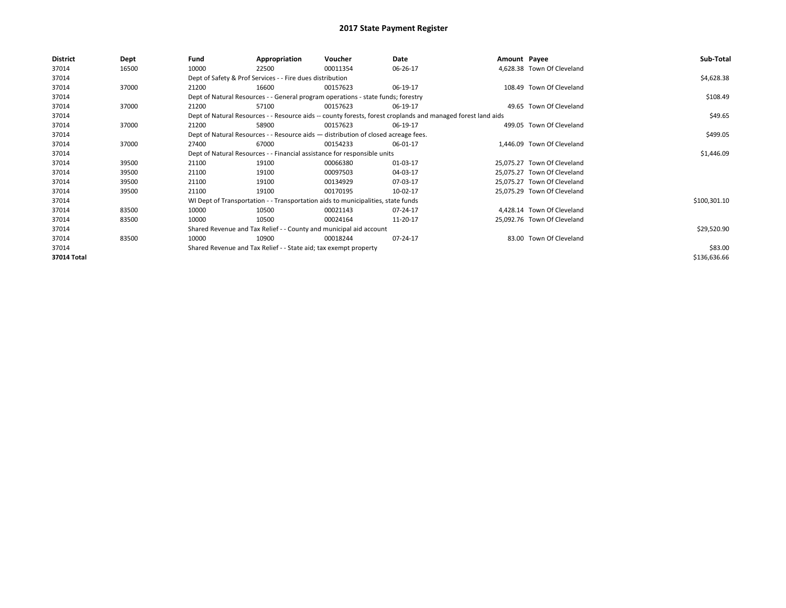| <b>District</b> | Dept  | Fund  | Appropriation                                                                      | Voucher  | Date                                                                                                         | Amount Payee |                             | Sub-Total    |
|-----------------|-------|-------|------------------------------------------------------------------------------------|----------|--------------------------------------------------------------------------------------------------------------|--------------|-----------------------------|--------------|
| 37014           | 16500 | 10000 | 22500                                                                              | 00011354 | 06-26-17                                                                                                     |              | 4,628.38 Town Of Cleveland  |              |
| 37014           |       |       | Dept of Safety & Prof Services - - Fire dues distribution                          |          |                                                                                                              |              |                             | \$4,628.38   |
| 37014           | 37000 | 21200 | 16600                                                                              | 00157623 | 06-19-17                                                                                                     |              | 108.49 Town Of Cleveland    |              |
| 37014           |       |       | Dept of Natural Resources - - General program operations - state funds; forestry   |          |                                                                                                              |              |                             | \$108.49     |
| 37014           | 37000 | 21200 | 57100                                                                              | 00157623 | 06-19-17                                                                                                     |              | 49.65 Town Of Cleveland     |              |
| 37014           |       |       |                                                                                    |          | Dept of Natural Resources - - Resource aids -- county forests, forest croplands and managed forest land aids |              |                             | \$49.65      |
| 37014           | 37000 | 21200 | 58900                                                                              | 00157623 | 06-19-17                                                                                                     |              | 499.05 Town Of Cleveland    |              |
| 37014           |       |       | Dept of Natural Resources - - Resource aids - distribution of closed acreage fees. |          |                                                                                                              |              |                             | \$499.05     |
| 37014           | 37000 | 27400 | 67000                                                                              | 00154233 | 06-01-17                                                                                                     |              | 1,446.09 Town Of Cleveland  |              |
| 37014           |       |       | Dept of Natural Resources - - Financial assistance for responsible units           |          |                                                                                                              |              |                             | \$1,446.09   |
| 37014           | 39500 | 21100 | 19100                                                                              | 00066380 | 01-03-17                                                                                                     |              | 25,075.27 Town Of Cleveland |              |
| 37014           | 39500 | 21100 | 19100                                                                              | 00097503 | 04-03-17                                                                                                     |              | 25,075.27 Town Of Cleveland |              |
| 37014           | 39500 | 21100 | 19100                                                                              | 00134929 | 07-03-17                                                                                                     |              | 25,075.27 Town Of Cleveland |              |
| 37014           | 39500 | 21100 | 19100                                                                              | 00170195 | 10-02-17                                                                                                     |              | 25,075.29 Town Of Cleveland |              |
| 37014           |       |       | WI Dept of Transportation - - Transportation aids to municipalities, state funds   |          |                                                                                                              |              |                             | \$100,301.10 |
| 37014           | 83500 | 10000 | 10500                                                                              | 00021143 | 07-24-17                                                                                                     |              | 4,428.14 Town Of Cleveland  |              |
| 37014           | 83500 | 10000 | 10500                                                                              | 00024164 | 11-20-17                                                                                                     |              | 25,092.76 Town Of Cleveland |              |
| 37014           |       |       | Shared Revenue and Tax Relief - - County and municipal aid account                 |          |                                                                                                              |              |                             | \$29,520.90  |
| 37014           | 83500 | 10000 | 10900                                                                              | 00018244 | 07-24-17                                                                                                     |              | 83.00 Town Of Cleveland     |              |
| 37014           |       |       | Shared Revenue and Tax Relief - - State aid; tax exempt property                   |          |                                                                                                              |              |                             | \$83.00      |
| 37014 Total     |       |       |                                                                                    |          |                                                                                                              |              |                             | \$136,636.66 |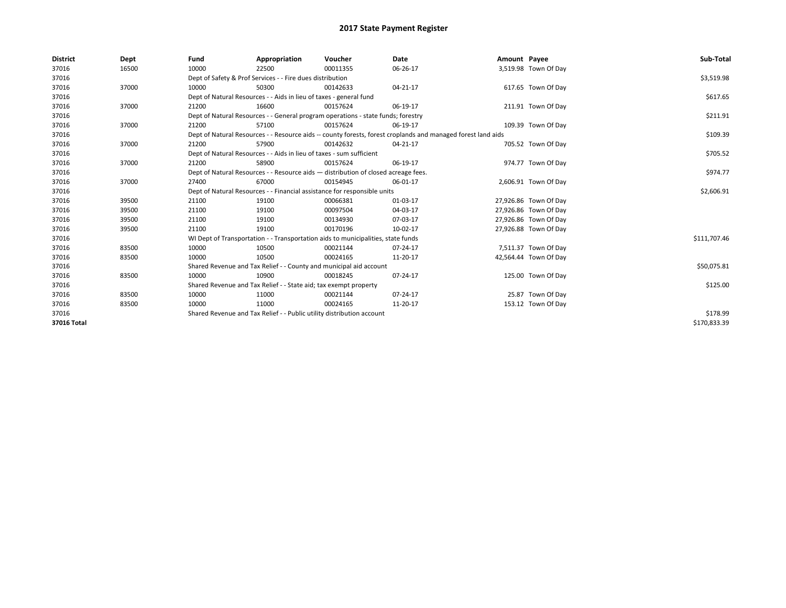| <b>District</b> | Dept  | Fund  | Appropriation                                                                                                | Voucher  | Date     | Amount Payee |                       | Sub-Total    |  |  |
|-----------------|-------|-------|--------------------------------------------------------------------------------------------------------------|----------|----------|--------------|-----------------------|--------------|--|--|
| 37016           | 16500 | 10000 | 22500                                                                                                        | 00011355 | 06-26-17 |              | 3,519.98 Town Of Day  |              |  |  |
| 37016           |       |       | Dept of Safety & Prof Services - - Fire dues distribution                                                    |          |          |              |                       | \$3,519.98   |  |  |
| 37016           | 37000 | 10000 | 50300                                                                                                        | 00142633 | 04-21-17 |              | 617.65 Town Of Day    |              |  |  |
| 37016           |       |       | Dept of Natural Resources - - Aids in lieu of taxes - general fund                                           |          |          |              |                       | \$617.65     |  |  |
| 37016           | 37000 | 21200 | 16600                                                                                                        | 00157624 | 06-19-17 |              | 211.91 Town Of Day    |              |  |  |
| 37016           |       |       | Dept of Natural Resources - - General program operations - state funds; forestry                             |          |          |              |                       | \$211.91     |  |  |
| 37016           | 37000 | 21200 | 57100                                                                                                        | 00157624 | 06-19-17 |              | 109.39 Town Of Day    |              |  |  |
| 37016           |       |       | Dept of Natural Resources - - Resource aids -- county forests, forest croplands and managed forest land aids |          |          |              |                       | \$109.39     |  |  |
| 37016           | 37000 | 21200 | 57900                                                                                                        | 00142632 | 04-21-17 |              | 705.52 Town Of Day    |              |  |  |
| 37016           |       |       | Dept of Natural Resources - - Aids in lieu of taxes - sum sufficient                                         |          |          |              |                       | \$705.52     |  |  |
| 37016           | 37000 | 21200 | 58900                                                                                                        | 00157624 | 06-19-17 |              | 974.77 Town Of Day    |              |  |  |
| 37016           |       |       | Dept of Natural Resources - - Resource aids - distribution of closed acreage fees.                           |          | \$974.77 |              |                       |              |  |  |
| 37016           | 37000 | 27400 | 67000                                                                                                        | 00154945 | 06-01-17 |              | 2,606.91 Town Of Day  |              |  |  |
| 37016           |       |       | Dept of Natural Resources - - Financial assistance for responsible units                                     |          |          |              |                       |              |  |  |
| 37016           | 39500 | 21100 | 19100                                                                                                        | 00066381 | 01-03-17 |              | 27,926.86 Town Of Day |              |  |  |
| 37016           | 39500 | 21100 | 19100                                                                                                        | 00097504 | 04-03-17 |              | 27,926.86 Town Of Day |              |  |  |
| 37016           | 39500 | 21100 | 19100                                                                                                        | 00134930 | 07-03-17 |              | 27,926.86 Town Of Day |              |  |  |
| 37016           | 39500 | 21100 | 19100                                                                                                        | 00170196 | 10-02-17 |              | 27,926.88 Town Of Day |              |  |  |
| 37016           |       |       | WI Dept of Transportation - - Transportation aids to municipalities, state funds                             |          |          |              |                       | \$111,707.46 |  |  |
| 37016           | 83500 | 10000 | 10500                                                                                                        | 00021144 | 07-24-17 |              | 7,511.37 Town Of Day  |              |  |  |
| 37016           | 83500 | 10000 | 10500                                                                                                        | 00024165 | 11-20-17 |              | 42,564.44 Town Of Day |              |  |  |
| 37016           |       |       | Shared Revenue and Tax Relief - - County and municipal aid account                                           |          |          |              |                       | \$50,075.81  |  |  |
| 37016           | 83500 | 10000 | 10900                                                                                                        | 00018245 | 07-24-17 |              | 125.00 Town Of Day    |              |  |  |
| 37016           |       |       | Shared Revenue and Tax Relief - - State aid; tax exempt property                                             |          |          |              |                       | \$125.00     |  |  |
| 37016           | 83500 | 10000 | 11000                                                                                                        | 00021144 | 07-24-17 |              | 25.87 Town Of Day     |              |  |  |
| 37016           | 83500 | 10000 | 11000                                                                                                        | 00024165 | 11-20-17 |              | 153.12 Town Of Day    |              |  |  |
| 37016           |       |       | Shared Revenue and Tax Relief - - Public utility distribution account                                        |          |          |              |                       | \$178.99     |  |  |
| 37016 Total     |       |       |                                                                                                              |          |          |              |                       | \$170,833.39 |  |  |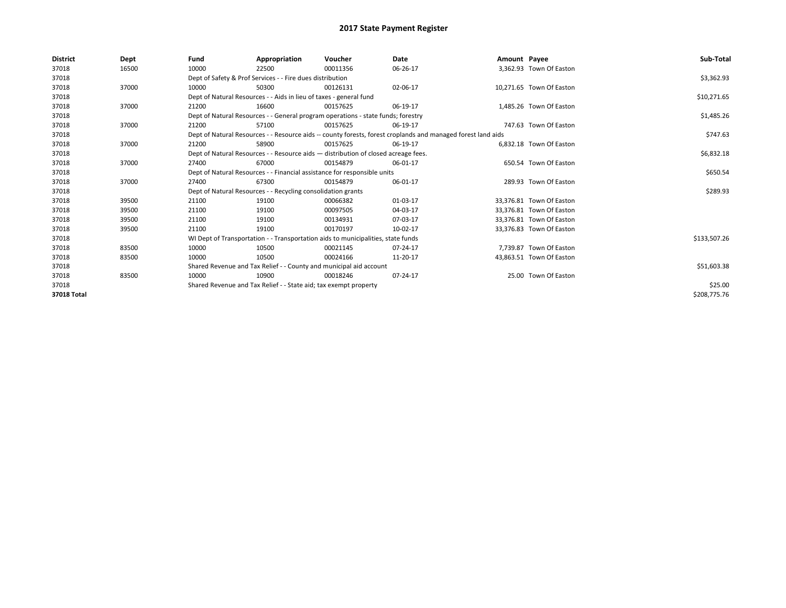| <b>District</b> | Dept  | Fund                                                               | Appropriation                                                                      | Voucher  | Date                                                                                                         | Amount Payee |                          | Sub-Total    |  |  |
|-----------------|-------|--------------------------------------------------------------------|------------------------------------------------------------------------------------|----------|--------------------------------------------------------------------------------------------------------------|--------------|--------------------------|--------------|--|--|
| 37018           | 16500 | 10000                                                              | 22500                                                                              | 00011356 | 06-26-17                                                                                                     |              | 3,362.93 Town Of Easton  |              |  |  |
| 37018           |       |                                                                    | Dept of Safety & Prof Services - - Fire dues distribution                          |          |                                                                                                              |              |                          | \$3,362.93   |  |  |
| 37018           | 37000 | 10000                                                              | 50300                                                                              | 00126131 | 02-06-17                                                                                                     |              | 10,271.65 Town Of Easton |              |  |  |
| 37018           |       |                                                                    | Dept of Natural Resources - - Aids in lieu of taxes - general fund                 |          |                                                                                                              |              |                          | \$10,271.65  |  |  |
| 37018           | 37000 | 21200                                                              | 16600                                                                              | 00157625 | 06-19-17                                                                                                     |              | 1,485.26 Town Of Easton  |              |  |  |
| 37018           |       |                                                                    | Dept of Natural Resources - - General program operations - state funds; forestry   |          |                                                                                                              |              |                          |              |  |  |
| 37018           | 37000 | 21200                                                              | 57100                                                                              | 00157625 | 06-19-17                                                                                                     |              | 747.63 Town Of Easton    |              |  |  |
| 37018           |       |                                                                    |                                                                                    |          | Dept of Natural Resources - - Resource aids -- county forests, forest croplands and managed forest land aids |              |                          | \$747.63     |  |  |
| 37018           | 37000 | 21200                                                              | 58900                                                                              | 00157625 | 06-19-17                                                                                                     |              | 6,832.18 Town Of Easton  |              |  |  |
| 37018           |       |                                                                    | Dept of Natural Resources - - Resource aids - distribution of closed acreage fees. |          |                                                                                                              |              |                          | \$6,832.18   |  |  |
| 37018           | 37000 | 27400                                                              | 67000                                                                              | 00154879 | 06-01-17                                                                                                     |              | 650.54 Town Of Easton    |              |  |  |
| 37018           |       |                                                                    | Dept of Natural Resources - - Financial assistance for responsible units           |          |                                                                                                              |              |                          | \$650.54     |  |  |
| 37018           | 37000 | 27400                                                              | 67300                                                                              | 00154879 | 06-01-17                                                                                                     |              | 289.93 Town Of Easton    |              |  |  |
| 37018           |       |                                                                    | Dept of Natural Resources - - Recycling consolidation grants                       |          |                                                                                                              |              |                          | \$289.93     |  |  |
| 37018           | 39500 | 21100                                                              | 19100                                                                              | 00066382 | 01-03-17                                                                                                     |              | 33,376.81 Town Of Easton |              |  |  |
| 37018           | 39500 | 21100                                                              | 19100                                                                              | 00097505 | 04-03-17                                                                                                     |              | 33,376.81 Town Of Easton |              |  |  |
| 37018           | 39500 | 21100                                                              | 19100                                                                              | 00134931 | 07-03-17                                                                                                     |              | 33.376.81 Town Of Easton |              |  |  |
| 37018           | 39500 | 21100                                                              | 19100                                                                              | 00170197 | 10-02-17                                                                                                     |              | 33,376.83 Town Of Easton |              |  |  |
| 37018           |       |                                                                    | WI Dept of Transportation - - Transportation aids to municipalities, state funds   |          |                                                                                                              |              |                          | \$133,507.26 |  |  |
| 37018           | 83500 | 10000                                                              | 10500                                                                              | 00021145 | $07 - 24 - 17$                                                                                               |              | 7,739.87 Town Of Easton  |              |  |  |
| 37018           | 83500 | 10000                                                              | 10500                                                                              | 00024166 | 11-20-17                                                                                                     |              | 43,863.51 Town Of Easton |              |  |  |
| 37018           |       | Shared Revenue and Tax Relief - - County and municipal aid account |                                                                                    |          |                                                                                                              |              |                          | \$51,603.38  |  |  |
| 37018           | 83500 | 10000                                                              | 10900                                                                              | 00018246 | 07-24-17                                                                                                     |              | 25.00 Town Of Easton     |              |  |  |
| 37018           |       | Shared Revenue and Tax Relief - - State aid; tax exempt property   |                                                                                    | \$25.00  |                                                                                                              |              |                          |              |  |  |
| 37018 Total     |       |                                                                    |                                                                                    |          |                                                                                                              |              |                          | \$208,775.76 |  |  |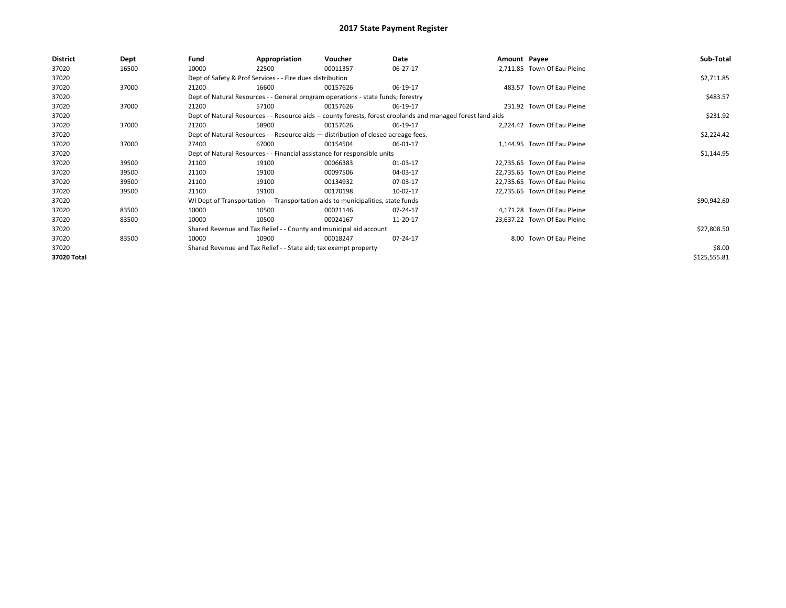| <b>District</b> | Dept  | Fund  | Appropriation                                                                                                | Voucher  | Date     | Amount Payee |                              | Sub-Total    |  |  |  |
|-----------------|-------|-------|--------------------------------------------------------------------------------------------------------------|----------|----------|--------------|------------------------------|--------------|--|--|--|
| 37020           | 16500 | 10000 | 22500                                                                                                        | 00011357 | 06-27-17 |              | 2,711.85 Town Of Eau Pleine  |              |  |  |  |
| 37020           |       |       | Dept of Safety & Prof Services - - Fire dues distribution                                                    |          |          |              |                              | \$2,711.85   |  |  |  |
| 37020           | 37000 | 21200 | 16600                                                                                                        | 00157626 | 06-19-17 |              | 483.57 Town Of Eau Pleine    |              |  |  |  |
| 37020           |       |       | Dept of Natural Resources - - General program operations - state funds; forestry                             |          |          |              |                              | \$483.57     |  |  |  |
| 37020           | 37000 | 21200 | 57100                                                                                                        | 00157626 | 06-19-17 |              | 231.92 Town Of Eau Pleine    |              |  |  |  |
| 37020           |       |       | Dept of Natural Resources - - Resource aids -- county forests, forest croplands and managed forest land aids |          |          |              |                              |              |  |  |  |
| 37020           | 37000 | 21200 | 58900                                                                                                        | 00157626 | 06-19-17 |              | 2,224.42 Town Of Eau Pleine  |              |  |  |  |
| 37020           |       |       | Dept of Natural Resources - - Resource aids - distribution of closed acreage fees.                           |          |          |              |                              | \$2,224.42   |  |  |  |
| 37020           | 37000 | 27400 | 67000                                                                                                        | 00154504 | 06-01-17 |              | 1,144.95 Town Of Eau Pleine  |              |  |  |  |
| 37020           |       |       | Dept of Natural Resources - - Financial assistance for responsible units                                     |          |          |              |                              |              |  |  |  |
| 37020           | 39500 | 21100 | 19100                                                                                                        | 00066383 | 01-03-17 |              | 22,735.65 Town Of Eau Pleine |              |  |  |  |
| 37020           | 39500 | 21100 | 19100                                                                                                        | 00097506 | 04-03-17 |              | 22,735.65 Town Of Eau Pleine |              |  |  |  |
| 37020           | 39500 | 21100 | 19100                                                                                                        | 00134932 | 07-03-17 |              | 22,735.65 Town Of Eau Pleine |              |  |  |  |
| 37020           | 39500 | 21100 | 19100                                                                                                        | 00170198 | 10-02-17 |              | 22,735.65 Town Of Eau Pleine |              |  |  |  |
| 37020           |       |       | WI Dept of Transportation - - Transportation aids to municipalities, state funds                             |          |          |              |                              | \$90,942.60  |  |  |  |
| 37020           | 83500 | 10000 | 10500                                                                                                        | 00021146 | 07-24-17 |              | 4,171.28 Town Of Eau Pleine  |              |  |  |  |
| 37020           | 83500 | 10000 | 10500                                                                                                        | 00024167 | 11-20-17 |              | 23,637.22 Town Of Eau Pleine |              |  |  |  |
| 37020           |       |       | Shared Revenue and Tax Relief - - County and municipal aid account                                           |          |          |              |                              | \$27,808.50  |  |  |  |
| 37020           | 83500 | 10000 | 10900                                                                                                        | 00018247 | 07-24-17 |              | 8.00 Town Of Eau Pleine      |              |  |  |  |
| 37020           |       |       | Shared Revenue and Tax Relief - - State aid; tax exempt property                                             |          |          |              |                              | \$8.00       |  |  |  |
| 37020 Total     |       |       |                                                                                                              |          |          |              |                              | \$125,555.81 |  |  |  |
|                 |       |       |                                                                                                              |          |          |              |                              |              |  |  |  |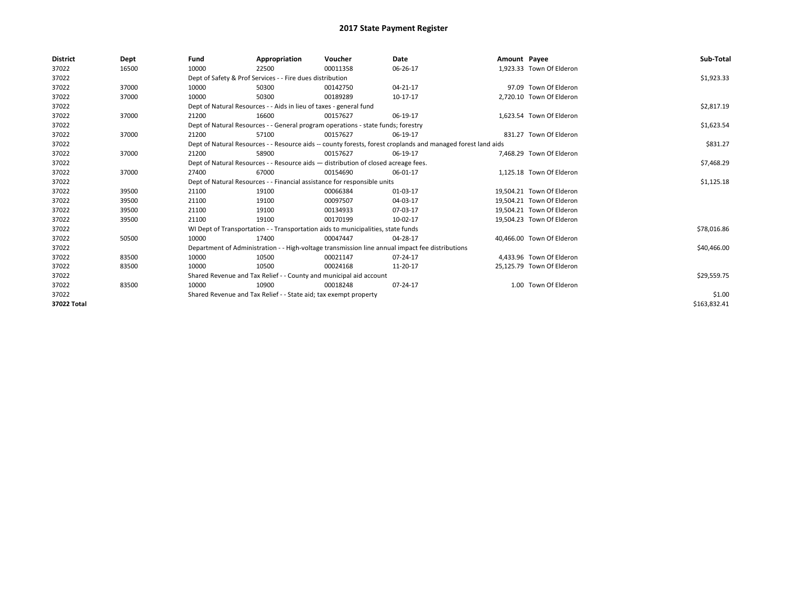| <b>District</b> | Dept  | Fund                                                                     | Appropriation                                                                      | Voucher     | Date                                                                                                         | Amount Payee |                           | Sub-Total    |
|-----------------|-------|--------------------------------------------------------------------------|------------------------------------------------------------------------------------|-------------|--------------------------------------------------------------------------------------------------------------|--------------|---------------------------|--------------|
| 37022           | 16500 | 10000                                                                    | 22500                                                                              | 00011358    | 06-26-17                                                                                                     |              | 1,923.33 Town Of Elderon  |              |
| 37022           |       |                                                                          | Dept of Safety & Prof Services - - Fire dues distribution                          |             |                                                                                                              |              |                           | \$1,923.33   |
| 37022           | 37000 | 10000                                                                    | 50300                                                                              | 00142750    | $04 - 21 - 17$                                                                                               |              | 97.09 Town Of Elderon     |              |
| 37022           | 37000 | 10000                                                                    | 50300                                                                              | 00189289    | 10-17-17                                                                                                     |              | 2,720.10 Town Of Elderon  |              |
| 37022           |       |                                                                          | Dept of Natural Resources - - Aids in lieu of taxes - general fund                 |             |                                                                                                              |              |                           | \$2,817.19   |
| 37022           | 37000 | 21200                                                                    | 16600                                                                              | 00157627    | 06-19-17                                                                                                     |              | 1.623.54 Town Of Elderon  |              |
| 37022           |       |                                                                          | Dept of Natural Resources - - General program operations - state funds; forestry   |             |                                                                                                              |              |                           | \$1,623.54   |
| 37022           | 37000 | 21200                                                                    | 57100                                                                              | 00157627    | 06-19-17                                                                                                     |              | 831.27 Town Of Elderon    |              |
| 37022           |       |                                                                          |                                                                                    |             | Dept of Natural Resources - - Resource aids -- county forests, forest croplands and managed forest land aids |              |                           | \$831.27     |
| 37022           | 37000 | 21200                                                                    | 58900                                                                              | 00157627    | 06-19-17                                                                                                     |              | 7,468.29 Town Of Elderon  |              |
| 37022           |       |                                                                          | Dept of Natural Resources - - Resource aids - distribution of closed acreage fees. |             |                                                                                                              |              |                           | \$7,468.29   |
| 37022           | 37000 | 27400                                                                    | 67000                                                                              | 00154690    | 06-01-17                                                                                                     |              | 1,125.18 Town Of Elderon  |              |
| 37022           |       | Dept of Natural Resources - - Financial assistance for responsible units |                                                                                    | \$1,125.18  |                                                                                                              |              |                           |              |
| 37022           | 39500 | 21100                                                                    | 19100                                                                              | 00066384    | 01-03-17                                                                                                     |              | 19,504.21 Town Of Elderon |              |
| 37022           | 39500 | 21100                                                                    | 19100                                                                              | 00097507    | 04-03-17                                                                                                     |              | 19.504.21 Town Of Elderon |              |
| 37022           | 39500 | 21100                                                                    | 19100                                                                              | 00134933    | 07-03-17                                                                                                     |              | 19,504.21 Town Of Elderon |              |
| 37022           | 39500 | 21100                                                                    | 19100                                                                              | 00170199    | 10-02-17                                                                                                     |              | 19,504.23 Town Of Elderon |              |
| 37022           |       |                                                                          | WI Dept of Transportation - - Transportation aids to municipalities, state funds   |             |                                                                                                              |              |                           | \$78,016.86  |
| 37022           | 50500 | 10000                                                                    | 17400                                                                              | 00047447    | 04-28-17                                                                                                     |              | 40,466.00 Town Of Elderon |              |
| 37022           |       |                                                                          |                                                                                    |             | Department of Administration - - High-voltage transmission line annual impact fee distributions              |              |                           | \$40,466.00  |
| 37022           | 83500 | 10000                                                                    | 10500                                                                              | 00021147    | 07-24-17                                                                                                     |              | 4,433.96 Town Of Elderon  |              |
| 37022           | 83500 | 10000                                                                    | 10500                                                                              | 00024168    | 11-20-17                                                                                                     |              | 25,125.79 Town Of Elderon |              |
| 37022           |       | Shared Revenue and Tax Relief - - County and municipal aid account       |                                                                                    | \$29,559.75 |                                                                                                              |              |                           |              |
| 37022           | 83500 | 10000                                                                    | 10900                                                                              | 00018248    | 07-24-17                                                                                                     |              | 1.00 Town Of Elderon      |              |
| 37022           |       |                                                                          | Shared Revenue and Tax Relief - - State aid; tax exempt property                   |             |                                                                                                              |              |                           | \$1.00       |
| 37022 Total     |       |                                                                          |                                                                                    |             |                                                                                                              |              |                           | \$163,832.41 |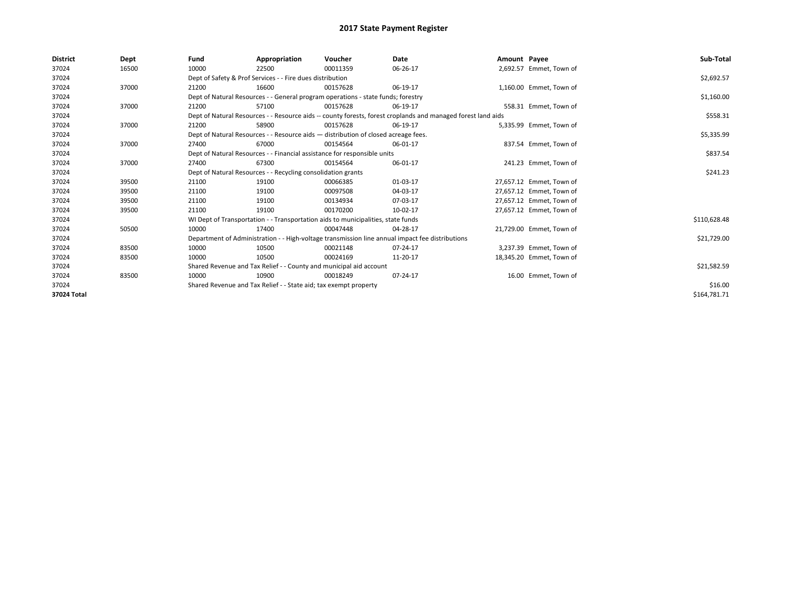| <b>District</b> | Dept  | Fund  | Appropriation                                                      | Voucher                                                                            | Date                                                                                                         | Amount Payee |                          | Sub-Total    |
|-----------------|-------|-------|--------------------------------------------------------------------|------------------------------------------------------------------------------------|--------------------------------------------------------------------------------------------------------------|--------------|--------------------------|--------------|
| 37024           | 16500 | 10000 | 22500                                                              | 00011359                                                                           | 06-26-17                                                                                                     |              | 2,692.57 Emmet, Town of  |              |
| 37024           |       |       | Dept of Safety & Prof Services - - Fire dues distribution          |                                                                                    |                                                                                                              |              |                          | \$2,692.57   |
| 37024           | 37000 | 21200 | 16600                                                              | 00157628                                                                           | 06-19-17                                                                                                     |              | 1,160.00 Emmet, Town of  |              |
| 37024           |       |       |                                                                    | Dept of Natural Resources - - General program operations - state funds; forestry   |                                                                                                              |              |                          | \$1,160.00   |
| 37024           | 37000 | 21200 | 57100                                                              | 00157628                                                                           | 06-19-17                                                                                                     |              | 558.31 Emmet, Town of    |              |
| 37024           |       |       |                                                                    |                                                                                    | Dept of Natural Resources - - Resource aids -- county forests, forest croplands and managed forest land aids |              |                          | \$558.31     |
| 37024           | 37000 | 21200 | 58900                                                              | 00157628                                                                           | 06-19-17                                                                                                     |              | 5,335.99 Emmet, Town of  |              |
| 37024           |       |       |                                                                    | Dept of Natural Resources - - Resource aids - distribution of closed acreage fees. |                                                                                                              |              |                          | \$5,335.99   |
| 37024           | 37000 | 27400 | 67000                                                              | 00154564                                                                           | 06-01-17                                                                                                     |              | 837.54 Emmet, Town of    |              |
| 37024           |       |       |                                                                    | Dept of Natural Resources - - Financial assistance for responsible units           |                                                                                                              |              |                          | \$837.54     |
| 37024           | 37000 | 27400 | 67300                                                              | 00154564                                                                           | 06-01-17                                                                                                     |              | 241.23 Emmet, Town of    |              |
| 37024           |       |       | Dept of Natural Resources - - Recycling consolidation grants       |                                                                                    | \$241.23                                                                                                     |              |                          |              |
| 37024           | 39500 | 21100 | 19100                                                              | 00066385                                                                           | 01-03-17                                                                                                     |              | 27,657.12 Emmet, Town of |              |
| 37024           | 39500 | 21100 | 19100                                                              | 00097508                                                                           | 04-03-17                                                                                                     |              | 27,657.12 Emmet, Town of |              |
| 37024           | 39500 | 21100 | 19100                                                              | 00134934                                                                           | 07-03-17                                                                                                     |              | 27,657.12 Emmet, Town of |              |
| 37024           | 39500 | 21100 | 19100                                                              | 00170200                                                                           | 10-02-17                                                                                                     |              | 27.657.12 Emmet. Town of |              |
| 37024           |       |       |                                                                    | WI Dept of Transportation - - Transportation aids to municipalities, state funds   |                                                                                                              |              |                          | \$110,628.48 |
| 37024           | 50500 | 10000 | 17400                                                              | 00047448                                                                           | 04-28-17                                                                                                     |              | 21,729.00 Emmet, Town of |              |
| 37024           |       |       |                                                                    |                                                                                    | Department of Administration - - High-voltage transmission line annual impact fee distributions              |              |                          | \$21,729.00  |
| 37024           | 83500 | 10000 | 10500                                                              | 00021148                                                                           | 07-24-17                                                                                                     |              | 3,237.39 Emmet, Town of  |              |
| 37024           | 83500 | 10000 | 10500                                                              | 00024169                                                                           | 11-20-17                                                                                                     |              | 18,345.20 Emmet, Town of |              |
| 37024           |       |       | Shared Revenue and Tax Relief - - County and municipal aid account |                                                                                    |                                                                                                              |              |                          | \$21,582.59  |
| 37024           | 83500 | 10000 | 10900                                                              | 00018249                                                                           | 07-24-17                                                                                                     |              | 16.00 Emmet, Town of     |              |
| 37024           |       |       | Shared Revenue and Tax Relief - - State aid; tax exempt property   |                                                                                    |                                                                                                              |              |                          | \$16.00      |
| 37024 Total     |       |       |                                                                    |                                                                                    |                                                                                                              |              |                          | \$164,781.71 |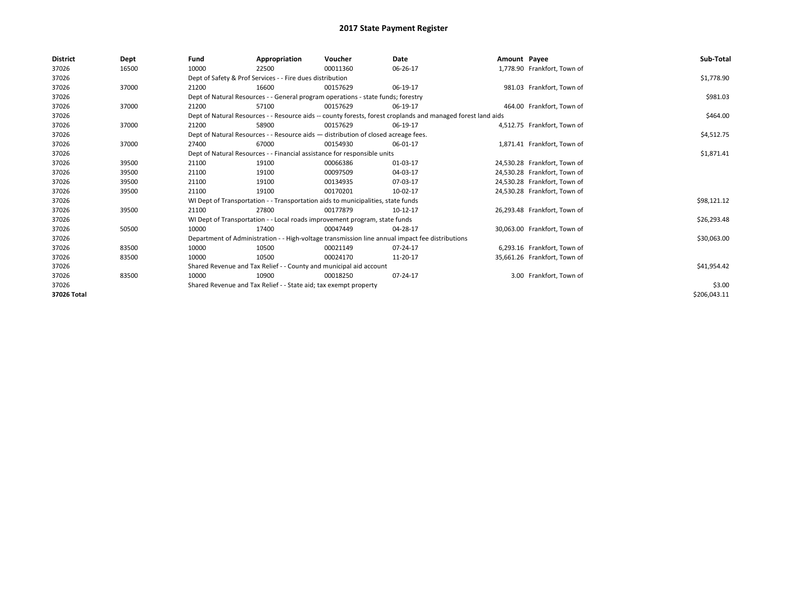| <b>District</b> | Dept  | Fund                                                               | Appropriation                                                                                                | Voucher                                                                            | Date                                                                                            | Amount Payee |                              | Sub-Total    |
|-----------------|-------|--------------------------------------------------------------------|--------------------------------------------------------------------------------------------------------------|------------------------------------------------------------------------------------|-------------------------------------------------------------------------------------------------|--------------|------------------------------|--------------|
| 37026           | 16500 | 10000                                                              | 22500                                                                                                        | 00011360                                                                           | 06-26-17                                                                                        |              | 1,778.90 Frankfort, Town of  |              |
| 37026           |       |                                                                    | Dept of Safety & Prof Services - - Fire dues distribution                                                    |                                                                                    |                                                                                                 |              |                              | \$1,778.90   |
| 37026           | 37000 | 21200                                                              | 16600                                                                                                        | 00157629                                                                           | 06-19-17                                                                                        |              | 981.03 Frankfort, Town of    |              |
| 37026           |       |                                                                    |                                                                                                              | Dept of Natural Resources - - General program operations - state funds; forestry   |                                                                                                 |              |                              | \$981.03     |
| 37026           | 37000 | 21200                                                              | 57100                                                                                                        | 00157629                                                                           | 06-19-17                                                                                        |              | 464.00 Frankfort, Town of    |              |
| 37026           |       |                                                                    | Dept of Natural Resources - - Resource aids -- county forests, forest croplands and managed forest land aids |                                                                                    | \$464.00                                                                                        |              |                              |              |
| 37026           | 37000 | 21200                                                              | 58900                                                                                                        | 00157629                                                                           | 06-19-17                                                                                        |              | 4,512.75 Frankfort, Town of  |              |
| 37026           |       |                                                                    |                                                                                                              | Dept of Natural Resources - - Resource aids - distribution of closed acreage fees. |                                                                                                 |              |                              | \$4,512.75   |
| 37026           | 37000 | 27400                                                              | 67000                                                                                                        | 00154930                                                                           | 06-01-17                                                                                        |              | 1,871.41 Frankfort, Town of  |              |
| 37026           |       |                                                                    |                                                                                                              | Dept of Natural Resources - - Financial assistance for responsible units           |                                                                                                 |              |                              | \$1,871.41   |
| 37026           | 39500 | 21100                                                              | 19100                                                                                                        | 00066386                                                                           | 01-03-17                                                                                        |              | 24,530.28 Frankfort, Town of |              |
| 37026           | 39500 | 21100                                                              | 19100                                                                                                        | 00097509                                                                           | 04-03-17                                                                                        |              | 24,530.28 Frankfort, Town of |              |
| 37026           | 39500 | 21100                                                              | 19100                                                                                                        | 00134935                                                                           | 07-03-17                                                                                        |              | 24,530.28 Frankfort, Town of |              |
| 37026           | 39500 | 21100                                                              | 19100                                                                                                        | 00170201                                                                           | 10-02-17                                                                                        |              | 24,530.28 Frankfort, Town of |              |
| 37026           |       |                                                                    |                                                                                                              | WI Dept of Transportation - - Transportation aids to municipalities, state funds   |                                                                                                 |              |                              | \$98,121.12  |
| 37026           | 39500 | 21100                                                              | 27800                                                                                                        | 00177879                                                                           | 10-12-17                                                                                        |              | 26,293.48 Frankfort, Town of |              |
| 37026           |       |                                                                    |                                                                                                              | WI Dept of Transportation - - Local roads improvement program, state funds         |                                                                                                 |              |                              | \$26,293.48  |
| 37026           | 50500 | 10000                                                              | 17400                                                                                                        | 00047449                                                                           | 04-28-17                                                                                        |              | 30,063.00 Frankfort, Town of |              |
| 37026           |       |                                                                    |                                                                                                              |                                                                                    | Department of Administration - - High-voltage transmission line annual impact fee distributions |              |                              | \$30,063.00  |
| 37026           | 83500 | 10000                                                              | 10500                                                                                                        | 00021149                                                                           | 07-24-17                                                                                        |              | 6,293.16 Frankfort, Town of  |              |
| 37026           | 83500 | 10000                                                              | 10500                                                                                                        | 00024170                                                                           | 11-20-17                                                                                        |              | 35,661.26 Frankfort, Town of |              |
| 37026           |       | Shared Revenue and Tax Relief - - County and municipal aid account |                                                                                                              |                                                                                    |                                                                                                 |              |                              | \$41,954.42  |
| 37026           | 83500 | 10000                                                              | 10900                                                                                                        | 00018250                                                                           | 07-24-17                                                                                        |              | 3.00 Frankfort, Town of      |              |
| 37026           |       |                                                                    | Shared Revenue and Tax Relief - - State aid; tax exempt property                                             |                                                                                    | \$3.00                                                                                          |              |                              |              |
| 37026 Total     |       |                                                                    |                                                                                                              |                                                                                    |                                                                                                 |              |                              | \$206,043.11 |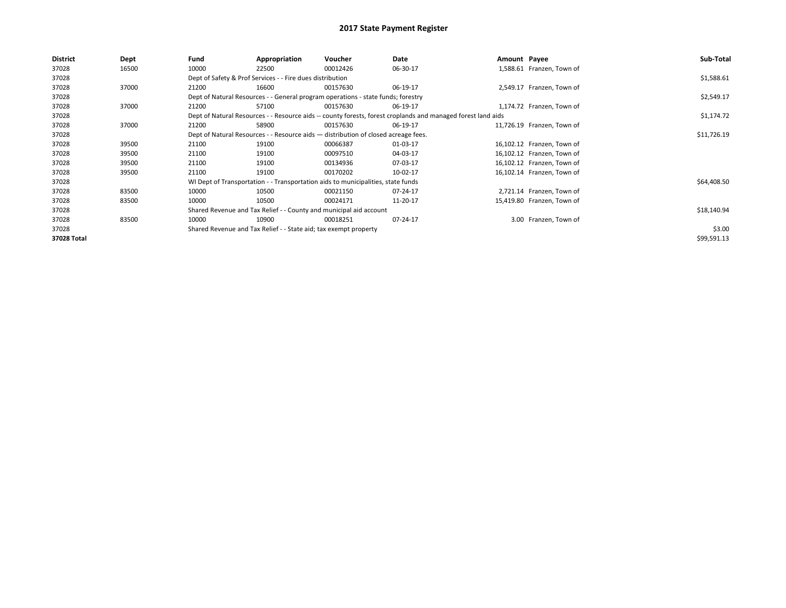| District    | Dept  | Fund  | Appropriation                                                                      | Voucher  | Date                                                                                                         | Amount Payee |                            | Sub-Total   |
|-------------|-------|-------|------------------------------------------------------------------------------------|----------|--------------------------------------------------------------------------------------------------------------|--------------|----------------------------|-------------|
| 37028       | 16500 | 10000 | 22500                                                                              | 00012426 | 06-30-17                                                                                                     |              | 1,588.61 Franzen, Town of  |             |
| 37028       |       |       | Dept of Safety & Prof Services - - Fire dues distribution                          |          |                                                                                                              |              |                            | \$1,588.61  |
| 37028       | 37000 | 21200 | 16600                                                                              | 00157630 | 06-19-17                                                                                                     |              | 2,549.17 Franzen, Town of  |             |
| 37028       |       |       | Dept of Natural Resources - - General program operations - state funds; forestry   |          |                                                                                                              |              |                            | \$2,549.17  |
| 37028       | 37000 | 21200 | 57100                                                                              | 00157630 | 06-19-17                                                                                                     |              | 1,174.72 Franzen, Town of  |             |
| 37028       |       |       |                                                                                    |          | Dept of Natural Resources - - Resource aids -- county forests, forest croplands and managed forest land aids |              |                            | \$1,174.72  |
| 37028       | 37000 | 21200 | 58900                                                                              | 00157630 | 06-19-17                                                                                                     |              | 11,726.19 Franzen, Town of |             |
| 37028       |       |       | Dept of Natural Resources - - Resource aids - distribution of closed acreage fees. |          |                                                                                                              |              |                            | \$11,726.19 |
| 37028       | 39500 | 21100 | 19100                                                                              | 00066387 | 01-03-17                                                                                                     |              | 16,102.12 Franzen, Town of |             |
| 37028       | 39500 | 21100 | 19100                                                                              | 00097510 | 04-03-17                                                                                                     |              | 16,102.12 Franzen, Town of |             |
| 37028       | 39500 | 21100 | 19100                                                                              | 00134936 | 07-03-17                                                                                                     |              | 16,102.12 Franzen, Town of |             |
| 37028       | 39500 | 21100 | 19100                                                                              | 00170202 | 10-02-17                                                                                                     |              | 16,102.14 Franzen, Town of |             |
| 37028       |       |       | WI Dept of Transportation - - Transportation aids to municipalities, state funds   |          |                                                                                                              |              |                            | \$64,408.50 |
| 37028       | 83500 | 10000 | 10500                                                                              | 00021150 | 07-24-17                                                                                                     |              | 2,721.14 Franzen, Town of  |             |
| 37028       | 83500 | 10000 | 10500                                                                              | 00024171 | 11-20-17                                                                                                     |              | 15,419.80 Franzen, Town of |             |
| 37028       |       |       | Shared Revenue and Tax Relief - - County and municipal aid account                 |          |                                                                                                              |              |                            | \$18,140.94 |
| 37028       | 83500 | 10000 | 10900                                                                              | 00018251 | 07-24-17                                                                                                     |              | 3.00 Franzen, Town of      |             |
| 37028       |       |       | Shared Revenue and Tax Relief - - State aid; tax exempt property                   |          |                                                                                                              |              |                            | \$3.00      |
| 37028 Total |       |       |                                                                                    |          |                                                                                                              |              |                            | \$99,591.13 |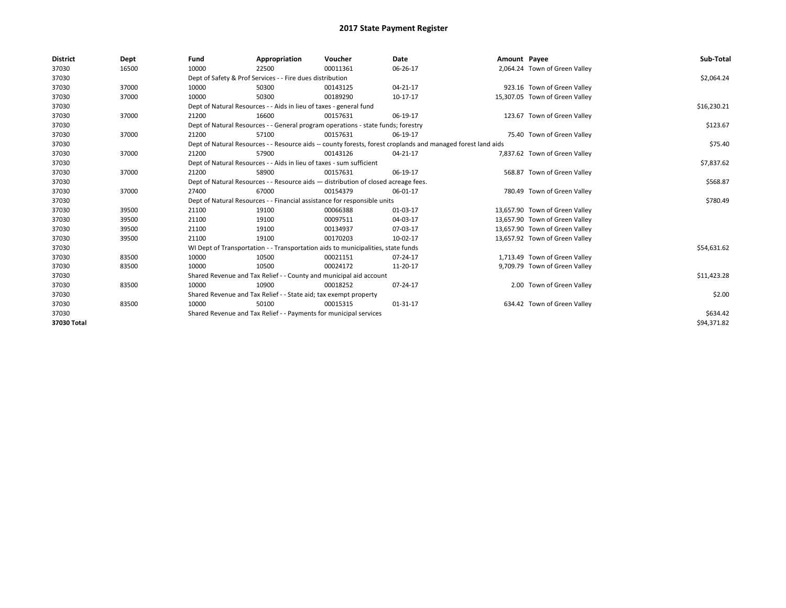| <b>District</b> | Dept  | Fund  | Appropriation                                                                                                | Voucher                                                                            | Date     | Amount Payee |                                | Sub-Total   |  |  |  |
|-----------------|-------|-------|--------------------------------------------------------------------------------------------------------------|------------------------------------------------------------------------------------|----------|--------------|--------------------------------|-------------|--|--|--|
| 37030           | 16500 | 10000 | 22500                                                                                                        | 00011361                                                                           | 06-26-17 |              | 2,064.24 Town of Green Valley  |             |  |  |  |
| 37030           |       |       | Dept of Safety & Prof Services - - Fire dues distribution                                                    |                                                                                    |          |              |                                | \$2,064.24  |  |  |  |
| 37030           | 37000 | 10000 | 50300                                                                                                        | 00143125                                                                           | 04-21-17 |              | 923.16 Town of Green Valley    |             |  |  |  |
| 37030           | 37000 | 10000 | 50300                                                                                                        | 00189290                                                                           | 10-17-17 |              | 15,307.05 Town of Green Valley |             |  |  |  |
| 37030           |       |       | Dept of Natural Resources - - Aids in lieu of taxes - general fund                                           |                                                                                    |          |              |                                |             |  |  |  |
| 37030           | 37000 | 21200 | 16600                                                                                                        | 00157631                                                                           | 06-19-17 |              | 123.67 Town of Green Valley    |             |  |  |  |
| 37030           |       |       |                                                                                                              | Dept of Natural Resources - - General program operations - state funds; forestry   |          |              |                                | \$123.67    |  |  |  |
| 37030           | 37000 | 21200 | 57100                                                                                                        | 00157631                                                                           | 06-19-17 |              | 75.40 Town of Green Valley     |             |  |  |  |
| 37030           |       |       | Dept of Natural Resources - - Resource aids -- county forests, forest croplands and managed forest land aids |                                                                                    |          |              |                                |             |  |  |  |
| 37030           | 37000 | 21200 | 57900                                                                                                        | 00143126                                                                           | 04-21-17 |              | 7,837.62 Town of Green Valley  |             |  |  |  |
| 37030           |       |       | Dept of Natural Resources - - Aids in lieu of taxes - sum sufficient                                         |                                                                                    |          |              |                                | \$7,837.62  |  |  |  |
| 37030           | 37000 | 21200 | 58900                                                                                                        | 00157631                                                                           | 06-19-17 |              | 568.87 Town of Green Valley    |             |  |  |  |
| 37030           |       |       |                                                                                                              | Dept of Natural Resources - - Resource aids - distribution of closed acreage fees. |          |              |                                | \$568.87    |  |  |  |
| 37030           | 37000 | 27400 | 67000                                                                                                        | 00154379                                                                           | 06-01-17 |              | 780.49 Town of Green Valley    |             |  |  |  |
| 37030           |       |       |                                                                                                              | Dept of Natural Resources - - Financial assistance for responsible units           |          |              |                                | \$780.49    |  |  |  |
| 37030           | 39500 | 21100 | 19100                                                                                                        | 00066388                                                                           | 01-03-17 |              | 13,657.90 Town of Green Valley |             |  |  |  |
| 37030           | 39500 | 21100 | 19100                                                                                                        | 00097511                                                                           | 04-03-17 |              | 13,657.90 Town of Green Valley |             |  |  |  |
| 37030           | 39500 | 21100 | 19100                                                                                                        | 00134937                                                                           | 07-03-17 |              | 13,657.90 Town of Green Valley |             |  |  |  |
| 37030           | 39500 | 21100 | 19100                                                                                                        | 00170203                                                                           | 10-02-17 |              | 13,657.92 Town of Green Valley |             |  |  |  |
| 37030           |       |       |                                                                                                              | WI Dept of Transportation - - Transportation aids to municipalities, state funds   |          |              |                                | \$54,631.62 |  |  |  |
| 37030           | 83500 | 10000 | 10500                                                                                                        | 00021151                                                                           | 07-24-17 |              | 1,713.49 Town of Green Valley  |             |  |  |  |
| 37030           | 83500 | 10000 | 10500                                                                                                        | 00024172                                                                           | 11-20-17 |              | 9,709.79 Town of Green Valley  |             |  |  |  |
| 37030           |       |       |                                                                                                              | Shared Revenue and Tax Relief - - County and municipal aid account                 |          |              |                                | \$11,423.28 |  |  |  |
| 37030           | 83500 | 10000 | 10900                                                                                                        | 00018252                                                                           | 07-24-17 |              | 2.00 Town of Green Valley      |             |  |  |  |
| 37030           |       |       | Shared Revenue and Tax Relief - - State aid; tax exempt property                                             |                                                                                    |          |              |                                | \$2.00      |  |  |  |
| 37030           | 83500 | 10000 | 50100                                                                                                        | 00015315                                                                           | 01-31-17 |              | 634.42 Town of Green Valley    |             |  |  |  |
| 37030           |       |       | Shared Revenue and Tax Relief - - Payments for municipal services                                            |                                                                                    |          |              |                                | \$634.42    |  |  |  |
| 37030 Total     |       |       |                                                                                                              |                                                                                    |          |              |                                | \$94,371.82 |  |  |  |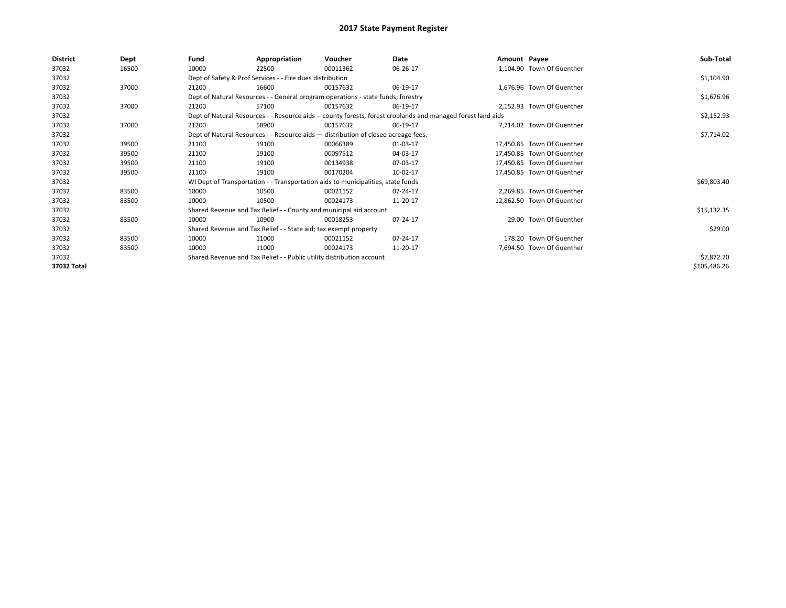| <b>District</b> | Dept  | Fund  | Appropriation                                                                      | Voucher  | Date                                                                                                         | Amount Payee |                            | Sub-Total    |
|-----------------|-------|-------|------------------------------------------------------------------------------------|----------|--------------------------------------------------------------------------------------------------------------|--------------|----------------------------|--------------|
| 37032           | 16500 | 10000 | 22500                                                                              | 00011362 | 06-26-17                                                                                                     |              | 1,104.90 Town Of Guenther  |              |
| 37032           |       |       | Dept of Safety & Prof Services - - Fire dues distribution                          |          |                                                                                                              |              |                            | \$1,104.90   |
| 37032           | 37000 | 21200 | 16600                                                                              | 00157632 | 06-19-17                                                                                                     |              | 1,676.96 Town Of Guenther  |              |
| 37032           |       |       | Dept of Natural Resources - - General program operations - state funds; forestry   |          |                                                                                                              |              |                            | \$1,676.96   |
| 37032           | 37000 | 21200 | 57100                                                                              | 00157632 | 06-19-17                                                                                                     |              | 2,152.93 Town Of Guenther  |              |
| 37032           |       |       |                                                                                    |          | Dept of Natural Resources - - Resource aids -- county forests, forest croplands and managed forest land aids |              |                            | \$2,152.93   |
| 37032           | 37000 | 21200 | 58900                                                                              | 00157632 | 06-19-17                                                                                                     |              | 7,714.02 Town Of Guenther  |              |
| 37032           |       |       | Dept of Natural Resources - - Resource aids - distribution of closed acreage fees. |          | \$7,714.02                                                                                                   |              |                            |              |
| 37032           | 39500 | 21100 | 19100                                                                              | 00066389 | 01-03-17                                                                                                     |              | 17,450.85 Town Of Guenther |              |
| 37032           | 39500 | 21100 | 19100                                                                              | 00097512 | 04-03-17                                                                                                     |              | 17.450.85 Town Of Guenther |              |
| 37032           | 39500 | 21100 | 19100                                                                              | 00134938 | 07-03-17                                                                                                     |              | 17,450.85 Town Of Guenther |              |
| 37032           | 39500 | 21100 | 19100                                                                              | 00170204 | 10-02-17                                                                                                     |              | 17,450.85 Town Of Guenther |              |
| 37032           |       |       | WI Dept of Transportation - - Transportation aids to municipalities, state funds   |          |                                                                                                              |              |                            | \$69,803.40  |
| 37032           | 83500 | 10000 | 10500                                                                              | 00021152 | 07-24-17                                                                                                     |              | 2,269.85 Town Of Guenther  |              |
| 37032           | 83500 | 10000 | 10500                                                                              | 00024173 | 11-20-17                                                                                                     |              | 12,862.50 Town Of Guenther |              |
| 37032           |       |       | Shared Revenue and Tax Relief - - County and municipal aid account                 |          |                                                                                                              |              |                            | \$15,132.35  |
| 37032           | 83500 | 10000 | 10900                                                                              | 00018253 | 07-24-17                                                                                                     |              | 29.00 Town Of Guenther     |              |
| 37032           |       |       | Shared Revenue and Tax Relief - - State aid; tax exempt property                   |          |                                                                                                              |              |                            | \$29.00      |
| 37032           | 83500 | 10000 | 11000                                                                              | 00021152 | 07-24-17                                                                                                     |              | 178.20 Town Of Guenther    |              |
| 37032           | 83500 | 10000 | 11000                                                                              | 00024173 | 11-20-17                                                                                                     |              | 7,694.50 Town Of Guenther  |              |
| 37032           |       |       | Shared Revenue and Tax Relief - - Public utility distribution account              |          |                                                                                                              |              |                            | \$7,872.70   |
| 37032 Total     |       |       |                                                                                    |          |                                                                                                              |              |                            | \$105,486.26 |
|                 |       |       |                                                                                    |          |                                                                                                              |              |                            |              |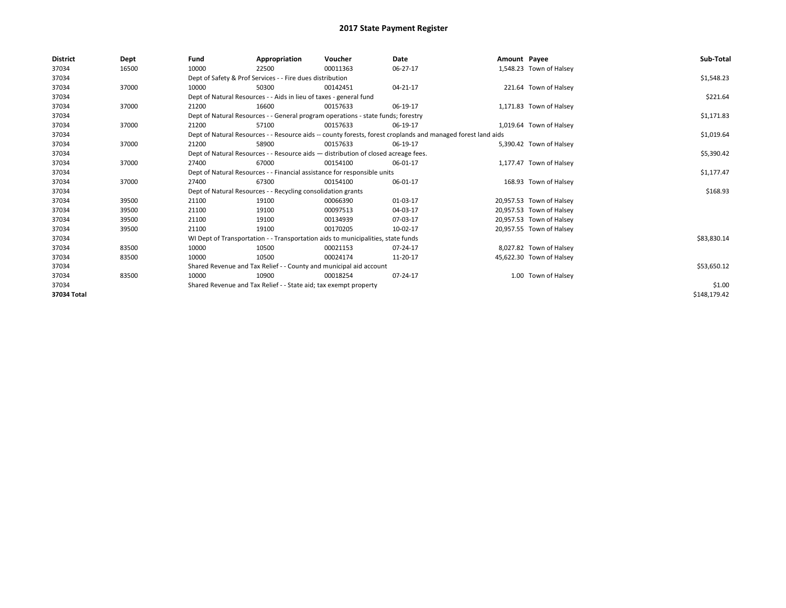| <b>District</b> | Dept  | Fund  | Appropriation                                                                      | Voucher  | Date                                                                                                         | Amount Payee |                          | Sub-Total    |  |  |
|-----------------|-------|-------|------------------------------------------------------------------------------------|----------|--------------------------------------------------------------------------------------------------------------|--------------|--------------------------|--------------|--|--|
| 37034           | 16500 | 10000 | 22500                                                                              | 00011363 | 06-27-17                                                                                                     |              | 1,548.23 Town of Halsey  |              |  |  |
| 37034           |       |       | Dept of Safety & Prof Services - - Fire dues distribution                          |          |                                                                                                              |              |                          | \$1,548.23   |  |  |
| 37034           | 37000 | 10000 | 50300                                                                              | 00142451 | $04 - 21 - 17$                                                                                               |              | 221.64 Town of Halsey    |              |  |  |
| 37034           |       |       | Dept of Natural Resources - - Aids in lieu of taxes - general fund                 |          |                                                                                                              |              |                          | \$221.64     |  |  |
| 37034           | 37000 | 21200 | 16600                                                                              | 00157633 | 06-19-17                                                                                                     |              | 1,171.83 Town of Halsey  |              |  |  |
| 37034           |       |       | Dept of Natural Resources - - General program operations - state funds; forestry   |          |                                                                                                              |              |                          |              |  |  |
| 37034           | 37000 | 21200 | 57100                                                                              | 00157633 | 06-19-17                                                                                                     |              | 1,019.64 Town of Halsey  |              |  |  |
| 37034           |       |       |                                                                                    |          | Dept of Natural Resources - - Resource aids -- county forests, forest croplands and managed forest land aids |              |                          | \$1,019.64   |  |  |
| 37034           | 37000 | 21200 | 58900                                                                              | 00157633 | 06-19-17                                                                                                     |              | 5,390.42 Town of Halsey  |              |  |  |
| 37034           |       |       | Dept of Natural Resources - - Resource aids - distribution of closed acreage fees. |          |                                                                                                              |              |                          | \$5,390.42   |  |  |
| 37034           | 37000 | 27400 | 67000                                                                              | 00154100 | 06-01-17                                                                                                     |              | 1,177.47 Town of Halsey  |              |  |  |
| 37034           |       |       | Dept of Natural Resources - - Financial assistance for responsible units           |          |                                                                                                              |              |                          | \$1,177.47   |  |  |
| 37034           | 37000 | 27400 | 67300                                                                              | 00154100 | 06-01-17                                                                                                     |              | 168.93 Town of Halsey    |              |  |  |
| 37034           |       |       | Dept of Natural Resources - - Recycling consolidation grants                       |          |                                                                                                              |              |                          | \$168.93     |  |  |
| 37034           | 39500 | 21100 | 19100                                                                              | 00066390 | 01-03-17                                                                                                     |              | 20,957.53 Town of Halsey |              |  |  |
| 37034           | 39500 | 21100 | 19100                                                                              | 00097513 | 04-03-17                                                                                                     |              | 20,957.53 Town of Halsey |              |  |  |
| 37034           | 39500 | 21100 | 19100                                                                              | 00134939 | 07-03-17                                                                                                     |              | 20,957.53 Town of Halsey |              |  |  |
| 37034           | 39500 | 21100 | 19100                                                                              | 00170205 | 10-02-17                                                                                                     |              | 20,957.55 Town of Halsey |              |  |  |
| 37034           |       |       | WI Dept of Transportation - - Transportation aids to municipalities, state funds   |          |                                                                                                              |              |                          | \$83,830.14  |  |  |
| 37034           | 83500 | 10000 | 10500                                                                              | 00021153 | 07-24-17                                                                                                     |              | 8,027.82 Town of Halsey  |              |  |  |
| 37034           | 83500 | 10000 | 10500                                                                              | 00024174 | 11-20-17                                                                                                     |              | 45,622.30 Town of Halsey |              |  |  |
| 37034           |       |       | Shared Revenue and Tax Relief - - County and municipal aid account                 |          |                                                                                                              |              |                          | \$53,650.12  |  |  |
| 37034           | 83500 | 10000 | 10900                                                                              | 00018254 | 07-24-17                                                                                                     |              | 1.00 Town of Halsey      |              |  |  |
| 37034           |       |       | Shared Revenue and Tax Relief - - State aid; tax exempt property                   |          | \$1.00                                                                                                       |              |                          |              |  |  |
| 37034 Total     |       |       |                                                                                    |          |                                                                                                              |              |                          | \$148,179.42 |  |  |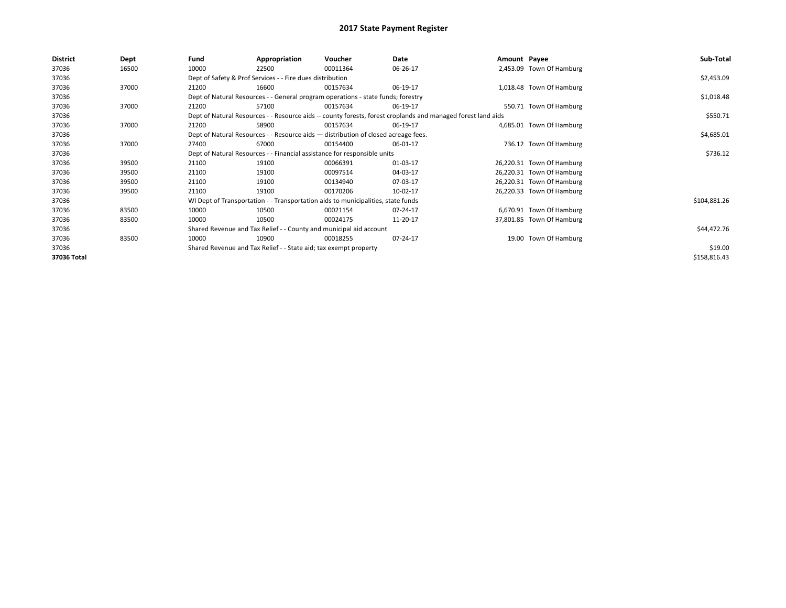| <b>District</b> | Dept  | Fund  | Appropriation                                                                      | Voucher  | Date                                                                                                         | Amount Payee |                           | Sub-Total    |
|-----------------|-------|-------|------------------------------------------------------------------------------------|----------|--------------------------------------------------------------------------------------------------------------|--------------|---------------------------|--------------|
| 37036           | 16500 | 10000 | 22500                                                                              | 00011364 | 06-26-17                                                                                                     |              | 2,453.09 Town Of Hamburg  |              |
| 37036           |       |       | Dept of Safety & Prof Services - - Fire dues distribution                          |          |                                                                                                              |              |                           | \$2,453.09   |
| 37036           | 37000 | 21200 | 16600                                                                              | 00157634 | 06-19-17                                                                                                     |              | 1,018.48 Town Of Hamburg  |              |
| 37036           |       |       | Dept of Natural Resources - - General program operations - state funds; forestry   |          |                                                                                                              |              |                           | \$1,018.48   |
| 37036           | 37000 | 21200 | 57100                                                                              | 00157634 | 06-19-17                                                                                                     |              | 550.71 Town Of Hamburg    |              |
| 37036           |       |       |                                                                                    |          | Dept of Natural Resources - - Resource aids -- county forests, forest croplands and managed forest land aids |              |                           | \$550.71     |
| 37036           | 37000 | 21200 | 58900                                                                              | 00157634 | 06-19-17                                                                                                     |              | 4,685.01 Town Of Hamburg  |              |
| 37036           |       |       | Dept of Natural Resources - - Resource aids - distribution of closed acreage fees. |          |                                                                                                              |              |                           | \$4,685.01   |
| 37036           | 37000 | 27400 | 67000                                                                              | 00154400 | 06-01-17                                                                                                     |              | 736.12 Town Of Hamburg    |              |
| 37036           |       |       | Dept of Natural Resources - - Financial assistance for responsible units           |          |                                                                                                              |              |                           | \$736.12     |
| 37036           | 39500 | 21100 | 19100                                                                              | 00066391 | 01-03-17                                                                                                     |              | 26,220.31 Town Of Hamburg |              |
| 37036           | 39500 | 21100 | 19100                                                                              | 00097514 | 04-03-17                                                                                                     |              | 26,220.31 Town Of Hamburg |              |
| 37036           | 39500 | 21100 | 19100                                                                              | 00134940 | 07-03-17                                                                                                     |              | 26,220.31 Town Of Hamburg |              |
| 37036           | 39500 | 21100 | 19100                                                                              | 00170206 | 10-02-17                                                                                                     |              | 26,220.33 Town Of Hamburg |              |
| 37036           |       |       | WI Dept of Transportation - - Transportation aids to municipalities, state funds   |          |                                                                                                              |              |                           | \$104,881.26 |
| 37036           | 83500 | 10000 | 10500                                                                              | 00021154 | 07-24-17                                                                                                     |              | 6,670.91 Town Of Hamburg  |              |
| 37036           | 83500 | 10000 | 10500                                                                              | 00024175 | 11-20-17                                                                                                     |              | 37,801.85 Town Of Hamburg |              |
| 37036           |       |       | Shared Revenue and Tax Relief - - County and municipal aid account                 |          |                                                                                                              |              |                           | \$44,472.76  |
| 37036           | 83500 | 10000 | 10900                                                                              | 00018255 | 07-24-17                                                                                                     |              | 19.00 Town Of Hamburg     |              |
| 37036           |       |       | Shared Revenue and Tax Relief - - State aid; tax exempt property                   |          |                                                                                                              |              |                           | \$19.00      |
| 37036 Total     |       |       |                                                                                    |          |                                                                                                              |              |                           | \$158,816.43 |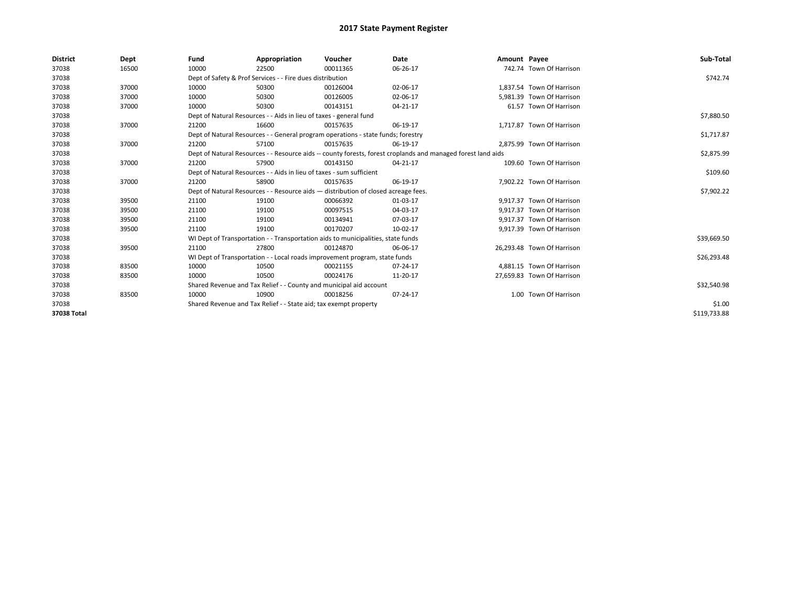| <b>District</b> | Dept  | Fund                                                             | Appropriation                                                                      | Voucher  | Date                                                                                                         | Amount Payee |                            | Sub-Total    |
|-----------------|-------|------------------------------------------------------------------|------------------------------------------------------------------------------------|----------|--------------------------------------------------------------------------------------------------------------|--------------|----------------------------|--------------|
| 37038           | 16500 | 10000                                                            | 22500                                                                              | 00011365 | 06-26-17                                                                                                     |              | 742.74 Town Of Harrison    |              |
| 37038           |       |                                                                  | Dept of Safety & Prof Services - - Fire dues distribution                          |          |                                                                                                              |              |                            | \$742.74     |
| 37038           | 37000 | 10000                                                            | 50300                                                                              | 00126004 | 02-06-17                                                                                                     |              | 1.837.54 Town Of Harrison  |              |
| 37038           | 37000 | 10000                                                            | 50300                                                                              | 00126005 | 02-06-17                                                                                                     |              | 5.981.39 Town Of Harrison  |              |
| 37038           | 37000 | 10000                                                            | 50300                                                                              | 00143151 | 04-21-17                                                                                                     |              | 61.57 Town Of Harrison     |              |
| 37038           |       |                                                                  | Dept of Natural Resources - - Aids in lieu of taxes - general fund                 |          |                                                                                                              |              |                            | \$7,880.50   |
| 37038           | 37000 | 21200                                                            | 16600                                                                              | 00157635 | 06-19-17                                                                                                     |              | 1,717.87 Town Of Harrison  |              |
| 37038           |       |                                                                  | Dept of Natural Resources - - General program operations - state funds; forestry   |          |                                                                                                              |              |                            | \$1,717.87   |
| 37038           | 37000 | 21200                                                            | 57100                                                                              | 00157635 | 06-19-17                                                                                                     |              | 2,875.99 Town Of Harrison  |              |
| 37038           |       |                                                                  |                                                                                    |          | Dept of Natural Resources - - Resource aids -- county forests, forest croplands and managed forest land aids |              |                            | \$2,875.99   |
| 37038           | 37000 | 21200                                                            | 57900                                                                              | 00143150 | 04-21-17                                                                                                     |              | 109.60 Town Of Harrison    |              |
| 37038           |       |                                                                  | Dept of Natural Resources - - Aids in lieu of taxes - sum sufficient               |          |                                                                                                              |              |                            | \$109.60     |
| 37038           | 37000 | 21200                                                            | 58900                                                                              | 00157635 | 06-19-17                                                                                                     |              | 7,902.22 Town Of Harrison  |              |
| 37038           |       |                                                                  | Dept of Natural Resources - - Resource aids - distribution of closed acreage fees. |          |                                                                                                              |              |                            | \$7,902.22   |
| 37038           | 39500 | 21100                                                            | 19100                                                                              | 00066392 | 01-03-17                                                                                                     |              | 9.917.37 Town Of Harrison  |              |
| 37038           | 39500 | 21100                                                            | 19100                                                                              | 00097515 | 04-03-17                                                                                                     |              | 9.917.37 Town Of Harrison  |              |
| 37038           | 39500 | 21100                                                            | 19100                                                                              | 00134941 | 07-03-17                                                                                                     |              | 9.917.37 Town Of Harrison  |              |
| 37038           | 39500 | 21100                                                            | 19100                                                                              | 00170207 | 10-02-17                                                                                                     |              | 9,917.39 Town Of Harrison  |              |
| 37038           |       |                                                                  | WI Dept of Transportation - - Transportation aids to municipalities, state funds   |          |                                                                                                              |              |                            | \$39,669.50  |
| 37038           | 39500 | 21100                                                            | 27800                                                                              | 00124870 | 06-06-17                                                                                                     |              | 26,293.48 Town Of Harrison |              |
| 37038           |       |                                                                  | WI Dept of Transportation - - Local roads improvement program, state funds         |          |                                                                                                              |              |                            | \$26,293.48  |
| 37038           | 83500 | 10000                                                            | 10500                                                                              | 00021155 | 07-24-17                                                                                                     |              | 4,881.15 Town Of Harrison  |              |
| 37038           | 83500 | 10000                                                            | 10500                                                                              | 00024176 | 11-20-17                                                                                                     |              | 27,659.83 Town Of Harrison |              |
| 37038           |       |                                                                  | Shared Revenue and Tax Relief - - County and municipal aid account                 |          |                                                                                                              |              |                            | \$32,540.98  |
| 37038           | 83500 | 10000                                                            | 10900                                                                              | 00018256 | 07-24-17                                                                                                     |              | 1.00 Town Of Harrison      |              |
| 37038           |       | Shared Revenue and Tax Relief - - State aid; tax exempt property |                                                                                    | \$1.00   |                                                                                                              |              |                            |              |
| 37038 Total     |       |                                                                  |                                                                                    |          |                                                                                                              |              |                            | \$119,733.88 |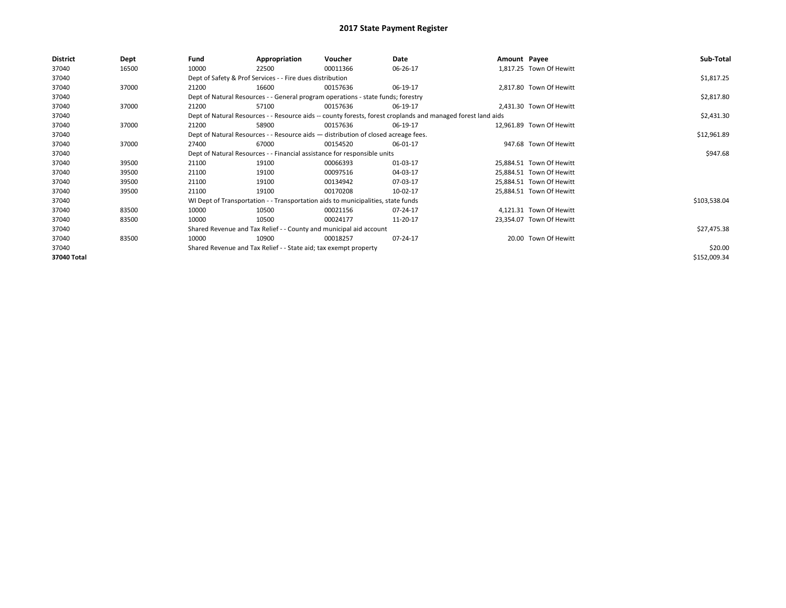| <b>District</b> | Dept  | Fund  | Appropriation                                                                      | Voucher  | Date                                                                                                         | Amount Payee |                          | Sub-Total    |
|-----------------|-------|-------|------------------------------------------------------------------------------------|----------|--------------------------------------------------------------------------------------------------------------|--------------|--------------------------|--------------|
| 37040           | 16500 | 10000 | 22500                                                                              | 00011366 | 06-26-17                                                                                                     |              | 1,817.25 Town Of Hewitt  |              |
| 37040           |       |       | Dept of Safety & Prof Services - - Fire dues distribution                          |          |                                                                                                              |              |                          | \$1,817.25   |
| 37040           | 37000 | 21200 | 16600                                                                              | 00157636 | 06-19-17                                                                                                     |              | 2,817.80 Town Of Hewitt  |              |
| 37040           |       |       | Dept of Natural Resources - - General program operations - state funds; forestry   |          |                                                                                                              |              |                          | \$2,817.80   |
| 37040           | 37000 | 21200 | 57100                                                                              | 00157636 | 06-19-17                                                                                                     |              | 2,431.30 Town Of Hewitt  |              |
| 37040           |       |       |                                                                                    |          | Dept of Natural Resources - - Resource aids -- county forests, forest croplands and managed forest land aids |              |                          | \$2,431.30   |
| 37040           | 37000 | 21200 | 58900                                                                              | 00157636 | 06-19-17                                                                                                     |              | 12,961.89 Town Of Hewitt |              |
| 37040           |       |       | Dept of Natural Resources - - Resource aids - distribution of closed acreage fees. |          |                                                                                                              |              |                          | \$12,961.89  |
| 37040           | 37000 | 27400 | 67000                                                                              | 00154520 | 06-01-17                                                                                                     |              | 947.68 Town Of Hewitt    |              |
| 37040           |       |       | Dept of Natural Resources - - Financial assistance for responsible units           |          |                                                                                                              |              |                          | \$947.68     |
| 37040           | 39500 | 21100 | 19100                                                                              | 00066393 | 01-03-17                                                                                                     |              | 25,884.51 Town Of Hewitt |              |
| 37040           | 39500 | 21100 | 19100                                                                              | 00097516 | 04-03-17                                                                                                     |              | 25,884.51 Town Of Hewitt |              |
| 37040           | 39500 | 21100 | 19100                                                                              | 00134942 | 07-03-17                                                                                                     |              | 25,884.51 Town Of Hewitt |              |
| 37040           | 39500 | 21100 | 19100                                                                              | 00170208 | 10-02-17                                                                                                     |              | 25,884.51 Town Of Hewitt |              |
| 37040           |       |       | WI Dept of Transportation - - Transportation aids to municipalities, state funds   |          |                                                                                                              |              |                          | \$103,538.04 |
| 37040           | 83500 | 10000 | 10500                                                                              | 00021156 | 07-24-17                                                                                                     |              | 4,121.31 Town Of Hewitt  |              |
| 37040           | 83500 | 10000 | 10500                                                                              | 00024177 | 11-20-17                                                                                                     |              | 23,354.07 Town Of Hewitt |              |
| 37040           |       |       | Shared Revenue and Tax Relief - - County and municipal aid account                 |          |                                                                                                              |              |                          | \$27,475.38  |
| 37040           | 83500 | 10000 | 10900                                                                              | 00018257 | 07-24-17                                                                                                     |              | 20.00 Town Of Hewitt     |              |
| 37040           |       |       | Shared Revenue and Tax Relief - - State aid; tax exempt property                   |          |                                                                                                              |              |                          | \$20.00      |
| 37040 Total     |       |       |                                                                                    |          |                                                                                                              |              |                          | \$152,009.34 |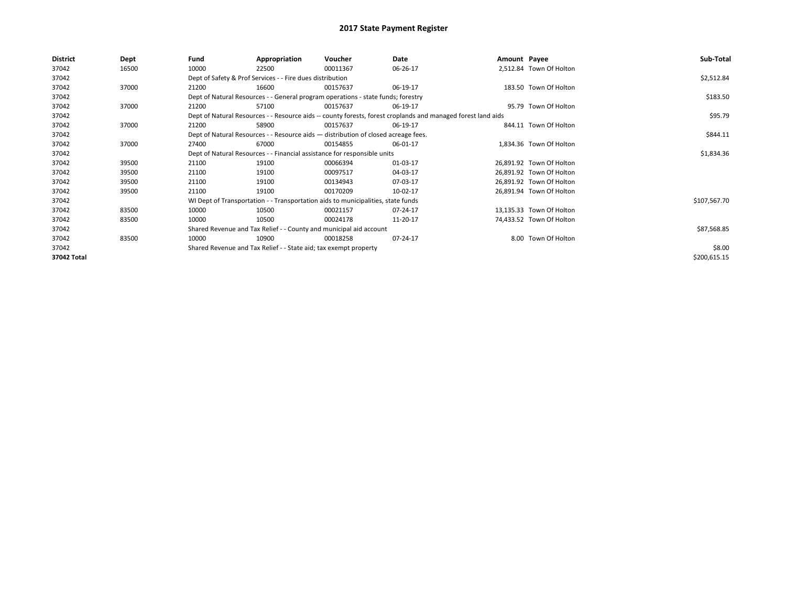| <b>District</b> | Dept  | Fund  | Appropriation                                                                      | Voucher  | Date                                                                                                         | Amount Payee |                          | Sub-Total    |
|-----------------|-------|-------|------------------------------------------------------------------------------------|----------|--------------------------------------------------------------------------------------------------------------|--------------|--------------------------|--------------|
| 37042           | 16500 | 10000 | 22500                                                                              | 00011367 | 06-26-17                                                                                                     |              | 2,512.84 Town Of Holton  |              |
| 37042           |       |       | Dept of Safety & Prof Services - - Fire dues distribution                          |          |                                                                                                              |              |                          | \$2,512.84   |
| 37042           | 37000 | 21200 | 16600                                                                              | 00157637 | 06-19-17                                                                                                     |              | 183.50 Town Of Holton    |              |
| 37042           |       |       | Dept of Natural Resources - - General program operations - state funds; forestry   |          |                                                                                                              |              |                          | \$183.50     |
| 37042           | 37000 | 21200 | 57100                                                                              | 00157637 | 06-19-17                                                                                                     |              | 95.79 Town Of Holton     |              |
| 37042           |       |       |                                                                                    |          | Dept of Natural Resources - - Resource aids -- county forests, forest croplands and managed forest land aids |              |                          | \$95.79      |
| 37042           | 37000 | 21200 | 58900                                                                              | 00157637 | 06-19-17                                                                                                     |              | 844.11 Town Of Holton    |              |
| 37042           |       |       | Dept of Natural Resources - - Resource aids - distribution of closed acreage fees. |          |                                                                                                              |              |                          | \$844.11     |
| 37042           | 37000 | 27400 | 67000                                                                              | 00154855 | 06-01-17                                                                                                     |              | 1,834.36 Town Of Holton  |              |
| 37042           |       |       | Dept of Natural Resources - - Financial assistance for responsible units           |          |                                                                                                              |              |                          | \$1,834.36   |
| 37042           | 39500 | 21100 | 19100                                                                              | 00066394 | 01-03-17                                                                                                     |              | 26,891.92 Town Of Holton |              |
| 37042           | 39500 | 21100 | 19100                                                                              | 00097517 | 04-03-17                                                                                                     |              | 26,891.92 Town Of Holton |              |
| 37042           | 39500 | 21100 | 19100                                                                              | 00134943 | 07-03-17                                                                                                     |              | 26,891.92 Town Of Holton |              |
| 37042           | 39500 | 21100 | 19100                                                                              | 00170209 | 10-02-17                                                                                                     |              | 26,891.94 Town Of Holton |              |
| 37042           |       |       | WI Dept of Transportation - - Transportation aids to municipalities, state funds   |          |                                                                                                              |              |                          | \$107,567.70 |
| 37042           | 83500 | 10000 | 10500                                                                              | 00021157 | 07-24-17                                                                                                     |              | 13,135.33 Town Of Holton |              |
| 37042           | 83500 | 10000 | 10500                                                                              | 00024178 | 11-20-17                                                                                                     |              | 74,433.52 Town Of Holton |              |
| 37042           |       |       | Shared Revenue and Tax Relief - - County and municipal aid account                 |          |                                                                                                              |              |                          | \$87,568.85  |
| 37042           | 83500 | 10000 | 10900                                                                              | 00018258 | 07-24-17                                                                                                     |              | 8.00 Town Of Holton      |              |
| 37042           |       |       | Shared Revenue and Tax Relief - - State aid; tax exempt property                   |          |                                                                                                              |              |                          | \$8.00       |
| 37042 Total     |       |       |                                                                                    |          |                                                                                                              |              |                          | \$200,615.15 |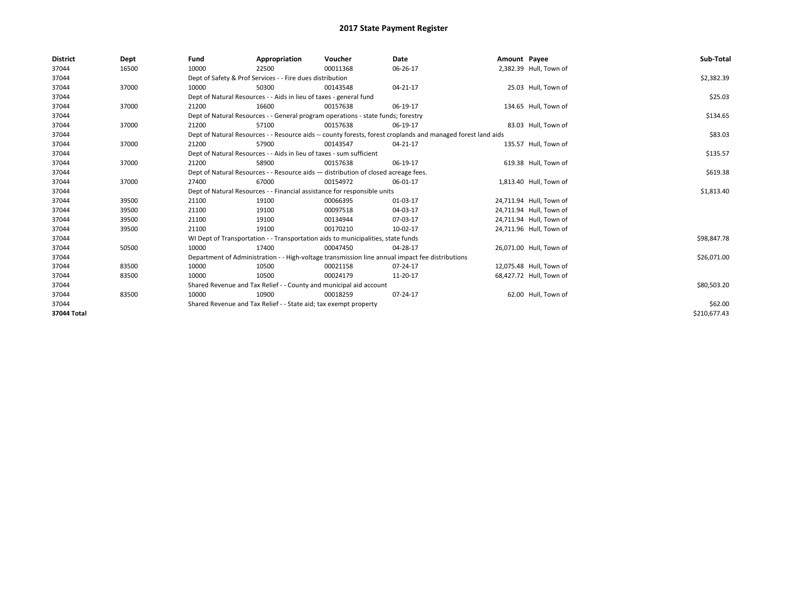| <b>District</b> | Dept  | Fund                                                                               | Appropriation                                                                    | Voucher  | Date                                                                                                         | Amount Payee |                         | Sub-Total    |
|-----------------|-------|------------------------------------------------------------------------------------|----------------------------------------------------------------------------------|----------|--------------------------------------------------------------------------------------------------------------|--------------|-------------------------|--------------|
| 37044           | 16500 | 10000                                                                              | 22500                                                                            | 00011368 | 06-26-17                                                                                                     |              | 2,382.39 Hull, Town of  |              |
| 37044           |       |                                                                                    | Dept of Safety & Prof Services - - Fire dues distribution                        |          |                                                                                                              |              |                         | \$2,382.39   |
| 37044           | 37000 | 10000                                                                              | 50300                                                                            | 00143548 | 04-21-17                                                                                                     |              | 25.03 Hull, Town of     |              |
| 37044           |       |                                                                                    | Dept of Natural Resources - - Aids in lieu of taxes - general fund               |          |                                                                                                              |              |                         | \$25.03      |
| 37044           | 37000 | 21200                                                                              | 16600                                                                            | 00157638 | 06-19-17                                                                                                     |              | 134.65 Hull, Town of    |              |
| 37044           |       |                                                                                    | Dept of Natural Resources - - General program operations - state funds; forestry |          |                                                                                                              |              |                         | \$134.65     |
| 37044           | 37000 | 21200                                                                              | 57100                                                                            | 00157638 | 06-19-17                                                                                                     |              | 83.03 Hull, Town of     |              |
| 37044           |       |                                                                                    |                                                                                  |          | Dept of Natural Resources - - Resource aids -- county forests, forest croplands and managed forest land aids |              |                         | \$83.03      |
| 37044           | 37000 | 21200                                                                              | 57900                                                                            | 00143547 | 04-21-17                                                                                                     |              | 135.57 Hull, Town of    |              |
| 37044           |       |                                                                                    | Dept of Natural Resources - - Aids in lieu of taxes - sum sufficient             |          |                                                                                                              |              |                         | \$135.57     |
| 37044           | 37000 | 21200                                                                              | 58900                                                                            | 00157638 | 06-19-17                                                                                                     |              | 619.38 Hull, Town of    |              |
| 37044           |       | Dept of Natural Resources - - Resource aids - distribution of closed acreage fees. |                                                                                  | \$619.38 |                                                                                                              |              |                         |              |
| 37044           | 37000 | 27400                                                                              | 67000                                                                            | 00154972 | 06-01-17                                                                                                     |              | 1,813.40 Hull, Town of  |              |
| 37044           |       |                                                                                    | Dept of Natural Resources - - Financial assistance for responsible units         |          |                                                                                                              |              |                         | \$1,813.40   |
| 37044           | 39500 | 21100                                                                              | 19100                                                                            | 00066395 | 01-03-17                                                                                                     |              | 24,711.94 Hull, Town of |              |
| 37044           | 39500 | 21100                                                                              | 19100                                                                            | 00097518 | 04-03-17                                                                                                     |              | 24,711.94 Hull, Town of |              |
| 37044           | 39500 | 21100                                                                              | 19100                                                                            | 00134944 | 07-03-17                                                                                                     |              | 24,711.94 Hull, Town of |              |
| 37044           | 39500 | 21100                                                                              | 19100                                                                            | 00170210 | 10-02-17                                                                                                     |              | 24,711.96 Hull, Town of |              |
| 37044           |       |                                                                                    | WI Dept of Transportation - - Transportation aids to municipalities, state funds |          |                                                                                                              |              |                         | \$98,847.78  |
| 37044           | 50500 | 10000                                                                              | 17400                                                                            | 00047450 | 04-28-17                                                                                                     |              | 26,071.00 Hull, Town of |              |
| 37044           |       |                                                                                    |                                                                                  |          | Department of Administration - - High-voltage transmission line annual impact fee distributions              |              |                         | \$26,071.00  |
| 37044           | 83500 | 10000                                                                              | 10500                                                                            | 00021158 | 07-24-17                                                                                                     |              | 12,075.48 Hull, Town of |              |
| 37044           | 83500 | 10000                                                                              | 10500                                                                            | 00024179 | 11-20-17                                                                                                     |              | 68,427.72 Hull, Town of |              |
| 37044           |       |                                                                                    | Shared Revenue and Tax Relief - - County and municipal aid account               |          |                                                                                                              |              |                         | \$80,503.20  |
| 37044           | 83500 | 10000                                                                              | 10900                                                                            | 00018259 | 07-24-17                                                                                                     |              | 62.00 Hull, Town of     |              |
| 37044           |       | Shared Revenue and Tax Relief - - State aid; tax exempt property                   |                                                                                  | \$62.00  |                                                                                                              |              |                         |              |
| 37044 Total     |       |                                                                                    |                                                                                  |          |                                                                                                              |              |                         | \$210,677.43 |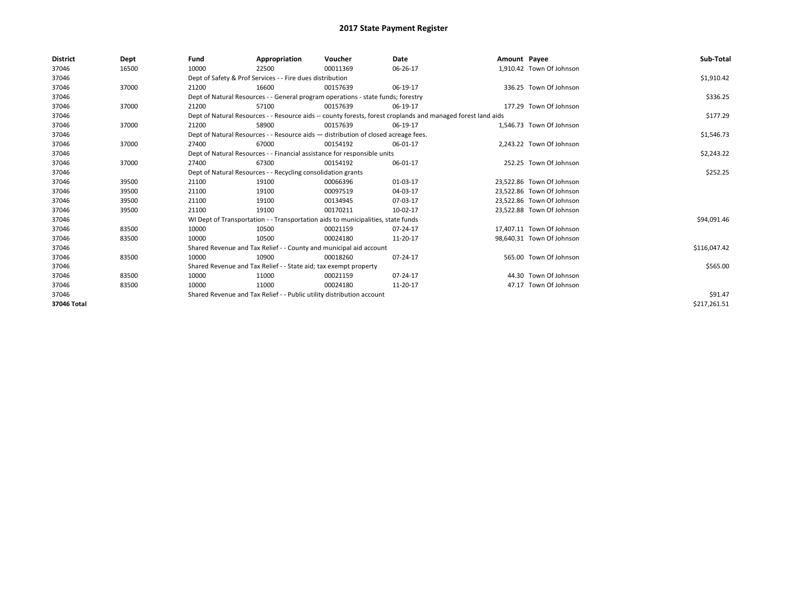| <b>District</b> | Dept  | Fund  | Appropriation                                                                      | Voucher  | Date                                                                                                         | Amount Payee |                           | Sub-Total    |  |  |
|-----------------|-------|-------|------------------------------------------------------------------------------------|----------|--------------------------------------------------------------------------------------------------------------|--------------|---------------------------|--------------|--|--|
| 37046           | 16500 | 10000 | 22500                                                                              | 00011369 | 06-26-17                                                                                                     |              | 1,910.42 Town Of Johnson  |              |  |  |
| 37046           |       |       | Dept of Safety & Prof Services - - Fire dues distribution                          |          |                                                                                                              |              |                           | \$1,910.42   |  |  |
| 37046           | 37000 | 21200 | 16600                                                                              | 00157639 | 06-19-17                                                                                                     |              | 336.25 Town Of Johnson    |              |  |  |
| 37046           |       |       | Dept of Natural Resources - - General program operations - state funds; forestry   |          |                                                                                                              |              |                           | \$336.25     |  |  |
| 37046           | 37000 | 21200 | 57100                                                                              | 00157639 | 06-19-17                                                                                                     |              | 177.29 Town Of Johnson    |              |  |  |
| 37046           |       |       |                                                                                    |          | Dept of Natural Resources - - Resource aids -- county forests, forest croplands and managed forest land aids |              |                           | \$177.29     |  |  |
| 37046           | 37000 | 21200 | 58900                                                                              | 00157639 | 06-19-17                                                                                                     |              | 1,546.73 Town Of Johnson  |              |  |  |
| 37046           |       |       | Dept of Natural Resources - - Resource aids - distribution of closed acreage fees. |          |                                                                                                              |              |                           | \$1,546.73   |  |  |
| 37046           | 37000 | 27400 | 67000                                                                              | 00154192 | 06-01-17                                                                                                     |              | 2,243.22 Town Of Johnson  |              |  |  |
| 37046           |       |       | Dept of Natural Resources - - Financial assistance for responsible units           |          |                                                                                                              |              |                           | \$2,243.22   |  |  |
| 37046           | 37000 | 27400 | 67300                                                                              | 00154192 | 06-01-17                                                                                                     |              | 252.25 Town Of Johnson    |              |  |  |
| 37046           |       |       | Dept of Natural Resources - - Recycling consolidation grants                       |          |                                                                                                              |              |                           | \$252.25     |  |  |
| 37046           | 39500 | 21100 | 19100                                                                              | 00066396 | 01-03-17                                                                                                     |              | 23,522.86 Town Of Johnson |              |  |  |
| 37046           | 39500 | 21100 | 19100                                                                              | 00097519 | 04-03-17                                                                                                     |              | 23.522.86 Town Of Johnson |              |  |  |
| 37046           | 39500 | 21100 | 19100                                                                              | 00134945 | 07-03-17                                                                                                     |              | 23,522.86 Town Of Johnson |              |  |  |
| 37046           | 39500 | 21100 | 19100                                                                              | 00170211 | 10-02-17                                                                                                     |              | 23,522.88 Town Of Johnson |              |  |  |
| 37046           |       |       | WI Dept of Transportation - - Transportation aids to municipalities, state funds   |          |                                                                                                              |              |                           | \$94,091.46  |  |  |
| 37046           | 83500 | 10000 | 10500                                                                              | 00021159 | 07-24-17                                                                                                     |              | 17,407.11 Town Of Johnson |              |  |  |
| 37046           | 83500 | 10000 | 10500                                                                              | 00024180 | 11-20-17                                                                                                     |              | 98,640.31 Town Of Johnson |              |  |  |
| 37046           |       |       | Shared Revenue and Tax Relief - - County and municipal aid account                 |          |                                                                                                              |              |                           | \$116,047.42 |  |  |
| 37046           | 83500 | 10000 | 10900                                                                              | 00018260 | 07-24-17                                                                                                     |              | 565.00 Town Of Johnson    |              |  |  |
| 37046           |       |       | Shared Revenue and Tax Relief - - State aid; tax exempt property                   |          |                                                                                                              |              |                           | \$565.00     |  |  |
| 37046           | 83500 | 10000 | 11000                                                                              | 00021159 | 07-24-17                                                                                                     |              | 44.30 Town Of Johnson     |              |  |  |
| 37046           | 83500 | 10000 | 11000                                                                              | 00024180 | 11-20-17                                                                                                     |              | 47.17 Town Of Johnson     |              |  |  |
| 37046           |       |       | Shared Revenue and Tax Relief - - Public utility distribution account              |          |                                                                                                              |              |                           |              |  |  |
| 37046 Total     |       |       |                                                                                    |          |                                                                                                              |              |                           | \$217,261.51 |  |  |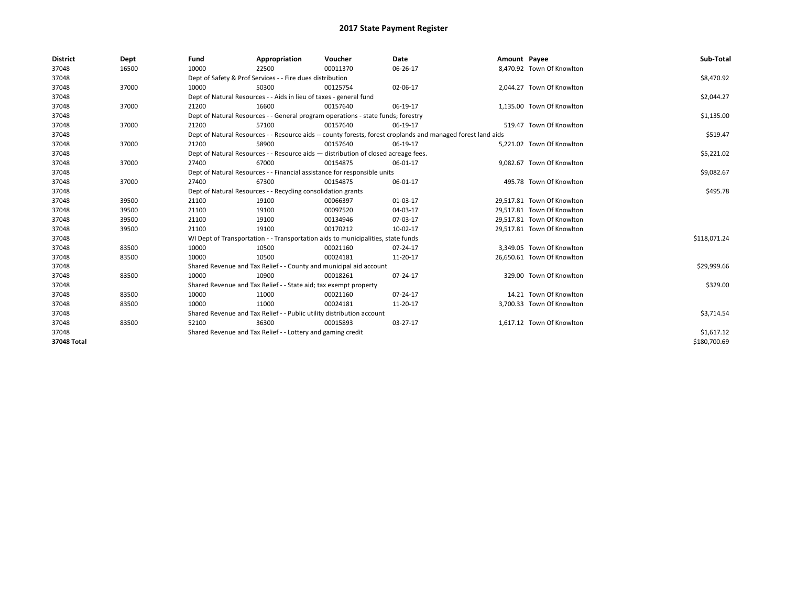| <b>District</b> | Dept  | Fund  | Appropriation                                                                      | Voucher  | <b>Date</b>                                                                                                  | Amount Payee |                            | Sub-Total    |
|-----------------|-------|-------|------------------------------------------------------------------------------------|----------|--------------------------------------------------------------------------------------------------------------|--------------|----------------------------|--------------|
| 37048           | 16500 | 10000 | 22500                                                                              | 00011370 | 06-26-17                                                                                                     |              | 8,470.92 Town Of Knowlton  |              |
| 37048           |       |       | Dept of Safety & Prof Services - - Fire dues distribution                          |          |                                                                                                              |              |                            | \$8,470.92   |
| 37048           | 37000 | 10000 | 50300                                                                              | 00125754 | 02-06-17                                                                                                     |              | 2,044.27 Town Of Knowlton  |              |
| 37048           |       |       | Dept of Natural Resources - - Aids in lieu of taxes - general fund                 |          |                                                                                                              |              |                            | \$2,044.27   |
| 37048           | 37000 | 21200 | 16600                                                                              | 00157640 | 06-19-17                                                                                                     |              | 1,135.00 Town Of Knowlton  |              |
| 37048           |       |       | Dept of Natural Resources - - General program operations - state funds; forestry   |          |                                                                                                              |              |                            | \$1,135.00   |
| 37048           | 37000 | 21200 | 57100                                                                              | 00157640 | 06-19-17                                                                                                     |              | 519.47 Town Of Knowlton    |              |
| 37048           |       |       |                                                                                    |          | Dept of Natural Resources - - Resource aids -- county forests, forest croplands and managed forest land aids |              |                            | \$519.47     |
| 37048           | 37000 | 21200 | 58900                                                                              | 00157640 | 06-19-17                                                                                                     |              | 5,221.02 Town Of Knowlton  |              |
| 37048           |       |       | Dept of Natural Resources - - Resource aids - distribution of closed acreage fees. |          |                                                                                                              |              |                            | \$5,221.02   |
| 37048           | 37000 | 27400 | 67000                                                                              | 00154875 | 06-01-17                                                                                                     |              | 9,082.67 Town Of Knowlton  |              |
| 37048           |       |       | Dept of Natural Resources - - Financial assistance for responsible units           |          |                                                                                                              |              |                            | \$9,082.67   |
| 37048           | 37000 | 27400 | 67300                                                                              | 00154875 | 06-01-17                                                                                                     |              | 495.78 Town Of Knowlton    |              |
| 37048           |       |       | Dept of Natural Resources - - Recycling consolidation grants                       |          |                                                                                                              |              |                            | \$495.78     |
| 37048           | 39500 | 21100 | 19100                                                                              | 00066397 | 01-03-17                                                                                                     |              | 29.517.81 Town Of Knowlton |              |
| 37048           | 39500 | 21100 | 19100                                                                              | 00097520 | 04-03-17                                                                                                     |              | 29.517.81 Town Of Knowlton |              |
| 37048           | 39500 | 21100 | 19100                                                                              | 00134946 | 07-03-17                                                                                                     |              | 29,517.81 Town Of Knowlton |              |
| 37048           | 39500 | 21100 | 19100                                                                              | 00170212 | 10-02-17                                                                                                     |              | 29,517.81 Town Of Knowlton |              |
| 37048           |       |       | WI Dept of Transportation - - Transportation aids to municipalities, state funds   |          |                                                                                                              |              |                            | \$118,071.24 |
| 37048           | 83500 | 10000 | 10500                                                                              | 00021160 | 07-24-17                                                                                                     |              | 3.349.05 Town Of Knowlton  |              |
| 37048           | 83500 | 10000 | 10500                                                                              | 00024181 | 11-20-17                                                                                                     |              | 26,650.61 Town Of Knowlton |              |
| 37048           |       |       | Shared Revenue and Tax Relief - - County and municipal aid account                 |          |                                                                                                              |              |                            | \$29,999.66  |
| 37048           | 83500 | 10000 | 10900                                                                              | 00018261 | 07-24-17                                                                                                     |              | 329.00 Town Of Knowlton    |              |
| 37048           |       |       | Shared Revenue and Tax Relief - - State aid; tax exempt property                   |          |                                                                                                              |              |                            | \$329.00     |
| 37048           | 83500 | 10000 | 11000                                                                              | 00021160 | 07-24-17                                                                                                     |              | 14.21 Town Of Knowlton     |              |
| 37048           | 83500 | 10000 | 11000                                                                              | 00024181 | 11-20-17                                                                                                     |              | 3,700.33 Town Of Knowlton  |              |
| 37048           |       |       | Shared Revenue and Tax Relief - - Public utility distribution account              |          |                                                                                                              |              |                            | \$3,714.54   |
| 37048           | 83500 | 52100 | 36300                                                                              | 00015893 | 03-27-17                                                                                                     |              | 1,617.12 Town Of Knowlton  |              |
| 37048           |       |       | Shared Revenue and Tax Relief - - Lottery and gaming credit                        |          | \$1,617.12                                                                                                   |              |                            |              |
| 37048 Total     |       |       |                                                                                    |          |                                                                                                              |              |                            | \$180,700.69 |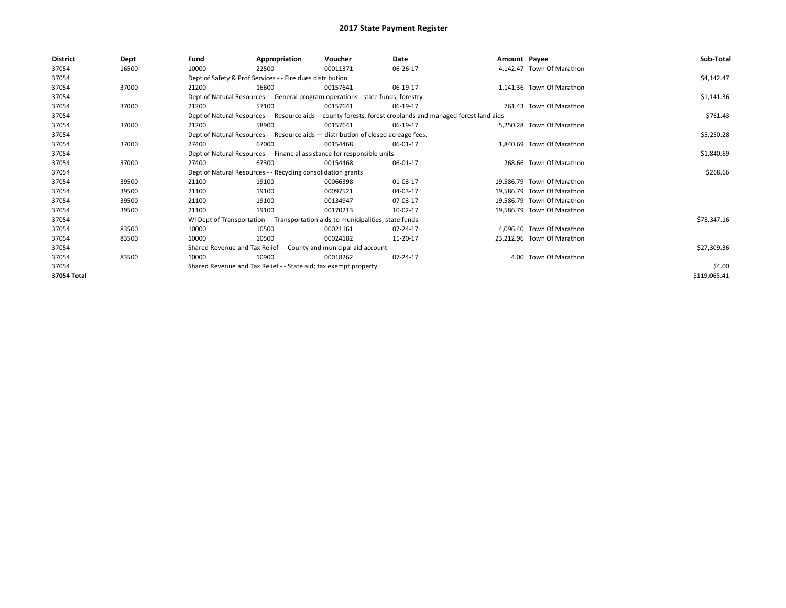| <b>District</b> | Dept  | Fund  | Appropriation                                                                      | Voucher  | Date                                                                                                         | Amount Payee |                            | Sub-Total    |
|-----------------|-------|-------|------------------------------------------------------------------------------------|----------|--------------------------------------------------------------------------------------------------------------|--------------|----------------------------|--------------|
| 37054           | 16500 | 10000 | 22500                                                                              | 00011371 | 06-26-17                                                                                                     |              | 4,142.47 Town Of Marathon  |              |
| 37054           |       |       | Dept of Safety & Prof Services - - Fire dues distribution                          |          |                                                                                                              |              |                            | \$4,142.47   |
| 37054           | 37000 | 21200 | 16600                                                                              | 00157641 | 06-19-17                                                                                                     |              | 1,141.36 Town Of Marathon  |              |
| 37054           |       |       | Dept of Natural Resources - - General program operations - state funds; forestry   |          |                                                                                                              |              |                            | \$1,141.36   |
| 37054           | 37000 | 21200 | 57100                                                                              | 00157641 | 06-19-17                                                                                                     |              | 761.43 Town Of Marathon    |              |
| 37054           |       |       |                                                                                    |          | Dept of Natural Resources - - Resource aids -- county forests, forest croplands and managed forest land aids |              |                            | \$761.43     |
| 37054           | 37000 | 21200 | 58900                                                                              | 00157641 | 06-19-17                                                                                                     |              | 5,250.28 Town Of Marathon  |              |
| 37054           |       |       | Dept of Natural Resources - - Resource aids - distribution of closed acreage fees. |          |                                                                                                              |              |                            | \$5,250.28   |
| 37054           | 37000 | 27400 | 67000                                                                              | 00154468 | 06-01-17                                                                                                     |              | 1.840.69 Town Of Marathon  |              |
| 37054           |       |       | Dept of Natural Resources - - Financial assistance for responsible units           |          |                                                                                                              |              |                            | \$1,840.69   |
| 37054           | 37000 | 27400 | 67300                                                                              | 00154468 | 06-01-17                                                                                                     |              | 268.66 Town Of Marathon    |              |
| 37054           |       |       | Dept of Natural Resources - - Recycling consolidation grants                       |          |                                                                                                              |              |                            | \$268.66     |
| 37054           | 39500 | 21100 | 19100                                                                              | 00066398 | 01-03-17                                                                                                     |              | 19.586.79 Town Of Marathon |              |
| 37054           | 39500 | 21100 | 19100                                                                              | 00097521 | 04-03-17                                                                                                     |              | 19,586.79 Town Of Marathon |              |
| 37054           | 39500 | 21100 | 19100                                                                              | 00134947 | 07-03-17                                                                                                     |              | 19.586.79 Town Of Marathon |              |
| 37054           | 39500 | 21100 | 19100                                                                              | 00170213 | 10-02-17                                                                                                     |              | 19.586.79 Town Of Marathon |              |
| 37054           |       |       | WI Dept of Transportation - - Transportation aids to municipalities, state funds   |          |                                                                                                              |              |                            | \$78,347.16  |
| 37054           | 83500 | 10000 | 10500                                                                              | 00021161 | 07-24-17                                                                                                     |              | 4,096.40 Town Of Marathon  |              |
| 37054           | 83500 | 10000 | 10500                                                                              | 00024182 | 11-20-17                                                                                                     |              | 23,212.96 Town Of Marathon |              |
| 37054           |       |       | Shared Revenue and Tax Relief - - County and municipal aid account                 |          |                                                                                                              |              |                            | \$27,309.36  |
| 37054           | 83500 | 10000 | 10900                                                                              | 00018262 | 07-24-17                                                                                                     |              | 4.00 Town Of Marathon      |              |
| 37054           |       |       | Shared Revenue and Tax Relief - - State aid; tax exempt property                   |          |                                                                                                              |              |                            | \$4.00       |
| 37054 Total     |       |       |                                                                                    |          |                                                                                                              |              |                            | \$119,065.41 |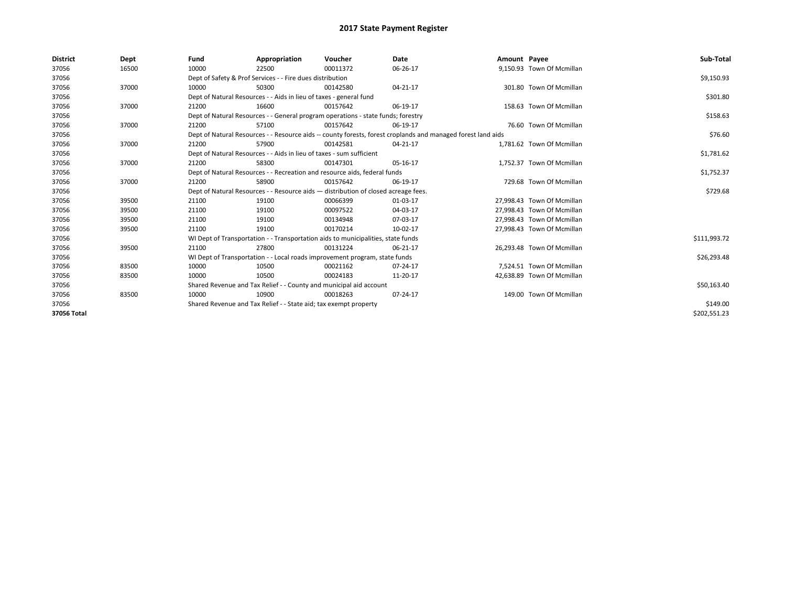| <b>District</b> | Dept  | Fund                                                             | Appropriation                                                                      | Voucher  | Date                                                                                                         | Amount Payee |                            | Sub-Total    |
|-----------------|-------|------------------------------------------------------------------|------------------------------------------------------------------------------------|----------|--------------------------------------------------------------------------------------------------------------|--------------|----------------------------|--------------|
| 37056           | 16500 | 10000                                                            | 22500                                                                              | 00011372 | 06-26-17                                                                                                     |              | 9,150.93 Town Of Mcmillan  |              |
| 37056           |       |                                                                  | Dept of Safety & Prof Services - - Fire dues distribution                          |          |                                                                                                              |              |                            | \$9,150.93   |
| 37056           | 37000 | 10000                                                            | 50300                                                                              | 00142580 | 04-21-17                                                                                                     |              | 301.80 Town Of Mcmillan    |              |
| 37056           |       |                                                                  | Dept of Natural Resources - - Aids in lieu of taxes - general fund                 |          |                                                                                                              |              |                            | \$301.80     |
| 37056           | 37000 | 21200                                                            | 16600                                                                              | 00157642 | 06-19-17                                                                                                     |              | 158.63 Town Of Mcmillan    |              |
| 37056           |       |                                                                  | Dept of Natural Resources - - General program operations - state funds; forestry   |          |                                                                                                              |              |                            | \$158.63     |
| 37056           | 37000 | 21200                                                            | 57100                                                                              | 00157642 | 06-19-17                                                                                                     |              | 76.60 Town Of Mcmillan     |              |
| 37056           |       |                                                                  |                                                                                    |          | Dept of Natural Resources - - Resource aids -- county forests, forest croplands and managed forest land aids |              |                            | \$76.60      |
| 37056           | 37000 | 21200                                                            | 57900                                                                              | 00142581 | 04-21-17                                                                                                     |              | 1,781.62 Town Of Mcmillan  |              |
| 37056           |       |                                                                  | Dept of Natural Resources - - Aids in lieu of taxes - sum sufficient               |          |                                                                                                              |              |                            | \$1,781.62   |
| 37056           | 37000 | 21200                                                            | 58300                                                                              | 00147301 | 05-16-17                                                                                                     |              | 1,752.37 Town Of Mcmillan  |              |
| 37056           |       |                                                                  | Dept of Natural Resources - - Recreation and resource aids, federal funds          |          |                                                                                                              |              |                            | \$1,752.37   |
| 37056           | 37000 | 21200                                                            | 58900                                                                              | 00157642 | 06-19-17                                                                                                     |              | 729.68 Town Of Mcmillan    |              |
| 37056           |       |                                                                  | Dept of Natural Resources - - Resource aids - distribution of closed acreage fees. |          |                                                                                                              |              |                            | \$729.68     |
| 37056           | 39500 | 21100                                                            | 19100                                                                              | 00066399 | 01-03-17                                                                                                     |              | 27.998.43 Town Of Mcmillan |              |
| 37056           | 39500 | 21100                                                            | 19100                                                                              | 00097522 | 04-03-17                                                                                                     |              | 27.998.43 Town Of Mcmillan |              |
| 37056           | 39500 | 21100                                                            | 19100                                                                              | 00134948 | 07-03-17                                                                                                     |              | 27,998.43 Town Of Mcmillan |              |
| 37056           | 39500 | 21100                                                            | 19100                                                                              | 00170214 | 10-02-17                                                                                                     |              | 27.998.43 Town Of Mcmillan |              |
| 37056           |       |                                                                  | WI Dept of Transportation - - Transportation aids to municipalities, state funds   |          |                                                                                                              |              |                            | \$111,993.72 |
| 37056           | 39500 | 21100                                                            | 27800                                                                              | 00131224 | 06-21-17                                                                                                     |              | 26,293.48 Town Of Mcmillan |              |
| 37056           |       |                                                                  | WI Dept of Transportation - - Local roads improvement program, state funds         |          |                                                                                                              |              |                            | \$26,293.48  |
| 37056           | 83500 | 10000                                                            | 10500                                                                              | 00021162 | 07-24-17                                                                                                     |              | 7,524.51 Town Of Mcmillan  |              |
| 37056           | 83500 | 10000                                                            | 10500                                                                              | 00024183 | 11-20-17                                                                                                     |              | 42,638.89 Town Of Mcmillan |              |
| 37056           |       |                                                                  | Shared Revenue and Tax Relief - - County and municipal aid account                 |          |                                                                                                              |              |                            | \$50,163.40  |
| 37056           | 83500 | 10000                                                            | 10900                                                                              | 00018263 | 07-24-17                                                                                                     |              | 149.00 Town Of Mcmillan    |              |
| 37056           |       | Shared Revenue and Tax Relief - - State aid; tax exempt property |                                                                                    | \$149.00 |                                                                                                              |              |                            |              |
| 37056 Total     |       |                                                                  |                                                                                    |          |                                                                                                              |              |                            | \$202,551.23 |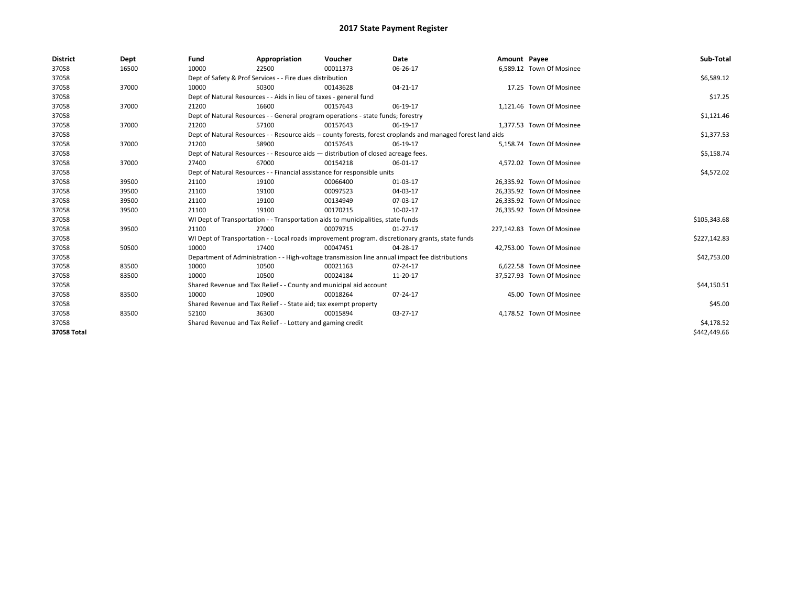| <b>District</b> | Dept  | Fund                                                               | Appropriation                                                      | Voucher                                                                            | Date                                                                                                         | Amount Payee |                            | Sub-Total    |
|-----------------|-------|--------------------------------------------------------------------|--------------------------------------------------------------------|------------------------------------------------------------------------------------|--------------------------------------------------------------------------------------------------------------|--------------|----------------------------|--------------|
| 37058           | 16500 | 10000                                                              | 22500                                                              | 00011373                                                                           | 06-26-17                                                                                                     |              | 6,589.12 Town Of Mosinee   |              |
| 37058           |       |                                                                    | Dept of Safety & Prof Services - - Fire dues distribution          |                                                                                    |                                                                                                              |              |                            | \$6,589.12   |
| 37058           | 37000 | 10000                                                              | 50300                                                              | 00143628                                                                           | 04-21-17                                                                                                     |              | 17.25 Town Of Mosinee      |              |
| 37058           |       | Dept of Natural Resources - - Aids in lieu of taxes - general fund |                                                                    | \$17.25                                                                            |                                                                                                              |              |                            |              |
| 37058           | 37000 | 21200                                                              | 16600                                                              | 00157643                                                                           | 06-19-17                                                                                                     |              | 1,121.46 Town Of Mosinee   |              |
| 37058           |       |                                                                    |                                                                    | Dept of Natural Resources - - General program operations - state funds; forestry   |                                                                                                              |              |                            | \$1,121.46   |
| 37058           | 37000 | 21200                                                              | 57100                                                              | 00157643                                                                           | 06-19-17                                                                                                     |              | 1,377.53 Town Of Mosinee   |              |
| 37058           |       |                                                                    |                                                                    |                                                                                    | Dept of Natural Resources - - Resource aids -- county forests, forest croplands and managed forest land aids |              |                            | \$1,377.53   |
| 37058           | 37000 | 21200                                                              | 58900                                                              | 00157643                                                                           | 06-19-17                                                                                                     |              | 5,158.74 Town Of Mosinee   |              |
| 37058           |       |                                                                    |                                                                    | Dept of Natural Resources - - Resource aids - distribution of closed acreage fees. |                                                                                                              |              |                            | \$5,158.74   |
| 37058           | 37000 | 27400                                                              | 67000                                                              | 00154218                                                                           | 06-01-17                                                                                                     |              | 4,572.02 Town Of Mosinee   |              |
| 37058           |       |                                                                    |                                                                    | Dept of Natural Resources - - Financial assistance for responsible units           |                                                                                                              |              |                            | \$4,572.02   |
| 37058           | 39500 | 21100                                                              | 19100                                                              | 00066400                                                                           | 01-03-17                                                                                                     |              | 26,335.92 Town Of Mosinee  |              |
| 37058           | 39500 | 21100                                                              | 19100                                                              | 00097523                                                                           | 04-03-17                                                                                                     |              | 26,335.92 Town Of Mosinee  |              |
| 37058           | 39500 | 21100                                                              | 19100                                                              | 00134949                                                                           | 07-03-17                                                                                                     |              | 26,335.92 Town Of Mosinee  |              |
| 37058           | 39500 | 21100                                                              | 19100                                                              | 00170215                                                                           | 10-02-17                                                                                                     |              | 26,335.92 Town Of Mosinee  |              |
| 37058           |       |                                                                    |                                                                    | WI Dept of Transportation - - Transportation aids to municipalities, state funds   |                                                                                                              |              |                            | \$105,343.68 |
| 37058           | 39500 | 21100                                                              | 27000                                                              | 00079715                                                                           | $01 - 27 - 17$                                                                                               |              | 227,142.83 Town Of Mosinee |              |
| 37058           |       |                                                                    |                                                                    |                                                                                    | WI Dept of Transportation - - Local roads improvement program. discretionary grants, state funds             |              |                            | \$227,142.83 |
| 37058           | 50500 | 10000                                                              | 17400                                                              | 00047451                                                                           | 04-28-17                                                                                                     |              | 42,753.00 Town Of Mosinee  |              |
| 37058           |       |                                                                    |                                                                    |                                                                                    | Department of Administration - - High-voltage transmission line annual impact fee distributions              |              |                            | \$42,753.00  |
| 37058           | 83500 | 10000                                                              | 10500                                                              | 00021163                                                                           | 07-24-17                                                                                                     |              | 6.622.58 Town Of Mosinee   |              |
| 37058           | 83500 | 10000                                                              | 10500                                                              | 00024184                                                                           | 11-20-17                                                                                                     |              | 37,527.93 Town Of Mosinee  |              |
| 37058           |       |                                                                    | Shared Revenue and Tax Relief - - County and municipal aid account |                                                                                    |                                                                                                              |              |                            | \$44,150.51  |
| 37058           | 83500 | 10000                                                              | 10900                                                              | 00018264                                                                           | 07-24-17                                                                                                     |              | 45.00 Town Of Mosinee      |              |
| 37058           |       |                                                                    | Shared Revenue and Tax Relief - - State aid; tax exempt property   |                                                                                    |                                                                                                              |              |                            | \$45.00      |
| 37058           | 83500 | 52100                                                              | 36300                                                              | 00015894                                                                           | 03-27-17                                                                                                     |              | 4,178.52 Town Of Mosinee   |              |
| 37058           |       |                                                                    | Shared Revenue and Tax Relief - - Lottery and gaming credit        |                                                                                    | \$4,178.52                                                                                                   |              |                            |              |
| 37058 Total     |       |                                                                    |                                                                    |                                                                                    |                                                                                                              |              |                            | \$442,449.66 |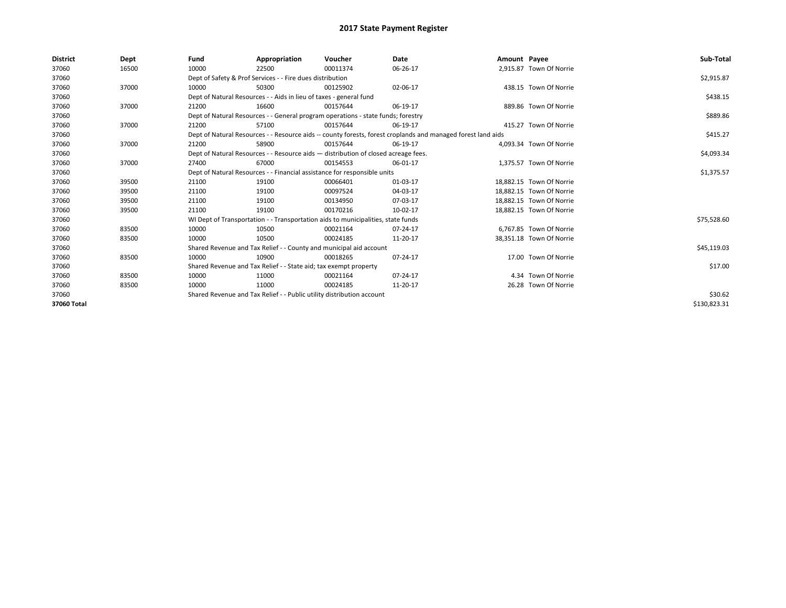| <b>District</b> | Dept  | Fund  | Appropriation                                                                      | Voucher  | Date                                                                                                         | Amount Payee |                          | Sub-Total    |
|-----------------|-------|-------|------------------------------------------------------------------------------------|----------|--------------------------------------------------------------------------------------------------------------|--------------|--------------------------|--------------|
| 37060           | 16500 | 10000 | 22500                                                                              | 00011374 | 06-26-17                                                                                                     |              | 2,915.87 Town Of Norrie  |              |
| 37060           |       |       | Dept of Safety & Prof Services - - Fire dues distribution                          |          |                                                                                                              |              |                          | \$2,915.87   |
| 37060           | 37000 | 10000 | 50300                                                                              | 00125902 | 02-06-17                                                                                                     |              | 438.15 Town Of Norrie    |              |
| 37060           |       |       | Dept of Natural Resources - - Aids in lieu of taxes - general fund                 |          |                                                                                                              |              |                          | \$438.15     |
| 37060           | 37000 | 21200 | 16600                                                                              | 00157644 | 06-19-17                                                                                                     |              | 889.86 Town Of Norrie    |              |
| 37060           |       |       | Dept of Natural Resources - - General program operations - state funds; forestry   |          |                                                                                                              |              |                          | \$889.86     |
| 37060           | 37000 | 21200 | 57100                                                                              | 00157644 | 06-19-17                                                                                                     |              | 415.27 Town Of Norrie    |              |
| 37060           |       |       |                                                                                    |          | Dept of Natural Resources - - Resource aids -- county forests, forest croplands and managed forest land aids |              |                          | \$415.27     |
| 37060           | 37000 | 21200 | 58900                                                                              | 00157644 | 06-19-17                                                                                                     |              | 4,093.34 Town Of Norrie  |              |
| 37060           |       |       | Dept of Natural Resources - - Resource aids - distribution of closed acreage fees. |          |                                                                                                              |              |                          | \$4,093.34   |
| 37060           | 37000 | 27400 | 67000                                                                              | 00154553 | 06-01-17                                                                                                     |              | 1.375.57 Town Of Norrie  |              |
| 37060           |       |       | Dept of Natural Resources - - Financial assistance for responsible units           |          |                                                                                                              |              |                          | \$1,375.57   |
| 37060           | 39500 | 21100 | 19100                                                                              | 00066401 | 01-03-17                                                                                                     |              | 18.882.15 Town Of Norrie |              |
| 37060           | 39500 | 21100 | 19100                                                                              | 00097524 | 04-03-17                                                                                                     |              | 18.882.15 Town Of Norrie |              |
| 37060           | 39500 | 21100 | 19100                                                                              | 00134950 | 07-03-17                                                                                                     |              | 18,882.15 Town Of Norrie |              |
| 37060           | 39500 | 21100 | 19100                                                                              | 00170216 | 10-02-17                                                                                                     |              | 18,882.15 Town Of Norrie |              |
| 37060           |       |       | WI Dept of Transportation - - Transportation aids to municipalities, state funds   |          |                                                                                                              |              |                          | \$75,528.60  |
| 37060           | 83500 | 10000 | 10500                                                                              | 00021164 | 07-24-17                                                                                                     |              | 6.767.85 Town Of Norrie  |              |
| 37060           | 83500 | 10000 | 10500                                                                              | 00024185 | 11-20-17                                                                                                     |              | 38,351.18 Town Of Norrie |              |
| 37060           |       |       | Shared Revenue and Tax Relief - - County and municipal aid account                 |          |                                                                                                              |              |                          | \$45,119.03  |
| 37060           | 83500 | 10000 | 10900                                                                              | 00018265 | 07-24-17                                                                                                     |              | 17.00 Town Of Norrie     |              |
| 37060           |       |       | Shared Revenue and Tax Relief - - State aid; tax exempt property                   |          |                                                                                                              |              |                          | \$17.00      |
| 37060           | 83500 | 10000 | 11000                                                                              | 00021164 | 07-24-17                                                                                                     |              | 4.34 Town Of Norrie      |              |
| 37060           | 83500 | 10000 | 11000                                                                              | 00024185 | 11-20-17                                                                                                     |              | 26.28 Town Of Norrie     |              |
| 37060           |       |       | Shared Revenue and Tax Relief - - Public utility distribution account              |          | \$30.62                                                                                                      |              |                          |              |
| 37060 Total     |       |       |                                                                                    |          |                                                                                                              |              |                          | \$130,823.31 |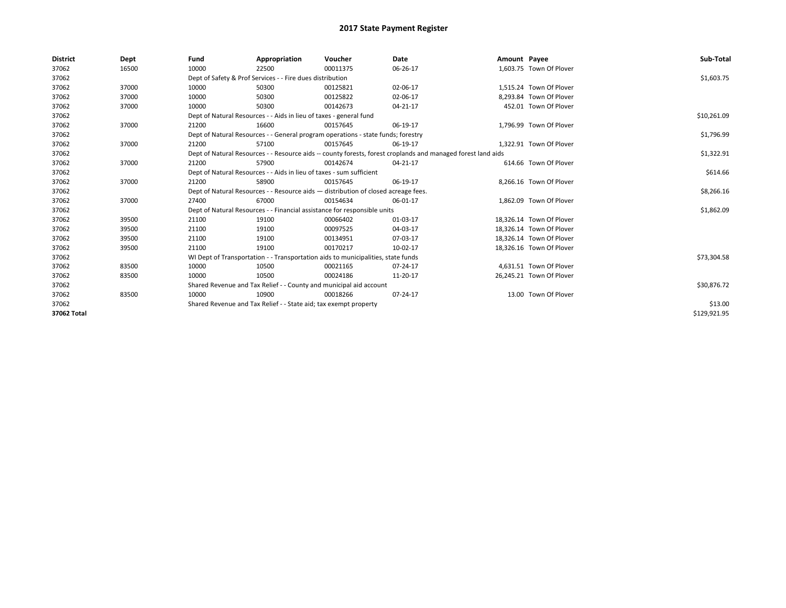| <b>District</b> | Dept  | Fund                                                                 | Appropriation                                                                      | Voucher  | Date                                                                                                         | Amount Payee |                          | Sub-Total    |
|-----------------|-------|----------------------------------------------------------------------|------------------------------------------------------------------------------------|----------|--------------------------------------------------------------------------------------------------------------|--------------|--------------------------|--------------|
| 37062           | 16500 | 10000                                                                | 22500                                                                              | 00011375 | 06-26-17                                                                                                     |              | 1,603.75 Town Of Plover  |              |
| 37062           |       |                                                                      | Dept of Safety & Prof Services - - Fire dues distribution                          |          |                                                                                                              |              |                          | \$1,603.75   |
| 37062           | 37000 | 10000                                                                | 50300                                                                              | 00125821 | 02-06-17                                                                                                     |              | 1.515.24 Town Of Plover  |              |
| 37062           | 37000 | 10000                                                                | 50300                                                                              | 00125822 | 02-06-17                                                                                                     |              | 8.293.84 Town Of Plover  |              |
| 37062           | 37000 | 10000                                                                | 50300                                                                              | 00142673 | 04-21-17                                                                                                     |              | 452.01 Town Of Plover    |              |
| 37062           |       |                                                                      | Dept of Natural Resources - - Aids in lieu of taxes - general fund                 |          |                                                                                                              |              |                          | \$10,261.09  |
| 37062           | 37000 | 21200                                                                | 16600                                                                              | 00157645 | 06-19-17                                                                                                     |              | 1,796.99 Town Of Plover  |              |
| 37062           |       |                                                                      | Dept of Natural Resources - - General program operations - state funds; forestry   |          |                                                                                                              |              |                          | \$1,796.99   |
| 37062           | 37000 | 21200                                                                | 57100                                                                              | 00157645 | 06-19-17                                                                                                     |              | 1,322.91 Town Of Plover  |              |
| 37062           |       |                                                                      |                                                                                    |          | Dept of Natural Resources - - Resource aids -- county forests, forest croplands and managed forest land aids |              |                          | \$1,322.91   |
| 37062           | 37000 | 21200                                                                | 57900                                                                              | 00142674 | 04-21-17                                                                                                     |              | 614.66 Town Of Plover    |              |
| 37062           |       | Dept of Natural Resources - - Aids in lieu of taxes - sum sufficient |                                                                                    | \$614.66 |                                                                                                              |              |                          |              |
| 37062           | 37000 | 21200                                                                | 58900                                                                              | 00157645 | 06-19-17                                                                                                     |              | 8,266.16 Town Of Plover  |              |
| 37062           |       |                                                                      | Dept of Natural Resources - - Resource aids - distribution of closed acreage fees. |          |                                                                                                              |              |                          | \$8,266.16   |
| 37062           | 37000 | 27400                                                                | 67000                                                                              | 00154634 | 06-01-17                                                                                                     |              | 1.862.09 Town Of Plover  |              |
| 37062           |       |                                                                      | Dept of Natural Resources - - Financial assistance for responsible units           |          |                                                                                                              |              |                          | \$1,862.09   |
| 37062           | 39500 | 21100                                                                | 19100                                                                              | 00066402 | 01-03-17                                                                                                     |              | 18,326.14 Town Of Plover |              |
| 37062           | 39500 | 21100                                                                | 19100                                                                              | 00097525 | 04-03-17                                                                                                     |              | 18,326.14 Town Of Plover |              |
| 37062           | 39500 | 21100                                                                | 19100                                                                              | 00134951 | 07-03-17                                                                                                     |              | 18,326.14 Town Of Plover |              |
| 37062           | 39500 | 21100                                                                | 19100                                                                              | 00170217 | 10-02-17                                                                                                     |              | 18,326.16 Town Of Plover |              |
| 37062           |       |                                                                      | WI Dept of Transportation - - Transportation aids to municipalities, state funds   |          |                                                                                                              |              |                          | \$73,304.58  |
| 37062           | 83500 | 10000                                                                | 10500                                                                              | 00021165 | 07-24-17                                                                                                     |              | 4,631.51 Town Of Plover  |              |
| 37062           | 83500 | 10000                                                                | 10500                                                                              | 00024186 | 11-20-17                                                                                                     |              | 26,245.21 Town Of Plover |              |
| 37062           |       |                                                                      | Shared Revenue and Tax Relief - - County and municipal aid account                 |          |                                                                                                              |              |                          | \$30,876.72  |
| 37062           | 83500 | 10000                                                                | 10900                                                                              | 00018266 | 07-24-17                                                                                                     |              | 13.00 Town Of Plover     |              |
| 37062           |       | Shared Revenue and Tax Relief - - State aid; tax exempt property     |                                                                                    | \$13.00  |                                                                                                              |              |                          |              |
| 37062 Total     |       |                                                                      |                                                                                    |          |                                                                                                              |              |                          | \$129,921.95 |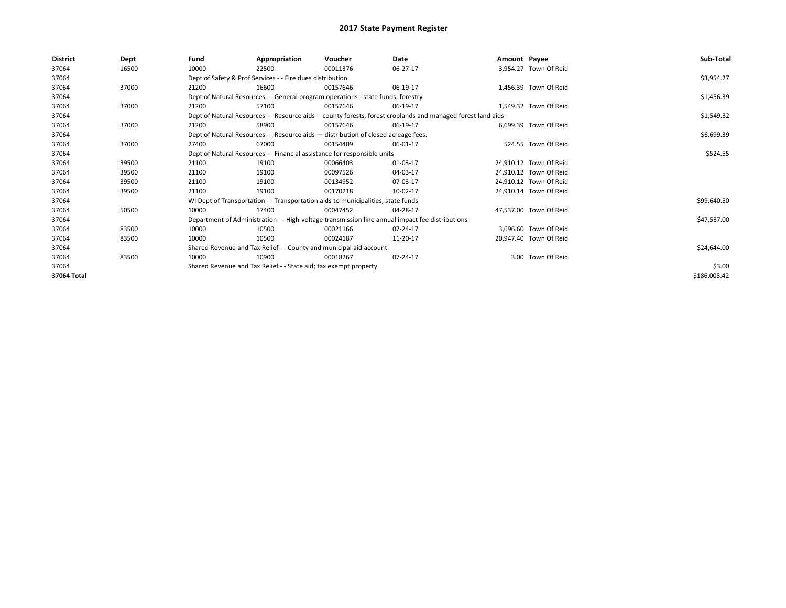| <b>District</b> | <b>Dept</b> | Fund                                                                     | Appropriation                                                                      | Voucher  | Date                                                                                                         | Amount Payee |                        | Sub-Total    |
|-----------------|-------------|--------------------------------------------------------------------------|------------------------------------------------------------------------------------|----------|--------------------------------------------------------------------------------------------------------------|--------------|------------------------|--------------|
| 37064           | 16500       | 10000                                                                    | 22500                                                                              | 00011376 | 06-27-17                                                                                                     |              | 3.954.27 Town Of Reid  |              |
| 37064           |             |                                                                          | Dept of Safety & Prof Services - - Fire dues distribution                          |          |                                                                                                              |              |                        | \$3,954.27   |
| 37064           | 37000       | 21200                                                                    | 16600                                                                              | 00157646 | 06-19-17                                                                                                     |              | 1.456.39 Town Of Reid  |              |
| 37064           |             |                                                                          | Dept of Natural Resources - - General program operations - state funds; forestry   |          |                                                                                                              |              |                        | \$1,456.39   |
| 37064           | 37000       | 21200                                                                    | 57100                                                                              | 00157646 | 06-19-17                                                                                                     |              | 1.549.32 Town Of Reid  |              |
| 37064           |             |                                                                          |                                                                                    |          | Dept of Natural Resources - - Resource aids -- county forests, forest croplands and managed forest land aids |              |                        | \$1,549.32   |
| 37064           | 37000       | 21200                                                                    | 58900                                                                              | 00157646 | 06-19-17                                                                                                     |              | 6.699.39 Town Of Reid  |              |
| 37064           |             |                                                                          | Dept of Natural Resources - - Resource aids - distribution of closed acreage fees. |          |                                                                                                              |              |                        | \$6,699.39   |
| 37064           | 37000       | 27400                                                                    | 67000                                                                              | 00154409 | 06-01-17                                                                                                     |              | 524.55 Town Of Reid    |              |
| 37064           |             | Dept of Natural Resources - - Financial assistance for responsible units |                                                                                    | \$524.55 |                                                                                                              |              |                        |              |
| 37064           | 39500       | 21100                                                                    | 19100                                                                              | 00066403 | 01-03-17                                                                                                     |              | 24.910.12 Town Of Reid |              |
| 37064           | 39500       | 21100                                                                    | 19100                                                                              | 00097526 | 04-03-17                                                                                                     |              | 24.910.12 Town Of Reid |              |
| 37064           | 39500       | 21100                                                                    | 19100                                                                              | 00134952 | 07-03-17                                                                                                     |              | 24.910.12 Town Of Reid |              |
| 37064           | 39500       | 21100                                                                    | 19100                                                                              | 00170218 | 10-02-17                                                                                                     |              | 24.910.14 Town Of Reid |              |
| 37064           |             |                                                                          | WI Dept of Transportation - - Transportation aids to municipalities, state funds   |          |                                                                                                              |              |                        | \$99,640.50  |
| 37064           | 50500       | 10000                                                                    | 17400                                                                              | 00047452 | 04-28-17                                                                                                     |              | 47.537.00 Town Of Reid |              |
| 37064           |             |                                                                          |                                                                                    |          | Department of Administration - - High-voltage transmission line annual impact fee distributions              |              |                        | \$47,537.00  |
| 37064           | 83500       | 10000                                                                    | 10500                                                                              | 00021166 | 07-24-17                                                                                                     |              | 3.696.60 Town Of Reid  |              |
| 37064           | 83500       | 10000                                                                    | 10500                                                                              | 00024187 | 11-20-17                                                                                                     |              | 20,947.40 Town Of Reid |              |
| 37064           |             |                                                                          | Shared Revenue and Tax Relief - - County and municipal aid account                 |          |                                                                                                              |              |                        | \$24,644.00  |
| 37064           | 83500       | 10000                                                                    | 10900                                                                              | 00018267 | 07-24-17                                                                                                     |              | 3.00 Town Of Reid      |              |
| 37064           |             |                                                                          | Shared Revenue and Tax Relief - - State aid; tax exempt property                   |          |                                                                                                              |              |                        | \$3.00       |
| 37064 Total     |             |                                                                          |                                                                                    |          |                                                                                                              |              |                        | \$186,008.42 |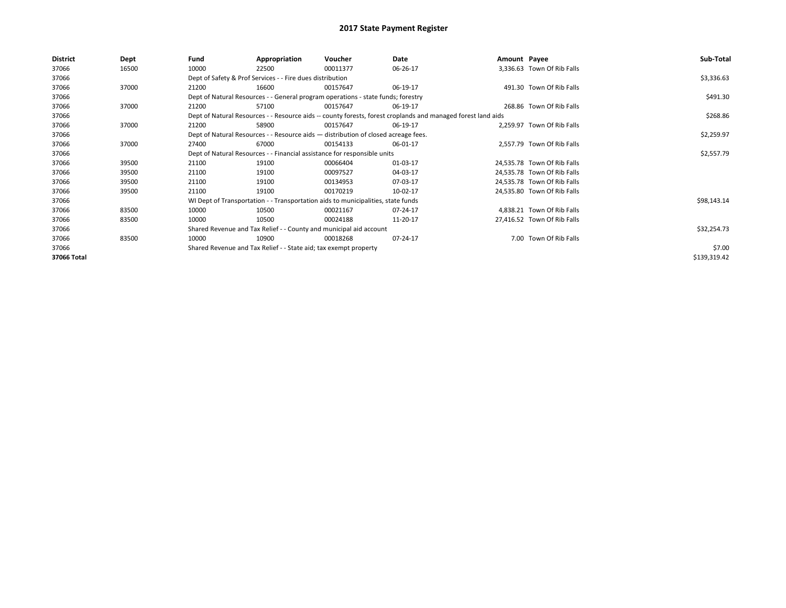| <b>District</b> | Dept  | Fund  | Appropriation                                                                                                | Voucher  | Date       | Amount Payee |                             | Sub-Total    |
|-----------------|-------|-------|--------------------------------------------------------------------------------------------------------------|----------|------------|--------------|-----------------------------|--------------|
| 37066           | 16500 | 10000 | 22500                                                                                                        | 00011377 | 06-26-17   |              | 3,336.63 Town Of Rib Falls  |              |
| 37066           |       |       | Dept of Safety & Prof Services - - Fire dues distribution                                                    |          |            |              |                             | \$3,336.63   |
| 37066           | 37000 | 21200 | 16600                                                                                                        | 00157647 | 06-19-17   |              | 491.30 Town Of Rib Falls    |              |
| 37066           |       |       | Dept of Natural Resources - - General program operations - state funds; forestry                             |          | \$491.30   |              |                             |              |
| 37066           | 37000 | 21200 | 57100                                                                                                        | 00157647 | 06-19-17   |              | 268.86 Town Of Rib Falls    |              |
| 37066           |       |       | Dept of Natural Resources - - Resource aids -- county forests, forest croplands and managed forest land aids |          | \$268.86   |              |                             |              |
| 37066           | 37000 | 21200 | 58900                                                                                                        | 00157647 | 06-19-17   |              | 2,259.97 Town Of Rib Falls  |              |
| 37066           |       |       | Dept of Natural Resources - - Resource aids - distribution of closed acreage fees.                           |          |            |              |                             | \$2,259.97   |
| 37066           | 37000 | 27400 | 67000                                                                                                        | 00154133 | 06-01-17   |              | 2,557.79 Town Of Rib Falls  |              |
| 37066           |       |       | Dept of Natural Resources - - Financial assistance for responsible units                                     |          | \$2,557.79 |              |                             |              |
| 37066           | 39500 | 21100 | 19100                                                                                                        | 00066404 | 01-03-17   |              | 24,535.78 Town Of Rib Falls |              |
| 37066           | 39500 | 21100 | 19100                                                                                                        | 00097527 | 04-03-17   |              | 24,535.78 Town Of Rib Falls |              |
| 37066           | 39500 | 21100 | 19100                                                                                                        | 00134953 | 07-03-17   |              | 24,535.78 Town Of Rib Falls |              |
| 37066           | 39500 | 21100 | 19100                                                                                                        | 00170219 | 10-02-17   |              | 24,535.80 Town Of Rib Falls |              |
| 37066           |       |       | WI Dept of Transportation - - Transportation aids to municipalities, state funds                             |          |            |              |                             | \$98,143.14  |
| 37066           | 83500 | 10000 | 10500                                                                                                        | 00021167 | 07-24-17   |              | 4,838.21 Town Of Rib Falls  |              |
| 37066           | 83500 | 10000 | 10500                                                                                                        | 00024188 | 11-20-17   |              | 27,416.52 Town Of Rib Falls |              |
| 37066           |       |       | Shared Revenue and Tax Relief - - County and municipal aid account                                           |          |            |              |                             | \$32,254.73  |
| 37066           | 83500 | 10000 | 10900                                                                                                        | 00018268 | 07-24-17   |              | 7.00 Town Of Rib Falls      |              |
| 37066           |       |       | Shared Revenue and Tax Relief - - State aid; tax exempt property                                             |          |            |              |                             | \$7.00       |
| 37066 Total     |       |       |                                                                                                              |          |            |              |                             | \$139,319.42 |
|                 |       |       |                                                                                                              |          |            |              |                             |              |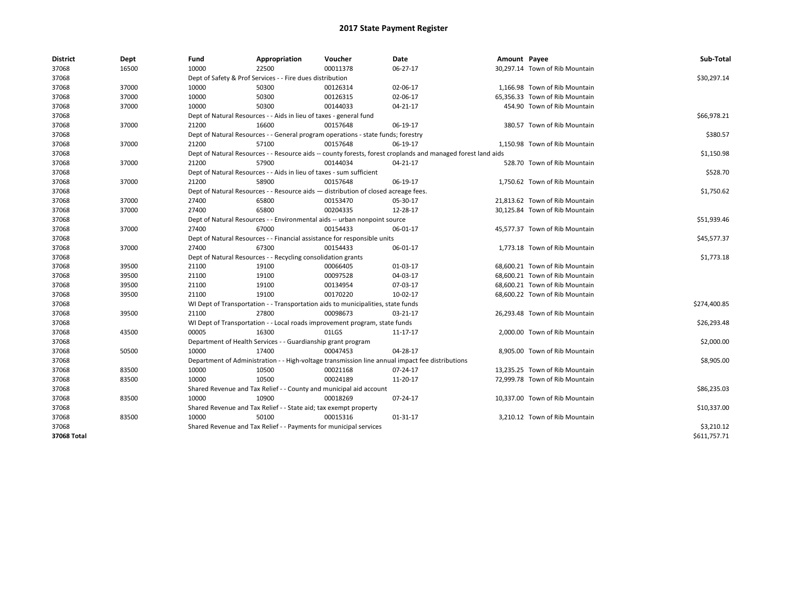| <b>District</b> | Dept  | Fund  | Appropriation                                                                                                | Voucher  | Date     | Amount Payee |                                | Sub-Total    |  |  |
|-----------------|-------|-------|--------------------------------------------------------------------------------------------------------------|----------|----------|--------------|--------------------------------|--------------|--|--|
| 37068           | 16500 | 10000 | 22500                                                                                                        | 00011378 | 06-27-17 |              | 30,297.14 Town of Rib Mountain |              |  |  |
| 37068           |       |       | Dept of Safety & Prof Services - - Fire dues distribution                                                    |          |          |              |                                | \$30,297.14  |  |  |
| 37068           | 37000 | 10000 | 50300                                                                                                        | 00126314 | 02-06-17 |              | 1,166.98 Town of Rib Mountain  |              |  |  |
| 37068           | 37000 | 10000 | 50300                                                                                                        | 00126315 | 02-06-17 |              | 65,356.33 Town of Rib Mountain |              |  |  |
| 37068           | 37000 | 10000 | 50300                                                                                                        | 00144033 | 04-21-17 |              | 454.90 Town of Rib Mountain    |              |  |  |
| 37068           |       |       | Dept of Natural Resources - - Aids in lieu of taxes - general fund                                           |          |          |              |                                | \$66,978.21  |  |  |
| 37068           | 37000 | 21200 | 16600                                                                                                        | 00157648 | 06-19-17 |              | 380.57 Town of Rib Mountain    |              |  |  |
| 37068           |       |       | Dept of Natural Resources - - General program operations - state funds; forestry                             |          |          |              |                                | \$380.57     |  |  |
| 37068           | 37000 | 21200 | 57100                                                                                                        | 00157648 | 06-19-17 |              | 1,150.98 Town of Rib Mountain  |              |  |  |
| 37068           |       |       | Dept of Natural Resources - - Resource aids -- county forests, forest croplands and managed forest land aids |          |          |              |                                | \$1,150.98   |  |  |
| 37068           | 37000 | 21200 | 57900                                                                                                        | 00144034 | 04-21-17 |              | 528.70 Town of Rib Mountain    |              |  |  |
| 37068           |       |       | Dept of Natural Resources - - Aids in lieu of taxes - sum sufficient                                         |          |          |              |                                | \$528.70     |  |  |
| 37068           | 37000 | 21200 | 58900                                                                                                        | 00157648 | 06-19-17 |              | 1,750.62 Town of Rib Mountain  |              |  |  |
| 37068           |       |       | Dept of Natural Resources - - Resource aids - distribution of closed acreage fees.                           |          |          |              |                                | \$1,750.62   |  |  |
| 37068           | 37000 | 27400 | 65800                                                                                                        | 00153470 | 05-30-17 |              | 21,813.62 Town of Rib Mountain |              |  |  |
| 37068           | 37000 | 27400 | 65800                                                                                                        | 00204335 | 12-28-17 |              | 30,125.84 Town of Rib Mountain |              |  |  |
| 37068           |       |       | Dept of Natural Resources - - Environmental aids -- urban nonpoint source                                    |          |          |              |                                | \$51,939.46  |  |  |
| 37068           | 37000 | 27400 | 67000                                                                                                        | 00154433 | 06-01-17 |              | 45,577.37 Town of Rib Mountain |              |  |  |
| 37068           |       |       | Dept of Natural Resources - - Financial assistance for responsible units                                     |          |          |              |                                |              |  |  |
| 37068           | 37000 | 27400 | 67300                                                                                                        | 00154433 | 06-01-17 |              | 1,773.18 Town of Rib Mountain  |              |  |  |
| 37068           |       |       | Dept of Natural Resources - - Recycling consolidation grants                                                 |          |          |              |                                | \$1,773.18   |  |  |
| 37068           | 39500 | 21100 | 19100                                                                                                        | 00066405 | 01-03-17 |              | 68,600.21 Town of Rib Mountain |              |  |  |
| 37068           | 39500 | 21100 | 19100                                                                                                        | 00097528 | 04-03-17 |              | 68,600.21 Town of Rib Mountain |              |  |  |
| 37068           | 39500 | 21100 | 19100                                                                                                        | 00134954 | 07-03-17 |              | 68,600.21 Town of Rib Mountain |              |  |  |
| 37068           | 39500 | 21100 | 19100                                                                                                        | 00170220 | 10-02-17 |              | 68,600.22 Town of Rib Mountain |              |  |  |
| 37068           |       |       | WI Dept of Transportation - - Transportation aids to municipalities, state funds                             |          |          |              |                                | \$274,400.85 |  |  |
| 37068           | 39500 | 21100 | 27800                                                                                                        | 00098673 | 03-21-17 |              | 26,293.48 Town of Rib Mountain |              |  |  |
| 37068           |       |       | WI Dept of Transportation - - Local roads improvement program, state funds                                   |          |          |              |                                | \$26,293.48  |  |  |
| 37068           | 43500 | 00005 | 16300                                                                                                        | 01LGS    | 11-17-17 |              | 2,000.00 Town of Rib Mountain  |              |  |  |
| 37068           |       |       | Department of Health Services - - Guardianship grant program                                                 |          |          |              |                                | \$2,000.00   |  |  |
| 37068           | 50500 | 10000 | 17400                                                                                                        | 00047453 | 04-28-17 |              | 8,905.00 Town of Rib Mountain  |              |  |  |
| 37068           |       |       | Department of Administration - - High-voltage transmission line annual impact fee distributions              |          |          |              |                                | \$8,905.00   |  |  |
| 37068           | 83500 | 10000 | 10500                                                                                                        | 00021168 | 07-24-17 |              | 13,235.25 Town of Rib Mountain |              |  |  |
| 37068           | 83500 | 10000 | 10500                                                                                                        | 00024189 | 11-20-17 |              | 72,999.78 Town of Rib Mountain |              |  |  |
| 37068           |       |       | Shared Revenue and Tax Relief - - County and municipal aid account                                           |          |          |              |                                | \$86,235.03  |  |  |
| 37068           | 83500 | 10000 | 10900                                                                                                        | 00018269 | 07-24-17 |              | 10,337.00 Town of Rib Mountain |              |  |  |
| 37068           |       |       | Shared Revenue and Tax Relief - - State aid; tax exempt property                                             |          |          |              |                                | \$10,337.00  |  |  |
| 37068           | 83500 | 10000 | 50100                                                                                                        | 00015316 | 01-31-17 |              | 3,210.12 Town of Rib Mountain  |              |  |  |
| 37068           |       |       | Shared Revenue and Tax Relief - - Payments for municipal services                                            |          |          |              |                                | \$3,210.12   |  |  |
| 37068 Total     |       |       |                                                                                                              |          |          |              |                                | \$611,757.71 |  |  |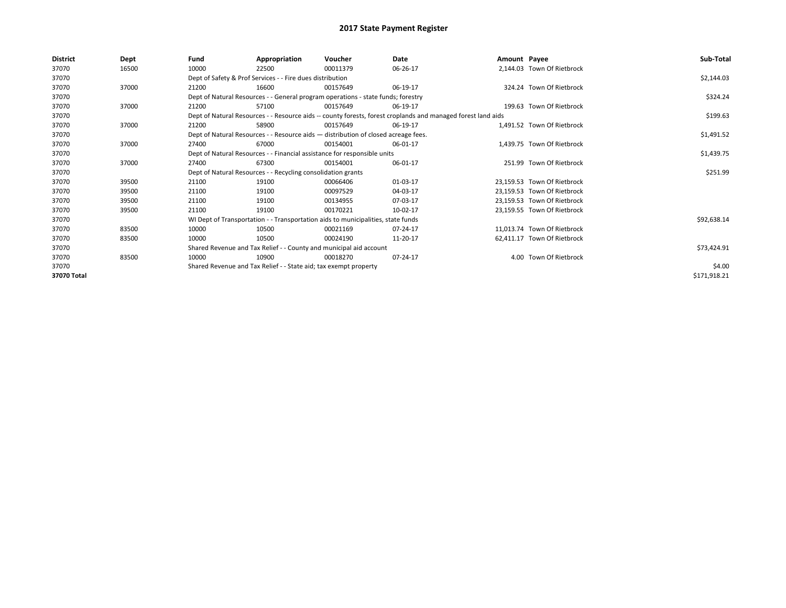| <b>District</b> | <b>Dept</b> | Fund                                                                     | Appropriation                                                                      | Voucher    | Date                                                                                                         | Amount Payee |                             | Sub-Total    |
|-----------------|-------------|--------------------------------------------------------------------------|------------------------------------------------------------------------------------|------------|--------------------------------------------------------------------------------------------------------------|--------------|-----------------------------|--------------|
| 37070           | 16500       | 10000                                                                    | 22500                                                                              | 00011379   | 06-26-17                                                                                                     |              | 2,144.03 Town Of Rietbrock  |              |
| 37070           |             |                                                                          | Dept of Safety & Prof Services - - Fire dues distribution                          |            |                                                                                                              |              |                             | \$2,144.03   |
| 37070           | 37000       | 21200                                                                    | 16600                                                                              | 00157649   | 06-19-17                                                                                                     |              | 324.24 Town Of Rietbrock    |              |
| 37070           |             |                                                                          | Dept of Natural Resources - - General program operations - state funds; forestry   |            |                                                                                                              |              |                             | \$324.24     |
| 37070           | 37000       | 21200                                                                    | 57100                                                                              | 00157649   | 06-19-17                                                                                                     |              | 199.63 Town Of Rietbrock    |              |
| 37070           |             |                                                                          |                                                                                    |            | Dept of Natural Resources - - Resource aids -- county forests, forest croplands and managed forest land aids |              |                             | \$199.63     |
| 37070           | 37000       | 21200                                                                    | 58900                                                                              | 00157649   | 06-19-17                                                                                                     |              | 1,491.52 Town Of Rietbrock  |              |
| 37070           |             |                                                                          | Dept of Natural Resources - - Resource aids - distribution of closed acreage fees. |            |                                                                                                              |              |                             | \$1,491.52   |
| 37070           | 37000       | 27400                                                                    | 67000                                                                              | 00154001   | 06-01-17                                                                                                     |              | 1.439.75 Town Of Rietbrock  |              |
| 37070           |             | Dept of Natural Resources - - Financial assistance for responsible units |                                                                                    | \$1,439.75 |                                                                                                              |              |                             |              |
| 37070           | 37000       | 27400                                                                    | 67300                                                                              | 00154001   | 06-01-17                                                                                                     |              | 251.99 Town Of Rietbrock    |              |
| 37070           |             |                                                                          | Dept of Natural Resources - - Recycling consolidation grants                       |            |                                                                                                              |              |                             | \$251.99     |
| 37070           | 39500       | 21100                                                                    | 19100                                                                              | 00066406   | 01-03-17                                                                                                     |              | 23.159.53 Town Of Rietbrock |              |
| 37070           | 39500       | 21100                                                                    | 19100                                                                              | 00097529   | 04-03-17                                                                                                     |              | 23,159.53 Town Of Rietbrock |              |
| 37070           | 39500       | 21100                                                                    | 19100                                                                              | 00134955   | 07-03-17                                                                                                     |              | 23.159.53 Town Of Rietbrock |              |
| 37070           | 39500       | 21100                                                                    | 19100                                                                              | 00170221   | 10-02-17                                                                                                     |              | 23,159.55 Town Of Rietbrock |              |
| 37070           |             |                                                                          | WI Dept of Transportation - - Transportation aids to municipalities, state funds   |            |                                                                                                              |              |                             | \$92,638.14  |
| 37070           | 83500       | 10000                                                                    | 10500                                                                              | 00021169   | 07-24-17                                                                                                     |              | 11.013.74 Town Of Rietbrock |              |
| 37070           | 83500       | 10000                                                                    | 10500                                                                              | 00024190   | 11-20-17                                                                                                     |              | 62.411.17 Town Of Rietbrock |              |
| 37070           |             |                                                                          | Shared Revenue and Tax Relief - - County and municipal aid account                 |            |                                                                                                              |              |                             | \$73,424.91  |
| 37070           | 83500       | 10000                                                                    | 10900                                                                              | 00018270   | 07-24-17                                                                                                     |              | 4.00 Town Of Rietbrock      |              |
| 37070           |             |                                                                          | Shared Revenue and Tax Relief - - State aid; tax exempt property                   |            |                                                                                                              |              |                             | \$4.00       |
| 37070 Total     |             |                                                                          |                                                                                    |            |                                                                                                              |              |                             | \$171,918.21 |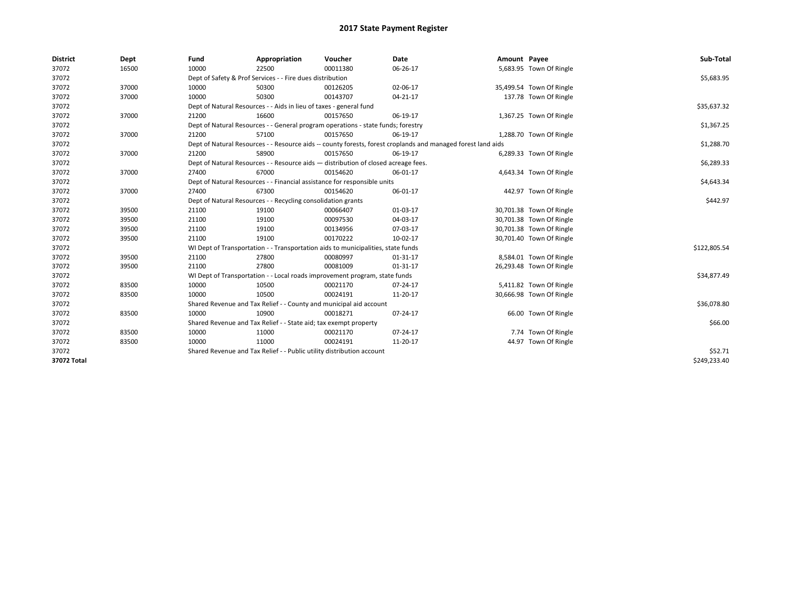| <b>District</b> | Dept  | Fund                                                                             | Appropriation                                                                      | Voucher     | Date                                                                                                         | Amount Payee |                          | Sub-Total    |
|-----------------|-------|----------------------------------------------------------------------------------|------------------------------------------------------------------------------------|-------------|--------------------------------------------------------------------------------------------------------------|--------------|--------------------------|--------------|
| 37072           | 16500 | 10000                                                                            | 22500                                                                              | 00011380    | 06-26-17                                                                                                     |              | 5,683.95 Town Of Ringle  |              |
| 37072           |       |                                                                                  | Dept of Safety & Prof Services - - Fire dues distribution                          |             |                                                                                                              |              |                          | \$5,683.95   |
| 37072           | 37000 | 10000                                                                            | 50300                                                                              | 00126205    | 02-06-17                                                                                                     |              | 35,499.54 Town Of Ringle |              |
| 37072           | 37000 | 10000                                                                            | 50300                                                                              | 00143707    | 04-21-17                                                                                                     |              | 137.78 Town Of Ringle    |              |
| 37072           |       | Dept of Natural Resources - - Aids in lieu of taxes - general fund               |                                                                                    | \$35,637.32 |                                                                                                              |              |                          |              |
| 37072           | 37000 | 21200                                                                            | 16600                                                                              | 00157650    | 06-19-17                                                                                                     |              | 1,367.25 Town Of Ringle  |              |
| 37072           |       | Dept of Natural Resources - - General program operations - state funds; forestry |                                                                                    | \$1,367.25  |                                                                                                              |              |                          |              |
| 37072           | 37000 | 21200                                                                            | 57100                                                                              | 00157650    | 06-19-17                                                                                                     |              | 1,288.70 Town Of Ringle  |              |
| 37072           |       |                                                                                  |                                                                                    |             | Dept of Natural Resources - - Resource aids -- county forests, forest croplands and managed forest land aids |              |                          | \$1,288.70   |
| 37072           | 37000 | 21200                                                                            | 58900                                                                              | 00157650    | 06-19-17                                                                                                     |              | 6,289.33 Town Of Ringle  |              |
| 37072           |       |                                                                                  | Dept of Natural Resources - - Resource aids - distribution of closed acreage fees. |             |                                                                                                              |              |                          | \$6,289.33   |
| 37072           | 37000 | 27400                                                                            | 67000                                                                              | 00154620    | 06-01-17                                                                                                     |              | 4,643.34 Town Of Ringle  |              |
| 37072           |       |                                                                                  | Dept of Natural Resources - - Financial assistance for responsible units           |             |                                                                                                              |              |                          | \$4,643.34   |
| 37072           | 37000 | 27400                                                                            | 67300                                                                              | 00154620    | 06-01-17                                                                                                     |              | 442.97 Town Of Ringle    |              |
| 37072           |       | Dept of Natural Resources - - Recycling consolidation grants                     |                                                                                    | \$442.97    |                                                                                                              |              |                          |              |
| 37072           | 39500 | 21100                                                                            | 19100                                                                              | 00066407    | 01-03-17                                                                                                     |              | 30,701.38 Town Of Ringle |              |
| 37072           | 39500 | 21100                                                                            | 19100                                                                              | 00097530    | 04-03-17                                                                                                     |              | 30,701.38 Town Of Ringle |              |
| 37072           | 39500 | 21100                                                                            | 19100                                                                              | 00134956    | 07-03-17                                                                                                     |              | 30,701.38 Town Of Ringle |              |
| 37072           | 39500 | 21100                                                                            | 19100                                                                              | 00170222    | 10-02-17                                                                                                     |              | 30,701.40 Town Of Ringle |              |
| 37072           |       |                                                                                  | WI Dept of Transportation - - Transportation aids to municipalities, state funds   |             |                                                                                                              |              |                          | \$122,805.54 |
| 37072           | 39500 | 21100                                                                            | 27800                                                                              | 00080997    | $01 - 31 - 17$                                                                                               |              | 8,584.01 Town Of Ringle  |              |
| 37072           | 39500 | 21100                                                                            | 27800                                                                              | 00081009    | 01-31-17                                                                                                     |              | 26,293.48 Town Of Ringle |              |
| 37072           |       |                                                                                  | WI Dept of Transportation - - Local roads improvement program, state funds         |             |                                                                                                              |              |                          | \$34,877.49  |
| 37072           | 83500 | 10000                                                                            | 10500                                                                              | 00021170    | 07-24-17                                                                                                     |              | 5,411.82 Town Of Ringle  |              |
| 37072           | 83500 | 10000                                                                            | 10500                                                                              | 00024191    | 11-20-17                                                                                                     |              | 30,666.98 Town Of Ringle |              |
| 37072           |       |                                                                                  | Shared Revenue and Tax Relief - - County and municipal aid account                 |             |                                                                                                              |              |                          | \$36,078.80  |
| 37072           | 83500 | 10000                                                                            | 10900                                                                              | 00018271    | 07-24-17                                                                                                     |              | 66.00 Town Of Ringle     |              |
| 37072           |       |                                                                                  | Shared Revenue and Tax Relief - - State aid; tax exempt property                   |             |                                                                                                              |              |                          | \$66.00      |
| 37072           | 83500 | 10000                                                                            | 11000                                                                              | 00021170    | 07-24-17                                                                                                     |              | 7.74 Town Of Ringle      |              |
| 37072           | 83500 | 10000                                                                            | 11000                                                                              | 00024191    | 11-20-17                                                                                                     |              | 44.97 Town Of Ringle     |              |
| 37072           |       |                                                                                  | Shared Revenue and Tax Relief - - Public utility distribution account              |             |                                                                                                              |              |                          | \$52.71      |
| 37072 Total     |       |                                                                                  |                                                                                    |             |                                                                                                              |              |                          | \$249,233.40 |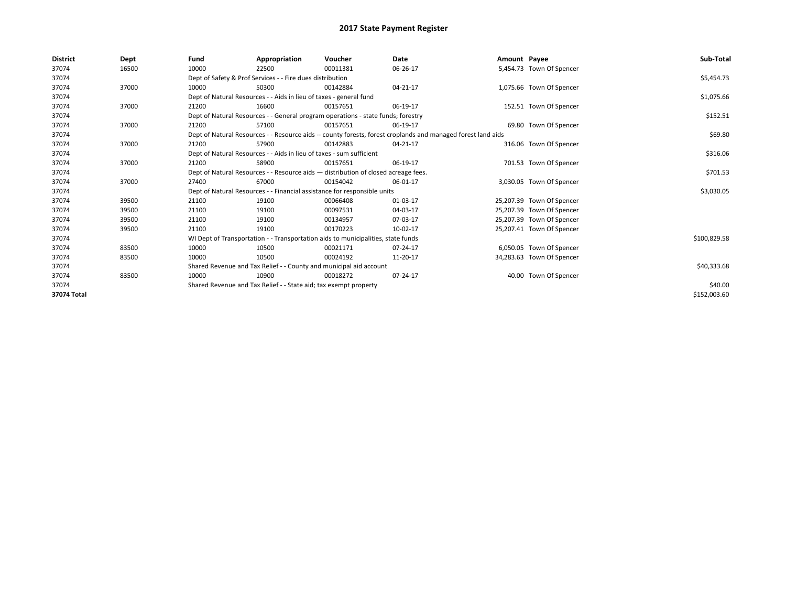| <b>District</b> | Dept  | Fund                                                                               | Appropriation                                                                                                | Voucher                                                                          | Date     | Amount Payee |                           | Sub-Total    |  |  |  |
|-----------------|-------|------------------------------------------------------------------------------------|--------------------------------------------------------------------------------------------------------------|----------------------------------------------------------------------------------|----------|--------------|---------------------------|--------------|--|--|--|
| 37074           | 16500 | 10000                                                                              | 22500                                                                                                        | 00011381                                                                         | 06-26-17 |              | 5,454.73 Town Of Spencer  |              |  |  |  |
| 37074           |       |                                                                                    | Dept of Safety & Prof Services - - Fire dues distribution                                                    |                                                                                  |          |              |                           | \$5,454.73   |  |  |  |
| 37074           | 37000 | 10000                                                                              | 50300                                                                                                        | 00142884                                                                         | 04-21-17 |              | 1,075.66 Town Of Spencer  |              |  |  |  |
| 37074           |       |                                                                                    | Dept of Natural Resources - - Aids in lieu of taxes - general fund                                           |                                                                                  |          |              |                           | \$1,075.66   |  |  |  |
| 37074           | 37000 | 21200                                                                              | 16600                                                                                                        | 00157651                                                                         | 06-19-17 |              | 152.51 Town Of Spencer    |              |  |  |  |
| 37074           |       |                                                                                    | Dept of Natural Resources - - General program operations - state funds; forestry                             |                                                                                  |          |              |                           |              |  |  |  |
| 37074           | 37000 | 21200                                                                              | 57100                                                                                                        | 00157651                                                                         | 06-19-17 |              | 69.80 Town Of Spencer     |              |  |  |  |
| 37074           |       |                                                                                    | Dept of Natural Resources - - Resource aids -- county forests, forest croplands and managed forest land aids |                                                                                  |          |              |                           |              |  |  |  |
| 37074           | 37000 | 21200                                                                              | 57900                                                                                                        | 00142883                                                                         | 04-21-17 |              | 316.06 Town Of Spencer    |              |  |  |  |
| 37074           |       |                                                                                    | Dept of Natural Resources - - Aids in lieu of taxes - sum sufficient                                         |                                                                                  |          |              |                           | \$316.06     |  |  |  |
| 37074           | 37000 | 21200                                                                              | 58900                                                                                                        | 00157651                                                                         | 06-19-17 |              | 701.53 Town Of Spencer    |              |  |  |  |
| 37074           |       | Dept of Natural Resources - - Resource aids - distribution of closed acreage fees. |                                                                                                              | \$701.53                                                                         |          |              |                           |              |  |  |  |
| 37074           | 37000 | 27400                                                                              | 67000                                                                                                        | 00154042                                                                         | 06-01-17 |              | 3,030.05 Town Of Spencer  |              |  |  |  |
| 37074           |       |                                                                                    |                                                                                                              | Dept of Natural Resources - - Financial assistance for responsible units         |          |              |                           | \$3,030.05   |  |  |  |
| 37074           | 39500 | 21100                                                                              | 19100                                                                                                        | 00066408                                                                         | 01-03-17 |              | 25,207.39 Town Of Spencer |              |  |  |  |
| 37074           | 39500 | 21100                                                                              | 19100                                                                                                        | 00097531                                                                         | 04-03-17 |              | 25,207.39 Town Of Spencer |              |  |  |  |
| 37074           | 39500 | 21100                                                                              | 19100                                                                                                        | 00134957                                                                         | 07-03-17 |              | 25,207.39 Town Of Spencer |              |  |  |  |
| 37074           | 39500 | 21100                                                                              | 19100                                                                                                        | 00170223                                                                         | 10-02-17 |              | 25,207.41 Town Of Spencer |              |  |  |  |
| 37074           |       |                                                                                    |                                                                                                              | WI Dept of Transportation - - Transportation aids to municipalities, state funds |          |              |                           | \$100,829.58 |  |  |  |
| 37074           | 83500 | 10000                                                                              | 10500                                                                                                        | 00021171                                                                         | 07-24-17 |              | 6,050.05 Town Of Spencer  |              |  |  |  |
| 37074           | 83500 | 10000                                                                              | 10500                                                                                                        | 00024192                                                                         | 11-20-17 |              | 34,283.63 Town Of Spencer |              |  |  |  |
| 37074           |       |                                                                                    | Shared Revenue and Tax Relief - - County and municipal aid account                                           |                                                                                  |          |              |                           | \$40,333.68  |  |  |  |
| 37074           | 83500 | 10000                                                                              | 10900                                                                                                        | 00018272                                                                         | 07-24-17 |              | 40.00 Town Of Spencer     |              |  |  |  |
| 37074           |       | Shared Revenue and Tax Relief - - State aid; tax exempt property                   |                                                                                                              | \$40.00                                                                          |          |              |                           |              |  |  |  |
| 37074 Total     |       |                                                                                    |                                                                                                              |                                                                                  |          |              |                           | \$152,003.60 |  |  |  |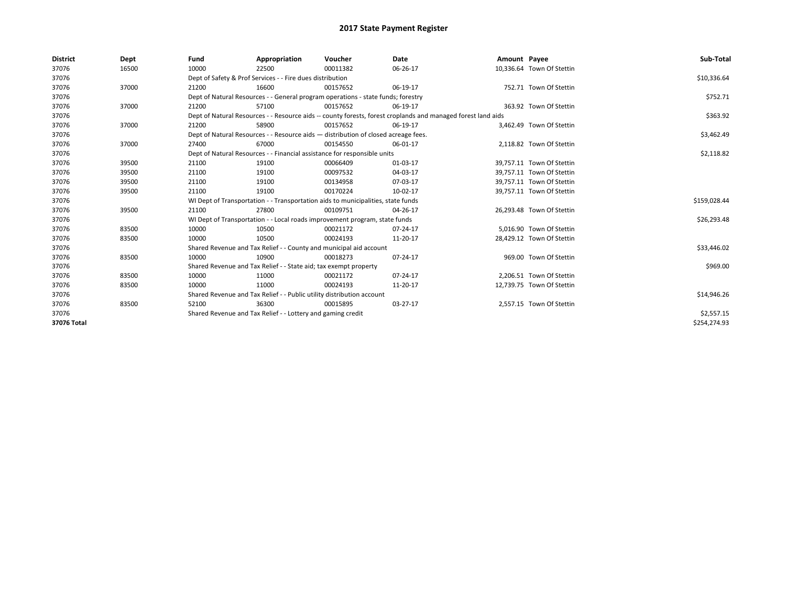| <b>District</b> | Dept  | Fund  | Appropriation                                                                                                | Voucher  | Date     | Amount Payee |                           | Sub-Total    |  |  |
|-----------------|-------|-------|--------------------------------------------------------------------------------------------------------------|----------|----------|--------------|---------------------------|--------------|--|--|
| 37076           | 16500 | 10000 | 22500                                                                                                        | 00011382 | 06-26-17 |              | 10,336.64 Town Of Stettin |              |  |  |
| 37076           |       |       | Dept of Safety & Prof Services - - Fire dues distribution                                                    |          |          |              |                           | \$10,336.64  |  |  |
| 37076           | 37000 | 21200 | 16600                                                                                                        | 00157652 | 06-19-17 |              | 752.71 Town Of Stettin    |              |  |  |
| 37076           |       |       | Dept of Natural Resources - - General program operations - state funds; forestry                             |          |          |              |                           |              |  |  |
| 37076           | 37000 | 21200 | 57100                                                                                                        | 00157652 | 06-19-17 |              | 363.92 Town Of Stettin    |              |  |  |
| 37076           |       |       | Dept of Natural Resources - - Resource aids -- county forests, forest croplands and managed forest land aids |          |          |              |                           |              |  |  |
| 37076           | 37000 | 21200 | 58900                                                                                                        | 00157652 | 06-19-17 |              | 3,462.49 Town Of Stettin  |              |  |  |
| 37076           |       |       | Dept of Natural Resources - - Resource aids - distribution of closed acreage fees.                           |          |          |              |                           | \$3,462.49   |  |  |
| 37076           | 37000 | 27400 | 67000                                                                                                        | 00154550 | 06-01-17 |              | 2,118.82 Town Of Stettin  |              |  |  |
| 37076           |       |       | Dept of Natural Resources - - Financial assistance for responsible units                                     |          |          |              |                           | \$2,118.82   |  |  |
| 37076           | 39500 | 21100 | 19100                                                                                                        | 00066409 | 01-03-17 |              | 39,757.11 Town Of Stettin |              |  |  |
| 37076           | 39500 | 21100 | 19100                                                                                                        | 00097532 | 04-03-17 |              | 39,757.11 Town Of Stettin |              |  |  |
| 37076           | 39500 | 21100 | 19100                                                                                                        | 00134958 | 07-03-17 |              | 39,757.11 Town Of Stettin |              |  |  |
| 37076           | 39500 | 21100 | 19100                                                                                                        | 00170224 | 10-02-17 |              | 39,757.11 Town Of Stettin |              |  |  |
| 37076           |       |       | WI Dept of Transportation - - Transportation aids to municipalities, state funds                             |          |          |              |                           | \$159,028.44 |  |  |
| 37076           | 39500 | 21100 | 27800                                                                                                        | 00109751 | 04-26-17 |              | 26,293.48 Town Of Stettin |              |  |  |
| 37076           |       |       | WI Dept of Transportation - - Local roads improvement program, state funds                                   |          |          |              |                           | \$26,293.48  |  |  |
| 37076           | 83500 | 10000 | 10500                                                                                                        | 00021172 | 07-24-17 |              | 5,016.90 Town Of Stettin  |              |  |  |
| 37076           | 83500 | 10000 | 10500                                                                                                        | 00024193 | 11-20-17 |              | 28,429.12 Town Of Stettin |              |  |  |
| 37076           |       |       | Shared Revenue and Tax Relief - - County and municipal aid account                                           |          |          |              |                           | \$33,446.02  |  |  |
| 37076           | 83500 | 10000 | 10900                                                                                                        | 00018273 | 07-24-17 |              | 969.00 Town Of Stettin    |              |  |  |
| 37076           |       |       | Shared Revenue and Tax Relief - - State aid; tax exempt property                                             |          |          |              |                           | \$969.00     |  |  |
| 37076           | 83500 | 10000 | 11000                                                                                                        | 00021172 | 07-24-17 |              | 2,206.51 Town Of Stettin  |              |  |  |
| 37076           | 83500 | 10000 | 11000                                                                                                        | 00024193 | 11-20-17 |              | 12,739.75 Town Of Stettin |              |  |  |
| 37076           |       |       | Shared Revenue and Tax Relief - - Public utility distribution account                                        |          |          |              |                           | \$14,946.26  |  |  |
| 37076           | 83500 | 52100 | 36300                                                                                                        | 00015895 | 03-27-17 |              | 2,557.15 Town Of Stettin  |              |  |  |
| 37076           |       |       | Shared Revenue and Tax Relief - - Lottery and gaming credit                                                  |          |          |              |                           | \$2,557.15   |  |  |
| 37076 Total     |       |       |                                                                                                              |          |          |              |                           | \$254.274.93 |  |  |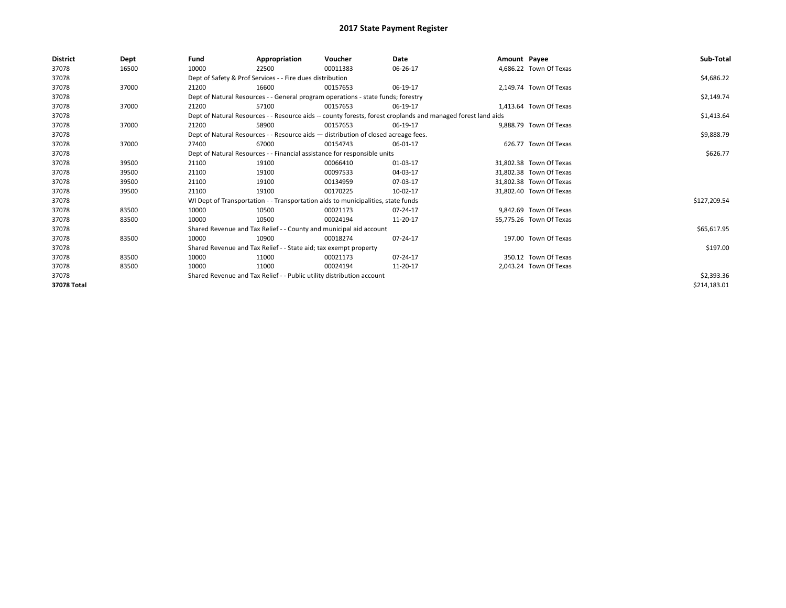| District    | Dept  | Fund                                                                     | Appropriation                                                                      | Voucher  | Date                                                                                                         | Amount Payee |                         | Sub-Total    |  |  |
|-------------|-------|--------------------------------------------------------------------------|------------------------------------------------------------------------------------|----------|--------------------------------------------------------------------------------------------------------------|--------------|-------------------------|--------------|--|--|
| 37078       | 16500 | 10000                                                                    | 22500                                                                              | 00011383 | 06-26-17                                                                                                     |              | 4,686.22 Town Of Texas  |              |  |  |
| 37078       |       |                                                                          | Dept of Safety & Prof Services - - Fire dues distribution                          |          |                                                                                                              |              |                         | \$4,686.22   |  |  |
| 37078       | 37000 | 21200                                                                    | 16600                                                                              | 00157653 | 06-19-17                                                                                                     |              | 2,149.74 Town Of Texas  |              |  |  |
| 37078       |       |                                                                          | Dept of Natural Resources - - General program operations - state funds; forestry   |          |                                                                                                              |              |                         | \$2,149.74   |  |  |
| 37078       | 37000 | 21200                                                                    | 57100                                                                              | 00157653 | 06-19-17                                                                                                     |              | 1.413.64 Town Of Texas  |              |  |  |
| 37078       |       |                                                                          |                                                                                    |          | Dept of Natural Resources - - Resource aids -- county forests, forest croplands and managed forest land aids |              |                         | \$1,413.64   |  |  |
| 37078       | 37000 | 21200                                                                    | 58900                                                                              | 00157653 | 06-19-17                                                                                                     |              | 9.888.79 Town Of Texas  |              |  |  |
| 37078       |       |                                                                          | Dept of Natural Resources - - Resource aids - distribution of closed acreage fees. |          |                                                                                                              |              |                         |              |  |  |
| 37078       | 37000 | 27400                                                                    | 67000                                                                              | 00154743 | 06-01-17                                                                                                     |              | 626.77 Town Of Texas    |              |  |  |
| 37078       |       | Dept of Natural Resources - - Financial assistance for responsible units |                                                                                    | \$626.77 |                                                                                                              |              |                         |              |  |  |
| 37078       | 39500 | 21100                                                                    | 19100                                                                              | 00066410 | 01-03-17                                                                                                     |              | 31.802.38 Town Of Texas |              |  |  |
| 37078       | 39500 | 21100                                                                    | 19100                                                                              | 00097533 | 04-03-17                                                                                                     |              | 31,802.38 Town Of Texas |              |  |  |
| 37078       | 39500 | 21100                                                                    | 19100                                                                              | 00134959 | 07-03-17                                                                                                     |              | 31.802.38 Town Of Texas |              |  |  |
| 37078       | 39500 | 21100                                                                    | 19100                                                                              | 00170225 | 10-02-17                                                                                                     |              | 31,802.40 Town Of Texas |              |  |  |
| 37078       |       |                                                                          | WI Dept of Transportation - - Transportation aids to municipalities, state funds   |          |                                                                                                              |              |                         | \$127,209.54 |  |  |
| 37078       | 83500 | 10000                                                                    | 10500                                                                              | 00021173 | 07-24-17                                                                                                     |              | 9.842.69 Town Of Texas  |              |  |  |
| 37078       | 83500 | 10000                                                                    | 10500                                                                              | 00024194 | 11-20-17                                                                                                     |              | 55,775.26 Town Of Texas |              |  |  |
| 37078       |       |                                                                          | Shared Revenue and Tax Relief - - County and municipal aid account                 |          |                                                                                                              |              |                         | \$65,617.95  |  |  |
| 37078       | 83500 | 10000                                                                    | 10900                                                                              | 00018274 | 07-24-17                                                                                                     |              | 197.00 Town Of Texas    |              |  |  |
| 37078       |       |                                                                          | Shared Revenue and Tax Relief - - State aid; tax exempt property                   |          |                                                                                                              |              |                         | \$197.00     |  |  |
| 37078       | 83500 | 10000                                                                    | 11000                                                                              | 00021173 | 07-24-17                                                                                                     |              | 350.12 Town Of Texas    |              |  |  |
| 37078       | 83500 | 10000                                                                    | 11000                                                                              | 00024194 | 11-20-17                                                                                                     |              | 2,043.24 Town Of Texas  |              |  |  |
| 37078       |       |                                                                          | Shared Revenue and Tax Relief - - Public utility distribution account              |          |                                                                                                              |              |                         | \$2,393.36   |  |  |
| 37078 Total |       |                                                                          |                                                                                    |          |                                                                                                              |              |                         | \$214,183.01 |  |  |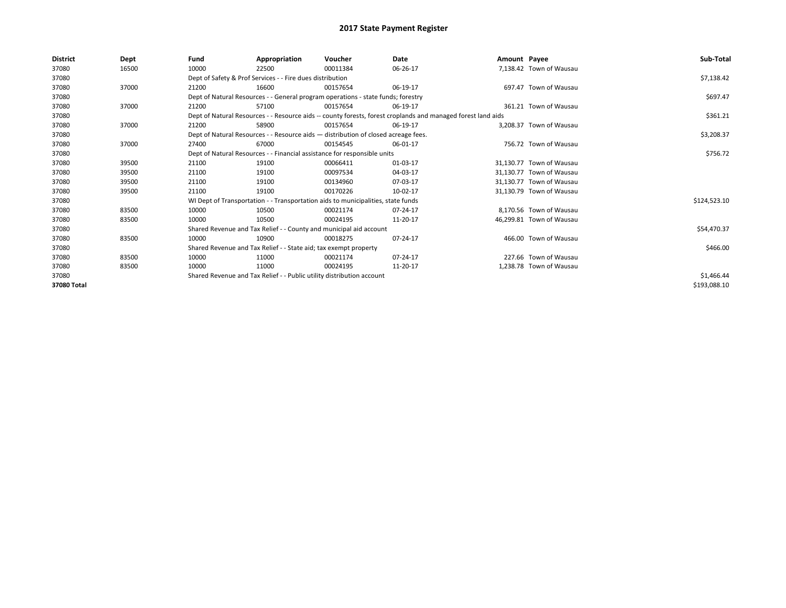| District    | Dept  | Fund                                                                               | Appropriation                                                                    | Voucher    | Date                                                                                                         | Amount Payee |                          | Sub-Total    |
|-------------|-------|------------------------------------------------------------------------------------|----------------------------------------------------------------------------------|------------|--------------------------------------------------------------------------------------------------------------|--------------|--------------------------|--------------|
| 37080       | 16500 | 10000                                                                              | 22500                                                                            | 00011384   | 06-26-17                                                                                                     |              | 7,138.42 Town of Wausau  |              |
| 37080       |       |                                                                                    | Dept of Safety & Prof Services - - Fire dues distribution                        |            |                                                                                                              |              |                          | \$7,138.42   |
| 37080       | 37000 | 21200                                                                              | 16600                                                                            | 00157654   | 06-19-17                                                                                                     |              | 697.47 Town of Wausau    |              |
| 37080       |       |                                                                                    | Dept of Natural Resources - - General program operations - state funds; forestry |            |                                                                                                              |              |                          | \$697.47     |
| 37080       | 37000 | 21200                                                                              | 57100                                                                            | 00157654   | 06-19-17                                                                                                     |              | 361.21 Town of Wausau    |              |
| 37080       |       |                                                                                    |                                                                                  |            | Dept of Natural Resources - - Resource aids -- county forests, forest croplands and managed forest land aids |              |                          | \$361.21     |
| 37080       | 37000 | 21200                                                                              | 58900                                                                            | 00157654   | 06-19-17                                                                                                     |              | 3.208.37 Town of Wausau  |              |
| 37080       |       | Dept of Natural Resources - - Resource aids - distribution of closed acreage fees. |                                                                                  | \$3,208.37 |                                                                                                              |              |                          |              |
| 37080       | 37000 | 27400                                                                              | 67000                                                                            | 00154545   | 06-01-17                                                                                                     |              | 756.72 Town of Wausau    |              |
| 37080       |       |                                                                                    | Dept of Natural Resources - - Financial assistance for responsible units         |            |                                                                                                              |              |                          | \$756.72     |
| 37080       | 39500 | 21100                                                                              | 19100                                                                            | 00066411   | 01-03-17                                                                                                     |              | 31.130.77 Town of Wausau |              |
| 37080       | 39500 | 21100                                                                              | 19100                                                                            | 00097534   | 04-03-17                                                                                                     |              | 31,130.77 Town of Wausau |              |
| 37080       | 39500 | 21100                                                                              | 19100                                                                            | 00134960   | 07-03-17                                                                                                     |              | 31.130.77 Town of Wausau |              |
| 37080       | 39500 | 21100                                                                              | 19100                                                                            | 00170226   | 10-02-17                                                                                                     |              | 31,130.79 Town of Wausau |              |
| 37080       |       |                                                                                    | WI Dept of Transportation - - Transportation aids to municipalities, state funds |            |                                                                                                              |              |                          | \$124,523.10 |
| 37080       | 83500 | 10000                                                                              | 10500                                                                            | 00021174   | 07-24-17                                                                                                     |              | 8,170.56 Town of Wausau  |              |
| 37080       | 83500 | 10000                                                                              | 10500                                                                            | 00024195   | 11-20-17                                                                                                     |              | 46,299.81 Town of Wausau |              |
| 37080       |       |                                                                                    | Shared Revenue and Tax Relief - - County and municipal aid account               |            |                                                                                                              |              |                          | \$54,470.37  |
| 37080       | 83500 | 10000                                                                              | 10900                                                                            | 00018275   | 07-24-17                                                                                                     |              | 466.00 Town of Wausau    |              |
| 37080       |       |                                                                                    | Shared Revenue and Tax Relief - - State aid; tax exempt property                 |            |                                                                                                              |              |                          | \$466.00     |
| 37080       | 83500 | 10000                                                                              | 11000                                                                            | 00021174   | 07-24-17                                                                                                     |              | 227.66 Town of Wausau    |              |
| 37080       | 83500 | 10000                                                                              | 11000                                                                            | 00024195   | 11-20-17                                                                                                     |              | 1,238.78 Town of Wausau  |              |
| 37080       |       |                                                                                    | Shared Revenue and Tax Relief - - Public utility distribution account            |            |                                                                                                              |              |                          | \$1,466.44   |
| 37080 Total |       |                                                                                    |                                                                                  |            |                                                                                                              |              |                          | \$193,088.10 |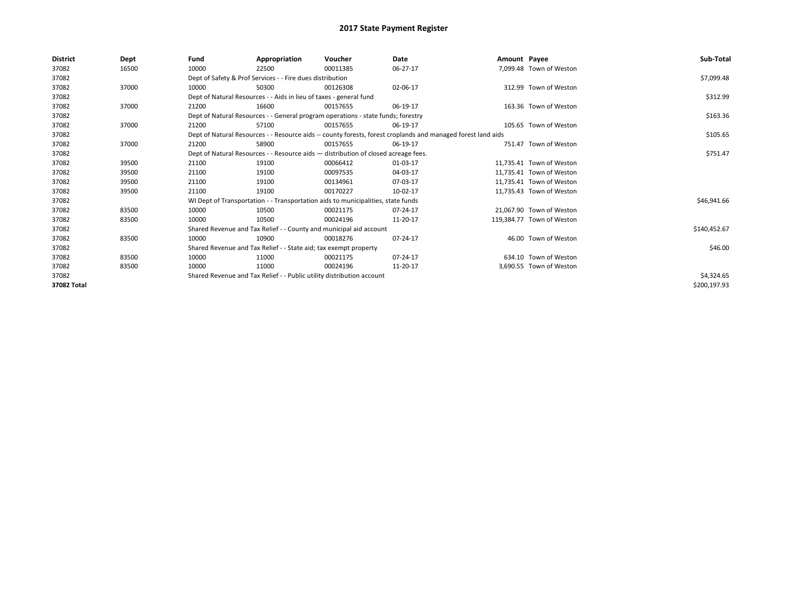| District    | Dept  | Fund  | Appropriation                                                                                                | Voucher                                                                            | Date     | Amount Payee |                           | Sub-Total    |
|-------------|-------|-------|--------------------------------------------------------------------------------------------------------------|------------------------------------------------------------------------------------|----------|--------------|---------------------------|--------------|
| 37082       | 16500 | 10000 | 22500                                                                                                        | 00011385                                                                           | 06-27-17 |              | 7,099.48 Town of Weston   |              |
| 37082       |       |       | Dept of Safety & Prof Services - - Fire dues distribution                                                    |                                                                                    |          |              |                           | \$7,099.48   |
| 37082       | 37000 | 10000 | 50300                                                                                                        | 00126308                                                                           | 02-06-17 |              | 312.99 Town of Weston     |              |
| 37082       |       |       | Dept of Natural Resources - - Aids in lieu of taxes - general fund                                           |                                                                                    |          |              |                           | \$312.99     |
| 37082       | 37000 | 21200 | 16600                                                                                                        | 00157655                                                                           | 06-19-17 |              | 163.36 Town of Weston     |              |
| 37082       |       |       |                                                                                                              | Dept of Natural Resources - - General program operations - state funds; forestry   |          |              |                           | \$163.36     |
| 37082       | 37000 | 21200 | 57100                                                                                                        | 00157655                                                                           | 06-19-17 |              | 105.65 Town of Weston     |              |
| 37082       |       |       | Dept of Natural Resources - - Resource aids -- county forests, forest croplands and managed forest land aids |                                                                                    | \$105.65 |              |                           |              |
| 37082       | 37000 | 21200 | 58900                                                                                                        | 00157655                                                                           | 06-19-17 |              | 751.47 Town of Weston     |              |
| 37082       |       |       |                                                                                                              | Dept of Natural Resources - - Resource aids - distribution of closed acreage fees. |          |              |                           | \$751.47     |
| 37082       | 39500 | 21100 | 19100                                                                                                        | 00066412                                                                           | 01-03-17 |              | 11.735.41 Town of Weston  |              |
| 37082       | 39500 | 21100 | 19100                                                                                                        | 00097535                                                                           | 04-03-17 |              | 11,735.41 Town of Weston  |              |
| 37082       | 39500 | 21100 | 19100                                                                                                        | 00134961                                                                           | 07-03-17 |              | 11.735.41 Town of Weston  |              |
| 37082       | 39500 | 21100 | 19100                                                                                                        | 00170227                                                                           | 10-02-17 |              | 11,735.43 Town of Weston  |              |
| 37082       |       |       |                                                                                                              | WI Dept of Transportation - - Transportation aids to municipalities, state funds   |          |              |                           | \$46,941.66  |
| 37082       | 83500 | 10000 | 10500                                                                                                        | 00021175                                                                           | 07-24-17 |              | 21,067.90 Town of Weston  |              |
| 37082       | 83500 | 10000 | 10500                                                                                                        | 00024196                                                                           | 11-20-17 |              | 119,384.77 Town of Weston |              |
| 37082       |       |       | Shared Revenue and Tax Relief - - County and municipal aid account                                           |                                                                                    |          |              |                           | \$140,452.67 |
| 37082       | 83500 | 10000 | 10900                                                                                                        | 00018276                                                                           | 07-24-17 |              | 46.00 Town of Weston      |              |
| 37082       |       |       | Shared Revenue and Tax Relief - - State aid; tax exempt property                                             |                                                                                    |          |              |                           | \$46.00      |
| 37082       | 83500 | 10000 | 11000                                                                                                        | 00021175                                                                           | 07-24-17 |              | 634.10 Town of Weston     |              |
| 37082       | 83500 | 10000 | 11000                                                                                                        | 00024196                                                                           | 11-20-17 |              | 3,690.55 Town of Weston   |              |
| 37082       |       |       | Shared Revenue and Tax Relief - - Public utility distribution account                                        |                                                                                    |          |              |                           | \$4,324.65   |
| 37082 Total |       |       |                                                                                                              |                                                                                    |          |              |                           | \$200,197.93 |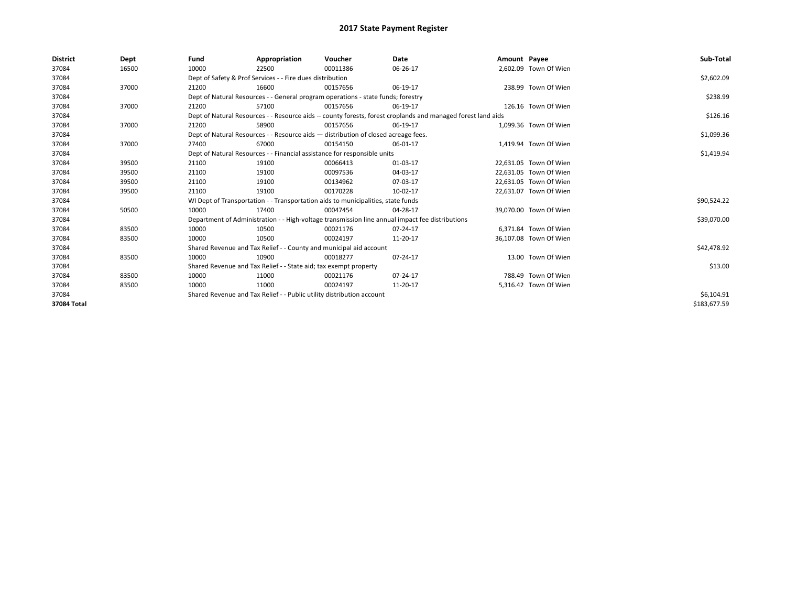| <b>District</b> | Dept  | Fund  | Appropriation                                                                                                | Voucher  | Date       | Amount Payee |                        | Sub-Total    |  |  |
|-----------------|-------|-------|--------------------------------------------------------------------------------------------------------------|----------|------------|--------------|------------------------|--------------|--|--|
| 37084           | 16500 | 10000 | 22500                                                                                                        | 00011386 | 06-26-17   |              | 2,602.09 Town Of Wien  |              |  |  |
| 37084           |       |       | Dept of Safety & Prof Services - - Fire dues distribution                                                    |          |            |              |                        | \$2,602.09   |  |  |
| 37084           | 37000 | 21200 | 16600                                                                                                        | 00157656 | 06-19-17   |              | 238.99 Town Of Wien    |              |  |  |
| 37084           |       |       | Dept of Natural Resources - - General program operations - state funds; forestry                             |          |            |              |                        |              |  |  |
| 37084           | 37000 | 21200 | 57100                                                                                                        | 00157656 | 06-19-17   |              | 126.16 Town Of Wien    |              |  |  |
| 37084           |       |       | Dept of Natural Resources - - Resource aids -- county forests, forest croplands and managed forest land aids |          | \$126.16   |              |                        |              |  |  |
| 37084           | 37000 | 21200 | 58900                                                                                                        | 00157656 | 06-19-17   |              | 1,099.36 Town Of Wien  |              |  |  |
| 37084           |       |       | Dept of Natural Resources - - Resource aids - distribution of closed acreage fees.                           |          | \$1,099.36 |              |                        |              |  |  |
| 37084           | 37000 | 27400 | 67000                                                                                                        | 00154150 | 06-01-17   |              | 1,419.94 Town Of Wien  |              |  |  |
| 37084           |       |       | Dept of Natural Resources - - Financial assistance for responsible units                                     |          |            |              |                        | \$1,419.94   |  |  |
| 37084           | 39500 | 21100 | 19100                                                                                                        | 00066413 | 01-03-17   |              | 22.631.05 Town Of Wien |              |  |  |
| 37084           | 39500 | 21100 | 19100                                                                                                        | 00097536 | 04-03-17   |              | 22,631.05 Town Of Wien |              |  |  |
| 37084           | 39500 | 21100 | 19100                                                                                                        | 00134962 | 07-03-17   |              | 22,631.05 Town Of Wien |              |  |  |
| 37084           | 39500 | 21100 | 19100                                                                                                        | 00170228 | 10-02-17   |              | 22,631.07 Town Of Wien |              |  |  |
| 37084           |       |       | WI Dept of Transportation - - Transportation aids to municipalities, state funds                             |          |            |              |                        | \$90,524.22  |  |  |
| 37084           | 50500 | 10000 | 17400                                                                                                        | 00047454 | 04-28-17   |              | 39,070.00 Town Of Wien |              |  |  |
| 37084           |       |       | Department of Administration - - High-voltage transmission line annual impact fee distributions              |          |            |              |                        | \$39,070.00  |  |  |
| 37084           | 83500 | 10000 | 10500                                                                                                        | 00021176 | 07-24-17   |              | 6.371.84 Town Of Wien  |              |  |  |
| 37084           | 83500 | 10000 | 10500                                                                                                        | 00024197 | 11-20-17   |              | 36,107.08 Town Of Wien |              |  |  |
| 37084           |       |       | Shared Revenue and Tax Relief - - County and municipal aid account                                           |          |            |              |                        | \$42,478.92  |  |  |
| 37084           | 83500 | 10000 | 10900                                                                                                        | 00018277 | 07-24-17   |              | 13.00 Town Of Wien     |              |  |  |
| 37084           |       |       | Shared Revenue and Tax Relief - - State aid; tax exempt property                                             |          |            |              |                        | \$13.00      |  |  |
| 37084           | 83500 | 10000 | 11000                                                                                                        | 00021176 | 07-24-17   |              | 788.49 Town Of Wien    |              |  |  |
| 37084           | 83500 | 10000 | 11000                                                                                                        | 00024197 | 11-20-17   |              | 5,316.42 Town Of Wien  |              |  |  |
| 37084           |       |       | Shared Revenue and Tax Relief - - Public utility distribution account                                        |          |            |              |                        |              |  |  |
| 37084 Total     |       |       |                                                                                                              |          |            |              |                        | \$183,677.59 |  |  |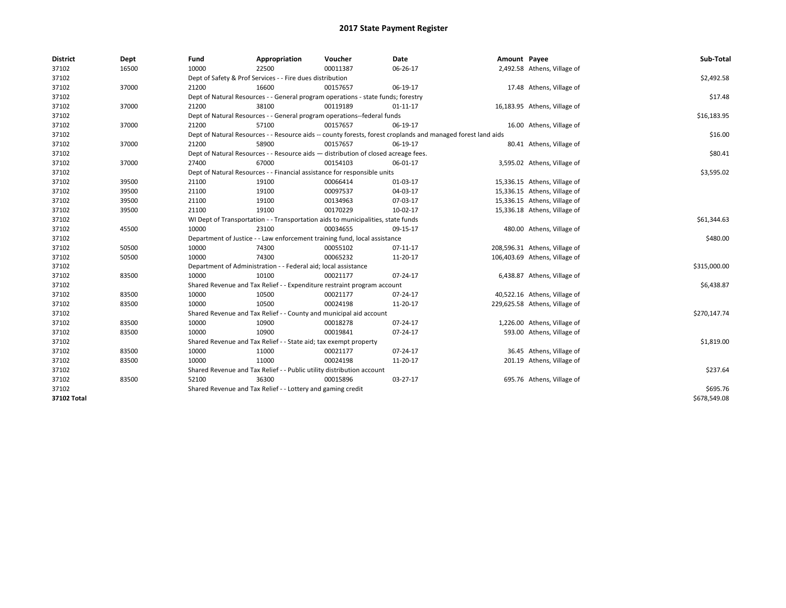| <b>District</b> | Dept  | Fund  | Appropriation                                                                      | Voucher  | Date                                                                                                         | Amount Payee |                               | Sub-Total    |  |  |
|-----------------|-------|-------|------------------------------------------------------------------------------------|----------|--------------------------------------------------------------------------------------------------------------|--------------|-------------------------------|--------------|--|--|
| 37102           | 16500 | 10000 | 22500                                                                              | 00011387 | 06-26-17                                                                                                     |              | 2,492.58 Athens, Village of   |              |  |  |
| 37102           |       |       | Dept of Safety & Prof Services - - Fire dues distribution                          |          |                                                                                                              |              |                               | \$2,492.58   |  |  |
| 37102           | 37000 | 21200 | 16600                                                                              | 00157657 | 06-19-17                                                                                                     |              | 17.48 Athens, Village of      |              |  |  |
| 37102           |       |       | Dept of Natural Resources - - General program operations - state funds; forestry   |          |                                                                                                              |              |                               | \$17.48      |  |  |
| 37102           | 37000 | 21200 | 38100                                                                              | 00119189 | $01 - 11 - 17$                                                                                               |              | 16,183.95 Athens, Village of  |              |  |  |
| 37102           |       |       | Dept of Natural Resources - - General program operations--federal funds            |          |                                                                                                              |              |                               | \$16,183.95  |  |  |
| 37102           | 37000 | 21200 | 57100                                                                              | 00157657 | 06-19-17                                                                                                     |              | 16.00 Athens, Village of      |              |  |  |
| 37102           |       |       |                                                                                    |          | Dept of Natural Resources - - Resource aids -- county forests, forest croplands and managed forest land aids |              |                               | \$16.00      |  |  |
| 37102           | 37000 | 21200 | 58900                                                                              | 00157657 | 06-19-17                                                                                                     |              | 80.41 Athens, Village of      |              |  |  |
| 37102           |       |       | Dept of Natural Resources - - Resource aids - distribution of closed acreage fees. |          |                                                                                                              |              |                               | \$80.41      |  |  |
| 37102           | 37000 | 27400 | 67000                                                                              | 00154103 | 06-01-17                                                                                                     |              | 3,595.02 Athens, Village of   |              |  |  |
| 37102           |       |       | Dept of Natural Resources - - Financial assistance for responsible units           |          |                                                                                                              |              |                               | \$3,595.02   |  |  |
| 37102           | 39500 | 21100 | 19100                                                                              | 00066414 | 01-03-17                                                                                                     |              | 15,336.15 Athens, Village of  |              |  |  |
| 37102           | 39500 | 21100 | 19100                                                                              | 00097537 | 04-03-17                                                                                                     |              | 15,336.15 Athens, Village of  |              |  |  |
| 37102           | 39500 | 21100 | 19100                                                                              | 00134963 | 07-03-17                                                                                                     |              | 15,336.15 Athens, Village of  |              |  |  |
| 37102           | 39500 | 21100 | 19100                                                                              | 00170229 | 10-02-17                                                                                                     |              | 15,336.18 Athens, Village of  |              |  |  |
| 37102           |       |       | WI Dept of Transportation - - Transportation aids to municipalities, state funds   |          |                                                                                                              |              |                               |              |  |  |
| 37102           | 45500 | 10000 | 23100                                                                              | 00034655 | 09-15-17                                                                                                     |              | 480.00 Athens, Village of     |              |  |  |
| 37102           |       |       | Department of Justice - - Law enforcement training fund, local assistance          |          |                                                                                                              |              |                               | \$480.00     |  |  |
| 37102           | 50500 | 10000 | 74300                                                                              | 00055102 | 07-11-17                                                                                                     |              | 208,596.31 Athens, Village of |              |  |  |
| 37102           | 50500 | 10000 | 74300                                                                              | 00065232 | 11-20-17                                                                                                     |              | 106,403.69 Athens, Village of |              |  |  |
| 37102           |       |       | Department of Administration - - Federal aid; local assistance                     |          |                                                                                                              |              |                               | \$315,000.00 |  |  |
| 37102           | 83500 | 10000 | 10100                                                                              | 00021177 | 07-24-17                                                                                                     |              | 6,438.87 Athens, Village of   |              |  |  |
| 37102           |       |       | Shared Revenue and Tax Relief - - Expenditure restraint program account            |          |                                                                                                              |              |                               | \$6,438.87   |  |  |
| 37102           | 83500 | 10000 | 10500                                                                              | 00021177 | 07-24-17                                                                                                     |              | 40,522.16 Athens, Village of  |              |  |  |
| 37102           | 83500 | 10000 | 10500                                                                              | 00024198 | 11-20-17                                                                                                     |              | 229,625.58 Athens, Village of |              |  |  |
| 37102           |       |       | Shared Revenue and Tax Relief - - County and municipal aid account                 |          |                                                                                                              |              |                               | \$270,147.74 |  |  |
| 37102           | 83500 | 10000 | 10900                                                                              | 00018278 | 07-24-17                                                                                                     |              | 1,226.00 Athens, Village of   |              |  |  |
| 37102           | 83500 | 10000 | 10900                                                                              | 00019841 | 07-24-17                                                                                                     |              | 593.00 Athens, Village of     |              |  |  |
| 37102           |       |       | Shared Revenue and Tax Relief - - State aid; tax exempt property                   |          |                                                                                                              |              |                               | \$1,819.00   |  |  |
| 37102           | 83500 | 10000 | 11000                                                                              | 00021177 | 07-24-17                                                                                                     |              | 36.45 Athens, Village of      |              |  |  |
| 37102           | 83500 | 10000 | 11000                                                                              | 00024198 | 11-20-17                                                                                                     |              | 201.19 Athens, Village of     |              |  |  |
| 37102           |       |       | Shared Revenue and Tax Relief - - Public utility distribution account              |          |                                                                                                              |              |                               | \$237.64     |  |  |
| 37102           | 83500 | 52100 | 36300                                                                              | 00015896 | 03-27-17                                                                                                     |              | 695.76 Athens, Village of     |              |  |  |
| 37102           |       |       | Shared Revenue and Tax Relief - - Lottery and gaming credit                        |          |                                                                                                              |              |                               | \$695.76     |  |  |
| 37102 Total     |       |       |                                                                                    |          |                                                                                                              |              |                               | \$678,549.08 |  |  |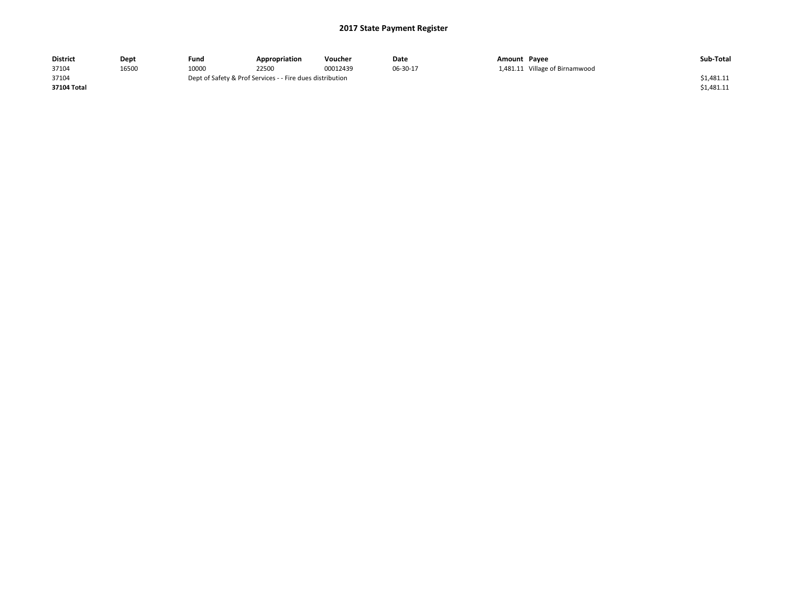| <b>District</b> | Dept  | Fund                                                      | Appropriation | Voucher  | Date     | Amount Payee |                                | Sub-Total  |
|-----------------|-------|-----------------------------------------------------------|---------------|----------|----------|--------------|--------------------------------|------------|
| 37104           | 16500 | 10000                                                     | 22500         | 00012439 | 06-30-17 |              | 1,481.11 Village of Birnamwood |            |
| 37104           |       | Dept of Safety & Prof Services - - Fire dues distribution |               |          |          |              |                                | \$1,481.11 |
| 37104 Total     |       |                                                           |               |          |          |              |                                | \$1,481.11 |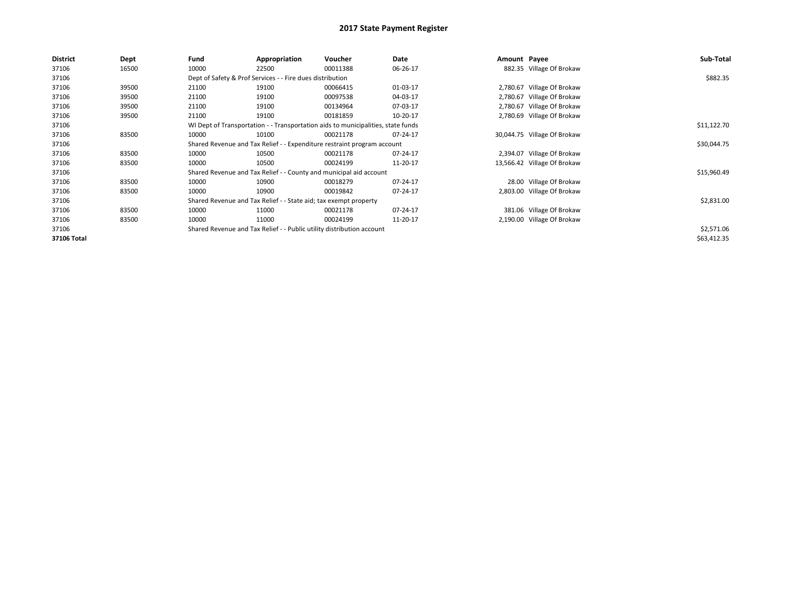| <b>District</b> | Dept  | Fund  | Appropriation                                                         | Voucher                                                                          | Date     | Amount Payee |                             | Sub-Total   |
|-----------------|-------|-------|-----------------------------------------------------------------------|----------------------------------------------------------------------------------|----------|--------------|-----------------------------|-------------|
| 37106           | 16500 | 10000 | 22500                                                                 | 00011388                                                                         | 06-26-17 |              | 882.35 Village Of Brokaw    |             |
| 37106           |       |       | Dept of Safety & Prof Services - - Fire dues distribution             |                                                                                  |          |              |                             | \$882.35    |
| 37106           | 39500 | 21100 | 19100                                                                 | 00066415                                                                         | 01-03-17 |              | 2,780.67 Village Of Brokaw  |             |
| 37106           | 39500 | 21100 | 19100                                                                 | 00097538                                                                         | 04-03-17 |              | 2,780.67 Village Of Brokaw  |             |
| 37106           | 39500 | 21100 | 19100                                                                 | 00134964                                                                         | 07-03-17 |              | 2,780.67 Village Of Brokaw  |             |
| 37106           | 39500 | 21100 | 19100                                                                 | 00181859                                                                         | 10-20-17 |              | 2,780.69 Village Of Brokaw  |             |
| 37106           |       |       |                                                                       | WI Dept of Transportation - - Transportation aids to municipalities, state funds |          |              |                             | \$11,122.70 |
| 37106           | 83500 | 10000 | 10100                                                                 | 00021178                                                                         | 07-24-17 |              | 30,044.75 Village Of Brokaw |             |
| 37106           |       |       |                                                                       | Shared Revenue and Tax Relief - - Expenditure restraint program account          |          |              |                             | \$30,044.75 |
| 37106           | 83500 | 10000 | 10500                                                                 | 00021178                                                                         | 07-24-17 |              | 2,394.07 Village Of Brokaw  |             |
| 37106           | 83500 | 10000 | 10500                                                                 | 00024199                                                                         | 11-20-17 |              | 13,566.42 Village Of Brokaw |             |
| 37106           |       |       |                                                                       | Shared Revenue and Tax Relief - - County and municipal aid account               |          |              |                             | \$15,960.49 |
| 37106           | 83500 | 10000 | 10900                                                                 | 00018279                                                                         | 07-24-17 |              | 28.00 Village Of Brokaw     |             |
| 37106           | 83500 | 10000 | 10900                                                                 | 00019842                                                                         | 07-24-17 |              | 2,803.00 Village Of Brokaw  |             |
| 37106           |       |       | Shared Revenue and Tax Relief - - State aid; tax exempt property      |                                                                                  |          |              |                             | \$2,831.00  |
| 37106           | 83500 | 10000 | 11000                                                                 | 00021178                                                                         | 07-24-17 |              | 381.06 Village Of Brokaw    |             |
| 37106           | 83500 | 10000 | 11000                                                                 | 00024199                                                                         | 11-20-17 |              | 2,190.00 Village Of Brokaw  |             |
| 37106           |       |       | Shared Revenue and Tax Relief - - Public utility distribution account |                                                                                  |          |              |                             | \$2,571.06  |
| 37106 Total     |       |       |                                                                       |                                                                                  |          |              |                             | \$63,412.35 |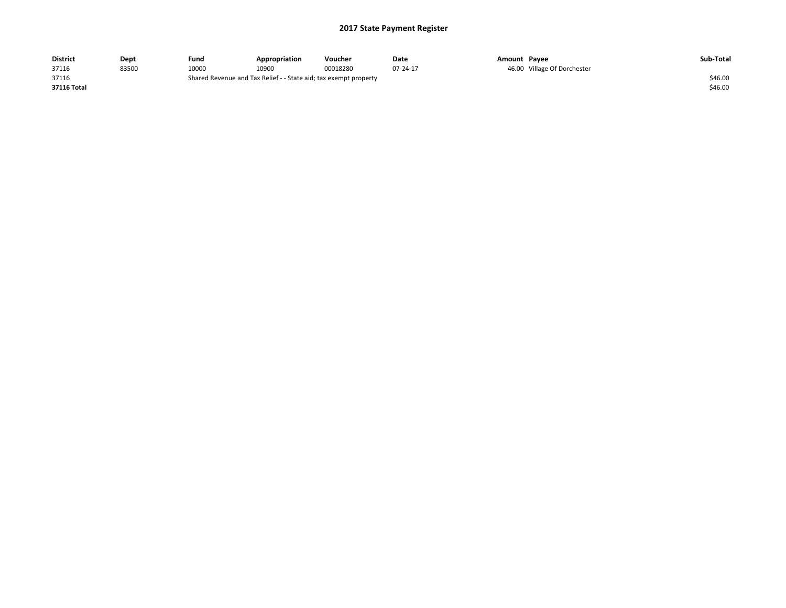| District    | Dept  | Fund  | Appropriation                                                    | Voucher  | Date     | Amount Pavee |                             | Sub-Total |
|-------------|-------|-------|------------------------------------------------------------------|----------|----------|--------------|-----------------------------|-----------|
| 37116       | 83500 | 10000 | 10900                                                            | 00018280 | 07-24-17 |              | 46.00 Village Of Dorchester |           |
| 37116       |       |       | Shared Revenue and Tax Relief - - State aid; tax exempt property |          |          |              |                             | \$46.00   |
| 37116 Total |       |       |                                                                  |          |          |              |                             | \$46.00   |
|             |       |       |                                                                  |          |          |              |                             |           |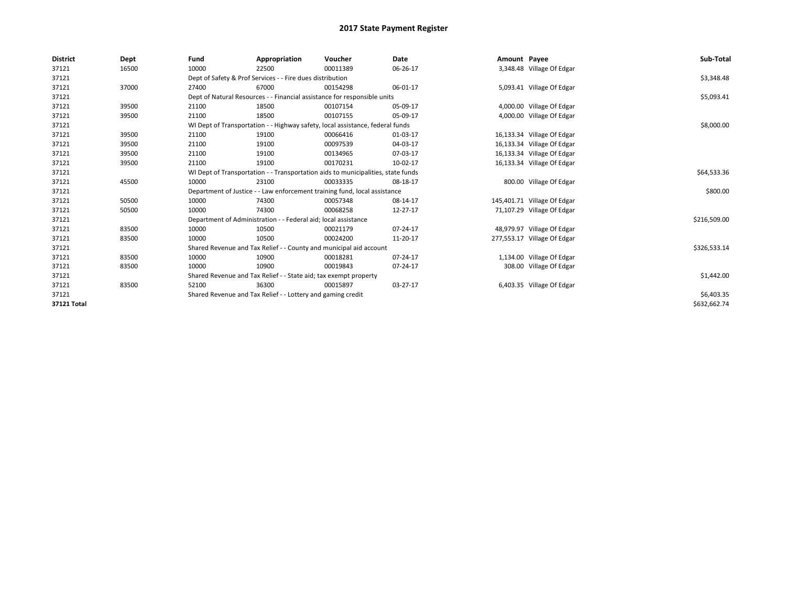| <b>District</b> | Dept  | Fund  | Appropriation                                                                    | Voucher  | Date     | Amount Payee |                             | Sub-Total    |  |  |
|-----------------|-------|-------|----------------------------------------------------------------------------------|----------|----------|--------------|-----------------------------|--------------|--|--|
| 37121           | 16500 | 10000 | 22500                                                                            | 00011389 | 06-26-17 |              | 3,348.48 Village Of Edgar   |              |  |  |
| 37121           |       |       | Dept of Safety & Prof Services - - Fire dues distribution                        |          |          |              |                             | \$3,348.48   |  |  |
| 37121           | 37000 | 27400 | 67000                                                                            | 00154298 | 06-01-17 |              | 5,093.41 Village Of Edgar   |              |  |  |
| 37121           |       |       | Dept of Natural Resources - - Financial assistance for responsible units         |          |          |              |                             | \$5,093.41   |  |  |
| 37121           | 39500 | 21100 | 18500                                                                            | 00107154 | 05-09-17 |              | 4,000.00 Village Of Edgar   |              |  |  |
| 37121           | 39500 | 21100 | 18500                                                                            | 00107155 | 05-09-17 |              | 4,000.00 Village Of Edgar   |              |  |  |
| 37121           |       |       | WI Dept of Transportation - - Highway safety, local assistance, federal funds    |          |          |              |                             |              |  |  |
| 37121           | 39500 | 21100 | 19100                                                                            | 00066416 | 01-03-17 |              | 16,133.34 Village Of Edgar  |              |  |  |
| 37121           | 39500 | 21100 | 19100                                                                            | 00097539 | 04-03-17 |              | 16,133.34 Village Of Edgar  |              |  |  |
| 37121           | 39500 | 21100 | 19100                                                                            | 00134965 | 07-03-17 |              | 16,133.34 Village Of Edgar  |              |  |  |
| 37121           | 39500 | 21100 | 19100                                                                            | 00170231 | 10-02-17 |              | 16,133.34 Village Of Edgar  |              |  |  |
| 37121           |       |       | WI Dept of Transportation - - Transportation aids to municipalities, state funds |          |          |              |                             |              |  |  |
| 37121           | 45500 | 10000 | 23100                                                                            | 00033335 | 08-18-17 |              | 800.00 Village Of Edgar     |              |  |  |
| 37121           |       |       | Department of Justice - - Law enforcement training fund, local assistance        |          |          |              |                             | \$800.00     |  |  |
| 37121           | 50500 | 10000 | 74300                                                                            | 00057348 | 08-14-17 |              | 145,401.71 Village Of Edgar |              |  |  |
| 37121           | 50500 | 10000 | 74300                                                                            | 00068258 | 12-27-17 |              | 71,107.29 Village Of Edgar  |              |  |  |
| 37121           |       |       | Department of Administration - - Federal aid; local assistance                   |          |          |              |                             | \$216,509.00 |  |  |
| 37121           | 83500 | 10000 | 10500                                                                            | 00021179 | 07-24-17 |              | 48,979.97 Village Of Edgar  |              |  |  |
| 37121           | 83500 | 10000 | 10500                                                                            | 00024200 | 11-20-17 |              | 277,553.17 Village Of Edgar |              |  |  |
| 37121           |       |       | Shared Revenue and Tax Relief - - County and municipal aid account               |          |          |              |                             | \$326,533.14 |  |  |
| 37121           | 83500 | 10000 | 10900                                                                            | 00018281 | 07-24-17 |              | 1,134.00 Village Of Edgar   |              |  |  |
| 37121           | 83500 | 10000 | 10900                                                                            | 00019843 | 07-24-17 |              | 308.00 Village Of Edgar     |              |  |  |
| 37121           |       |       | Shared Revenue and Tax Relief - - State aid; tax exempt property                 |          |          |              |                             |              |  |  |
| 37121           | 83500 | 52100 | 36300                                                                            | 00015897 | 03-27-17 |              | 6,403.35 Village Of Edgar   |              |  |  |
| 37121           |       |       | Shared Revenue and Tax Relief - - Lottery and gaming credit                      |          |          |              |                             |              |  |  |
| 37121 Total     |       |       |                                                                                  |          |          |              |                             | \$632,662.74 |  |  |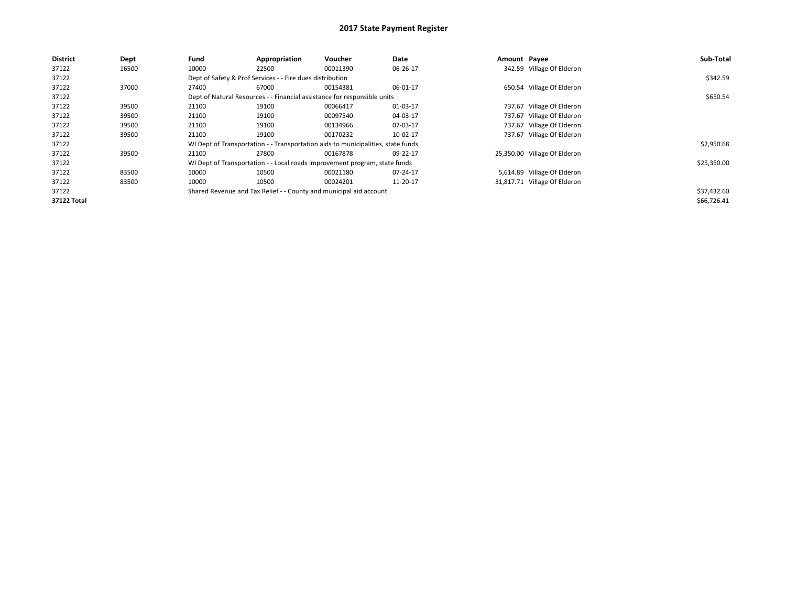| <b>District</b> | Dept  | Fund  | Appropriation                                                                    | Voucher  | Date     | Amount Payee |                              | Sub-Total   |  |
|-----------------|-------|-------|----------------------------------------------------------------------------------|----------|----------|--------------|------------------------------|-------------|--|
| 37122           | 16500 | 10000 | 22500                                                                            | 00011390 | 06-26-17 |              | 342.59 Village Of Elderon    |             |  |
| 37122           |       |       | Dept of Safety & Prof Services - - Fire dues distribution                        |          |          |              |                              | \$342.59    |  |
| 37122           | 37000 | 27400 | 67000                                                                            | 00154381 | 06-01-17 |              | 650.54 Village Of Elderon    |             |  |
| 37122           |       |       | Dept of Natural Resources - - Financial assistance for responsible units         |          |          |              |                              |             |  |
| 37122           | 39500 | 21100 | 19100                                                                            | 00066417 | 01-03-17 |              | 737.67 Village Of Elderon    |             |  |
| 37122           | 39500 | 21100 | 19100                                                                            | 00097540 | 04-03-17 |              | 737.67 Village Of Elderon    |             |  |
| 37122           | 39500 | 21100 | 19100                                                                            | 00134966 | 07-03-17 |              | 737.67 Village Of Elderon    |             |  |
| 37122           | 39500 | 21100 | 19100                                                                            | 00170232 | 10-02-17 |              | 737.67 Village Of Elderon    |             |  |
| 37122           |       |       | WI Dept of Transportation - - Transportation aids to municipalities, state funds |          |          |              |                              | \$2,950.68  |  |
| 37122           | 39500 | 21100 | 27800                                                                            | 00167878 | 09-22-17 |              | 25,350.00 Village Of Elderon |             |  |
| 37122           |       |       | WI Dept of Transportation - - Local roads improvement program, state funds       |          |          |              |                              | \$25,350.00 |  |
| 37122           | 83500 | 10000 | 10500                                                                            | 00021180 | 07-24-17 |              | 5,614.89 Village Of Elderon  |             |  |
| 37122           | 83500 | 10000 | 10500                                                                            | 00024201 | 11-20-17 |              | 31,817.71 Village Of Elderon |             |  |
| 37122           |       |       | Shared Revenue and Tax Relief - - County and municipal aid account               |          |          |              |                              | \$37,432.60 |  |
| 37122 Total     |       |       |                                                                                  |          |          |              |                              | \$66,726.41 |  |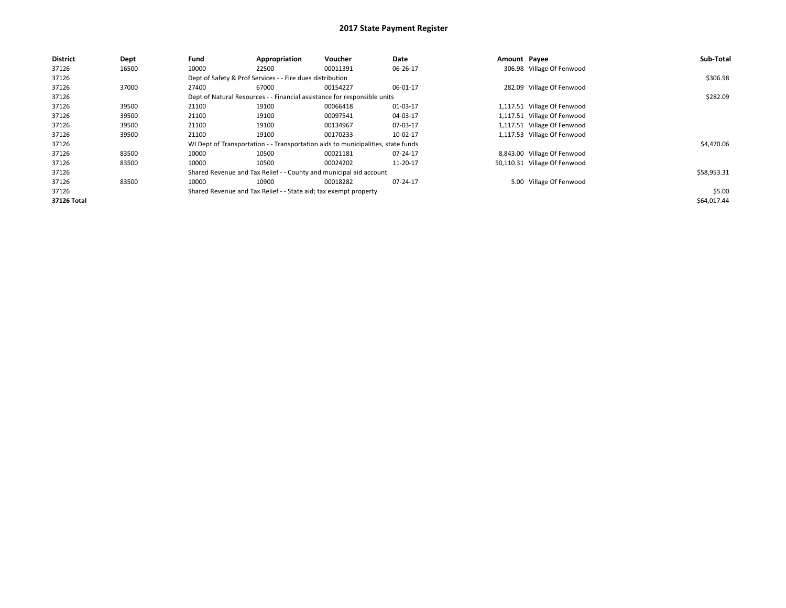| <b>District</b> | Dept  | Fund  | Appropriation                                                                    | Voucher  | Date     | Amount Payee |                              | Sub-Total   |
|-----------------|-------|-------|----------------------------------------------------------------------------------|----------|----------|--------------|------------------------------|-------------|
| 37126           | 16500 | 10000 | 22500                                                                            | 00011391 | 06-26-17 |              | 306.98 Village Of Fenwood    |             |
| 37126           |       |       | Dept of Safety & Prof Services - - Fire dues distribution                        |          |          |              |                              | \$306.98    |
| 37126           | 37000 | 27400 | 67000                                                                            | 00154227 | 06-01-17 |              | 282.09 Village Of Fenwood    |             |
| 37126           |       |       | Dept of Natural Resources - - Financial assistance for responsible units         |          |          |              |                              | \$282.09    |
| 37126           | 39500 | 21100 | 19100                                                                            | 00066418 | 01-03-17 |              | 1,117.51 Village Of Fenwood  |             |
| 37126           | 39500 | 21100 | 19100                                                                            | 00097541 | 04-03-17 |              | 1,117.51 Village Of Fenwood  |             |
| 37126           | 39500 | 21100 | 19100                                                                            | 00134967 | 07-03-17 |              | 1,117.51 Village Of Fenwood  |             |
| 37126           | 39500 | 21100 | 19100                                                                            | 00170233 | 10-02-17 |              | 1,117.53 Village Of Fenwood  |             |
| 37126           |       |       | WI Dept of Transportation - - Transportation aids to municipalities, state funds |          |          |              |                              | \$4,470.06  |
| 37126           | 83500 | 10000 | 10500                                                                            | 00021181 | 07-24-17 |              | 8,843.00 Village Of Fenwood  |             |
| 37126           | 83500 | 10000 | 10500                                                                            | 00024202 | 11-20-17 |              | 50,110.31 Village Of Fenwood |             |
| 37126           |       |       | Shared Revenue and Tax Relief - - County and municipal aid account               |          |          |              |                              | \$58,953.31 |
| 37126           | 83500 | 10000 | 10900                                                                            | 00018282 | 07-24-17 |              | 5.00 Village Of Fenwood      |             |
| 37126           |       |       | Shared Revenue and Tax Relief - - State aid; tax exempt property                 |          |          |              |                              | \$5.00      |
| 37126 Total     |       |       |                                                                                  |          |          |              |                              | \$64,017.44 |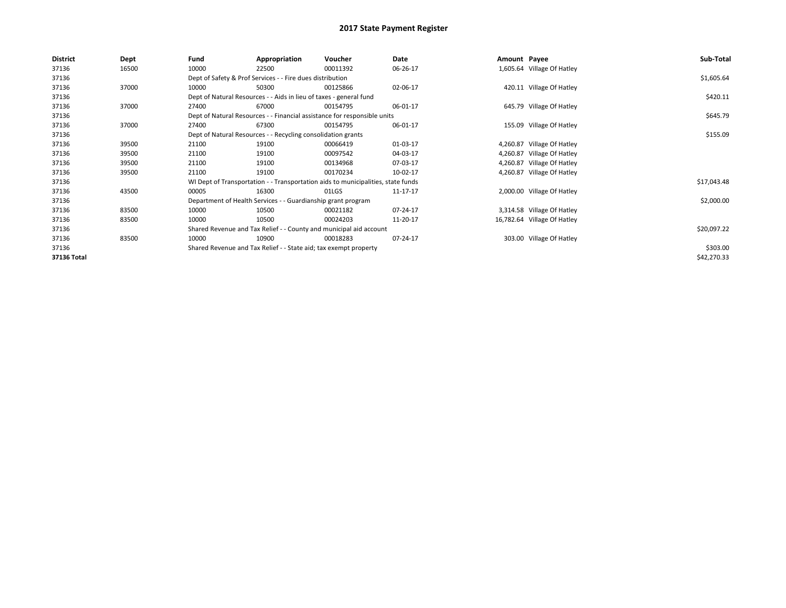| <b>District</b> | Dept  | Fund  | Appropriation                                                                    | Voucher  | Date     | Amount Payee |                             | Sub-Total   |
|-----------------|-------|-------|----------------------------------------------------------------------------------|----------|----------|--------------|-----------------------------|-------------|
| 37136           | 16500 | 10000 | 22500                                                                            | 00011392 | 06-26-17 |              | 1,605.64 Village Of Hatley  |             |
| 37136           |       |       | Dept of Safety & Prof Services - - Fire dues distribution                        |          |          |              |                             | \$1,605.64  |
| 37136           | 37000 | 10000 | 50300                                                                            | 00125866 | 02-06-17 |              | 420.11 Village Of Hatley    |             |
| 37136           |       |       | Dept of Natural Resources - - Aids in lieu of taxes - general fund               |          |          |              |                             | \$420.11    |
| 37136           | 37000 | 27400 | 67000                                                                            | 00154795 | 06-01-17 |              | 645.79 Village Of Hatley    |             |
| 37136           |       |       | Dept of Natural Resources - - Financial assistance for responsible units         |          |          |              |                             | \$645.79    |
| 37136           | 37000 | 27400 | 67300                                                                            | 00154795 | 06-01-17 |              | 155.09 Village Of Hatley    |             |
| 37136           |       |       | Dept of Natural Resources - - Recycling consolidation grants                     |          |          |              |                             | \$155.09    |
| 37136           | 39500 | 21100 | 19100                                                                            | 00066419 | 01-03-17 |              | 4,260.87 Village Of Hatley  |             |
| 37136           | 39500 | 21100 | 19100                                                                            | 00097542 | 04-03-17 |              | 4,260.87 Village Of Hatley  |             |
| 37136           | 39500 | 21100 | 19100                                                                            | 00134968 | 07-03-17 |              | 4,260.87 Village Of Hatley  |             |
| 37136           | 39500 | 21100 | 19100                                                                            | 00170234 | 10-02-17 |              | 4,260.87 Village Of Hatley  |             |
| 37136           |       |       | WI Dept of Transportation - - Transportation aids to municipalities, state funds |          |          |              |                             | \$17,043.48 |
| 37136           | 43500 | 00005 | 16300                                                                            | 01LGS    | 11-17-17 |              | 2,000.00 Village Of Hatley  |             |
| 37136           |       |       | Department of Health Services - - Guardianship grant program                     |          |          |              |                             | \$2,000.00  |
| 37136           | 83500 | 10000 | 10500                                                                            | 00021182 | 07-24-17 |              | 3,314.58 Village Of Hatley  |             |
| 37136           | 83500 | 10000 | 10500                                                                            | 00024203 | 11-20-17 |              | 16,782.64 Village Of Hatley |             |
| 37136           |       |       | Shared Revenue and Tax Relief - - County and municipal aid account               |          |          |              |                             | \$20,097.22 |
| 37136           | 83500 | 10000 | 10900                                                                            | 00018283 | 07-24-17 |              | 303.00 Village Of Hatley    |             |
| 37136           |       |       | Shared Revenue and Tax Relief - - State aid; tax exempt property                 |          |          |              |                             | \$303.00    |
| 37136 Total     |       |       |                                                                                  |          |          |              |                             | \$42,270.33 |
|                 |       |       |                                                                                  |          |          |              |                             |             |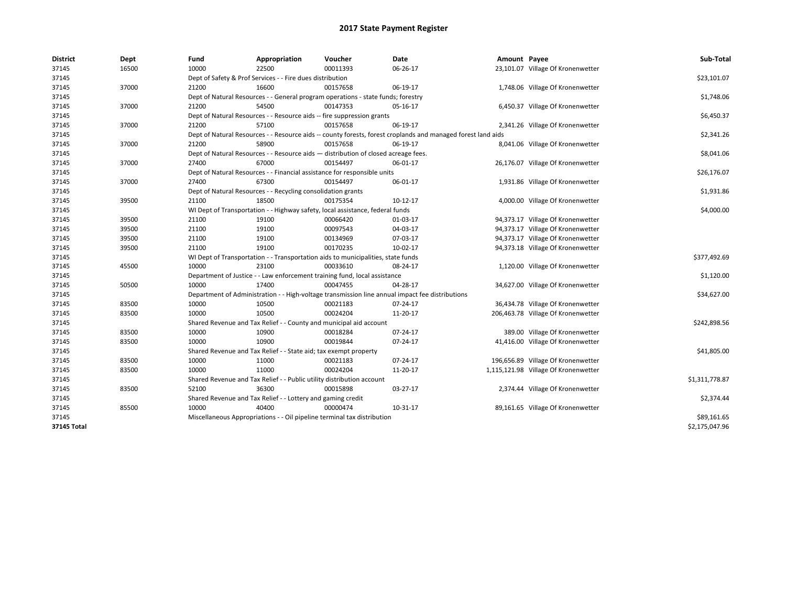| <b>District</b>    | Dept  | Fund  | Appropriation                                                                                                | Voucher  | Date       | Amount Payee |                                      | Sub-Total      |
|--------------------|-------|-------|--------------------------------------------------------------------------------------------------------------|----------|------------|--------------|--------------------------------------|----------------|
| 37145              | 16500 | 10000 | 22500                                                                                                        | 00011393 | 06-26-17   |              | 23,101.07 Village Of Kronenwetter    |                |
| 37145              |       |       | Dept of Safety & Prof Services - - Fire dues distribution                                                    |          |            |              |                                      | \$23,101.07    |
| 37145              | 37000 | 21200 | 16600                                                                                                        | 00157658 | 06-19-17   |              | 1,748.06 Village Of Kronenwetter     |                |
| 37145              |       |       | Dept of Natural Resources - - General program operations - state funds; forestry                             |          |            |              |                                      | \$1,748.06     |
| 37145              | 37000 | 21200 | 54500                                                                                                        | 00147353 | 05-16-17   |              | 6,450.37 Village Of Kronenwetter     |                |
| 37145              |       |       | Dept of Natural Resources - - Resource aids -- fire suppression grants                                       |          |            |              |                                      | \$6,450.37     |
| 37145              | 37000 | 21200 | 57100                                                                                                        | 00157658 | 06-19-17   |              | 2,341.26 Village Of Kronenwetter     |                |
| 37145              |       |       | Dept of Natural Resources - - Resource aids -- county forests, forest croplands and managed forest land aids |          |            |              |                                      | \$2,341.26     |
| 37145              | 37000 | 21200 | 58900                                                                                                        | 00157658 | 06-19-17   |              | 8,041.06 Village Of Kronenwetter     |                |
| 37145              |       |       | Dept of Natural Resources - - Resource aids - distribution of closed acreage fees.                           |          |            |              |                                      | \$8,041.06     |
| 37145              | 37000 | 27400 | 67000                                                                                                        | 00154497 | 06-01-17   |              | 26,176.07 Village Of Kronenwetter    |                |
| 37145              |       |       | Dept of Natural Resources - - Financial assistance for responsible units                                     |          |            |              |                                      | \$26,176.07    |
| 37145              | 37000 | 27400 | 67300                                                                                                        | 00154497 | 06-01-17   |              | 1,931.86 Village Of Kronenwetter     |                |
| 37145              |       |       | Dept of Natural Resources - - Recycling consolidation grants                                                 |          |            |              |                                      | \$1,931.86     |
| 37145              | 39500 | 21100 | 18500                                                                                                        | 00175354 | $10-12-17$ |              | 4,000.00 Village Of Kronenwetter     |                |
| 37145              |       |       | WI Dept of Transportation - - Highway safety, local assistance, federal funds                                |          |            |              |                                      | \$4,000.00     |
| 37145              | 39500 | 21100 | 19100                                                                                                        | 00066420 | 01-03-17   |              | 94,373.17 Village Of Kronenwetter    |                |
| 37145              | 39500 | 21100 | 19100                                                                                                        | 00097543 | 04-03-17   |              | 94,373.17 Village Of Kronenwetter    |                |
| 37145              | 39500 | 21100 | 19100                                                                                                        | 00134969 | 07-03-17   |              | 94,373.17 Village Of Kronenwetter    |                |
| 37145              | 39500 | 21100 | 19100                                                                                                        | 00170235 | 10-02-17   |              | 94,373.18 Village Of Kronenwetter    |                |
| 37145              |       |       | WI Dept of Transportation - - Transportation aids to municipalities, state funds                             |          |            |              |                                      | \$377,492.69   |
| 37145              | 45500 | 10000 | 23100                                                                                                        | 00033610 | 08-24-17   |              | 1,120.00 Village Of Kronenwetter     |                |
| 37145              |       |       | Department of Justice - - Law enforcement training fund, local assistance                                    |          |            |              |                                      | \$1,120.00     |
| 37145              | 50500 | 10000 | 17400                                                                                                        | 00047455 | 04-28-17   |              | 34,627.00 Village Of Kronenwetter    |                |
| 37145              |       |       | Department of Administration - - High-voltage transmission line annual impact fee distributions              |          |            |              |                                      | \$34,627.00    |
| 37145              | 83500 | 10000 | 10500                                                                                                        | 00021183 | 07-24-17   |              | 36,434.78 Village Of Kronenwetter    |                |
| 37145              | 83500 | 10000 | 10500                                                                                                        | 00024204 | 11-20-17   |              | 206,463.78 Village Of Kronenwetter   |                |
| 37145              |       |       | Shared Revenue and Tax Relief - - County and municipal aid account                                           |          |            |              |                                      | \$242,898.56   |
| 37145              | 83500 | 10000 | 10900                                                                                                        | 00018284 | 07-24-17   |              | 389.00 Village Of Kronenwetter       |                |
| 37145              | 83500 | 10000 | 10900                                                                                                        | 00019844 | 07-24-17   |              | 41,416.00 Village Of Kronenwetter    |                |
| 37145              |       |       | Shared Revenue and Tax Relief - - State aid; tax exempt property                                             |          |            |              |                                      | \$41,805.00    |
| 37145              | 83500 | 10000 | 11000                                                                                                        | 00021183 | 07-24-17   |              | 196,656.89 Village Of Kronenwetter   |                |
| 37145              | 83500 | 10000 | 11000                                                                                                        | 00024204 | 11-20-17   |              | 1,115,121.98 Village Of Kronenwetter |                |
| 37145              |       |       | Shared Revenue and Tax Relief - - Public utility distribution account                                        |          |            |              |                                      | \$1,311,778.87 |
| 37145              | 83500 | 52100 | 36300                                                                                                        | 00015898 | 03-27-17   |              | 2,374.44 Village Of Kronenwetter     |                |
| 37145              |       |       | Shared Revenue and Tax Relief - - Lottery and gaming credit                                                  |          |            |              |                                      | \$2,374.44     |
| 37145              | 85500 | 10000 | 40400                                                                                                        | 00000474 | 10-31-17   |              | 89,161.65 Village Of Kronenwetter    |                |
| 37145              |       |       | Miscellaneous Appropriations - - Oil pipeline terminal tax distribution                                      |          |            |              |                                      | \$89,161.65    |
| <b>37145 Total</b> |       |       |                                                                                                              |          |            |              |                                      | \$2,175,047.96 |
|                    |       |       |                                                                                                              |          |            |              |                                      |                |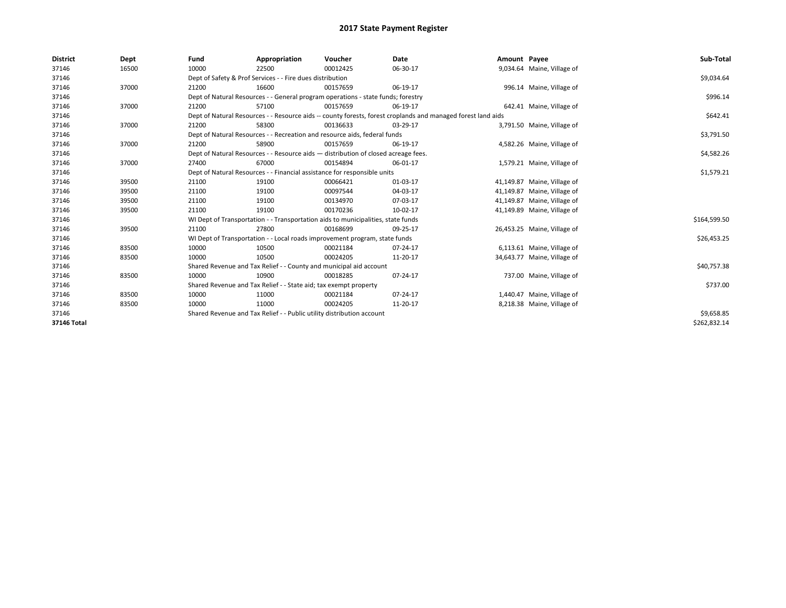| <b>District</b> | Dept  | Fund                                                                             | Appropriation                                                                      | Voucher  | Date                                                                                                         | Amount Payee |                             | Sub-Total    |
|-----------------|-------|----------------------------------------------------------------------------------|------------------------------------------------------------------------------------|----------|--------------------------------------------------------------------------------------------------------------|--------------|-----------------------------|--------------|
| 37146           | 16500 | 10000                                                                            | 22500                                                                              | 00012425 | 06-30-17                                                                                                     |              | 9,034.64 Maine, Village of  |              |
| 37146           |       |                                                                                  | Dept of Safety & Prof Services - - Fire dues distribution                          |          |                                                                                                              |              |                             | \$9,034.64   |
| 37146           | 37000 | 21200                                                                            | 16600                                                                              | 00157659 | 06-19-17                                                                                                     |              | 996.14 Maine, Village of    |              |
| 37146           |       | Dept of Natural Resources - - General program operations - state funds; forestry |                                                                                    | \$996.14 |                                                                                                              |              |                             |              |
| 37146           | 37000 | 21200                                                                            | 57100                                                                              | 00157659 | 06-19-17                                                                                                     |              | 642.41 Maine, Village of    |              |
| 37146           |       |                                                                                  |                                                                                    |          | Dept of Natural Resources - - Resource aids -- county forests, forest croplands and managed forest land aids |              |                             | \$642.41     |
| 37146           | 37000 | 21200                                                                            | 58300                                                                              | 00136633 | 03-29-17                                                                                                     |              | 3,791.50 Maine, Village of  |              |
| 37146           |       |                                                                                  | Dept of Natural Resources - - Recreation and resource aids, federal funds          |          |                                                                                                              |              |                             | \$3,791.50   |
| 37146           | 37000 | 21200                                                                            | 58900                                                                              | 00157659 | 06-19-17                                                                                                     |              | 4,582.26 Maine, Village of  |              |
| 37146           |       |                                                                                  | Dept of Natural Resources - - Resource aids - distribution of closed acreage fees. |          |                                                                                                              |              |                             | \$4,582.26   |
| 37146           | 37000 | 27400                                                                            | 67000                                                                              | 00154894 | 06-01-17                                                                                                     |              | 1,579.21 Maine, Village of  |              |
| 37146           |       |                                                                                  | Dept of Natural Resources - - Financial assistance for responsible units           |          |                                                                                                              |              |                             | \$1,579.21   |
| 37146           | 39500 | 21100                                                                            | 19100                                                                              | 00066421 | 01-03-17                                                                                                     |              | 41,149.87 Maine, Village of |              |
| 37146           | 39500 | 21100                                                                            | 19100                                                                              | 00097544 | 04-03-17                                                                                                     |              | 41,149.87 Maine, Village of |              |
| 37146           | 39500 | 21100                                                                            | 19100                                                                              | 00134970 | 07-03-17                                                                                                     |              | 41,149.87 Maine, Village of |              |
| 37146           | 39500 | 21100                                                                            | 19100                                                                              | 00170236 | 10-02-17                                                                                                     |              | 41,149.89 Maine, Village of |              |
| 37146           |       |                                                                                  | WI Dept of Transportation - - Transportation aids to municipalities, state funds   |          |                                                                                                              |              |                             | \$164,599.50 |
| 37146           | 39500 | 21100                                                                            | 27800                                                                              | 00168699 | 09-25-17                                                                                                     |              | 26,453.25 Maine, Village of |              |
| 37146           |       |                                                                                  | WI Dept of Transportation - - Local roads improvement program, state funds         |          |                                                                                                              |              |                             | \$26,453.25  |
| 37146           | 83500 | 10000                                                                            | 10500                                                                              | 00021184 | 07-24-17                                                                                                     |              | 6,113.61 Maine, Village of  |              |
| 37146           | 83500 | 10000                                                                            | 10500                                                                              | 00024205 | 11-20-17                                                                                                     |              | 34,643.77 Maine, Village of |              |
| 37146           |       |                                                                                  | Shared Revenue and Tax Relief - - County and municipal aid account                 |          |                                                                                                              |              |                             | \$40,757.38  |
| 37146           | 83500 | 10000                                                                            | 10900                                                                              | 00018285 | 07-24-17                                                                                                     |              | 737.00 Maine, Village of    |              |
| 37146           |       |                                                                                  | Shared Revenue and Tax Relief - - State aid; tax exempt property                   |          |                                                                                                              |              |                             | \$737.00     |
| 37146           | 83500 | 10000                                                                            | 11000                                                                              | 00021184 | 07-24-17                                                                                                     |              | 1,440.47 Maine, Village of  |              |
| 37146           | 83500 | 10000                                                                            | 11000                                                                              | 00024205 | 11-20-17                                                                                                     |              | 8,218.38 Maine, Village of  |              |
| 37146           |       |                                                                                  | Shared Revenue and Tax Relief - - Public utility distribution account              |          |                                                                                                              |              |                             | \$9,658.85   |
| 37146 Total     |       |                                                                                  |                                                                                    |          |                                                                                                              |              |                             | \$262,832.14 |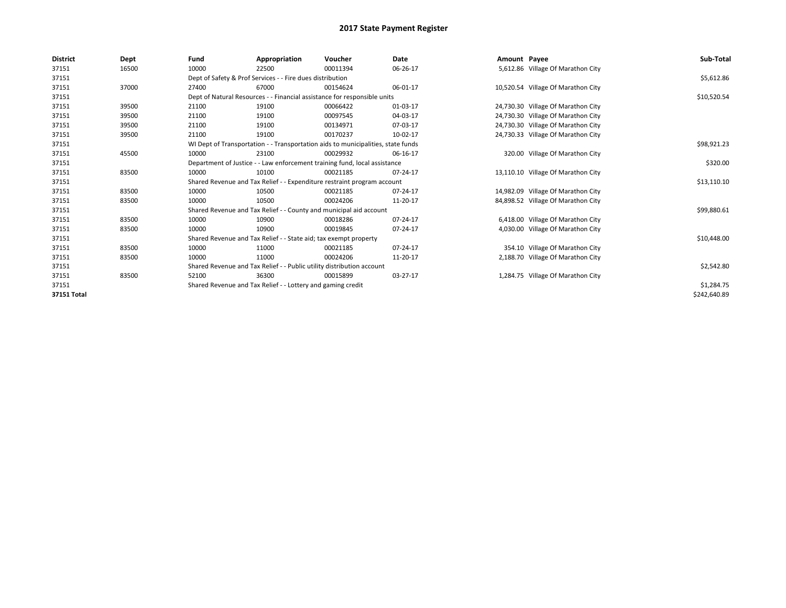| <b>District</b>    | Dept  | Fund  | Appropriation                                                                    | Voucher  | Date     | Amount Payee |                                    | Sub-Total    |  |  |
|--------------------|-------|-------|----------------------------------------------------------------------------------|----------|----------|--------------|------------------------------------|--------------|--|--|
| 37151              | 16500 | 10000 | 22500                                                                            | 00011394 | 06-26-17 |              | 5,612.86 Village Of Marathon City  |              |  |  |
| 37151              |       |       | Dept of Safety & Prof Services - - Fire dues distribution                        |          |          |              |                                    | \$5,612.86   |  |  |
| 37151              | 37000 | 27400 | 67000                                                                            | 00154624 | 06-01-17 |              | 10,520.54 Village Of Marathon City |              |  |  |
| 37151              |       |       | Dept of Natural Resources - - Financial assistance for responsible units         |          |          |              |                                    | \$10,520.54  |  |  |
| 37151              | 39500 | 21100 | 19100                                                                            | 00066422 | 01-03-17 |              | 24,730.30 Village Of Marathon City |              |  |  |
| 37151              | 39500 | 21100 | 19100                                                                            | 00097545 | 04-03-17 |              | 24,730.30 Village Of Marathon City |              |  |  |
| 37151              | 39500 | 21100 | 19100                                                                            | 00134971 | 07-03-17 |              | 24,730.30 Village Of Marathon City |              |  |  |
| 37151              | 39500 | 21100 | 19100                                                                            | 00170237 | 10-02-17 |              | 24,730.33 Village Of Marathon City |              |  |  |
| 37151              |       |       | WI Dept of Transportation - - Transportation aids to municipalities, state funds |          |          |              |                                    | \$98,921.23  |  |  |
| 37151              | 45500 | 10000 | 23100                                                                            | 00029932 | 06-16-17 |              | 320.00 Village Of Marathon City    |              |  |  |
| 37151              |       |       | Department of Justice - - Law enforcement training fund, local assistance        |          |          |              |                                    |              |  |  |
| 37151              | 83500 | 10000 | 10100                                                                            | 00021185 | 07-24-17 |              | 13,110.10 Village Of Marathon City |              |  |  |
| 37151              |       |       | Shared Revenue and Tax Relief - - Expenditure restraint program account          |          |          |              |                                    | \$13,110.10  |  |  |
| 37151              | 83500 | 10000 | 10500                                                                            | 00021185 | 07-24-17 |              | 14,982.09 Village Of Marathon City |              |  |  |
| 37151              | 83500 | 10000 | 10500                                                                            | 00024206 | 11-20-17 |              | 84,898.52 Village Of Marathon City |              |  |  |
| 37151              |       |       | Shared Revenue and Tax Relief - - County and municipal aid account               |          |          |              |                                    | \$99,880.61  |  |  |
| 37151              | 83500 | 10000 | 10900                                                                            | 00018286 | 07-24-17 |              | 6,418.00 Village Of Marathon City  |              |  |  |
| 37151              | 83500 | 10000 | 10900                                                                            | 00019845 | 07-24-17 |              | 4,030.00 Village Of Marathon City  |              |  |  |
| 37151              |       |       | Shared Revenue and Tax Relief - - State aid; tax exempt property                 |          |          |              |                                    | \$10,448.00  |  |  |
| 37151              | 83500 | 10000 | 11000                                                                            | 00021185 | 07-24-17 |              | 354.10 Village Of Marathon City    |              |  |  |
| 37151              | 83500 | 10000 | 11000                                                                            | 00024206 | 11-20-17 |              | 2,188.70 Village Of Marathon City  |              |  |  |
| 37151              |       |       | Shared Revenue and Tax Relief - - Public utility distribution account            |          |          |              |                                    | \$2,542.80   |  |  |
| 37151              | 83500 | 52100 | 36300                                                                            | 00015899 | 03-27-17 |              | 1,284.75 Village Of Marathon City  |              |  |  |
| 37151              |       |       | Shared Revenue and Tax Relief - - Lottery and gaming credit                      |          |          |              |                                    | \$1,284.75   |  |  |
| <b>37151 Total</b> |       |       |                                                                                  |          |          |              |                                    | \$242,640.89 |  |  |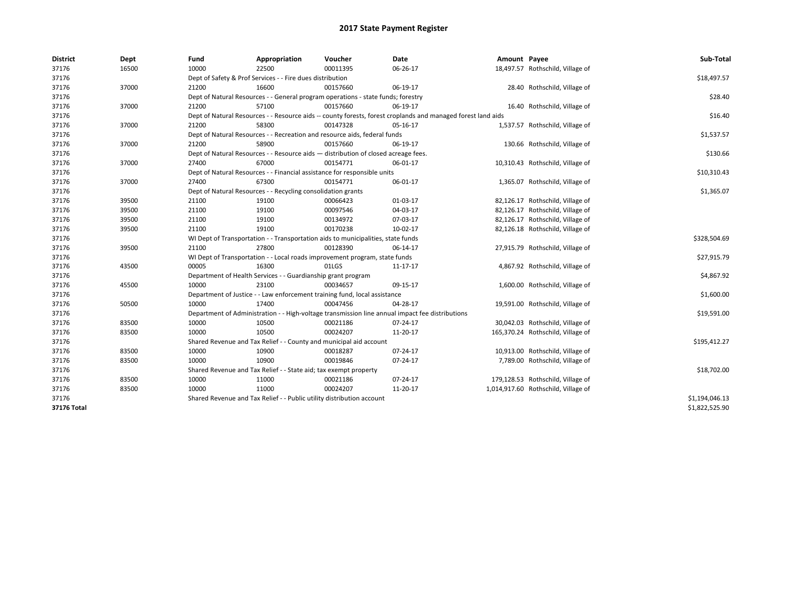| <b>District</b> | Dept  | Fund  | Appropriation                                                                                                | Voucher  | Date     | Amount Payee |                                     | Sub-Total      |
|-----------------|-------|-------|--------------------------------------------------------------------------------------------------------------|----------|----------|--------------|-------------------------------------|----------------|
| 37176           | 16500 | 10000 | 22500                                                                                                        | 00011395 | 06-26-17 |              | 18,497.57 Rothschild, Village of    |                |
| 37176           |       |       | Dept of Safety & Prof Services - - Fire dues distribution                                                    |          |          |              |                                     | \$18,497.57    |
| 37176           | 37000 | 21200 | 16600                                                                                                        | 00157660 | 06-19-17 |              | 28.40 Rothschild, Village of        |                |
| 37176           |       |       | Dept of Natural Resources - - General program operations - state funds; forestry                             |          |          |              |                                     | \$28.40        |
| 37176           | 37000 | 21200 | 57100                                                                                                        | 00157660 | 06-19-17 |              | 16.40 Rothschild, Village of        |                |
| 37176           |       |       | Dept of Natural Resources - - Resource aids -- county forests, forest croplands and managed forest land aids |          |          |              |                                     | \$16.40        |
| 37176           | 37000 | 21200 | 58300                                                                                                        | 00147328 | 05-16-17 |              | 1,537.57 Rothschild, Village of     |                |
| 37176           |       |       | Dept of Natural Resources - - Recreation and resource aids, federal funds                                    |          |          |              |                                     | \$1,537.57     |
| 37176           | 37000 | 21200 | 58900                                                                                                        | 00157660 | 06-19-17 |              | 130.66 Rothschild, Village of       |                |
| 37176           |       |       | Dept of Natural Resources - - Resource aids - distribution of closed acreage fees.                           |          |          |              |                                     | \$130.66       |
| 37176           | 37000 | 27400 | 67000                                                                                                        | 00154771 | 06-01-17 |              | 10,310.43 Rothschild, Village of    |                |
| 37176           |       |       | Dept of Natural Resources - - Financial assistance for responsible units                                     |          |          |              |                                     | \$10,310.43    |
| 37176           | 37000 | 27400 | 67300                                                                                                        | 00154771 | 06-01-17 |              | 1,365.07 Rothschild, Village of     |                |
| 37176           |       |       | Dept of Natural Resources - - Recycling consolidation grants                                                 |          |          |              |                                     | \$1,365.07     |
| 37176           | 39500 | 21100 | 19100                                                                                                        | 00066423 | 01-03-17 |              | 82,126.17 Rothschild, Village of    |                |
| 37176           | 39500 | 21100 | 19100                                                                                                        | 00097546 | 04-03-17 |              | 82,126.17 Rothschild, Village of    |                |
| 37176           | 39500 | 21100 | 19100                                                                                                        | 00134972 | 07-03-17 |              | 82,126.17 Rothschild, Village of    |                |
| 37176           | 39500 | 21100 | 19100                                                                                                        | 00170238 | 10-02-17 |              | 82,126.18 Rothschild, Village of    |                |
| 37176           |       |       | WI Dept of Transportation - - Transportation aids to municipalities, state funds                             |          |          |              |                                     | \$328,504.69   |
| 37176           | 39500 | 21100 | 27800                                                                                                        | 00128390 | 06-14-17 |              | 27,915.79 Rothschild, Village of    |                |
| 37176           |       |       | WI Dept of Transportation - - Local roads improvement program, state funds                                   |          |          |              |                                     | \$27,915.79    |
| 37176           | 43500 | 00005 | 16300                                                                                                        | 01LGS    | 11-17-17 |              | 4,867.92 Rothschild, Village of     |                |
| 37176           |       |       | Department of Health Services - - Guardianship grant program                                                 |          |          |              |                                     | \$4,867.92     |
| 37176           | 45500 | 10000 | 23100                                                                                                        | 00034657 | 09-15-17 |              | 1,600.00 Rothschild, Village of     |                |
| 37176           |       |       | Department of Justice - - Law enforcement training fund, local assistance                                    |          |          |              |                                     | \$1,600.00     |
| 37176           | 50500 | 10000 | 17400                                                                                                        | 00047456 | 04-28-17 |              | 19,591.00 Rothschild, Village of    |                |
| 37176           |       |       | Department of Administration - - High-voltage transmission line annual impact fee distributions              |          |          |              |                                     | \$19,591.00    |
| 37176           | 83500 | 10000 | 10500                                                                                                        | 00021186 | 07-24-17 |              | 30,042.03 Rothschild, Village of    |                |
| 37176           | 83500 | 10000 | 10500                                                                                                        | 00024207 | 11-20-17 |              | 165,370.24 Rothschild, Village of   |                |
| 37176           |       |       | Shared Revenue and Tax Relief - - County and municipal aid account                                           |          |          |              |                                     | \$195,412.27   |
| 37176           | 83500 | 10000 | 10900                                                                                                        | 00018287 | 07-24-17 |              | 10,913.00 Rothschild, Village of    |                |
| 37176           | 83500 | 10000 | 10900                                                                                                        | 00019846 | 07-24-17 |              | 7,789.00 Rothschild, Village of     |                |
| 37176           |       |       | Shared Revenue and Tax Relief - - State aid; tax exempt property                                             |          |          |              |                                     | \$18,702.00    |
| 37176           | 83500 | 10000 | 11000                                                                                                        | 00021186 | 07-24-17 |              | 179,128.53 Rothschild, Village of   |                |
| 37176           | 83500 | 10000 | 11000                                                                                                        | 00024207 | 11-20-17 |              | 1,014,917.60 Rothschild, Village of |                |
| 37176           |       |       | Shared Revenue and Tax Relief - - Public utility distribution account                                        |          |          |              |                                     | \$1,194,046.13 |
| 37176 Total     |       |       |                                                                                                              |          |          |              |                                     | \$1,822,525.90 |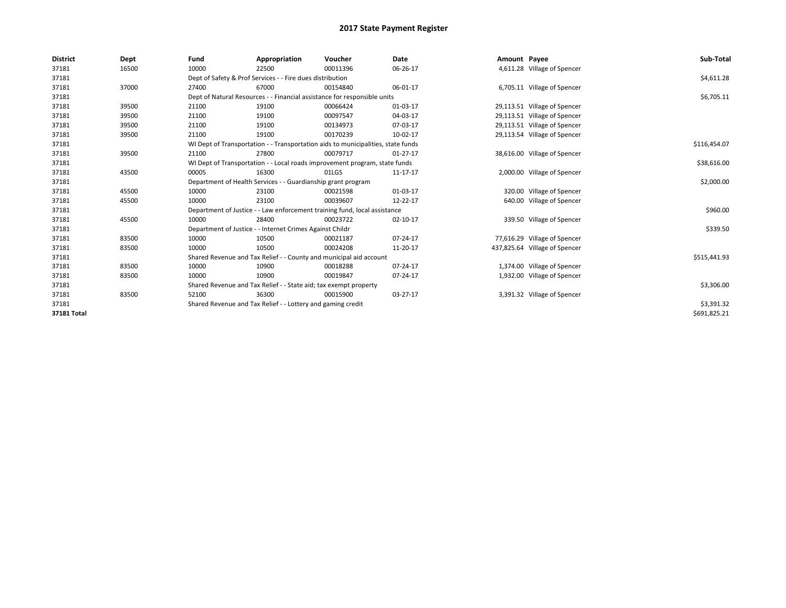| <b>District</b> | Dept  | Fund  | Appropriation                                                    | Voucher                                                                          | Date           | Amount Payee |                               | Sub-Total    |
|-----------------|-------|-------|------------------------------------------------------------------|----------------------------------------------------------------------------------|----------------|--------------|-------------------------------|--------------|
| 37181           | 16500 | 10000 | 22500                                                            | 00011396                                                                         | 06-26-17       |              | 4,611.28 Village of Spencer   |              |
| 37181           |       |       | Dept of Safety & Prof Services - - Fire dues distribution        |                                                                                  |                |              |                               | \$4,611.28   |
| 37181           | 37000 | 27400 | 67000                                                            | 00154840                                                                         | 06-01-17       |              | 6,705.11 Village of Spencer   |              |
| 37181           |       |       |                                                                  | Dept of Natural Resources - - Financial assistance for responsible units         |                |              |                               | \$6,705.11   |
| 37181           | 39500 | 21100 | 19100                                                            | 00066424                                                                         | 01-03-17       |              | 29,113.51 Village of Spencer  |              |
| 37181           | 39500 | 21100 | 19100                                                            | 00097547                                                                         | 04-03-17       |              | 29,113.51 Village of Spencer  |              |
| 37181           | 39500 | 21100 | 19100                                                            | 00134973                                                                         | 07-03-17       |              | 29,113.51 Village of Spencer  |              |
| 37181           | 39500 | 21100 | 19100                                                            | 00170239                                                                         | 10-02-17       |              | 29,113.54 Village of Spencer  |              |
| 37181           |       |       |                                                                  | WI Dept of Transportation - - Transportation aids to municipalities, state funds |                |              |                               | \$116,454.07 |
| 37181           | 39500 | 21100 | 27800                                                            | 00079717                                                                         | $01 - 27 - 17$ |              | 38,616.00 Village of Spencer  |              |
| 37181           |       |       |                                                                  | WI Dept of Transportation - - Local roads improvement program, state funds       |                |              |                               | \$38,616.00  |
| 37181           | 43500 | 00005 | 16300                                                            | 01LGS                                                                            | 11-17-17       |              | 2,000.00 Village of Spencer   |              |
| 37181           |       |       | Department of Health Services - - Guardianship grant program     |                                                                                  |                |              |                               | \$2,000.00   |
| 37181           | 45500 | 10000 | 23100                                                            | 00021598                                                                         | 01-03-17       |              | 320.00 Village of Spencer     |              |
| 37181           | 45500 | 10000 | 23100                                                            | 00039607                                                                         | 12-22-17       |              | 640.00 Village of Spencer     |              |
| 37181           |       |       |                                                                  | Department of Justice - - Law enforcement training fund, local assistance        |                |              |                               | \$960.00     |
| 37181           | 45500 | 10000 | 28400                                                            | 00023722                                                                         | 02-10-17       |              | 339.50 Village of Spencer     |              |
| 37181           |       |       | Department of Justice - - Internet Crimes Against Childr         |                                                                                  |                |              |                               | \$339.50     |
| 37181           | 83500 | 10000 | 10500                                                            | 00021187                                                                         | $07 - 24 - 17$ |              | 77,616.29 Village of Spencer  |              |
| 37181           | 83500 | 10000 | 10500                                                            | 00024208                                                                         | 11-20-17       |              | 437,825.64 Village of Spencer |              |
| 37181           |       |       |                                                                  | Shared Revenue and Tax Relief - - County and municipal aid account               |                |              |                               | \$515,441.93 |
| 37181           | 83500 | 10000 | 10900                                                            | 00018288                                                                         | $07 - 24 - 17$ |              | 1,374.00 Village of Spencer   |              |
| 37181           | 83500 | 10000 | 10900                                                            | 00019847                                                                         | 07-24-17       |              | 1,932.00 Village of Spencer   |              |
| 37181           |       |       | Shared Revenue and Tax Relief - - State aid; tax exempt property |                                                                                  |                |              |                               | \$3,306.00   |
| 37181           | 83500 | 52100 | 36300                                                            | 00015900                                                                         | 03-27-17       |              | 3,391.32 Village of Spencer   |              |
| 37181           |       |       | Shared Revenue and Tax Relief - - Lottery and gaming credit      |                                                                                  |                |              |                               | \$3,391.32   |
| 37181 Total     |       |       |                                                                  |                                                                                  |                |              |                               | \$691,825.21 |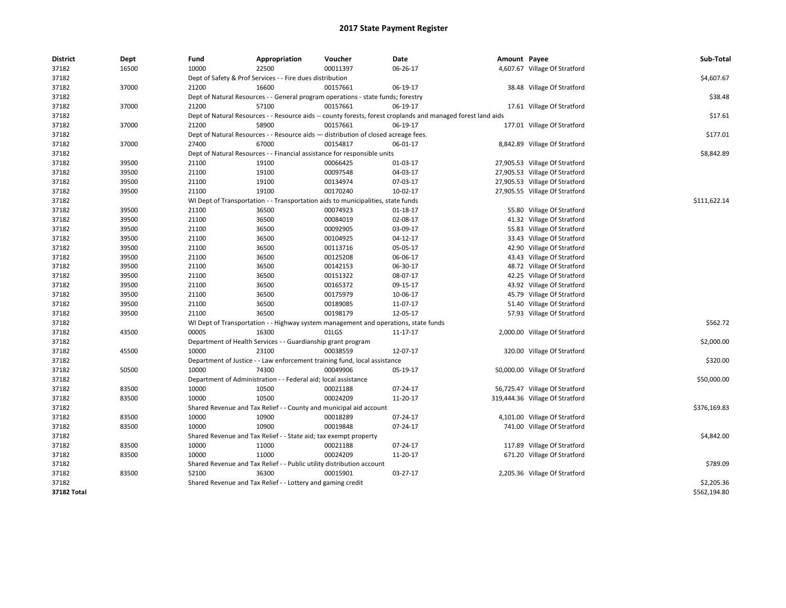| <b>District</b> | Dept  | Fund  | Appropriation                                                                       | Voucher  | <b>Date</b>                                                                                                  | Amount Payee |                                 | Sub-Total    |
|-----------------|-------|-------|-------------------------------------------------------------------------------------|----------|--------------------------------------------------------------------------------------------------------------|--------------|---------------------------------|--------------|
| 37182           | 16500 | 10000 | 22500                                                                               | 00011397 | 06-26-17                                                                                                     |              | 4,607.67 Village Of Stratford   |              |
| 37182           |       |       | Dept of Safety & Prof Services - - Fire dues distribution                           |          |                                                                                                              |              |                                 | \$4,607.67   |
| 37182           | 37000 | 21200 | 16600                                                                               | 00157661 | 06-19-17                                                                                                     |              | 38.48 Village Of Stratford      |              |
| 37182           |       |       | Dept of Natural Resources - - General program operations - state funds; forestry    |          |                                                                                                              |              |                                 | \$38.48      |
| 37182           | 37000 | 21200 | 57100                                                                               | 00157661 | 06-19-17                                                                                                     |              | 17.61 Village Of Stratford      |              |
| 37182           |       |       |                                                                                     |          | Dept of Natural Resources - - Resource aids -- county forests, forest croplands and managed forest land aids |              |                                 | \$17.61      |
| 37182           | 37000 | 21200 | 58900                                                                               | 00157661 | 06-19-17                                                                                                     |              | 177.01 Village Of Stratford     |              |
| 37182           |       |       | Dept of Natural Resources - - Resource aids - distribution of closed acreage fees.  |          |                                                                                                              |              |                                 | \$177.01     |
| 37182           | 37000 | 27400 | 67000                                                                               | 00154817 | 06-01-17                                                                                                     |              | 8,842.89 Village Of Stratford   |              |
| 37182           |       |       | Dept of Natural Resources - - Financial assistance for responsible units            |          |                                                                                                              |              |                                 | \$8,842.89   |
| 37182           | 39500 | 21100 | 19100                                                                               | 00066425 | 01-03-17                                                                                                     |              | 27,905.53 Village Of Stratford  |              |
| 37182           | 39500 | 21100 | 19100                                                                               | 00097548 | 04-03-17                                                                                                     |              | 27,905.53 Village Of Stratford  |              |
| 37182           | 39500 | 21100 | 19100                                                                               | 00134974 | 07-03-17                                                                                                     |              | 27,905.53 Village Of Stratford  |              |
| 37182           | 39500 | 21100 | 19100                                                                               | 00170240 | 10-02-17                                                                                                     |              | 27,905.55 Village Of Stratford  |              |
| 37182           |       |       | WI Dept of Transportation - - Transportation aids to municipalities, state funds    |          |                                                                                                              |              |                                 | \$111,622.14 |
| 37182           | 39500 | 21100 | 36500                                                                               | 00074923 | $01-18-17$                                                                                                   |              | 55.80 Village Of Stratford      |              |
| 37182           | 39500 | 21100 | 36500                                                                               | 00084019 | 02-08-17                                                                                                     |              | 41.32 Village Of Stratford      |              |
| 37182           | 39500 | 21100 | 36500                                                                               | 00092905 | 03-09-17                                                                                                     |              | 55.83 Village Of Stratford      |              |
| 37182           | 39500 | 21100 | 36500                                                                               | 00104925 | 04-12-17                                                                                                     |              | 33.43 Village Of Stratford      |              |
| 37182           | 39500 | 21100 | 36500                                                                               | 00113716 | 05-05-17                                                                                                     |              | 42.90 Village Of Stratford      |              |
| 37182           | 39500 | 21100 | 36500                                                                               | 00125208 | 06-06-17                                                                                                     |              | 43.43 Village Of Stratford      |              |
| 37182           | 39500 | 21100 | 36500                                                                               | 00142153 | 06-30-17                                                                                                     |              | 48.72 Village Of Stratford      |              |
| 37182           | 39500 | 21100 | 36500                                                                               | 00151322 | 08-07-17                                                                                                     |              | 42.25 Village Of Stratford      |              |
| 37182           | 39500 | 21100 | 36500                                                                               | 00165372 | 09-15-17                                                                                                     |              | 43.92 Village Of Stratford      |              |
| 37182           | 39500 | 21100 | 36500                                                                               | 00175979 | 10-06-17                                                                                                     |              | 45.79 Village Of Stratford      |              |
| 37182           | 39500 | 21100 | 36500                                                                               | 00189085 | 11-07-17                                                                                                     |              | 51.40 Village Of Stratford      |              |
| 37182           | 39500 | 21100 | 36500                                                                               | 00198179 | 12-05-17                                                                                                     |              | 57.93 Village Of Stratford      |              |
| 37182           |       |       | WI Dept of Transportation - - Highway system management and operations, state funds |          |                                                                                                              |              |                                 | \$562.72     |
| 37182           | 43500 | 00005 | 16300                                                                               | 01LGS    | 11-17-17                                                                                                     |              | 2,000.00 Village Of Stratford   |              |
| 37182           |       |       | Department of Health Services - - Guardianship grant program                        |          |                                                                                                              |              |                                 | \$2,000.00   |
| 37182           | 45500 | 10000 | 23100                                                                               | 00038559 | 12-07-17                                                                                                     |              | 320.00 Village Of Stratford     |              |
| 37182           |       |       | Department of Justice - - Law enforcement training fund, local assistance           |          |                                                                                                              |              |                                 | \$320.00     |
| 37182           | 50500 | 10000 | 74300                                                                               | 00049906 | 05-19-17                                                                                                     |              | 50,000.00 Village Of Stratford  |              |
| 37182           |       |       | Department of Administration - - Federal aid; local assistance                      |          |                                                                                                              |              |                                 | \$50,000.00  |
| 37182           | 83500 | 10000 | 10500                                                                               | 00021188 | 07-24-17                                                                                                     |              | 56,725.47 Village Of Stratford  |              |
| 37182           | 83500 | 10000 | 10500                                                                               | 00024209 | 11-20-17                                                                                                     |              | 319,444.36 Village Of Stratford |              |
| 37182           |       |       | Shared Revenue and Tax Relief - - County and municipal aid account                  |          |                                                                                                              |              |                                 | \$376,169.83 |
| 37182           | 83500 | 10000 | 10900                                                                               | 00018289 | 07-24-17                                                                                                     |              | 4,101.00 Village Of Stratford   |              |
| 37182           | 83500 | 10000 | 10900                                                                               | 00019848 | 07-24-17                                                                                                     |              | 741.00 Village Of Stratford     |              |
| 37182           |       |       | Shared Revenue and Tax Relief - - State aid; tax exempt property                    |          |                                                                                                              |              |                                 | \$4,842.00   |
| 37182           | 83500 | 10000 | 11000                                                                               | 00021188 | 07-24-17                                                                                                     |              | 117.89 Village Of Stratford     |              |
| 37182           | 83500 | 10000 | 11000                                                                               | 00024209 | 11-20-17                                                                                                     |              | 671.20 Village Of Stratford     |              |
| 37182           |       |       | Shared Revenue and Tax Relief - - Public utility distribution account               |          |                                                                                                              |              |                                 | \$789.09     |
| 37182           | 83500 | 52100 | 36300                                                                               | 00015901 | 03-27-17                                                                                                     |              | 2,205.36 Village Of Stratford   |              |
| 37182           |       |       | Shared Revenue and Tax Relief - - Lottery and gaming credit                         |          |                                                                                                              |              |                                 | \$2,205.36   |
| 37182 Total     |       |       |                                                                                     |          |                                                                                                              |              |                                 | \$562,194.80 |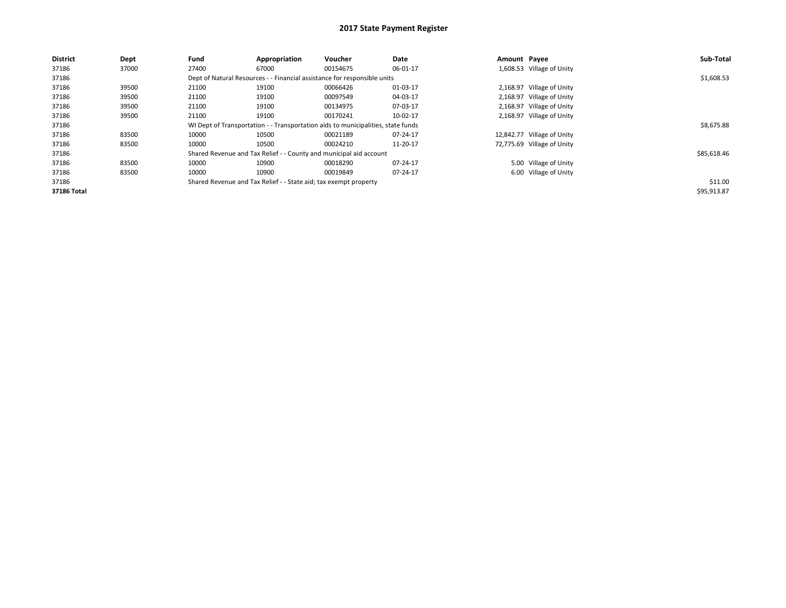| <b>District</b> | Dept  | Fund  | Appropriation                                                                    | Voucher                                                                  | Date     | Amount Payee |                            | Sub-Total   |  |  |  |
|-----------------|-------|-------|----------------------------------------------------------------------------------|--------------------------------------------------------------------------|----------|--------------|----------------------------|-------------|--|--|--|
| 37186           | 37000 | 27400 | 67000                                                                            | 00154675                                                                 | 06-01-17 |              | 1,608.53 Village of Unity  |             |  |  |  |
| 37186           |       |       |                                                                                  | Dept of Natural Resources - - Financial assistance for responsible units |          |              |                            | \$1,608.53  |  |  |  |
| 37186           | 39500 | 21100 | 19100                                                                            | 00066426                                                                 | 01-03-17 |              | 2,168.97 Village of Unity  |             |  |  |  |
| 37186           | 39500 | 21100 | 19100                                                                            | 00097549                                                                 | 04-03-17 |              | 2,168.97 Village of Unity  |             |  |  |  |
| 37186           | 39500 | 21100 | 19100                                                                            | 00134975                                                                 | 07-03-17 |              | 2,168.97 Village of Unity  |             |  |  |  |
| 37186           | 39500 | 21100 | 19100                                                                            | 00170241                                                                 | 10-02-17 |              | 2,168.97 Village of Unity  |             |  |  |  |
| 37186           |       |       | WI Dept of Transportation - - Transportation aids to municipalities, state funds |                                                                          |          |              |                            |             |  |  |  |
| 37186           | 83500 | 10000 | 10500                                                                            | 00021189                                                                 | 07-24-17 |              | 12,842.77 Village of Unity |             |  |  |  |
| 37186           | 83500 | 10000 | 10500                                                                            | 00024210                                                                 | 11-20-17 |              | 72,775.69 Village of Unity |             |  |  |  |
| 37186           |       |       |                                                                                  | Shared Revenue and Tax Relief - - County and municipal aid account       |          |              |                            | \$85,618.46 |  |  |  |
| 37186           | 83500 | 10000 | 10900                                                                            | 00018290                                                                 | 07-24-17 |              | 5.00 Village of Unity      |             |  |  |  |
| 37186           | 83500 | 10000 | 10900                                                                            | 00019849                                                                 | 07-24-17 |              | 6.00 Village of Unity      |             |  |  |  |
| 37186           |       |       | Shared Revenue and Tax Relief - - State aid; tax exempt property                 |                                                                          |          |              |                            | \$11.00     |  |  |  |
| 37186 Total     |       |       |                                                                                  |                                                                          |          |              |                            | \$95,913.87 |  |  |  |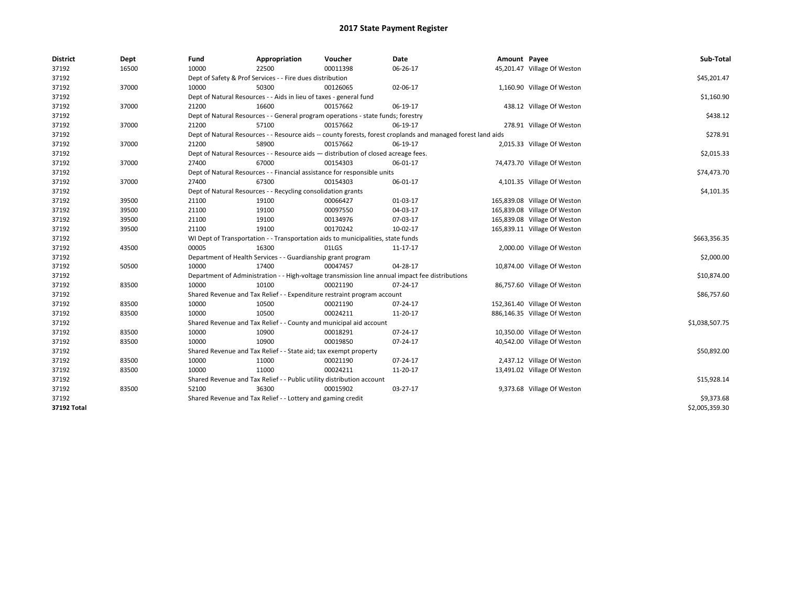| <b>District</b> | Dept  | Fund  | Appropriation                                                                      | Voucher  | Date                                                                                                         | Amount Payee |                              | Sub-Total      |  |  |
|-----------------|-------|-------|------------------------------------------------------------------------------------|----------|--------------------------------------------------------------------------------------------------------------|--------------|------------------------------|----------------|--|--|
| 37192           | 16500 | 10000 | 22500                                                                              | 00011398 | 06-26-17                                                                                                     |              | 45,201.47 Village Of Weston  |                |  |  |
| 37192           |       |       | Dept of Safety & Prof Services - - Fire dues distribution                          |          |                                                                                                              |              |                              | \$45,201.47    |  |  |
| 37192           | 37000 | 10000 | 50300                                                                              | 00126065 | 02-06-17                                                                                                     |              | 1,160.90 Village Of Weston   |                |  |  |
| 37192           |       |       | Dept of Natural Resources - - Aids in lieu of taxes - general fund                 |          |                                                                                                              |              |                              | \$1,160.90     |  |  |
| 37192           | 37000 | 21200 | 16600                                                                              | 00157662 | 06-19-17                                                                                                     |              | 438.12 Village Of Weston     |                |  |  |
| 37192           |       |       | Dept of Natural Resources - - General program operations - state funds; forestry   |          |                                                                                                              |              |                              | \$438.12       |  |  |
| 37192           | 37000 | 21200 | 57100                                                                              | 00157662 | 06-19-17                                                                                                     |              | 278.91 Village Of Weston     |                |  |  |
| 37192           |       |       |                                                                                    |          | Dept of Natural Resources - - Resource aids -- county forests, forest croplands and managed forest land aids |              |                              | \$278.91       |  |  |
| 37192           | 37000 | 21200 | 58900                                                                              | 00157662 | 06-19-17                                                                                                     |              | 2,015.33 Village Of Weston   |                |  |  |
| 37192           |       |       | Dept of Natural Resources - - Resource aids - distribution of closed acreage fees. |          |                                                                                                              |              |                              | \$2,015.33     |  |  |
| 37192           | 37000 | 27400 | 67000                                                                              | 00154303 | 06-01-17                                                                                                     |              | 74,473.70 Village Of Weston  |                |  |  |
| 37192           |       |       | Dept of Natural Resources - - Financial assistance for responsible units           |          |                                                                                                              |              |                              | \$74,473.70    |  |  |
| 37192           | 37000 | 27400 | 67300                                                                              | 00154303 | 06-01-17                                                                                                     |              | 4,101.35 Village Of Weston   |                |  |  |
| 37192           |       |       | Dept of Natural Resources - - Recycling consolidation grants                       |          |                                                                                                              |              |                              | \$4,101.35     |  |  |
| 37192           | 39500 | 21100 | 19100                                                                              | 00066427 | 01-03-17                                                                                                     |              | 165,839.08 Village Of Weston |                |  |  |
| 37192           | 39500 | 21100 | 19100                                                                              | 00097550 | 04-03-17                                                                                                     |              | 165,839.08 Village Of Weston |                |  |  |
| 37192           | 39500 | 21100 | 19100                                                                              | 00134976 | 07-03-17                                                                                                     |              | 165,839.08 Village Of Weston |                |  |  |
| 37192           | 39500 | 21100 | 19100                                                                              | 00170242 | 10-02-17                                                                                                     |              | 165,839.11 Village Of Weston |                |  |  |
| 37192           |       |       | WI Dept of Transportation - - Transportation aids to municipalities, state funds   |          |                                                                                                              |              |                              |                |  |  |
| 37192           | 43500 | 00005 | 16300                                                                              | 01LGS    | 11-17-17                                                                                                     |              | 2,000.00 Village Of Weston   |                |  |  |
| 37192           |       |       | Department of Health Services - - Guardianship grant program                       |          |                                                                                                              |              |                              | \$2,000.00     |  |  |
| 37192           | 50500 | 10000 | 17400                                                                              | 00047457 | 04-28-17                                                                                                     |              | 10,874.00 Village Of Weston  |                |  |  |
| 37192           |       |       |                                                                                    |          | Department of Administration - - High-voltage transmission line annual impact fee distributions              |              |                              | \$10,874.00    |  |  |
| 37192           | 83500 | 10000 | 10100                                                                              | 00021190 | 07-24-17                                                                                                     |              | 86,757.60 Village Of Weston  |                |  |  |
| 37192           |       |       | Shared Revenue and Tax Relief - - Expenditure restraint program account            |          |                                                                                                              |              |                              | \$86,757.60    |  |  |
| 37192           | 83500 | 10000 | 10500                                                                              | 00021190 | 07-24-17                                                                                                     |              | 152,361.40 Village Of Weston |                |  |  |
| 37192           | 83500 | 10000 | 10500                                                                              | 00024211 | 11-20-17                                                                                                     |              | 886,146.35 Village Of Weston |                |  |  |
| 37192           |       |       | Shared Revenue and Tax Relief - - County and municipal aid account                 |          |                                                                                                              |              |                              | \$1,038,507.75 |  |  |
| 37192           | 83500 | 10000 | 10900                                                                              | 00018291 | 07-24-17                                                                                                     |              | 10,350.00 Village Of Weston  |                |  |  |
| 37192           | 83500 | 10000 | 10900                                                                              | 00019850 | 07-24-17                                                                                                     |              | 40,542.00 Village Of Weston  |                |  |  |
| 37192           |       |       | Shared Revenue and Tax Relief - - State aid; tax exempt property                   |          |                                                                                                              |              |                              | \$50,892.00    |  |  |
| 37192           | 83500 | 10000 | 11000                                                                              | 00021190 | 07-24-17                                                                                                     |              | 2,437.12 Village Of Weston   |                |  |  |
| 37192           | 83500 | 10000 | 11000                                                                              | 00024211 | 11-20-17                                                                                                     |              | 13,491.02 Village Of Weston  |                |  |  |
| 37192           |       |       | Shared Revenue and Tax Relief - - Public utility distribution account              |          |                                                                                                              |              |                              | \$15,928.14    |  |  |
| 37192           | 83500 | 52100 | 36300                                                                              | 00015902 | 03-27-17                                                                                                     |              | 9,373.68 Village Of Weston   |                |  |  |
| 37192           |       |       | Shared Revenue and Tax Relief - - Lottery and gaming credit                        |          |                                                                                                              |              |                              | \$9,373.68     |  |  |
| 37192 Total     |       |       |                                                                                    |          |                                                                                                              |              |                              | \$2.005.359.30 |  |  |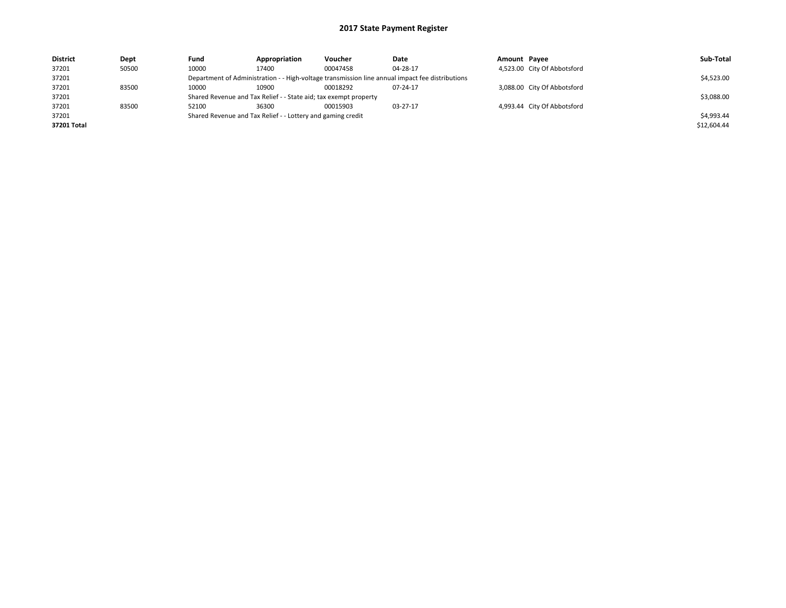| <b>District</b> | Dept  | Fund                                                                                            | Appropriation                                                    | Voucher    | Date     | Amount Pavee |                             | Sub-Total   |
|-----------------|-------|-------------------------------------------------------------------------------------------------|------------------------------------------------------------------|------------|----------|--------------|-----------------------------|-------------|
| 37201           | 50500 | 10000                                                                                           | 17400                                                            | 00047458   | 04-28-17 |              | 4,523.00 City Of Abbotsford |             |
| 37201           |       | Department of Administration - - High-voltage transmission line annual impact fee distributions |                                                                  | \$4,523.00 |          |              |                             |             |
| 37201           | 83500 | 10000                                                                                           | 10900                                                            | 00018292   | 07-24-17 |              | 3,088.00 City Of Abbotsford |             |
| 37201           |       |                                                                                                 | Shared Revenue and Tax Relief - - State aid; tax exempt property |            |          |              |                             | \$3,088.00  |
| 37201           | 83500 | 52100                                                                                           | 36300                                                            | 00015903   | 03-27-17 |              | 4,993.44 City Of Abbotsford |             |
| 37201           |       | Shared Revenue and Tax Relief - - Lottery and gaming credit                                     |                                                                  | \$4,993.44 |          |              |                             |             |
| 37201 Total     |       |                                                                                                 |                                                                  |            |          |              |                             | \$12,604.44 |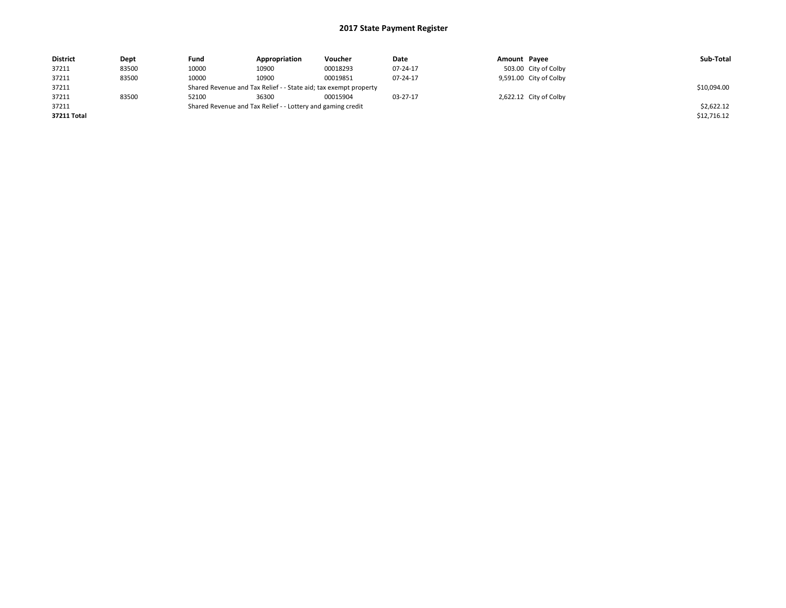| <b>District</b> | Dept  | Fund                                                             | Appropriation | Voucher     | Date     | Amount Payee |                        | Sub-Total   |
|-----------------|-------|------------------------------------------------------------------|---------------|-------------|----------|--------------|------------------------|-------------|
| 37211           | 83500 | 10000                                                            | 10900         | 00018293    | 07-24-17 |              | 503.00 City of Colby   |             |
| 37211           | 83500 | 10000                                                            | 10900         | 00019851    | 07-24-17 |              | 9,591.00 City of Colby |             |
| 37211           |       | Shared Revenue and Tax Relief - - State aid; tax exempt property |               | \$10,094.00 |          |              |                        |             |
| 37211           | 83500 | 52100                                                            | 36300         | 00015904    | 03-27-17 |              | 2,622.12 City of Colby |             |
| 37211           |       | Shared Revenue and Tax Relief - - Lottery and gaming credit      |               | \$2,622.12  |          |              |                        |             |
| 37211 Total     |       |                                                                  |               |             |          |              |                        | \$12,716.12 |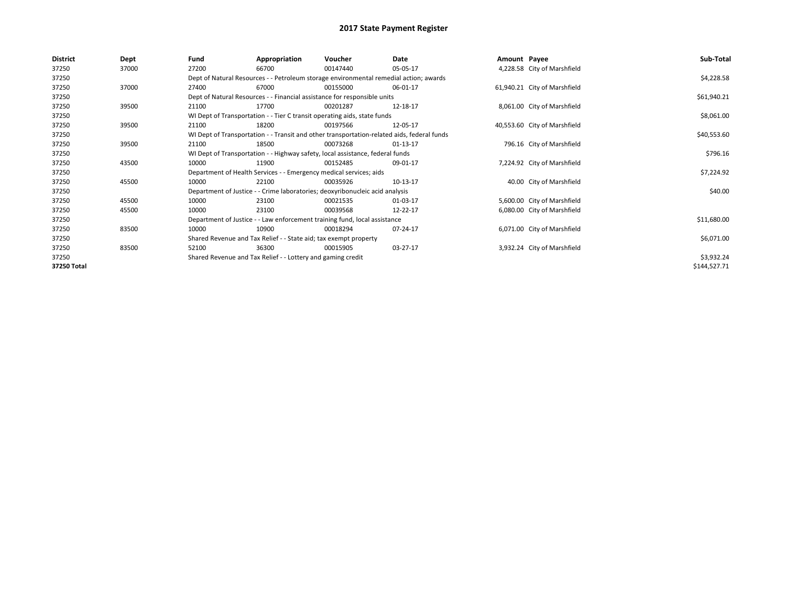| <b>District</b> | Dept  | Fund  | Appropriation                                                                              | Voucher  | Date           | Amount Payee |                              | Sub-Total    |  |  |  |
|-----------------|-------|-------|--------------------------------------------------------------------------------------------|----------|----------------|--------------|------------------------------|--------------|--|--|--|
| 37250           | 37000 | 27200 | 66700                                                                                      | 00147440 | 05-05-17       |              | 4,228.58 City of Marshfield  |              |  |  |  |
| 37250           |       |       | Dept of Natural Resources - - Petroleum storage environmental remedial action; awards      |          |                |              |                              | \$4,228.58   |  |  |  |
| 37250           | 37000 | 27400 | 67000                                                                                      | 00155000 | 06-01-17       |              | 61,940.21 City of Marshfield |              |  |  |  |
| 37250           |       |       | Dept of Natural Resources - - Financial assistance for responsible units                   |          |                |              |                              |              |  |  |  |
| 37250           | 39500 | 21100 | 17700                                                                                      | 00201287 | 12-18-17       |              | 8,061.00 City of Marshfield  |              |  |  |  |
| 37250           |       |       | WI Dept of Transportation - - Tier C transit operating aids, state funds                   |          |                |              |                              |              |  |  |  |
| 37250           | 39500 | 21100 | 18200                                                                                      | 00197566 | 12-05-17       |              | 40,553.60 City of Marshfield |              |  |  |  |
| 37250           |       |       | WI Dept of Transportation - - Transit and other transportation-related aids, federal funds |          |                |              |                              |              |  |  |  |
| 37250           | 39500 | 21100 | 18500                                                                                      | 00073268 | $01 - 13 - 17$ |              | 796.16 City of Marshfield    |              |  |  |  |
| 37250           |       |       | WI Dept of Transportation - - Highway safety, local assistance, federal funds              |          |                |              |                              |              |  |  |  |
| 37250           | 43500 | 10000 | 11900                                                                                      | 00152485 | 09-01-17       |              | 7,224.92 City of Marshfield  |              |  |  |  |
| 37250           |       |       | Department of Health Services - - Emergency medical services; aids                         |          |                |              |                              |              |  |  |  |
| 37250           | 45500 | 10000 | 22100                                                                                      | 00035926 | 10-13-17       |              | 40.00 City of Marshfield     |              |  |  |  |
| 37250           |       |       | Department of Justice - - Crime laboratories; deoxyribonucleic acid analysis               |          |                |              |                              | \$40.00      |  |  |  |
| 37250           | 45500 | 10000 | 23100                                                                                      | 00021535 | 01-03-17       |              | 5,600.00 City of Marshfield  |              |  |  |  |
| 37250           | 45500 | 10000 | 23100                                                                                      | 00039568 | 12-22-17       |              | 6,080.00 City of Marshfield  |              |  |  |  |
| 37250           |       |       | Department of Justice - - Law enforcement training fund, local assistance                  |          |                |              |                              | \$11,680.00  |  |  |  |
| 37250           | 83500 | 10000 | 10900                                                                                      | 00018294 | 07-24-17       |              | 6,071.00 City of Marshfield  |              |  |  |  |
| 37250           |       |       | Shared Revenue and Tax Relief - - State aid; tax exempt property                           |          |                |              |                              | \$6,071.00   |  |  |  |
| 37250           | 83500 | 52100 | 36300                                                                                      | 00015905 | 03-27-17       |              | 3,932.24 City of Marshfield  |              |  |  |  |
| 37250           |       |       | Shared Revenue and Tax Relief - - Lottery and gaming credit                                |          |                |              |                              | \$3,932.24   |  |  |  |
| 37250 Total     |       |       |                                                                                            |          |                |              |                              | \$144,527.71 |  |  |  |
|                 |       |       |                                                                                            |          |                |              |                              |              |  |  |  |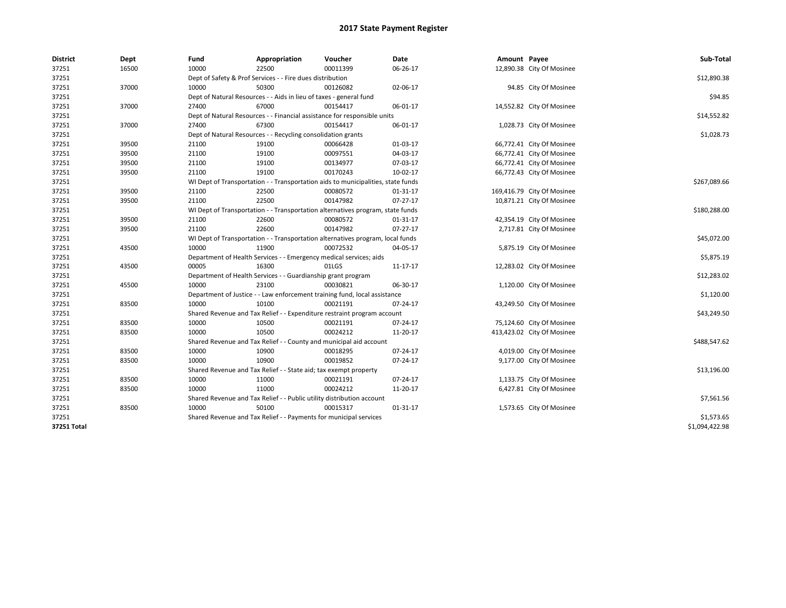| <b>District</b> | Dept  | Fund                                                                           | Appropriation                                                                    | Voucher      | Date           | Amount Payee |                            | Sub-Total      |  |  |  |
|-----------------|-------|--------------------------------------------------------------------------------|----------------------------------------------------------------------------------|--------------|----------------|--------------|----------------------------|----------------|--|--|--|
| 37251           | 16500 | 10000                                                                          | 22500                                                                            | 00011399     | 06-26-17       |              | 12,890.38 City Of Mosinee  |                |  |  |  |
| 37251           |       |                                                                                | Dept of Safety & Prof Services - - Fire dues distribution                        |              |                |              |                            | \$12,890.38    |  |  |  |
| 37251           | 37000 | 10000                                                                          | 50300                                                                            | 00126082     | 02-06-17       |              | 94.85 City Of Mosinee      |                |  |  |  |
| 37251           |       |                                                                                | Dept of Natural Resources - - Aids in lieu of taxes - general fund               |              |                |              |                            | \$94.85        |  |  |  |
| 37251           | 37000 | 27400                                                                          | 67000                                                                            | 00154417     | 06-01-17       |              | 14,552.82 City Of Mosinee  |                |  |  |  |
| 37251           |       |                                                                                | Dept of Natural Resources - - Financial assistance for responsible units         |              |                |              |                            | \$14,552.82    |  |  |  |
| 37251           | 37000 | 27400                                                                          | 67300                                                                            | 00154417     | 06-01-17       |              | 1,028.73 City Of Mosinee   |                |  |  |  |
| 37251           |       |                                                                                | Dept of Natural Resources - - Recycling consolidation grants                     |              |                |              |                            | \$1,028.73     |  |  |  |
| 37251           | 39500 | 21100                                                                          | 19100                                                                            | 00066428     | 01-03-17       |              | 66,772.41 City Of Mosinee  |                |  |  |  |
| 37251           | 39500 | 21100                                                                          | 19100                                                                            | 00097551     | 04-03-17       |              | 66,772.41 City Of Mosinee  |                |  |  |  |
| 37251           | 39500 | 21100                                                                          | 19100                                                                            | 00134977     | 07-03-17       |              | 66,772.41 City Of Mosinee  |                |  |  |  |
| 37251           | 39500 | 21100                                                                          | 19100                                                                            | 00170243     | 10-02-17       |              | 66,772.43 City Of Mosinee  |                |  |  |  |
| 37251           |       |                                                                                | WI Dept of Transportation - - Transportation aids to municipalities, state funds |              |                |              |                            |                |  |  |  |
| 37251           | 39500 | 21100                                                                          | 22500                                                                            | 00080572     | 01-31-17       |              | 169,416.79 City Of Mosinee |                |  |  |  |
| 37251           | 39500 | 21100                                                                          | 22500                                                                            | 00147982     | 07-27-17       |              | 10,871.21 City Of Mosinee  |                |  |  |  |
| 37251           |       | WI Dept of Transportation - - Transportation alternatives program, state funds |                                                                                  | \$180,288.00 |                |              |                            |                |  |  |  |
| 37251           | 39500 | 21100                                                                          | 22600                                                                            | 00080572     | 01-31-17       |              | 42,354.19 City Of Mosinee  |                |  |  |  |
| 37251           | 39500 | 21100                                                                          | 22600                                                                            | 00147982     | $07 - 27 - 17$ |              | 2,717.81 City Of Mosinee   |                |  |  |  |
| 37251           |       | WI Dept of Transportation - - Transportation alternatives program, local funds |                                                                                  | \$45,072.00  |                |              |                            |                |  |  |  |
| 37251           | 43500 | 10000                                                                          | 11900                                                                            | 00072532     | 04-05-17       |              | 5,875.19 City Of Mosinee   |                |  |  |  |
| 37251           |       |                                                                                | Department of Health Services - - Emergency medical services; aids               |              |                |              |                            | \$5,875.19     |  |  |  |
| 37251           | 43500 | 00005                                                                          | 16300                                                                            | 01LGS        | 11-17-17       |              | 12,283.02 City Of Mosinee  |                |  |  |  |
| 37251           |       |                                                                                | Department of Health Services - - Guardianship grant program                     |              |                |              |                            | \$12,283.02    |  |  |  |
| 37251           | 45500 | 10000                                                                          | 23100                                                                            | 00030821     | 06-30-17       |              | 1,120.00 City Of Mosinee   |                |  |  |  |
| 37251           |       |                                                                                | Department of Justice - - Law enforcement training fund, local assistance        |              |                |              |                            | \$1,120.00     |  |  |  |
| 37251           | 83500 | 10000                                                                          | 10100                                                                            | 00021191     | 07-24-17       |              | 43,249.50 City Of Mosinee  |                |  |  |  |
| 37251           |       |                                                                                | Shared Revenue and Tax Relief - - Expenditure restraint program account          |              |                |              |                            | \$43,249.50    |  |  |  |
| 37251           | 83500 | 10000                                                                          | 10500                                                                            | 00021191     | 07-24-17       |              | 75,124.60 City Of Mosinee  |                |  |  |  |
| 37251           | 83500 | 10000                                                                          | 10500                                                                            | 00024212     | 11-20-17       |              | 413,423.02 City Of Mosinee |                |  |  |  |
| 37251           |       |                                                                                | Shared Revenue and Tax Relief - - County and municipal aid account               |              |                |              |                            | \$488,547.62   |  |  |  |
| 37251           | 83500 | 10000                                                                          | 10900                                                                            | 00018295     | 07-24-17       |              | 4,019.00 City Of Mosinee   |                |  |  |  |
| 37251           | 83500 | 10000                                                                          | 10900                                                                            | 00019852     | 07-24-17       |              | 9,177.00 City Of Mosinee   |                |  |  |  |
| 37251           |       |                                                                                | Shared Revenue and Tax Relief - - State aid; tax exempt property                 |              |                |              |                            | \$13,196.00    |  |  |  |
| 37251           | 83500 | 10000                                                                          | 11000                                                                            | 00021191     | 07-24-17       |              | 1,133.75 City Of Mosinee   |                |  |  |  |
| 37251           | 83500 | 10000                                                                          | 11000                                                                            | 00024212     | 11-20-17       |              | 6,427.81 City Of Mosinee   |                |  |  |  |
| 37251           |       |                                                                                | Shared Revenue and Tax Relief - - Public utility distribution account            |              |                |              |                            | \$7,561.56     |  |  |  |
| 37251           | 83500 | 10000                                                                          | 50100                                                                            | 00015317     | 01-31-17       |              | 1,573.65 City Of Mosinee   |                |  |  |  |
| 37251           |       |                                                                                | Shared Revenue and Tax Relief - - Payments for municipal services                |              |                |              |                            | \$1,573.65     |  |  |  |
| 37251 Total     |       |                                                                                |                                                                                  |              |                |              |                            | \$1,094,422.98 |  |  |  |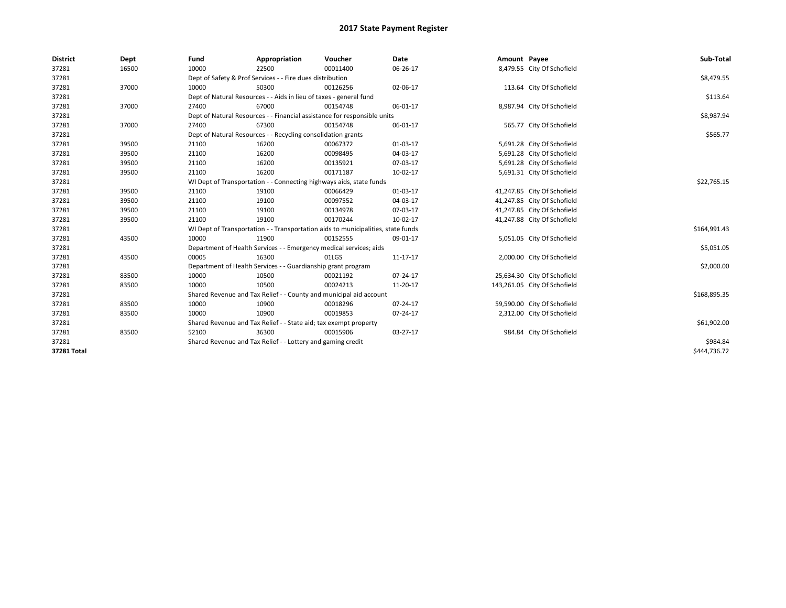| <b>District</b> | Dept  | Fund  | Appropriation                                                                    | Voucher  | Date     | Amount Payee |                              | Sub-Total    |  |  |  |
|-----------------|-------|-------|----------------------------------------------------------------------------------|----------|----------|--------------|------------------------------|--------------|--|--|--|
| 37281           | 16500 | 10000 | 22500                                                                            | 00011400 | 06-26-17 |              | 8,479.55 City Of Schofield   |              |  |  |  |
| 37281           |       |       | Dept of Safety & Prof Services - - Fire dues distribution                        |          |          |              |                              | \$8,479.55   |  |  |  |
| 37281           | 37000 | 10000 | 50300                                                                            | 00126256 | 02-06-17 |              | 113.64 City Of Schofield     |              |  |  |  |
| 37281           |       |       | Dept of Natural Resources - - Aids in lieu of taxes - general fund               |          |          |              |                              | \$113.64     |  |  |  |
| 37281           | 37000 | 27400 | 67000                                                                            | 00154748 | 06-01-17 |              | 8,987.94 City Of Schofield   |              |  |  |  |
| 37281           |       |       | Dept of Natural Resources - - Financial assistance for responsible units         |          |          |              |                              | \$8,987.94   |  |  |  |
| 37281           | 37000 | 27400 | 67300                                                                            | 00154748 | 06-01-17 |              | 565.77 City Of Schofield     |              |  |  |  |
| 37281           |       |       | Dept of Natural Resources - - Recycling consolidation grants                     |          |          |              |                              | \$565.77     |  |  |  |
| 37281           | 39500 | 21100 | 16200                                                                            | 00067372 | 01-03-17 |              | 5,691.28 City Of Schofield   |              |  |  |  |
| 37281           | 39500 | 21100 | 16200                                                                            | 00098495 | 04-03-17 |              | 5,691.28 City Of Schofield   |              |  |  |  |
| 37281           | 39500 | 21100 | 16200                                                                            | 00135921 | 07-03-17 |              | 5,691.28 City Of Schofield   |              |  |  |  |
| 37281           | 39500 | 21100 | 16200                                                                            | 00171187 | 10-02-17 |              | 5,691.31 City Of Schofield   |              |  |  |  |
| 37281           |       |       | WI Dept of Transportation - - Connecting highways aids, state funds              |          |          |              |                              |              |  |  |  |
| 37281           | 39500 | 21100 | 19100                                                                            | 00066429 | 01-03-17 |              | 41,247.85 City Of Schofield  |              |  |  |  |
| 37281           | 39500 | 21100 | 19100                                                                            | 00097552 | 04-03-17 |              | 41,247.85 City Of Schofield  |              |  |  |  |
| 37281           | 39500 | 21100 | 19100                                                                            | 00134978 | 07-03-17 |              | 41,247.85 City Of Schofield  |              |  |  |  |
| 37281           | 39500 | 21100 | 19100                                                                            | 00170244 | 10-02-17 |              | 41,247.88 City Of Schofield  |              |  |  |  |
| 37281           |       |       | WI Dept of Transportation - - Transportation aids to municipalities, state funds |          |          |              |                              | \$164,991.43 |  |  |  |
| 37281           | 43500 | 10000 | 11900                                                                            | 00152555 | 09-01-17 |              | 5,051.05 City Of Schofield   |              |  |  |  |
| 37281           |       |       | Department of Health Services - - Emergency medical services; aids               |          |          |              |                              | \$5,051.05   |  |  |  |
| 37281           | 43500 | 00005 | 16300                                                                            | 01LGS    | 11-17-17 |              | 2,000.00 City Of Schofield   |              |  |  |  |
| 37281           |       |       | Department of Health Services - - Guardianship grant program                     |          |          |              |                              | \$2,000.00   |  |  |  |
| 37281           | 83500 | 10000 | 10500                                                                            | 00021192 | 07-24-17 |              | 25,634.30 City Of Schofield  |              |  |  |  |
| 37281           | 83500 | 10000 | 10500                                                                            | 00024213 | 11-20-17 |              | 143,261.05 City Of Schofield |              |  |  |  |
| 37281           |       |       | Shared Revenue and Tax Relief - - County and municipal aid account               |          |          |              |                              | \$168,895.35 |  |  |  |
| 37281           | 83500 | 10000 | 10900                                                                            | 00018296 | 07-24-17 |              | 59,590.00 City Of Schofield  |              |  |  |  |
| 37281           | 83500 | 10000 | 10900                                                                            | 00019853 | 07-24-17 |              | 2,312.00 City Of Schofield   |              |  |  |  |
| 37281           |       |       | Shared Revenue and Tax Relief - - State aid; tax exempt property                 |          |          |              |                              | \$61,902.00  |  |  |  |
| 37281           | 83500 | 52100 | 36300                                                                            | 00015906 | 03-27-17 |              | 984.84 City Of Schofield     |              |  |  |  |
| 37281           |       |       | Shared Revenue and Tax Relief - - Lottery and gaming credit                      |          |          |              |                              | \$984.84     |  |  |  |
| 37281 Total     |       |       |                                                                                  |          |          |              |                              | \$444.736.72 |  |  |  |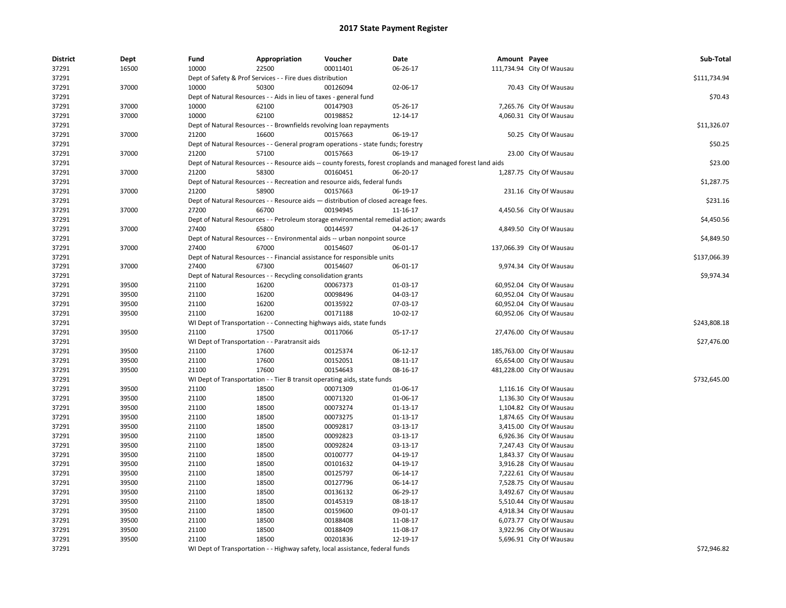| <b>District</b> | Dept           | Fund           | Appropriation                                                                         | Voucher              | <b>Date</b>                                                                                                  | Amount Payee |                           | Sub-Total    |
|-----------------|----------------|----------------|---------------------------------------------------------------------------------------|----------------------|--------------------------------------------------------------------------------------------------------------|--------------|---------------------------|--------------|
| 37291           | 16500          | 10000          | 22500                                                                                 | 00011401             | 06-26-17                                                                                                     |              | 111,734.94 City Of Wausau |              |
| 37291           |                |                | Dept of Safety & Prof Services - - Fire dues distribution                             |                      |                                                                                                              |              |                           | \$111,734.94 |
| 37291           | 37000          | 10000          | 50300                                                                                 | 00126094             | 02-06-17                                                                                                     |              | 70.43 City Of Wausau      |              |
| 37291           |                |                | Dept of Natural Resources - - Aids in lieu of taxes - general fund                    |                      |                                                                                                              |              |                           | \$70.43      |
| 37291           | 37000          | 10000          | 62100                                                                                 | 00147903             | 05-26-17                                                                                                     |              | 7,265.76 City Of Wausau   |              |
| 37291           | 37000          | 10000          | 62100                                                                                 | 00198852             | 12-14-17                                                                                                     |              | 4,060.31 City Of Wausau   |              |
| 37291           |                |                | Dept of Natural Resources - - Brownfields revolving loan repayments                   |                      |                                                                                                              |              |                           | \$11,326.07  |
| 37291           | 37000          | 21200          | 16600                                                                                 | 00157663             | 06-19-17                                                                                                     |              | 50.25 City Of Wausau      |              |
| 37291           |                |                | Dept of Natural Resources - - General program operations - state funds; forestry      |                      |                                                                                                              |              |                           | \$50.25      |
| 37291           | 37000          | 21200          | 57100                                                                                 | 00157663             | 06-19-17                                                                                                     |              | 23.00 City Of Wausau      |              |
| 37291           |                |                |                                                                                       |                      | Dept of Natural Resources - - Resource aids -- county forests, forest croplands and managed forest land aids |              |                           | \$23.00      |
| 37291           | 37000          | 21200          | 58300                                                                                 | 00160451             | 06-20-17                                                                                                     |              | 1,287.75 City Of Wausau   |              |
| 37291           |                |                | Dept of Natural Resources - - Recreation and resource aids, federal funds             |                      |                                                                                                              |              |                           | \$1,287.75   |
| 37291           | 37000          | 21200          | 58900                                                                                 | 00157663             | 06-19-17                                                                                                     |              | 231.16 City Of Wausau     |              |
| 37291           |                |                | Dept of Natural Resources - - Resource aids - distribution of closed acreage fees.    |                      |                                                                                                              |              |                           | \$231.16     |
| 37291           | 37000          | 27200          | 66700                                                                                 | 00194945             | 11-16-17                                                                                                     |              | 4,450.56 City Of Wausau   |              |
| 37291           |                |                | Dept of Natural Resources - - Petroleum storage environmental remedial action; awards |                      |                                                                                                              |              |                           | \$4,450.56   |
| 37291           | 37000          | 27400          | 65800                                                                                 | 00144597             | 04-26-17                                                                                                     |              | 4,849.50 City Of Wausau   |              |
| 37291           |                |                | Dept of Natural Resources - - Environmental aids -- urban nonpoint source             |                      |                                                                                                              |              |                           | \$4,849.50   |
| 37291           | 37000          | 27400          | 67000                                                                                 | 00154607             | 06-01-17                                                                                                     |              | 137,066.39 City Of Wausau |              |
| 37291           |                |                | Dept of Natural Resources - - Financial assistance for responsible units              |                      |                                                                                                              |              |                           | \$137,066.39 |
| 37291           | 37000          | 27400          | 67300                                                                                 | 00154607             | 06-01-17                                                                                                     |              | 9,974.34 City Of Wausau   |              |
| 37291           |                |                | Dept of Natural Resources - - Recycling consolidation grants                          |                      |                                                                                                              |              |                           | \$9,974.34   |
| 37291           | 39500          | 21100          | 16200                                                                                 | 00067373             | 01-03-17                                                                                                     |              | 60,952.04 City Of Wausau  |              |
| 37291           | 39500          | 21100          | 16200                                                                                 | 00098496             | 04-03-17                                                                                                     |              | 60,952.04 City Of Wausau  |              |
| 37291           | 39500          | 21100          | 16200                                                                                 | 00135922             | 07-03-17                                                                                                     |              | 60,952.04 City Of Wausau  |              |
| 37291           | 39500          | 21100          | 16200                                                                                 | 00171188             | 10-02-17                                                                                                     |              | 60,952.06 City Of Wausau  |              |
| 37291           |                |                | WI Dept of Transportation - - Connecting highways aids, state funds                   |                      |                                                                                                              |              |                           | \$243,808.18 |
| 37291           | 39500          | 21100          | 17500                                                                                 | 00117066             | 05-17-17                                                                                                     |              | 27,476.00 City Of Wausau  |              |
| 37291           |                |                | WI Dept of Transportation - - Paratransit aids                                        |                      |                                                                                                              |              |                           | \$27,476.00  |
| 37291           | 39500          | 21100          | 17600                                                                                 | 00125374             | 06-12-17                                                                                                     |              | 185,763.00 City Of Wausau |              |
| 37291           | 39500          | 21100          | 17600                                                                                 | 00152051             | 08-11-17                                                                                                     |              | 65,654.00 City Of Wausau  |              |
| 37291           | 39500          | 21100          | 17600                                                                                 | 00154643             | 08-16-17                                                                                                     |              | 481,228.00 City Of Wausau |              |
| 37291           |                |                | WI Dept of Transportation - - Tier B transit operating aids, state funds              |                      |                                                                                                              |              |                           | \$732,645.00 |
| 37291           | 39500          | 21100          | 18500                                                                                 | 00071309             | 01-06-17                                                                                                     |              | 1,116.16 City Of Wausau   |              |
| 37291           | 39500          | 21100          | 18500                                                                                 | 00071320             | 01-06-17                                                                                                     |              | 1,136.30 City Of Wausau   |              |
| 37291           | 39500          | 21100          | 18500                                                                                 | 00073274             | $01-13-17$                                                                                                   |              | 1,104.82 City Of Wausau   |              |
| 37291           | 39500          | 21100          | 18500                                                                                 | 00073275             | 01-13-17                                                                                                     |              | 1,874.65 City Of Wausau   |              |
| 37291           | 39500          | 21100          | 18500                                                                                 | 00092817             | 03-13-17                                                                                                     |              | 3,415.00 City Of Wausau   |              |
| 37291           | 39500          | 21100          | 18500                                                                                 | 00092823             | 03-13-17                                                                                                     |              | 6,926.36 City Of Wausau   |              |
|                 |                |                |                                                                                       | 00092824             |                                                                                                              |              |                           |              |
| 37291<br>37291  | 39500          | 21100          | 18500                                                                                 |                      | 03-13-17                                                                                                     |              | 7,247.43 City Of Wausau   |              |
| 37291           | 39500<br>39500 | 21100<br>21100 | 18500<br>18500                                                                        | 00100777<br>00101632 | 04-19-17<br>04-19-17                                                                                         |              | 1,843.37 City Of Wausau   |              |
|                 |                |                |                                                                                       |                      |                                                                                                              |              | 3,916.28 City Of Wausau   |              |
| 37291           | 39500          | 21100          | 18500                                                                                 | 00125797             | 06-14-17                                                                                                     |              | 7,222.61 City Of Wausau   |              |
| 37291           | 39500          | 21100          | 18500                                                                                 | 00127796             | 06-14-17                                                                                                     |              | 7,528.75 City Of Wausau   |              |
| 37291           | 39500          | 21100          | 18500                                                                                 | 00136132             | 06-29-17                                                                                                     |              | 3,492.67 City Of Wausau   |              |
| 37291           | 39500          | 21100          | 18500                                                                                 | 00145319             | 08-18-17                                                                                                     |              | 5,510.44 City Of Wausau   |              |
| 37291           | 39500          | 21100          | 18500                                                                                 | 00159600             | 09-01-17                                                                                                     |              | 4,918.34 City Of Wausau   |              |
| 37291           | 39500          | 21100          | 18500                                                                                 | 00188408             | 11-08-17                                                                                                     |              | 6,073.77 City Of Wausau   |              |
| 37291           | 39500          | 21100          | 18500                                                                                 | 00188409             | 11-08-17                                                                                                     |              | 3,922.96 City Of Wausau   |              |
| 37291           | 39500          | 21100          | 18500                                                                                 | 00201836             | 12-19-17                                                                                                     |              | 5,696.91 City Of Wausau   |              |
| 37291           |                |                | WI Dept of Transportation - - Highway safety, local assistance, federal funds         |                      |                                                                                                              |              |                           | \$72,946.82  |